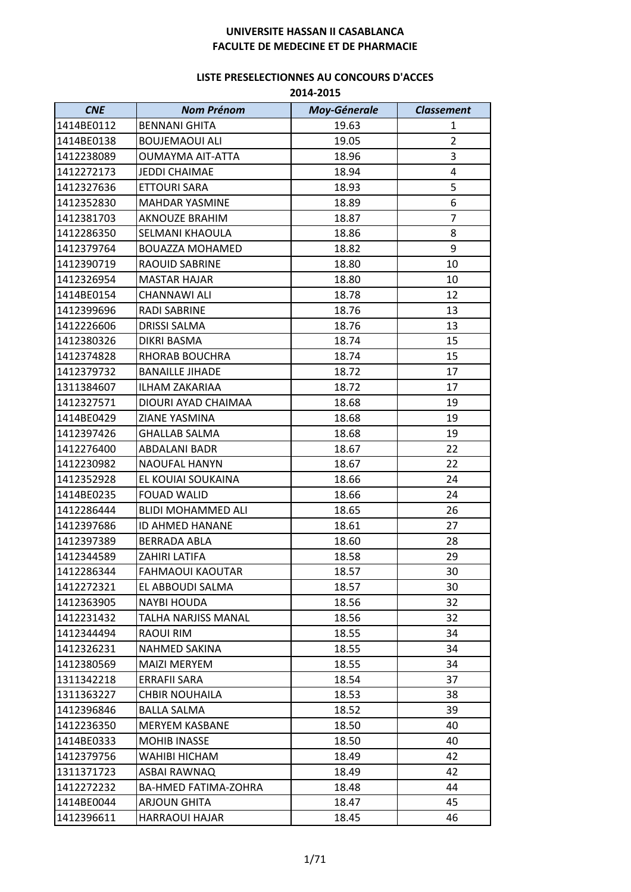| <b>CNE</b> | <b>Nom Prénom</b>         | <b>Moy-Génerale</b> | <b>Classement</b> |
|------------|---------------------------|---------------------|-------------------|
| 1414BE0112 | <b>BENNANI GHITA</b>      | 19.63               | 1                 |
| 1414BE0138 | <b>BOUJEMAOUI ALI</b>     | 19.05               | $\overline{2}$    |
| 1412238089 | <b>OUMAYMA AIT-ATTA</b>   | 18.96               | 3                 |
| 1412272173 | <b>JEDDI CHAIMAE</b>      | 18.94               | 4                 |
| 1412327636 | <b>ETTOURI SARA</b>       | 18.93               | 5                 |
| 1412352830 | <b>MAHDAR YASMINE</b>     | 18.89               | 6                 |
| 1412381703 | <b>AKNOUZE BRAHIM</b>     | 18.87               | $\overline{7}$    |
| 1412286350 | SELMANI KHAOULA           | 18.86               | 8                 |
| 1412379764 | <b>BOUAZZA MOHAMED</b>    | 18.82               | 9                 |
| 1412390719 | RAOUID SABRINE            | 18.80               | 10                |
| 1412326954 | <b>MASTAR HAJAR</b>       | 18.80               | 10                |
| 1414BE0154 | CHANNAWI ALI              | 18.78               | 12                |
| 1412399696 | RADI SABRINE              | 18.76               | 13                |
| 1412226606 | <b>DRISSI SALMA</b>       | 18.76               | 13                |
| 1412380326 | DIKRI BASMA               | 18.74               | 15                |
| 1412374828 | RHORAB BOUCHRA            | 18.74               | 15                |
| 1412379732 | <b>BANAILLE JIHADE</b>    | 18.72               | 17                |
| 1311384607 | <b>ILHAM ZAKARIAA</b>     | 18.72               | 17                |
| 1412327571 | DIOURI AYAD CHAIMAA       | 18.68               | 19                |
| 1414BE0429 | ZIANE YASMINA             | 18.68               | 19                |
| 1412397426 | <b>GHALLAB SALMA</b>      | 18.68               | 19                |
| 1412276400 | <b>ABDALANI BADR</b>      | 18.67               | 22                |
| 1412230982 | <b>NAOUFAL HANYN</b>      | 18.67               | 22                |
| 1412352928 | EL KOUIAI SOUKAINA        | 18.66               | 24                |
| 1414BE0235 | <b>FOUAD WALID</b>        | 18.66               | 24                |
| 1412286444 | <b>BLIDI MOHAMMED ALI</b> | 18.65               | 26                |
| 1412397686 | ID AHMED HANANE           | 18.61               | 27                |
| 1412397389 | BERRADA ABLA              | 18.60               | 28                |
| 1412344589 | ZAHIRI LATIFA             | 18.58               | 29                |
| 1412286344 | FAHMAOUI KAOUTAR          | 18.57               | 30                |
| 1412272321 | EL ABBOUDI SALMA          | 18.57               | 30                |
| 1412363905 | <b>NAYBI HOUDA</b>        | 18.56               | 32                |
| 1412231432 | TALHA NARJISS MANAL       | 18.56               | 32                |
| 1412344494 | RAOUI RIM                 | 18.55               | 34                |
| 1412326231 | NAHMED SAKINA             | 18.55               | 34                |
| 1412380569 | <b>MAIZI MERYEM</b>       | 18.55               | 34                |
| 1311342218 | ERRAFII SARA              | 18.54               | 37                |
| 1311363227 | <b>CHBIR NOUHAILA</b>     | 18.53               | 38                |
| 1412396846 | <b>BALLA SALMA</b>        | 18.52               | 39                |
| 1412236350 | <b>MERYEM KASBANE</b>     | 18.50               | 40                |
| 1414BE0333 | <b>MOHIB INASSE</b>       | 18.50               | 40                |
| 1412379756 | WAHIBI HICHAM             | 18.49               | 42                |
| 1311371723 | <b>ASBAI RAWNAQ</b>       | 18.49               | 42                |
| 1412272232 | BA-HMED FATIMA-ZOHRA      | 18.48               | 44                |
| 1414BE0044 | <b>ARJOUN GHITA</b>       | 18.47               | 45                |
| 1412396611 | <b>HARRAOUI HAJAR</b>     | 18.45               | 46                |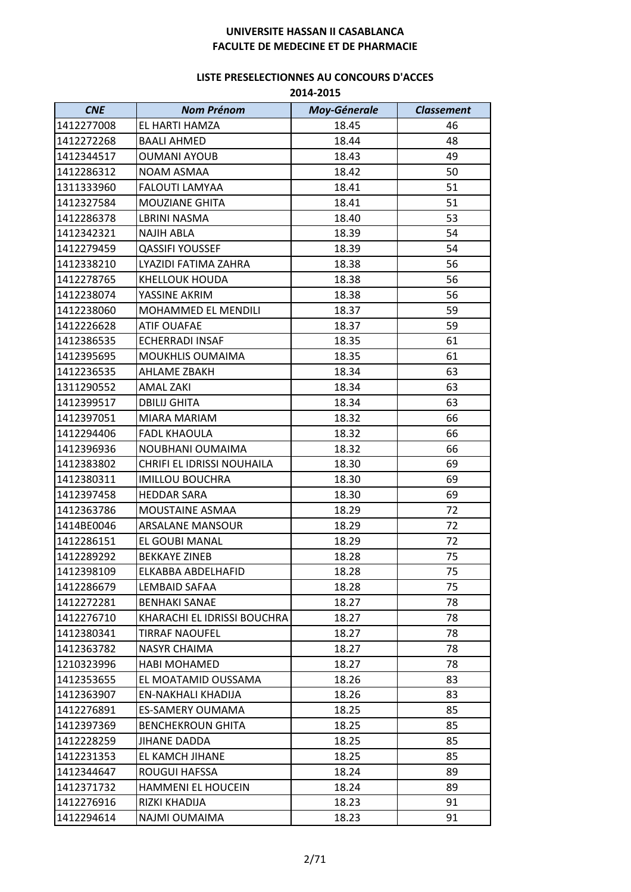| <b>CNE</b> | <b>Nom Prénom</b>           | <b>Moy-Génerale</b> | <b>Classement</b> |
|------------|-----------------------------|---------------------|-------------------|
| 1412277008 | EL HARTI HAMZA              | 18.45               | 46                |
| 1412272268 | <b>BAALI AHMED</b>          | 18.44               | 48                |
| 1412344517 | <b>OUMANI AYOUB</b>         | 18.43               | 49                |
| 1412286312 | NOAM ASMAA                  | 18.42               | 50                |
| 1311333960 | FALOUTI LAMYAA              | 18.41               | 51                |
| 1412327584 | <b>MOUZIANE GHITA</b>       | 18.41               | 51                |
| 1412286378 | <b>LBRINI NASMA</b>         | 18.40               | 53                |
| 1412342321 | <b>NAJIH ABLA</b>           | 18.39               | 54                |
| 1412279459 | <b>QASSIFI YOUSSEF</b>      | 18.39               | 54                |
| 1412338210 | LYAZIDI FATIMA ZAHRA        | 18.38               | 56                |
| 1412278765 | <b>KHELLOUK HOUDA</b>       | 18.38               | 56                |
| 1412238074 | YASSINE AKRIM               | 18.38               | 56                |
| 1412238060 | <b>MOHAMMED EL MENDILI</b>  | 18.37               | 59                |
| 1412226628 | <b>ATIF OUAFAE</b>          | 18.37               | 59                |
| 1412386535 | ECHERRADI INSAF             | 18.35               | 61                |
| 1412395695 | MOUKHLIS OUMAIMA            | 18.35               | 61                |
| 1412236535 | AHLAME ZBAKH                | 18.34               | 63                |
| 1311290552 | <b>AMAL ZAKI</b>            | 18.34               | 63                |
| 1412399517 | <b>DBILIJ GHITA</b>         | 18.34               | 63                |
| 1412397051 | MIARA MARIAM                | 18.32               | 66                |
| 1412294406 | <b>FADL KHAOULA</b>         | 18.32               | 66                |
| 1412396936 | NOUBHANI OUMAIMA            | 18.32               | 66                |
| 1412383802 | CHRIFI EL IDRISSI NOUHAILA  | 18.30               | 69                |
| 1412380311 | <b>IMILLOU BOUCHRA</b>      | 18.30               | 69                |
| 1412397458 | <b>HEDDAR SARA</b>          | 18.30               | 69                |
| 1412363786 | MOUSTAINE ASMAA             | 18.29               | 72                |
| 1414BE0046 | <b>ARSALANE MANSOUR</b>     | 18.29               | 72                |
| 1412286151 | EL GOUBI MANAL              | 18.29               | 72                |
| 1412289292 | <b>BEKKAYE ZINEB</b>        | 18.28               | 75                |
| 1412398109 | ELKABBA ABDELHAFID          | 18.28               | 75                |
| 1412286679 | LEMBAID SAFAA               | 18.28               | 75                |
| 1412272281 | <b>BENHAKI SANAE</b>        | 18.27               | 78                |
| 1412276710 | KHARACHI EL IDRISSI BOUCHRA | 18.27               | 78                |
| 1412380341 | TIRRAF NAOUFEL              | 18.27               | 78                |
| 1412363782 | NASYR CHAIMA                | 18.27               | 78                |
| 1210323996 | <b>HABI MOHAMED</b>         | 18.27               | 78                |
| 1412353655 | EL MOATAMID OUSSAMA         | 18.26               | 83                |
| 1412363907 | EN-NAKHALI KHADIJA          | 18.26               | 83                |
| 1412276891 | <b>ES-SAMERY OUMAMA</b>     | 18.25               | 85                |
| 1412397369 | <b>BENCHEKROUN GHITA</b>    | 18.25               | 85                |
| 1412228259 | JIHANE DADDA                | 18.25               | 85                |
| 1412231353 | EL KAMCH JIHANE             | 18.25               | 85                |
| 1412344647 | ROUGUI HAFSSA               | 18.24               | 89                |
| 1412371732 | <b>HAMMENI EL HOUCEIN</b>   | 18.24               | 89                |
| 1412276916 | RIZKI KHADIJA               | 18.23               | 91                |
| 1412294614 | NAJMI OUMAIMA               | 18.23               | 91                |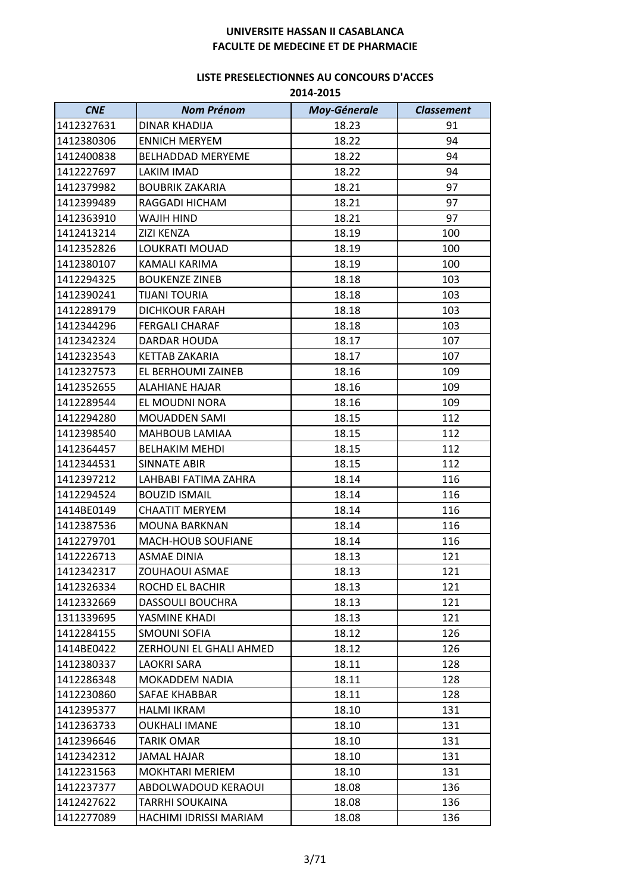| <b>CNE</b> | <b>Nom Prénom</b>        | <b>Moy-Génerale</b> | <b>Classement</b> |
|------------|--------------------------|---------------------|-------------------|
| 1412327631 | DINAR KHADIJA            | 18.23               | 91                |
| 1412380306 | <b>ENNICH MERYEM</b>     | 18.22               | 94                |
| 1412400838 | <b>BELHADDAD MERYEME</b> | 18.22               | 94                |
| 1412227697 | <b>LAKIM IMAD</b>        | 18.22               | 94                |
| 1412379982 | <b>BOUBRIK ZAKARIA</b>   | 18.21               | 97                |
| 1412399489 | RAGGADI HICHAM           | 18.21               | 97                |
| 1412363910 | WAJIH HIND               | 18.21               | 97                |
| 1412413214 | <b>ZIZI KENZA</b>        | 18.19               | 100               |
| 1412352826 | LOUKRATI MOUAD           | 18.19               | 100               |
| 1412380107 | KAMALI KARIMA            | 18.19               | 100               |
| 1412294325 | <b>BOUKENZE ZINEB</b>    | 18.18               | 103               |
| 1412390241 | <b>TIJANI TOURIA</b>     | 18.18               | 103               |
| 1412289179 | <b>DICHKOUR FARAH</b>    | 18.18               | 103               |
| 1412344296 | <b>FERGALI CHARAF</b>    | 18.18               | 103               |
| 1412342324 | DARDAR HOUDA             | 18.17               | 107               |
| 1412323543 | <b>KETTAB ZAKARIA</b>    | 18.17               | 107               |
| 1412327573 | EL BERHOUMI ZAINEB       | 18.16               | 109               |
| 1412352655 | <b>ALAHIANE HAJAR</b>    | 18.16               | 109               |
| 1412289544 | EL MOUDNI NORA           | 18.16               | 109               |
| 1412294280 | <b>MOUADDEN SAMI</b>     | 18.15               | 112               |
| 1412398540 | <b>MAHBOUB LAMIAA</b>    | 18.15               | 112               |
| 1412364457 | <b>BELHAKIM MEHDI</b>    | 18.15               | 112               |
| 1412344531 | <b>SINNATE ABIR</b>      | 18.15               | 112               |
| 1412397212 | LAHBABI FATIMA ZAHRA     | 18.14               | 116               |
| 1412294524 | <b>BOUZID ISMAIL</b>     | 18.14               | 116               |
| 1414BE0149 | <b>CHAATIT MERYEM</b>    | 18.14               | 116               |
| 1412387536 | <b>MOUNA BARKNAN</b>     | 18.14               | 116               |
| 1412279701 | MACH-HOUB SOUFIANE       | 18.14               | 116               |
| 1412226713 | <b>ASMAE DINIA</b>       | 18.13               | 121               |
| 1412342317 | ZOUHAOUI ASMAE           | 18.13               | 121               |
| 1412326334 | ROCHD EL BACHIR          | 18.13               | 121               |
| 1412332669 | DASSOULI BOUCHRA         | 18.13               | 121               |
| 1311339695 | YASMINE KHADI            | 18.13               | 121               |
| 1412284155 | SMOUNI SOFIA             | 18.12               | 126               |
| 1414BE0422 | ZERHOUNI EL GHALI AHMED  | 18.12               | 126               |
| 1412380337 | LAOKRI SARA              | 18.11               | 128               |
| 1412286348 | <b>MOKADDEM NADIA</b>    | 18.11               | 128               |
| 1412230860 | SAFAE KHABBAR            | 18.11               | 128               |
| 1412395377 | <b>HALMI IKRAM</b>       | 18.10               | 131               |
| 1412363733 | <b>OUKHALI IMANE</b>     | 18.10               | 131               |
| 1412396646 | TARIK OMAR               | 18.10               | 131               |
| 1412342312 | <b>JAMAL HAJAR</b>       | 18.10               | 131               |
| 1412231563 | <b>MOKHTARI MERIEM</b>   | 18.10               | 131               |
| 1412237377 | ABDOLWADOUD KERAOUI      | 18.08               | 136               |
| 1412427622 | TARRHI SOUKAINA          | 18.08               | 136               |
| 1412277089 | HACHIMI IDRISSI MARIAM   | 18.08               | 136               |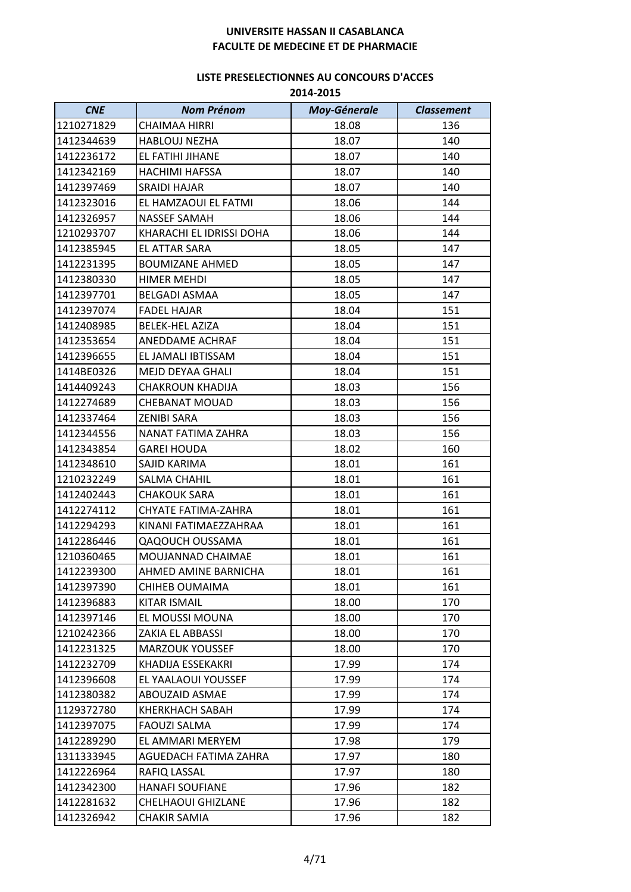| <b>CNE</b> | <b>Nom Prénom</b>        | <b>Moy-Génerale</b> | <b>Classement</b> |
|------------|--------------------------|---------------------|-------------------|
| 1210271829 | CHAIMAA HIRRI            | 18.08               | 136               |
| 1412344639 | HABLOUJ NEZHA            | 18.07               | 140               |
| 1412236172 | EL FATIHI JIHANE         | 18.07               | 140               |
| 1412342169 | <b>HACHIMI HAFSSA</b>    | 18.07               | 140               |
| 1412397469 | SRAIDI HAJAR             | 18.07               | 140               |
| 1412323016 | EL HAMZAOUI EL FATMI     | 18.06               | 144               |
| 1412326957 | <b>NASSEF SAMAH</b>      | 18.06               | 144               |
| 1210293707 | KHARACHI EL IDRISSI DOHA | 18.06               | 144               |
| 1412385945 | EL ATTAR SARA            | 18.05               | 147               |
| 1412231395 | <b>BOUMIZANE AHMED</b>   | 18.05               | 147               |
| 1412380330 | <b>HIMER MEHDI</b>       | 18.05               | 147               |
| 1412397701 | <b>BELGADI ASMAA</b>     | 18.05               | 147               |
| 1412397074 | <b>FADEL HAJAR</b>       | 18.04               | 151               |
| 1412408985 | <b>BELEK-HEL AZIZA</b>   | 18.04               | 151               |
| 1412353654 | ANEDDAME ACHRAF          | 18.04               | 151               |
| 1412396655 | EL JAMALI IBTISSAM       | 18.04               | 151               |
| 1414BE0326 | MEJD DEYAA GHALI         | 18.04               | 151               |
| 1414409243 | CHAKROUN KHADIJA         | 18.03               | 156               |
| 1412274689 | <b>CHEBANAT MOUAD</b>    | 18.03               | 156               |
| 1412337464 | <b>ZENIBI SARA</b>       | 18.03               | 156               |
| 1412344556 | NANAT FATIMA ZAHRA       | 18.03               | 156               |
| 1412343854 | GAREI HOUDA              | 18.02               | 160               |
| 1412348610 | SAJID KARIMA             | 18.01               | 161               |
| 1210232249 | <b>SALMA CHAHIL</b>      | 18.01               | 161               |
| 1412402443 | <b>CHAKOUK SARA</b>      | 18.01               | 161               |
| 1412274112 | CHYATE FATIMA-ZAHRA      | 18.01               | 161               |
| 1412294293 | KINANI FATIMAEZZAHRAA    | 18.01               | 161               |
| 1412286446 | <b>QAQOUCH OUSSAMA</b>   | 18.01               | 161               |
| 1210360465 | MOUJANNAD CHAIMAE        | 18.01               | 161               |
| 1412239300 | AHMED AMINE BARNICHA     | 18.01               | 161               |
| 1412397390 | CHIHEB OUMAIMA           | 18.01               | 161               |
| 1412396883 | KITAR ISMAIL             | 18.00               | 170               |
| 1412397146 | EL MOUSSI MOUNA          | 18.00               | 170               |
| 1210242366 | ZAKIA EL ABBASSI         | 18.00               | 170               |
| 1412231325 | <b>MARZOUK YOUSSEF</b>   | 18.00               | 170               |
| 1412232709 | KHADIJA ESSEKAKRI        | 17.99               | 174               |
| 1412396608 | EL YAALAOUI YOUSSEF      | 17.99               | 174               |
| 1412380382 | ABOUZAID ASMAE           | 17.99               | 174               |
| 1129372780 | <b>KHERKHACH SABAH</b>   | 17.99               | 174               |
| 1412397075 | <b>FAOUZI SALMA</b>      | 17.99               | 174               |
| 1412289290 | EL AMMARI MERYEM         | 17.98               | 179               |
| 1311333945 | AGUEDACH FATIMA ZAHRA    | 17.97               | 180               |
| 1412226964 | RAFIQ LASSAL             | 17.97               | 180               |
| 1412342300 | <b>HANAFI SOUFIANE</b>   | 17.96               | 182               |
| 1412281632 | CHELHAOUI GHIZLANE       | 17.96               | 182               |
| 1412326942 | CHAKIR SAMIA             | 17.96               | 182               |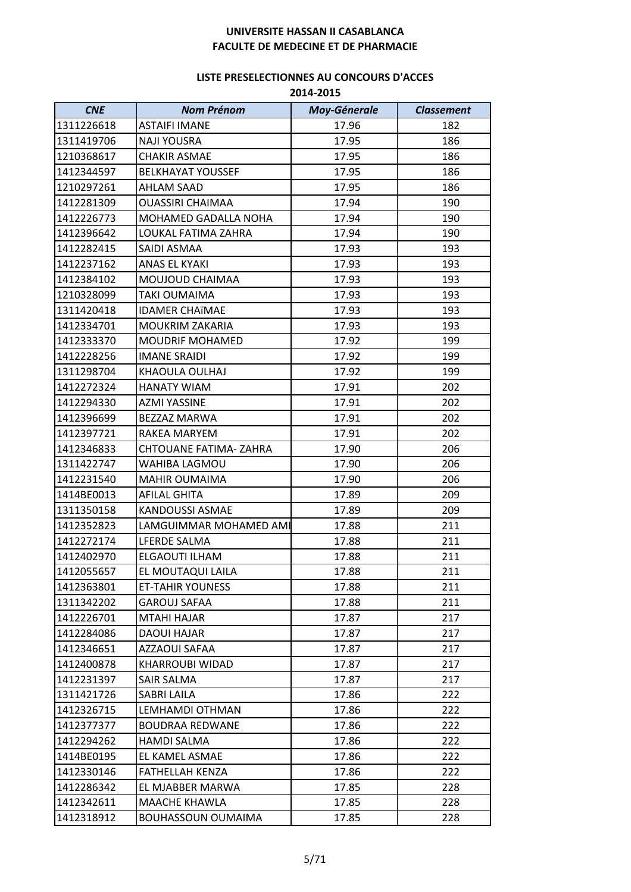| <b>CNE</b> | <b>Nom Prénom</b>           | <b>Moy-Génerale</b> | <b>Classement</b> |
|------------|-----------------------------|---------------------|-------------------|
| 1311226618 | <b>ASTAIFI IMANE</b>        | 17.96               | 182               |
| 1311419706 | <b>NAJI YOUSRA</b>          | 17.95               | 186               |
| 1210368617 | <b>CHAKIR ASMAE</b>         | 17.95               | 186               |
| 1412344597 | <b>BELKHAYAT YOUSSEF</b>    | 17.95               | 186               |
| 1210297261 | <b>AHLAM SAAD</b>           | 17.95               | 186               |
| 1412281309 | <b>OUASSIRI CHAIMAA</b>     | 17.94               | 190               |
| 1412226773 | <b>MOHAMED GADALLA NOHA</b> | 17.94               | 190               |
| 1412396642 | LOUKAL FATIMA ZAHRA         | 17.94               | 190               |
| 1412282415 | SAIDI ASMAA                 | 17.93               | 193               |
| 1412237162 | ANAS EL KYAKI               | 17.93               | 193               |
| 1412384102 | MOUJOUD CHAIMAA             | 17.93               | 193               |
| 1210328099 | <b>TAKI OUMAIMA</b>         | 17.93               | 193               |
| 1311420418 | <b>IDAMER CHAÏMAE</b>       | 17.93               | 193               |
| 1412334701 | <b>MOUKRIM ZAKARIA</b>      | 17.93               | 193               |
| 1412333370 | <b>MOUDRIF MOHAMED</b>      | 17.92               | 199               |
| 1412228256 | <b>IMANE SRAIDI</b>         | 17.92               | 199               |
| 1311298704 | KHAOULA OULHAJ              | 17.92               | 199               |
| 1412272324 | <b>HANATY WIAM</b>          | 17.91               | 202               |
| 1412294330 | <b>AZMI YASSINE</b>         | 17.91               | 202               |
| 1412396699 | BEZZAZ MARWA                | 17.91               | 202               |
| 1412397721 | RAKEA MARYEM                | 17.91               | 202               |
| 1412346833 | CHTOUANE FATIMA-ZAHRA       | 17.90               | 206               |
| 1311422747 | WAHIBA LAGMOU               | 17.90               | 206               |
| 1412231540 | <b>MAHIR OUMAIMA</b>        | 17.90               | 206               |
| 1414BE0013 | AFILAL GHITA                | 17.89               | 209               |
| 1311350158 | KANDOUSSI ASMAE             | 17.89               | 209               |
| 1412352823 | LAMGUIMMAR MOHAMED AMI      | 17.88               | 211               |
| 1412272174 | LFERDE SALMA                | 17.88               | 211               |
| 1412402970 | ELGAOUTI ILHAM              | 17.88               | 211               |
| 1412055657 | EL MOUTAQUI LAILA           | 17.88               | 211               |
| 1412363801 | <b>ET-TAHIR YOUNESS</b>     | 17.88               | 211               |
| 1311342202 | <b>GAROUJ SAFAA</b>         | 17.88               | 211               |
| 1412226701 | <b>MTAHI HAJAR</b>          | 17.87               | 217               |
| 1412284086 | DAOUI HAJAR                 | 17.87               | 217               |
| 1412346651 | AZZAOUI SAFAA               | 17.87               | 217               |
| 1412400878 | <b>KHARROUBI WIDAD</b>      | 17.87               | 217               |
| 1412231397 | SAIR SALMA                  | 17.87               | 217               |
| 1311421726 | <b>SABRI LAILA</b>          | 17.86               | 222               |
| 1412326715 | LEMHAMDI OTHMAN             | 17.86               | 222               |
| 1412377377 | <b>BOUDRAA REDWANE</b>      | 17.86               | 222               |
| 1412294262 | <b>HAMDI SALMA</b>          | 17.86               | 222               |
| 1414BE0195 | EL KAMEL ASMAE              | 17.86               | 222               |
| 1412330146 | <b>FATHELLAH KENZA</b>      | 17.86               | 222               |
| 1412286342 | EL MJABBER MARWA            | 17.85               | 228               |
| 1412342611 | MAACHE KHAWLA               | 17.85               | 228               |
| 1412318912 | <b>BOUHASSOUN OUMAIMA</b>   | 17.85               | 228               |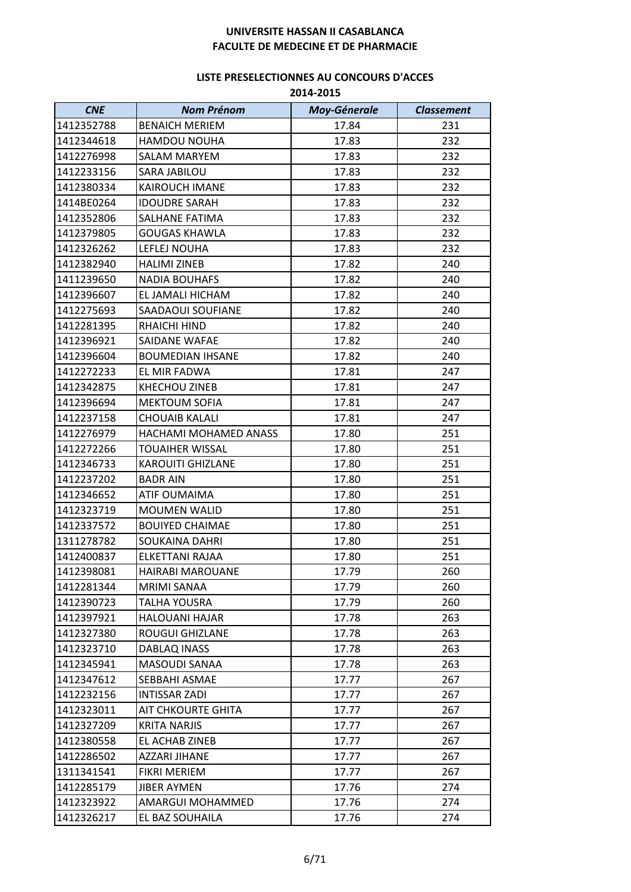| <b>CNE</b> | <b>Nom Prénom</b>         | <b>Moy-Génerale</b> | <b>Classement</b> |
|------------|---------------------------|---------------------|-------------------|
| 1412352788 | <b>BENAICH MERIEM</b>     | 17.84               | 231               |
| 1412344618 | HAMDOU NOUHA              | 17.83               | 232               |
| 1412276998 | <b>SALAM MARYEM</b>       | 17.83               | 232               |
| 1412233156 | SARA JABILOU              | 17.83               | 232               |
| 1412380334 | <b>KAIROUCH IMANE</b>     | 17.83               | 232               |
| 1414BE0264 | <b>IDOUDRE SARAH</b>      | 17.83               | 232               |
| 1412352806 | SALHANE FATIMA            | 17.83               | 232               |
| 1412379805 | <b>GOUGAS KHAWLA</b>      | 17.83               | 232               |
| 1412326262 | LEFLEJ NOUHA              | 17.83               | 232               |
| 1412382940 | <b>HALIMI ZINEB</b>       | 17.82               | 240               |
| 1411239650 | <b>NADIA BOUHAFS</b>      | 17.82               | 240               |
| 1412396607 | EL JAMALI HICHAM          | 17.82               | 240               |
| 1412275693 | <b>SAADAOUI SOUFIANE</b>  | 17.82               | 240               |
| 1412281395 | <b>RHAICHI HIND</b>       | 17.82               | 240               |
| 1412396921 | SAIDANE WAFAE             | 17.82               | 240               |
| 1412396604 | <b>BOUMEDIAN IHSANE</b>   | 17.82               | 240               |
| 1412272233 | EL MIR FADWA              | 17.81               | 247               |
| 1412342875 | <b>KHECHOU ZINEB</b>      | 17.81               | 247               |
| 1412396694 | <b>MEKTOUM SOFIA</b>      | 17.81               | 247               |
| 1412237158 | <b>CHOUAIB KALALI</b>     | 17.81               | 247               |
| 1412276979 | HACHAMI MOHAMED ANASS     | 17.80               | 251               |
| 1412272266 | <b>TOUAIHER WISSAL</b>    | 17.80               | 251               |
| 1412346733 | <b>KAROUITI GHIZLANE</b>  | 17.80               | 251               |
| 1412237202 | <b>BADR AIN</b>           | 17.80               | 251               |
| 1412346652 | <b>ATIF OUMAIMA</b>       | 17.80               | 251               |
| 1412323719 | <b>MOUMEN WALID</b>       | 17.80               | 251               |
| 1412337572 | <b>BOUIYED CHAIMAE</b>    | 17.80               | 251               |
| 1311278782 | <b>SOUKAINA DAHRI</b>     | 17.80               | 251               |
| 1412400837 | ELKETTANI RAJAA           | 17.80               | 251               |
| 1412398081 | HAIRABI MAROUANE          | 17.79               | 260               |
| 1412281344 | MRIMI SANAA               | 17.79               | 260               |
| 1412390723 | <b>TALHA YOUSRA</b>       | 17.79               | 260               |
| 1412397921 | <b>HALOUANI HAJAR</b>     | 17.78               | 263               |
| 1412327380 | <b>ROUGUI GHIZLANE</b>    | 17.78               | 263               |
| 1412323710 | DABLAQ INASS              | 17.78               | 263               |
| 1412345941 | MASOUDI SANAA             | 17.78               | 263               |
| 1412347612 | SEBBAHI ASMAE             | 17.77               | 267               |
| 1412232156 | <b>INTISSAR ZADI</b>      | 17.77               | 267               |
| 1412323011 | <b>AIT CHKOURTE GHITA</b> | 17.77               | 267               |
| 1412327209 | <b>KRITA NARJIS</b>       | 17.77               | 267               |
| 1412380558 | EL ACHAB ZINEB            | 17.77               | 267               |
| 1412286502 | <b>AZZARI JIHANE</b>      | 17.77               | 267               |
| 1311341541 | <b>FIKRI MERIEM</b>       | 17.77               | 267               |
| 1412285179 | <b>JIBER AYMEN</b>        | 17.76               | 274               |
| 1412323922 | AMARGUI MOHAMMED          | 17.76               | 274               |
| 1412326217 | EL BAZ SOUHAILA           | 17.76               | 274               |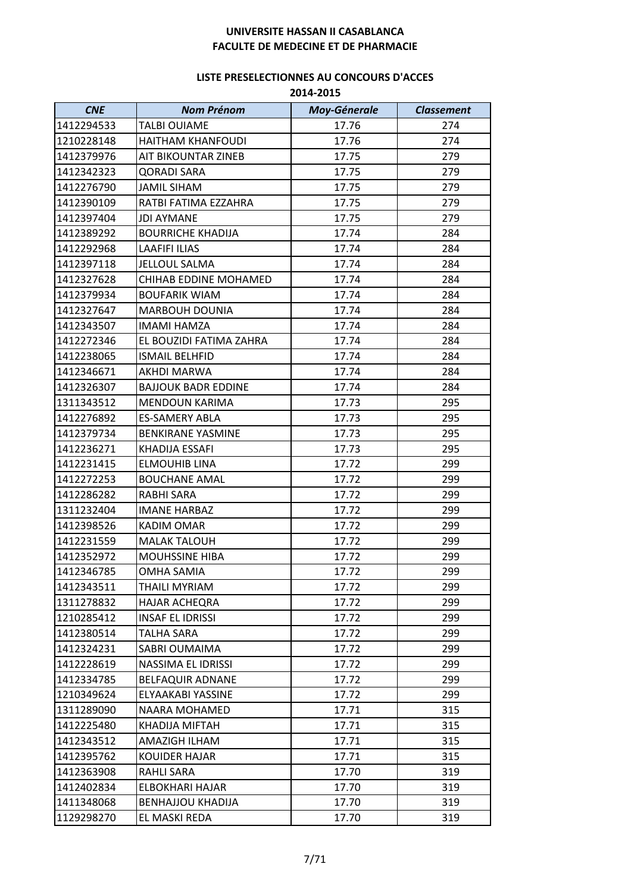| <b>CNE</b> | <b>Nom Prénom</b>            | <b>Moy-Génerale</b> | <b>Classement</b> |
|------------|------------------------------|---------------------|-------------------|
| 1412294533 | <b>TALBI OUIAME</b>          | 17.76               | 274               |
| 1210228148 | <b>HAITHAM KHANFOUDI</b>     | 17.76               | 274               |
| 1412379976 | AIT BIKOUNTAR ZINEB          | 17.75               | 279               |
| 1412342323 | <b>QORADI SARA</b>           | 17.75               | 279               |
| 1412276790 | <b>JAMIL SIHAM</b>           | 17.75               | 279               |
| 1412390109 | RATBI FATIMA EZZAHRA         | 17.75               | 279               |
| 1412397404 | <b>JDI AYMANE</b>            | 17.75               | 279               |
| 1412389292 | <b>BOURRICHE KHADIJA</b>     | 17.74               | 284               |
| 1412292968 | <b>LAAFIFI ILIAS</b>         | 17.74               | 284               |
| 1412397118 | <b>JELLOUL SALMA</b>         | 17.74               | 284               |
| 1412327628 | <b>CHIHAB EDDINE MOHAMED</b> | 17.74               | 284               |
| 1412379934 | <b>BOUFARIK WIAM</b>         | 17.74               | 284               |
| 1412327647 | <b>MARBOUH DOUNIA</b>        | 17.74               | 284               |
| 1412343507 | <b>IMAMI HAMZA</b>           | 17.74               | 284               |
| 1412272346 | EL BOUZIDI FATIMA ZAHRA      | 17.74               | 284               |
| 1412238065 | <b>ISMAIL BELHFID</b>        | 17.74               | 284               |
| 1412346671 | AKHDI MARWA                  | 17.74               | 284               |
| 1412326307 | <b>BAJJOUK BADR EDDINE</b>   | 17.74               | 284               |
| 1311343512 | MENDOUN KARIMA               | 17.73               | 295               |
| 1412276892 | <b>ES-SAMERY ABLA</b>        | 17.73               | 295               |
| 1412379734 | <b>BENKIRANE YASMINE</b>     | 17.73               | 295               |
| 1412236271 | KHADIJA ESSAFI               | 17.73               | 295               |
| 1412231415 | <b>ELMOUHIB LINA</b>         | 17.72               | 299               |
| 1412272253 | <b>BOUCHANE AMAL</b>         | 17.72               | 299               |
| 1412286282 | RABHI SARA                   | 17.72               | 299               |
| 1311232404 | <b>IMANE HARBAZ</b>          | 17.72               | 299               |
| 1412398526 | <b>KADIM OMAR</b>            | 17.72               | 299               |
| 1412231559 | <b>MALAK TALOUH</b>          | 17.72               | 299               |
| 1412352972 | <b>MOUHSSINE HIBA</b>        | 17.72               | 299               |
| 1412346785 | <b>OMHA SAMIA</b>            | 17.72               | 299               |
| 1412343511 | <b>THAILI MYRIAM</b>         | 17.72               | 299               |
| 1311278832 | <b>HAJAR ACHEQRA</b>         | 17.72               | 299               |
| 1210285412 | <b>INSAF EL IDRISSI</b>      | 17.72               | 299               |
| 1412380514 | <b>TALHA SARA</b>            | 17.72               | 299               |
| 1412324231 | SABRI OUMAIMA                | 17.72               | 299               |
| 1412228619 | NASSIMA EL IDRISSI           | 17.72               | 299               |
| 1412334785 | <b>BELFAQUIR ADNANE</b>      | 17.72               | 299               |
| 1210349624 | ELYAAKABI YASSINE            | 17.72               | 299               |
| 1311289090 | <b>NAARA MOHAMED</b>         | 17.71               | 315               |
| 1412225480 | <b>KHADIJA MIFTAH</b>        | 17.71               | 315               |
| 1412343512 | AMAZIGH ILHAM                | 17.71               | 315               |
| 1412395762 | <b>KOUIDER HAJAR</b>         | 17.71               | 315               |
| 1412363908 | <b>RAHLI SARA</b>            | 17.70               | 319               |
| 1412402834 | ELBOKHARI HAJAR              | 17.70               | 319               |
| 1411348068 | <b>BENHAJJOU KHADIJA</b>     | 17.70               | 319               |
| 1129298270 | EL MASKI REDA                | 17.70               | 319               |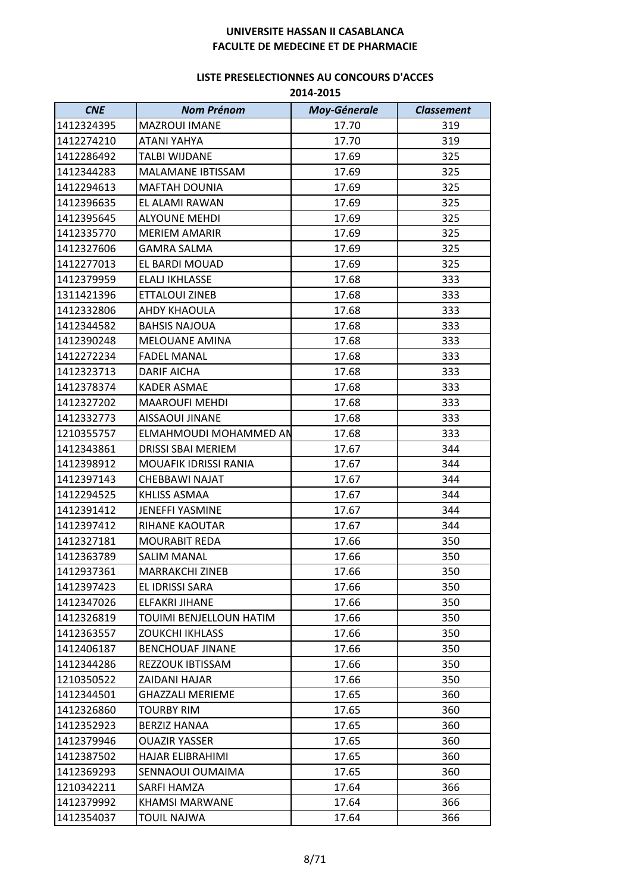| <b>CNE</b> | <b>Nom Prénom</b>         | Moy-Génerale | <b>Classement</b> |
|------------|---------------------------|--------------|-------------------|
| 1412324395 | MAZROUI IMANE             | 17.70        | 319               |
| 1412274210 | <b>ATANI YAHYA</b>        | 17.70        | 319               |
| 1412286492 | <b>TALBI WIJDANE</b>      | 17.69        | 325               |
| 1412344283 | MALAMANE IBTISSAM         | 17.69        | 325               |
| 1412294613 | <b>MAFTAH DOUNIA</b>      | 17.69        | 325               |
| 1412396635 | EL ALAMI RAWAN            | 17.69        | 325               |
| 1412395645 | <b>ALYOUNE MEHDI</b>      | 17.69        | 325               |
| 1412335770 | <b>MERIEM AMARIR</b>      | 17.69        | 325               |
| 1412327606 | <b>GAMRA SALMA</b>        | 17.69        | 325               |
| 1412277013 | EL BARDI MOUAD            | 17.69        | 325               |
| 1412379959 | ELALJ IKHLASSE            | 17.68        | 333               |
| 1311421396 | ETTALOUI ZINEB            | 17.68        | 333               |
| 1412332806 | AHDY KHAOULA              | 17.68        | 333               |
| 1412344582 | <b>BAHSIS NAJOUA</b>      | 17.68        | 333               |
| 1412390248 | MELOUANE AMINA            | 17.68        | 333               |
| 1412272234 | <b>FADEL MANAL</b>        | 17.68        | 333               |
| 1412323713 | DARIF AICHA               | 17.68        | 333               |
| 1412378374 | <b>KADER ASMAE</b>        | 17.68        | 333               |
| 1412327202 | <b>MAAROUFI MEHDI</b>     | 17.68        | 333               |
| 1412332773 | AISSAOUI JINANE           | 17.68        | 333               |
| 1210355757 | ELMAHMOUDI MOHAMMED AN    | 17.68        | 333               |
| 1412343861 | <b>DRISSI SBAI MERIEM</b> | 17.67        | 344               |
| 1412398912 | MOUAFIK IDRISSI RANIA     | 17.67        | 344               |
| 1412397143 | CHEBBAWI NAJAT            | 17.67        | 344               |
| 1412294525 | KHLISS ASMAA              | 17.67        | 344               |
| 1412391412 | <b>JENEFFI YASMINE</b>    | 17.67        | 344               |
| 1412397412 | <b>RIHANE KAOUTAR</b>     | 17.67        | 344               |
| 1412327181 | <b>MOURABIT REDA</b>      | 17.66        | 350               |
| 1412363789 | <b>SALIM MANAL</b>        | 17.66        | 350               |
| 1412937361 | <b>MARRAKCHI ZINEB</b>    | 17.66        | 350               |
| 1412397423 | EL IDRISSI SARA           | 17.66        | 350               |
| 1412347026 | <b>ELFAKRI JIHANE</b>     | 17.66        | 350               |
| 1412326819 | TOUIMI BENJELLOUN HATIM   | 17.66        | 350               |
| 1412363557 | <b>ZOUKCHI IKHLASS</b>    | 17.66        | 350               |
| 1412406187 | <b>BENCHOUAF JINANE</b>   | 17.66        | 350               |
| 1412344286 | REZZOUK IBTISSAM          | 17.66        | 350               |
| 1210350522 | ZAIDANI HAJAR             | 17.66        | 350               |
| 1412344501 | <b>GHAZZALI MERIEME</b>   | 17.65        | 360               |
| 1412326860 | TOURBY RIM                | 17.65        | 360               |
| 1412352923 | <b>BERZIZ HANAA</b>       | 17.65        | 360               |
| 1412379946 | <b>OUAZIR YASSER</b>      | 17.65        | 360               |
| 1412387502 | HAJAR ELIBRAHIMI          | 17.65        | 360               |
| 1412369293 | SENNAOUI OUMAIMA          | 17.65        | 360               |
| 1210342211 | SARFI HAMZA               | 17.64        | 366               |
| 1412379992 | <b>KHAMSI MARWANE</b>     | 17.64        | 366               |
| 1412354037 | <b>TOUIL NAJWA</b>        | 17.64        | 366               |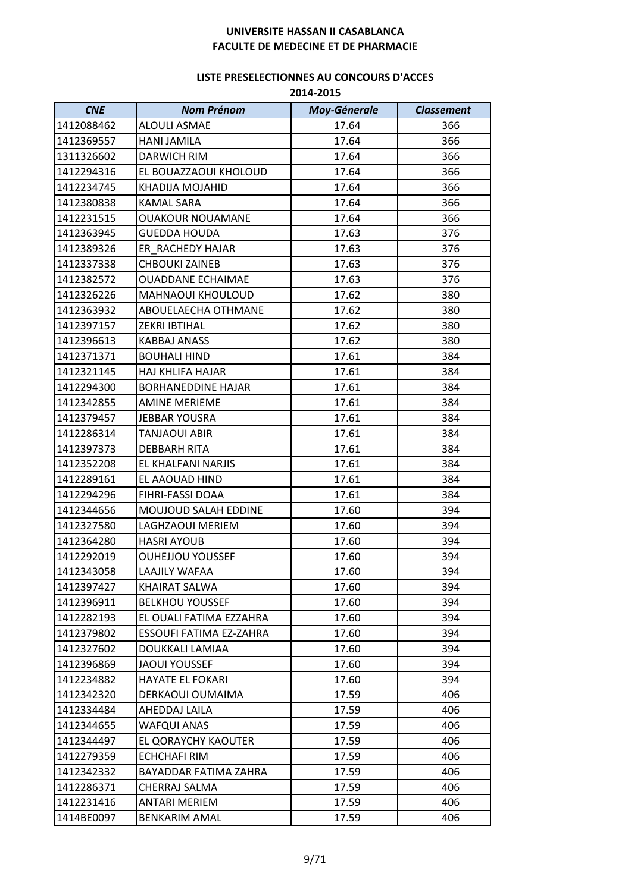| <b>CNE</b> | <b>Nom Prénom</b>         | <b>Moy-Génerale</b> | <b>Classement</b> |
|------------|---------------------------|---------------------|-------------------|
| 1412088462 | <b>ALOULI ASMAE</b>       | 17.64               | 366               |
| 1412369557 | <b>HANI JAMILA</b>        | 17.64               | 366               |
| 1311326602 | DARWICH RIM               | 17.64               | 366               |
| 1412294316 | EL BOUAZZAOUI KHOLOUD     | 17.64               | 366               |
| 1412234745 | KHADIJA MOJAHID           | 17.64               | 366               |
| 1412380838 | <b>KAMAL SARA</b>         | 17.64               | 366               |
| 1412231515 | <b>OUAKOUR NOUAMANE</b>   | 17.64               | 366               |
| 1412363945 | <b>GUEDDA HOUDA</b>       | 17.63               | 376               |
| 1412389326 | ER RACHEDY HAJAR          | 17.63               | 376               |
| 1412337338 | <b>CHBOUKI ZAINEB</b>     | 17.63               | 376               |
| 1412382572 | <b>OUADDANE ECHAIMAE</b>  | 17.63               | 376               |
| 1412326226 | MAHNAOUI KHOULOUD         | 17.62               | 380               |
| 1412363932 | ABOUELAECHA OTHMANE       | 17.62               | 380               |
| 1412397157 | <b>ZEKRI IBTIHAL</b>      | 17.62               | 380               |
| 1412396613 | <b>KABBAJ ANASS</b>       | 17.62               | 380               |
| 1412371371 | <b>BOUHALI HIND</b>       | 17.61               | 384               |
| 1412321145 | <b>HAJ KHLIFA HAJAR</b>   | 17.61               | 384               |
| 1412294300 | <b>BORHANEDDINE HAJAR</b> | 17.61               | 384               |
| 1412342855 | <b>AMINE MERIEME</b>      | 17.61               | 384               |
| 1412379457 | <b>JEBBAR YOUSRA</b>      | 17.61               | 384               |
| 1412286314 | <b>TANJAOUI ABIR</b>      | 17.61               | 384               |
| 1412397373 | <b>DEBBARH RITA</b>       | 17.61               | 384               |
| 1412352208 | EL KHALFANI NARJIS        | 17.61               | 384               |
| 1412289161 | EL AAOUAD HIND            | 17.61               | 384               |
| 1412294296 | FIHRI-FASSI DOAA          | 17.61               | 384               |
| 1412344656 | MOUJOUD SALAH EDDINE      | 17.60               | 394               |
| 1412327580 | LAGHZAOUI MERIEM          | 17.60               | 394               |
| 1412364280 | <b>HASRI AYOUB</b>        | 17.60               | 394               |
| 1412292019 | <b>OUHEJJOU YOUSSEF</b>   | 17.60               | 394               |
| 1412343058 | LAAJILY WAFAA             | 17.60               | 394               |
| 1412397427 | <b>KHAIRAT SALWA</b>      | 17.60               | 394               |
| 1412396911 | <b>BELKHOU YOUSSEF</b>    | 17.60               | 394               |
| 1412282193 | EL OUALI FATIMA EZZAHRA   | 17.60               | 394               |
| 1412379802 | ESSOUFI FATIMA EZ-ZAHRA   | 17.60               | 394               |
| 1412327602 | DOUKKALI LAMIAA           | 17.60               | 394               |
| 1412396869 | <b>JAOUI YOUSSEF</b>      | 17.60               | 394               |
| 1412234882 | HAYATE EL FOKARI          | 17.60               | 394               |
| 1412342320 | DERKAOUI OUMAIMA          | 17.59               | 406               |
| 1412334484 | AHEDDAJ LAILA             | 17.59               | 406               |
| 1412344655 | <b>WAFQUI ANAS</b>        | 17.59               | 406               |
| 1412344497 | EL QORAYCHY KAOUTER       | 17.59               | 406               |
| 1412279359 | <b>ECHCHAFI RIM</b>       | 17.59               | 406               |
| 1412342332 | BAYADDAR FATIMA ZAHRA     | 17.59               | 406               |
| 1412286371 | CHERRAJ SALMA             | 17.59               | 406               |
| 1412231416 | <b>ANTARI MERIEM</b>      | 17.59               | 406               |
| 1414BE0097 | <b>BENKARIM AMAL</b>      | 17.59               | 406               |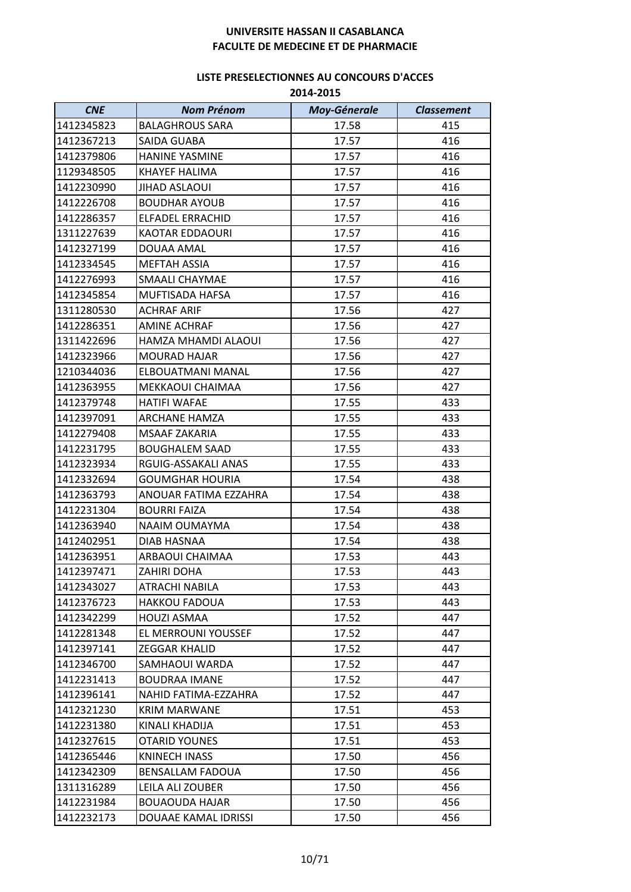| <b>CNE</b> | <b>Nom Prénom</b>       | <b>Moy-Génerale</b> | <b>Classement</b> |
|------------|-------------------------|---------------------|-------------------|
| 1412345823 | <b>BALAGHROUS SARA</b>  | 17.58               | 415               |
| 1412367213 | SAIDA GUABA             | 17.57               | 416               |
| 1412379806 | <b>HANINE YASMINE</b>   | 17.57               | 416               |
| 1129348505 | <b>KHAYEF HALIMA</b>    | 17.57               | 416               |
| 1412230990 | <b>JIHAD ASLAOUI</b>    | 17.57               | 416               |
| 1412226708 | <b>BOUDHAR AYOUB</b>    | 17.57               | 416               |
| 1412286357 | <b>ELFADEL ERRACHID</b> | 17.57               | 416               |
| 1311227639 | KAOTAR EDDAOURI         | 17.57               | 416               |
| 1412327199 | DOUAA AMAL              | 17.57               | 416               |
| 1412334545 | MEFTAH ASSIA            | 17.57               | 416               |
| 1412276993 | SMAALI CHAYMAE          | 17.57               | 416               |
| 1412345854 | MUFTISADA HAFSA         | 17.57               | 416               |
| 1311280530 | <b>ACHRAF ARIF</b>      | 17.56               | 427               |
| 1412286351 | <b>AMINE ACHRAF</b>     | 17.56               | 427               |
| 1311422696 | HAMZA MHAMDI ALAOUI     | 17.56               | 427               |
| 1412323966 | <b>MOURAD HAJAR</b>     | 17.56               | 427               |
| 1210344036 | ELBOUATMANI MANAL       | 17.56               | 427               |
| 1412363955 | MEKKAOUI CHAIMAA        | 17.56               | 427               |
| 1412379748 | <b>HATIFI WAFAE</b>     | 17.55               | 433               |
| 1412397091 | <b>ARCHANE HAMZA</b>    | 17.55               | 433               |
| 1412279408 | <b>MSAAF ZAKARIA</b>    | 17.55               | 433               |
| 1412231795 | <b>BOUGHALEM SAAD</b>   | 17.55               | 433               |
| 1412323934 | RGUIG-ASSAKALI ANAS     | 17.55               | 433               |
| 1412332694 | <b>GOUMGHAR HOURIA</b>  | 17.54               | 438               |
| 1412363793 | ANOUAR FATIMA EZZAHRA   | 17.54               | 438               |
| 1412231304 | <b>BOURRI FAIZA</b>     | 17.54               | 438               |
| 1412363940 | NAAIM OUMAYMA           | 17.54               | 438               |
| 1412402951 | DIAB HASNAA             | 17.54               | 438               |
| 1412363951 | ARBAOUI CHAIMAA         | 17.53               | 443               |
| 1412397471 | ZAHIRI DOHA             | 17.53               | 443               |
| 1412343027 | ATRACHI NABILA          | 17.53               | 443               |
| 1412376723 | <b>HAKKOU FADOUA</b>    | 17.53               | 443               |
| 1412342299 | <b>HOUZI ASMAA</b>      | 17.52               | 447               |
| 1412281348 | EL MERROUNI YOUSSEF     | 17.52               | 447               |
| 1412397141 | <b>ZEGGAR KHALID</b>    | 17.52               | 447               |
| 1412346700 | SAMHAOUI WARDA          | 17.52               | 447               |
| 1412231413 | <b>BOUDRAA IMANE</b>    | 17.52               | 447               |
| 1412396141 | NAHID FATIMA-EZZAHRA    | 17.52               | 447               |
| 1412321230 | <b>KRIM MARWANE</b>     | 17.51               | 453               |
| 1412231380 | KINALI KHADIJA          | 17.51               | 453               |
| 1412327615 | <b>OTARID YOUNES</b>    | 17.51               | 453               |
| 1412365446 | KNINECH INASS           | 17.50               | 456               |
| 1412342309 | <b>BENSALLAM FADOUA</b> | 17.50               | 456               |
| 1311316289 | LEILA ALI ZOUBER        | 17.50               | 456               |
| 1412231984 | <b>BOUAOUDA HAJAR</b>   | 17.50               | 456               |
| 1412232173 | DOUAAE KAMAL IDRISSI    | 17.50               | 456               |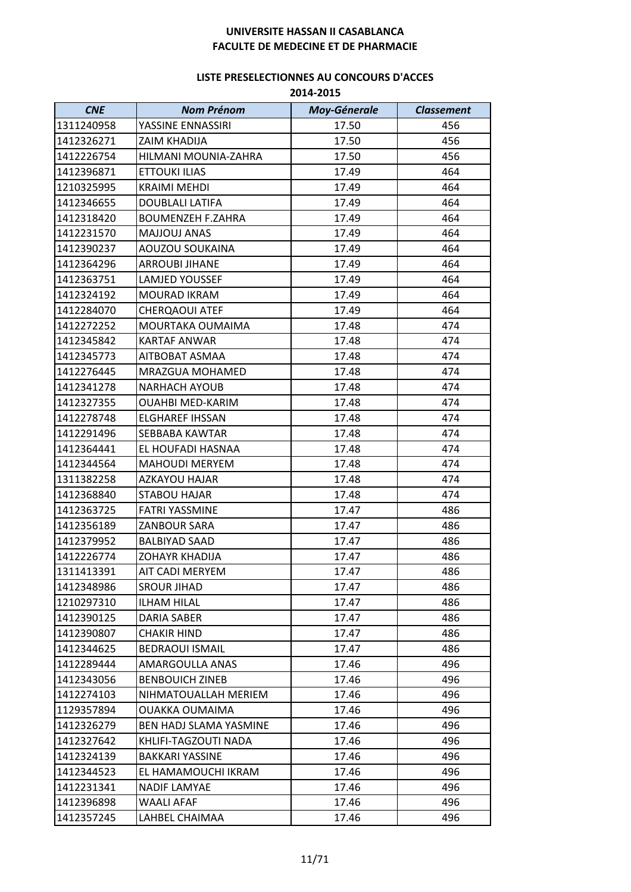| <b>CNE</b> | <b>Nom Prénom</b>        | <b>Moy-Génerale</b> | <b>Classement</b> |
|------------|--------------------------|---------------------|-------------------|
| 1311240958 | YASSINE ENNASSIRI        | 17.50               | 456               |
| 1412326271 | <b>ZAIM KHADIJA</b>      | 17.50               | 456               |
| 1412226754 | HILMANI MOUNIA-ZAHRA     | 17.50               | 456               |
| 1412396871 | <b>ETTOUKI ILIAS</b>     | 17.49               | 464               |
| 1210325995 | <b>KRAIMI MEHDI</b>      | 17.49               | 464               |
| 1412346655 | <b>DOUBLALI LATIFA</b>   | 17.49               | 464               |
| 1412318420 | <b>BOUMENZEH F.ZAHRA</b> | 17.49               | 464               |
| 1412231570 | MAJJOUJ ANAS             | 17.49               | 464               |
| 1412390237 | <b>AOUZOU SOUKAINA</b>   | 17.49               | 464               |
| 1412364296 | <b>ARROUBI JIHANE</b>    | 17.49               | 464               |
| 1412363751 | LAMJED YOUSSEF           | 17.49               | 464               |
| 1412324192 | MOURAD IKRAM             | 17.49               | 464               |
| 1412284070 | <b>CHERQAOUI ATEF</b>    | 17.49               | 464               |
| 1412272252 | MOURTAKA OUMAIMA         | 17.48               | 474               |
| 1412345842 | KARTAF ANWAR             | 17.48               | 474               |
| 1412345773 | AITBOBAT ASMAA           | 17.48               | 474               |
| 1412276445 | MRAZGUA MOHAMED          | 17.48               | 474               |
| 1412341278 | <b>NARHACH AYOUB</b>     | 17.48               | 474               |
| 1412327355 | <b>OUAHBI MED-KARIM</b>  | 17.48               | 474               |
| 1412278748 | ELGHAREF IHSSAN          | 17.48               | 474               |
| 1412291496 | SEBBABA KAWTAR           | 17.48               | 474               |
| 1412364441 | EL HOUFADI HASNAA        | 17.48               | 474               |
| 1412344564 | <b>MAHOUDI MERYEM</b>    | 17.48               | 474               |
| 1311382258 | AZKAYOU HAJAR            | 17.48               | 474               |
| 1412368840 | <b>STABOU HAJAR</b>      | 17.48               | 474               |
| 1412363725 | <b>FATRI YASSMINE</b>    | 17.47               | 486               |
| 1412356189 | ZANBOUR SARA             | 17.47               | 486               |
| 1412379952 | <b>BALBIYAD SAAD</b>     | 17.47               | 486               |
| 1412226774 | <b>ZOHAYR KHADIJA</b>    | 17.47               | 486               |
| 1311413391 | AIT CADI MERYEM          | 17.47               | 486               |
| 1412348986 | <b>SROUR JIHAD</b>       | 17.47               | 486               |
| 1210297310 | <b>ILHAM HILAL</b>       | 17.47               | 486               |
| 1412390125 | <b>DARIA SABER</b>       | 17.47               | 486               |
| 1412390807 | CHAKIR HIND              | 17.47               | 486               |
| 1412344625 | <b>BEDRAOUI ISMAIL</b>   | 17.47               | 486               |
| 1412289444 | AMARGOULLA ANAS          | 17.46               | 496               |
| 1412343056 | <b>BENBOUICH ZINEB</b>   | 17.46               | 496               |
| 1412274103 | NIHMATOUALLAH MERIEM     | 17.46               | 496               |
| 1129357894 | OUAKKA OUMAIMA           | 17.46               | 496               |
| 1412326279 | BEN HADJ SLAMA YASMINE   | 17.46               | 496               |
| 1412327642 | KHLIFI-TAGZOUTI NADA     | 17.46               | 496               |
| 1412324139 | <b>BAKKARI YASSINE</b>   | 17.46               | 496               |
| 1412344523 | EL HAMAMOUCHI IKRAM      | 17.46               | 496               |
| 1412231341 | <b>NADIF LAMYAE</b>      | 17.46               | 496               |
| 1412396898 | WAALI AFAF               | 17.46               | 496               |
| 1412357245 | LAHBEL CHAIMAA           | 17.46               | 496               |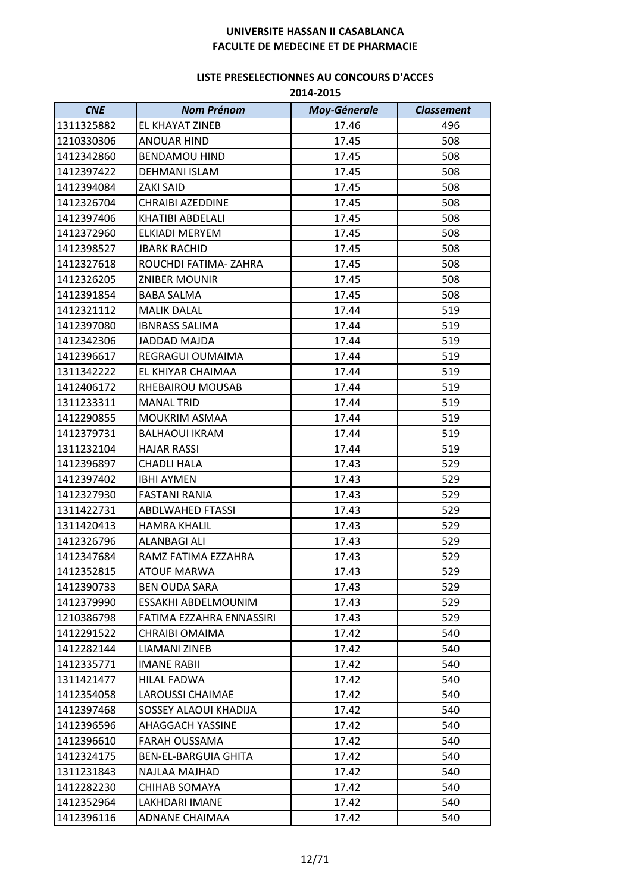| <b>CNE</b> | <b>Nom Prénom</b>        | <b>Moy-Génerale</b> | <b>Classement</b> |
|------------|--------------------------|---------------------|-------------------|
| 1311325882 | EL KHAYAT ZINEB          | 17.46               | 496               |
| 1210330306 | <b>ANOUAR HIND</b>       | 17.45               | 508               |
| 1412342860 | <b>BENDAMOU HIND</b>     | 17.45               | 508               |
| 1412397422 | <b>DEHMANI ISLAM</b>     | 17.45               | 508               |
| 1412394084 | ZAKI SAID                | 17.45               | 508               |
| 1412326704 | <b>CHRAIBI AZEDDINE</b>  | 17.45               | 508               |
| 1412397406 | <b>KHATIBI ABDELALI</b>  | 17.45               | 508               |
| 1412372960 | ELKIADI MERYEM           | 17.45               | 508               |
| 1412398527 | <b>JBARK RACHID</b>      | 17.45               | 508               |
| 1412327618 | ROUCHDI FATIMA-ZAHRA     | 17.45               | 508               |
| 1412326205 | <b>ZNIBER MOUNIR</b>     | 17.45               | 508               |
| 1412391854 | <b>BABA SALMA</b>        | 17.45               | 508               |
| 1412321112 | <b>MALIK DALAL</b>       | 17.44               | 519               |
| 1412397080 | <b>IBNRASS SALIMA</b>    | 17.44               | 519               |
| 1412342306 | <b>JADDAD MAJDA</b>      | 17.44               | 519               |
| 1412396617 | REGRAGUI OUMAIMA         | 17.44               | 519               |
| 1311342222 | EL KHIYAR CHAIMAA        | 17.44               | 519               |
| 1412406172 | RHEBAIROU MOUSAB         | 17.44               | 519               |
| 1311233311 | <b>MANAL TRID</b>        | 17.44               | 519               |
| 1412290855 | <b>MOUKRIM ASMAA</b>     | 17.44               | 519               |
| 1412379731 | <b>BALHAOUI IKRAM</b>    | 17.44               | 519               |
| 1311232104 | <b>HAJAR RASSI</b>       | 17.44               | 519               |
| 1412396897 | <b>CHADLI HALA</b>       | 17.43               | 529               |
| 1412397402 | <b>IBHI AYMEN</b>        | 17.43               | 529               |
| 1412327930 | <b>FASTANI RANIA</b>     | 17.43               | 529               |
| 1311422731 | <b>ABDLWAHED FTASSI</b>  | 17.43               | 529               |
| 1311420413 | <b>HAMRA KHALIL</b>      | 17.43               | 529               |
| 1412326796 | <b>ALANBAGI ALI</b>      | 17.43               | 529               |
| 1412347684 | RAMZ FATIMA EZZAHRA      | 17.43               | 529               |
| 1412352815 | <b>ATOUF MARWA</b>       | 17.43               | 529               |
| 1412390733 | <b>BEN OUDA SARA</b>     | 17.43               | 529               |
| 1412379990 | ESSAKHI ABDELMOUNIM      | 17.43               | 529               |
| 1210386798 | FATIMA EZZAHRA ENNASSIRI | 17.43               | 529               |
| 1412291522 | CHRAIBI OMAIMA           | 17.42               | 540               |
| 1412282144 | LIAMANI ZINEB            | 17.42               | 540               |
| 1412335771 | <b>IMANE RABII</b>       | 17.42               | 540               |
| 1311421477 | <b>HILAL FADWA</b>       | 17.42               | 540               |
| 1412354058 | <b>LAROUSSI CHAIMAE</b>  | 17.42               | 540               |
| 1412397468 | SOSSEY ALAOUI KHADIJA    | 17.42               | 540               |
| 1412396596 | <b>AHAGGACH YASSINE</b>  | 17.42               | 540               |
| 1412396610 | FARAH OUSSAMA            | 17.42               | 540               |
| 1412324175 | BEN-EL-BARGUIA GHITA     | 17.42               | 540               |
| 1311231843 | NAJLAA MAJHAD            | 17.42               | 540               |
| 1412282230 | CHIHAB SOMAYA            | 17.42               | 540               |
| 1412352964 | LAKHDARI IMANE           | 17.42               | 540               |
| 1412396116 | ADNANE CHAIMAA           | 17.42               | 540               |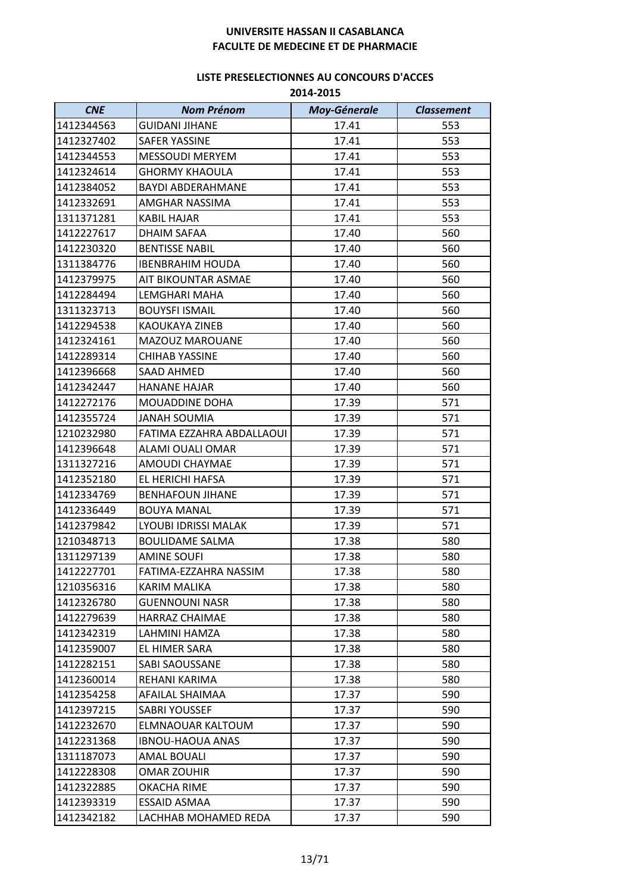| <b>CNE</b> | <b>Nom Prénom</b>         | <b>Moy-Génerale</b> | <b>Classement</b> |
|------------|---------------------------|---------------------|-------------------|
| 1412344563 | <b>GUIDANI JIHANE</b>     | 17.41               | 553               |
| 1412327402 | <b>SAFER YASSINE</b>      | 17.41               | 553               |
| 1412344553 | <b>MESSOUDI MERYEM</b>    | 17.41               | 553               |
| 1412324614 | <b>GHORMY KHAOULA</b>     | 17.41               | 553               |
| 1412384052 | <b>BAYDI ABDERAHMANE</b>  | 17.41               | 553               |
| 1412332691 | AMGHAR NASSIMA            | 17.41               | 553               |
| 1311371281 | <b>KABIL HAJAR</b>        | 17.41               | 553               |
| 1412227617 | <b>DHAIM SAFAA</b>        | 17.40               | 560               |
| 1412230320 | <b>BENTISSE NABIL</b>     | 17.40               | 560               |
| 1311384776 | <b>IBENBRAHIM HOUDA</b>   | 17.40               | 560               |
| 1412379975 | AIT BIKOUNTAR ASMAE       | 17.40               | 560               |
| 1412284494 | LEMGHARI MAHA             | 17.40               | 560               |
| 1311323713 | <b>BOUYSFI ISMAIL</b>     | 17.40               | 560               |
| 1412294538 | <b>KAOUKAYA ZINEB</b>     | 17.40               | 560               |
| 1412324161 | MAZOUZ MAROUANE           | 17.40               | 560               |
| 1412289314 | <b>CHIHAB YASSINE</b>     | 17.40               | 560               |
| 1412396668 | <b>SAAD AHMED</b>         | 17.40               | 560               |
| 1412342447 | <b>HANANE HAJAR</b>       | 17.40               | 560               |
| 1412272176 | MOUADDINE DOHA            | 17.39               | 571               |
| 1412355724 | <b>JANAH SOUMIA</b>       | 17.39               | 571               |
| 1210232980 | FATIMA EZZAHRA ABDALLAOUI | 17.39               | 571               |
| 1412396648 | ALAMI OUALI OMAR          | 17.39               | 571               |
| 1311327216 | AMOUDI CHAYMAE            | 17.39               | 571               |
| 1412352180 | EL HERICHI HAFSA          | 17.39               | 571               |
| 1412334769 | <b>BENHAFOUN JIHANE</b>   | 17.39               | 571               |
| 1412336449 | <b>BOUYA MANAL</b>        | 17.39               | 571               |
| 1412379842 | LYOUBI IDRISSI MALAK      | 17.39               | 571               |
| 1210348713 | <b>BOULIDAME SALMA</b>    | 17.38               | 580               |
| 1311297139 | <b>AMINE SOUFI</b>        | 17.38               | 580               |
| 1412227701 | FATIMA-EZZAHRA NASSIM     | 17.38               | 580               |
| 1210356316 | KARIM MALIKA              | 17.38               | 580               |
| 1412326780 | <b>GUENNOUNI NASR</b>     | 17.38               | 580               |
| 1412279639 | <b>HARRAZ CHAIMAE</b>     | 17.38               | 580               |
| 1412342319 | LAHMINI HAMZA             | 17.38               | 580               |
| 1412359007 | EL HIMER SARA             | 17.38               | 580               |
| 1412282151 | SABI SAOUSSANE            | 17.38               | 580               |
| 1412360014 | REHANI KARIMA             | 17.38               | 580               |
| 1412354258 | AFAILAL SHAIMAA           | 17.37               | 590               |
| 1412397215 | SABRI YOUSSEF             | 17.37               | 590               |
| 1412232670 | ELMNAOUAR KALTOUM         | 17.37               | 590               |
| 1412231368 | <b>IBNOU-HAOUA ANAS</b>   | 17.37               | 590               |
| 1311187073 | <b>AMAL BOUALI</b>        | 17.37               | 590               |
| 1412228308 | OMAR ZOUHIR               | 17.37               | 590               |
| 1412322885 | OKACHA RIME               | 17.37               | 590               |
| 1412393319 | ESSAID ASMAA              | 17.37               | 590               |
| 1412342182 | LACHHAB MOHAMED REDA      | 17.37               | 590               |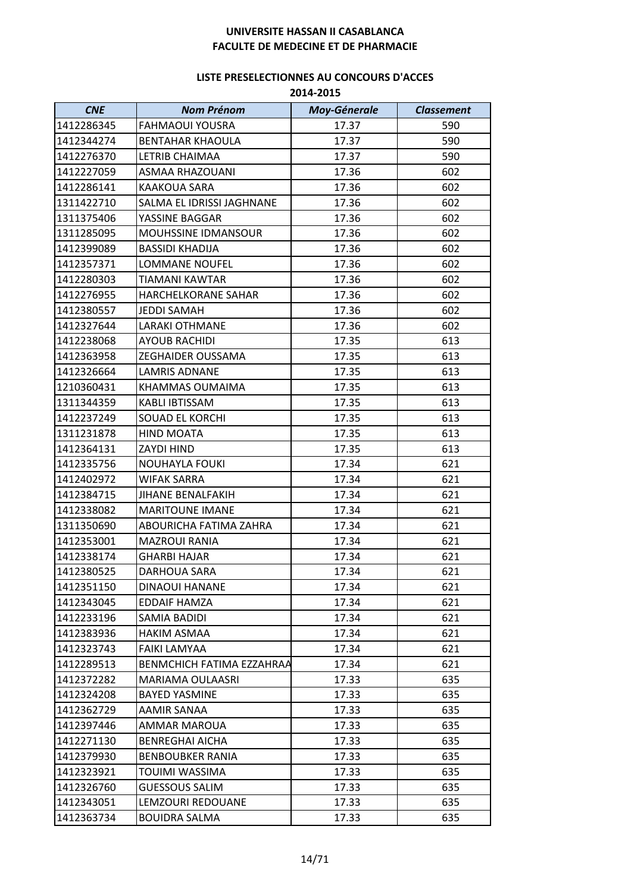| <b>CNE</b> | <b>Nom Prénom</b>          | <b>Moy-Génerale</b> | <b>Classement</b> |
|------------|----------------------------|---------------------|-------------------|
| 1412286345 | <b>FAHMAOUI YOUSRA</b>     | 17.37               | 590               |
| 1412344274 | <b>BENTAHAR KHAOULA</b>    | 17.37               | 590               |
| 1412276370 | LETRIB CHAIMAA             | 17.37               | 590               |
| 1412227059 | ASMAA RHAZOUANI            | 17.36               | 602               |
| 1412286141 | KAAKOUA SARA               | 17.36               | 602               |
| 1311422710 | SALMA EL IDRISSI JAGHNANE  | 17.36               | 602               |
| 1311375406 | YASSINE BAGGAR             | 17.36               | 602               |
| 1311285095 | <b>MOUHSSINE IDMANSOUR</b> | 17.36               | 602               |
| 1412399089 | <b>BASSIDI KHADIJA</b>     | 17.36               | 602               |
| 1412357371 | <b>LOMMANE NOUFEL</b>      | 17.36               | 602               |
| 1412280303 | TIAMANI KAWTAR             | 17.36               | 602               |
| 1412276955 | HARCHELKORANE SAHAR        | 17.36               | 602               |
| 1412380557 | JEDDI SAMAH                | 17.36               | 602               |
| 1412327644 | <b>LARAKI OTHMANE</b>      | 17.36               | 602               |
| 1412238068 | <b>AYOUB RACHIDI</b>       | 17.35               | 613               |
| 1412363958 | <b>ZEGHAIDER OUSSAMA</b>   | 17.35               | 613               |
| 1412326664 | <b>LAMRIS ADNANE</b>       | 17.35               | 613               |
| 1210360431 | KHAMMAS OUMAIMA            | 17.35               | 613               |
| 1311344359 | KABLI IBTISSAM             | 17.35               | 613               |
| 1412237249 | <b>SOUAD EL KORCHI</b>     | 17.35               | 613               |
| 1311231878 | <b>HIND MOATA</b>          | 17.35               | 613               |
| 1412364131 | ZAYDI HIND                 | 17.35               | 613               |
| 1412335756 | NOUHAYLA FOUKI             | 17.34               | 621               |
| 1412402972 | <b>WIFAK SARRA</b>         | 17.34               | 621               |
| 1412384715 | JIHANE BENALFAKIH          | 17.34               | 621               |
| 1412338082 | <b>MARITOUNE IMANE</b>     | 17.34               | 621               |
| 1311350690 | ABOURICHA FATIMA ZAHRA     | 17.34               | 621               |
| 1412353001 | <b>MAZROUI RANIA</b>       | 17.34               | 621               |
| 1412338174 | <b>GHARBI HAJAR</b>        | 17.34               | 621               |
| 1412380525 | DARHOUA SARA               | 17.34               | 621               |
| 1412351150 | DINAOUI HANANE             | 17.34               | 621               |
| 1412343045 | <b>EDDAIF HAMZA</b>        | 17.34               | 621               |
| 1412233196 | SAMIA BADIDI               | 17.34               | 621               |
| 1412383936 | HAKIM ASMAA                | 17.34               | 621               |
| 1412323743 | FAIKI LAMYAA               | 17.34               | 621               |
| 1412289513 | BENMCHICH FATIMA EZZAHRAA  | 17.34               | 621               |
| 1412372282 | MARIAMA OULAASRI           | 17.33               | 635               |
| 1412324208 | <b>BAYED YASMINE</b>       | 17.33               | 635               |
| 1412362729 | AAMIR SANAA                | 17.33               | 635               |
| 1412397446 | AMMAR MAROUA               | 17.33               | 635               |
| 1412271130 | <b>BENREGHAI AICHA</b>     | 17.33               | 635               |
| 1412379930 | <b>BENBOUBKER RANIA</b>    | 17.33               | 635               |
| 1412323921 | TOUIMI WASSIMA             | 17.33               | 635               |
| 1412326760 | <b>GUESSOUS SALIM</b>      | 17.33               | 635               |
| 1412343051 | LEMZOURI REDOUANE          | 17.33               | 635               |
| 1412363734 | <b>BOUIDRA SALMA</b>       | 17.33               | 635               |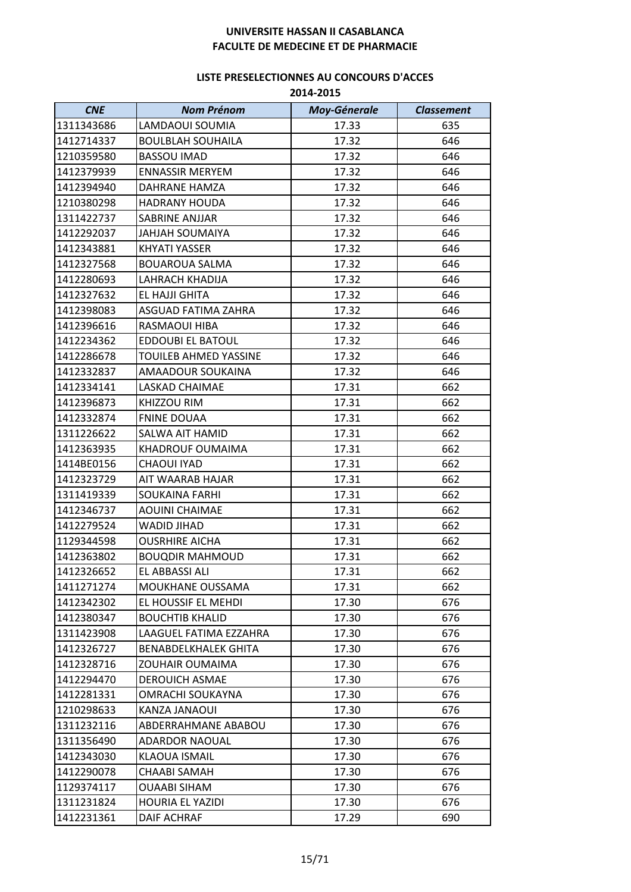| <b>CNE</b> | <b>Nom Prénom</b>           | <b>Moy-Génerale</b> | <b>Classement</b> |
|------------|-----------------------------|---------------------|-------------------|
| 1311343686 | LAMDAOUI SOUMIA             | 17.33               | 635               |
| 1412714337 | <b>BOULBLAH SOUHAILA</b>    | 17.32               | 646               |
| 1210359580 | <b>BASSOU IMAD</b>          | 17.32               | 646               |
| 1412379939 | <b>ENNASSIR MERYEM</b>      | 17.32               | 646               |
| 1412394940 | DAHRANE HAMZA               | 17.32               | 646               |
| 1210380298 | <b>HADRANY HOUDA</b>        | 17.32               | 646               |
| 1311422737 | SABRINE ANJJAR              | 17.32               | 646               |
| 1412292037 | JAHJAH SOUMAIYA             | 17.32               | 646               |
| 1412343881 | <b>KHYATI YASSER</b>        | 17.32               | 646               |
| 1412327568 | <b>BOUAROUA SALMA</b>       | 17.32               | 646               |
| 1412280693 | LAHRACH KHADIJA             | 17.32               | 646               |
| 1412327632 | EL HAJJI GHITA              | 17.32               | 646               |
| 1412398083 | ASGUAD FATIMA ZAHRA         | 17.32               | 646               |
| 1412396616 | RASMAOUI HIBA               | 17.32               | 646               |
| 1412234362 | <b>EDDOUBI EL BATOUL</b>    | 17.32               | 646               |
| 1412286678 | TOUILEB AHMED YASSINE       | 17.32               | 646               |
| 1412332837 | AMAADOUR SOUKAINA           | 17.32               | 646               |
| 1412334141 | LASKAD CHAIMAE              | 17.31               | 662               |
| 1412396873 | KHIZZOU RIM                 | 17.31               | 662               |
| 1412332874 | <b>FNINE DOUAA</b>          | 17.31               | 662               |
| 1311226622 | SALWA AIT HAMID             | 17.31               | 662               |
| 1412363935 | KHADROUF OUMAIMA            | 17.31               | 662               |
| 1414BE0156 | <b>CHAOUI IYAD</b>          | 17.31               | 662               |
| 1412323729 | AIT WAARAB HAJAR            | 17.31               | 662               |
| 1311419339 | <b>SOUKAINA FARHI</b>       | 17.31               | 662               |
| 1412346737 | <b>AOUINI CHAIMAE</b>       | 17.31               | 662               |
| 1412279524 | <b>WADID JIHAD</b>          | 17.31               | 662               |
| 1129344598 | <b>OUSRHIRE AICHA</b>       | 17.31               | 662               |
| 1412363802 | <b>BOUQDIR MAHMOUD</b>      | 17.31               | 662               |
| 1412326652 | EL ABBASSI ALI              | 17.31               | 662               |
| 1411271274 | MOUKHANE OUSSAMA            | 17.31               | 662               |
| 1412342302 | EL HOUSSIF EL MEHDI         | 17.30               | 676               |
| 1412380347 | <b>BOUCHTIB KHALID</b>      | 17.30               | 676               |
| 1311423908 | LAAGUEL FATIMA EZZAHRA      | 17.30               | 676               |
| 1412326727 | <b>BENABDELKHALEK GHITA</b> | 17.30               | 676               |
| 1412328716 | ZOUHAIR OUMAIMA             | 17.30               | 676               |
| 1412294470 | <b>DEROUICH ASMAE</b>       | 17.30               | 676               |
| 1412281331 | OMRACHI SOUKAYNA            | 17.30               | 676               |
| 1210298633 | KANZA JANAOUI               | 17.30               | 676               |
| 1311232116 | ABDERRAHMANE ABABOU         | 17.30               | 676               |
| 1311356490 | <b>ADARDOR NAOUAL</b>       | 17.30               | 676               |
| 1412343030 | KLAOUA ISMAIL               | 17.30               | 676               |
| 1412290078 | CHAABI SAMAH                | 17.30               | 676               |
| 1129374117 | <b>OUAABI SIHAM</b>         | 17.30               | 676               |
| 1311231824 | HOURIA EL YAZIDI            | 17.30               | 676               |
| 1412231361 | <b>DAIF ACHRAF</b>          | 17.29               | 690               |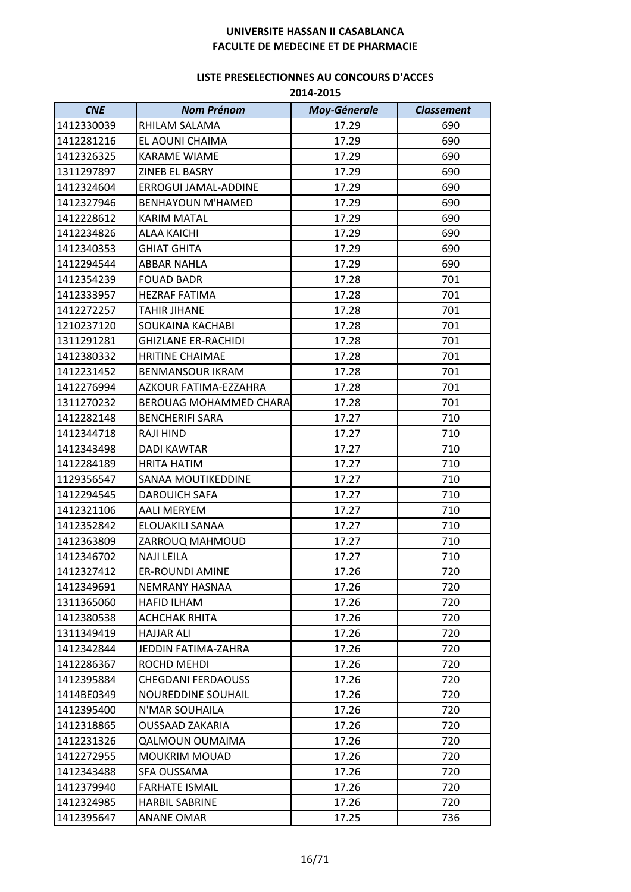| <b>CNE</b> | <b>Nom Prénom</b>          | <b>Moy-Génerale</b> | <b>Classement</b> |
|------------|----------------------------|---------------------|-------------------|
| 1412330039 | RHILAM SALAMA              | 17.29               | 690               |
| 1412281216 | EL AOUNI CHAIMA            | 17.29               | 690               |
| 1412326325 | <b>KARAME WIAME</b>        | 17.29               | 690               |
| 1311297897 | ZINEB EL BASRY             | 17.29               | 690               |
| 1412324604 | ERROGUI JAMAL-ADDINE       | 17.29               | 690               |
| 1412327946 | <b>BENHAYOUN M'HAMED</b>   | 17.29               | 690               |
| 1412228612 | <b>KARIM MATAL</b>         | 17.29               | 690               |
| 1412234826 | ALAA KAICHI                | 17.29               | 690               |
| 1412340353 | <b>GHIAT GHITA</b>         | 17.29               | 690               |
| 1412294544 | <b>ABBAR NAHLA</b>         | 17.29               | 690               |
| 1412354239 | <b>FOUAD BADR</b>          | 17.28               | 701               |
| 1412333957 | <b>HEZRAF FATIMA</b>       | 17.28               | 701               |
| 1412272257 | <b>TAHIR JIHANE</b>        | 17.28               | 701               |
| 1210237120 | SOUKAINA KACHABI           | 17.28               | 701               |
| 1311291281 | <b>GHIZLANE ER-RACHIDI</b> | 17.28               | 701               |
| 1412380332 | <b>HRITINE CHAIMAE</b>     | 17.28               | 701               |
| 1412231452 | <b>BENMANSOUR IKRAM</b>    | 17.28               | 701               |
| 1412276994 | AZKOUR FATIMA-EZZAHRA      | 17.28               | 701               |
| 1311270232 | BEROUAG MOHAMMED CHARA     | 17.28               | 701               |
| 1412282148 | <b>BENCHERIFI SARA</b>     | 17.27               | 710               |
| 1412344718 | <b>RAJI HIND</b>           | 17.27               | 710               |
| 1412343498 | <b>DADI KAWTAR</b>         | 17.27               | 710               |
| 1412284189 | <b>HRITA HATIM</b>         | 17.27               | 710               |
| 1129356547 | SANAA MOUTIKEDDINE         | 17.27               | 710               |
| 1412294545 | <b>DAROUICH SAFA</b>       | 17.27               | 710               |
| 1412321106 | <b>AALI MERYEM</b>         | 17.27               | 710               |
| 1412352842 | ELOUAKILI SANAA            | 17.27               | 710               |
| 1412363809 | ZARROUQ MAHMOUD            | 17.27               | 710               |
| 1412346702 | <b>NAJI LEILA</b>          | 17.27               | 710               |
| 1412327412 | <b>ER-ROUNDI AMINE</b>     | 17.26               | 720               |
| 1412349691 | NEMRANY HASNAA             | 17.26               | 720               |
| 1311365060 | <b>HAFID ILHAM</b>         | 17.26               | 720               |
| 1412380538 | <b>ACHCHAK RHITA</b>       | 17.26               | 720               |
| 1311349419 | <b>HAJJAR ALI</b>          | 17.26               | 720               |
| 1412342844 | JEDDIN FATIMA-ZAHRA        | 17.26               | 720               |
| 1412286367 | ROCHD MEHDI                | 17.26               | 720               |
| 1412395884 | <b>CHEGDANI FERDAOUSS</b>  | 17.26               | 720               |
| 1414BE0349 | <b>NOUREDDINE SOUHAIL</b>  | 17.26               | 720               |
| 1412395400 | N'MAR SOUHAILA             | 17.26               | 720               |
| 1412318865 | <b>OUSSAAD ZAKARIA</b>     | 17.26               | 720               |
| 1412231326 | <b>QALMOUN OUMAIMA</b>     | 17.26               | 720               |
| 1412272955 | <b>MOUKRIM MOUAD</b>       | 17.26               | 720               |
| 1412343488 | SFA OUSSAMA                | 17.26               | 720               |
| 1412379940 | <b>FARHATE ISMAIL</b>      | 17.26               | 720               |
| 1412324985 | <b>HARBIL SABRINE</b>      | 17.26               | 720               |
| 1412395647 | <b>ANANE OMAR</b>          | 17.25               | 736               |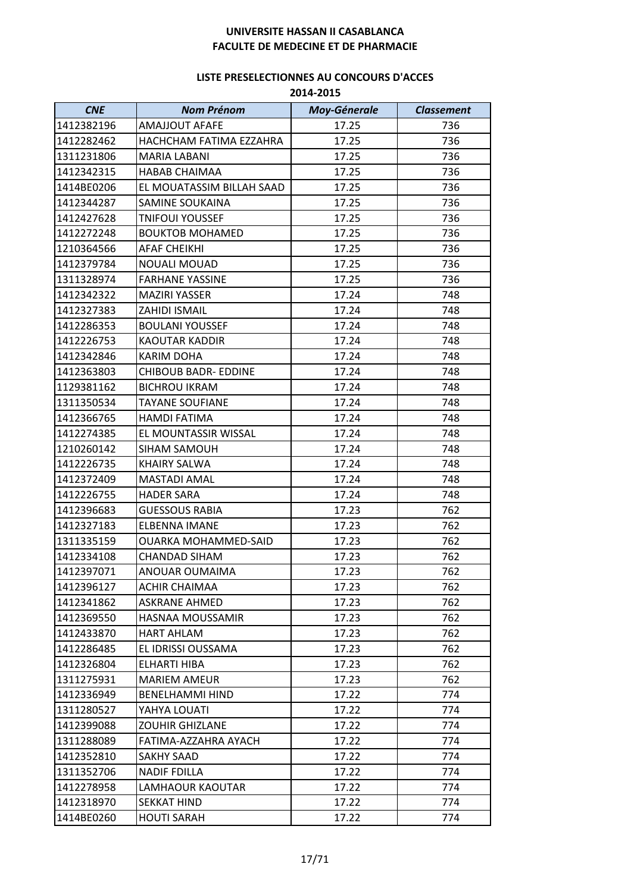| <b>CNE</b> | <b>Nom Prénom</b>           | <b>Moy-Génerale</b> | <b>Classement</b> |
|------------|-----------------------------|---------------------|-------------------|
| 1412382196 | <b>AMAJJOUT AFAFE</b>       | 17.25               | 736               |
| 1412282462 | HACHCHAM FATIMA EZZAHRA     | 17.25               | 736               |
| 1311231806 | <b>MARIA LABANI</b>         | 17.25               | 736               |
| 1412342315 | HABAB CHAIMAA               | 17.25               | 736               |
| 1414BE0206 | EL MOUATASSIM BILLAH SAAD   | 17.25               | 736               |
| 1412344287 | SAMINE SOUKAINA             | 17.25               | 736               |
| 1412427628 | <b>TNIFOUI YOUSSEF</b>      | 17.25               | 736               |
| 1412272248 | <b>BOUKTOB MOHAMED</b>      | 17.25               | 736               |
| 1210364566 | AFAF CHEIKHI                | 17.25               | 736               |
| 1412379784 | <b>NOUALI MOUAD</b>         | 17.25               | 736               |
| 1311328974 | <b>FARHANE YASSINE</b>      | 17.25               | 736               |
| 1412342322 | <b>MAZIRI YASSER</b>        | 17.24               | 748               |
| 1412327383 | ZAHIDI ISMAIL               | 17.24               | 748               |
| 1412286353 | <b>BOULANI YOUSSEF</b>      | 17.24               | 748               |
| 1412226753 | KAOUTAR KADDIR              | 17.24               | 748               |
| 1412342846 | <b>KARIM DOHA</b>           | 17.24               | 748               |
| 1412363803 | <b>CHIBOUB BADR- EDDINE</b> | 17.24               | 748               |
| 1129381162 | <b>BICHROU IKRAM</b>        | 17.24               | 748               |
| 1311350534 | <b>TAYANE SOUFIANE</b>      | 17.24               | 748               |
| 1412366765 | HAMDI FATIMA                | 17.24               | 748               |
| 1412274385 | EL MOUNTASSIR WISSAL        | 17.24               | 748               |
| 1210260142 | SIHAM SAMOUH                | 17.24               | 748               |
| 1412226735 | <b>KHAIRY SALWA</b>         | 17.24               | 748               |
| 1412372409 | <b>MASTADI AMAL</b>         | 17.24               | 748               |
| 1412226755 | <b>HADER SARA</b>           | 17.24               | 748               |
| 1412396683 | <b>GUESSOUS RABIA</b>       | 17.23               | 762               |
| 1412327183 | <b>ELBENNA IMANE</b>        | 17.23               | 762               |
| 1311335159 | <b>OUARKA MOHAMMED-SAID</b> | 17.23               | 762               |
| 1412334108 | <b>CHANDAD SIHAM</b>        | 17.23               | 762               |
| 1412397071 | ANOUAR OUMAIMA              | 17.23               | 762               |
| 1412396127 | <b>ACHIR CHAIMAA</b>        | 17.23               | 762               |
| 1412341862 | <b>ASKRANE AHMED</b>        | 17.23               | 762               |
| 1412369550 | HASNAA MOUSSAMIR            | 17.23               | 762               |
| 1412433870 | <b>HART AHLAM</b>           | 17.23               | 762               |
| 1412286485 | EL IDRISSI OUSSAMA          | 17.23               | 762               |
| 1412326804 | ELHARTI HIBA                | 17.23               | 762               |
| 1311275931 | <b>MARIEM AMEUR</b>         | 17.23               | 762               |
| 1412336949 | <b>BENELHAMMI HIND</b>      | 17.22               | 774               |
| 1311280527 | YAHYA LOUATI                | 17.22               | 774               |
| 1412399088 | <b>ZOUHIR GHIZLANE</b>      | 17.22               | 774               |
| 1311288089 | FATIMA-AZZAHRA AYACH        | 17.22               | 774               |
| 1412352810 | SAKHY SAAD                  | 17.22               | 774               |
| 1311352706 | <b>NADIF FDILLA</b>         | 17.22               | 774               |
| 1412278958 | LAMHAOUR KAOUTAR            | 17.22               | 774               |
| 1412318970 | <b>SEKKAT HIND</b>          | 17.22               | 774               |
| 1414BE0260 | <b>HOUTI SARAH</b>          | 17.22               | 774               |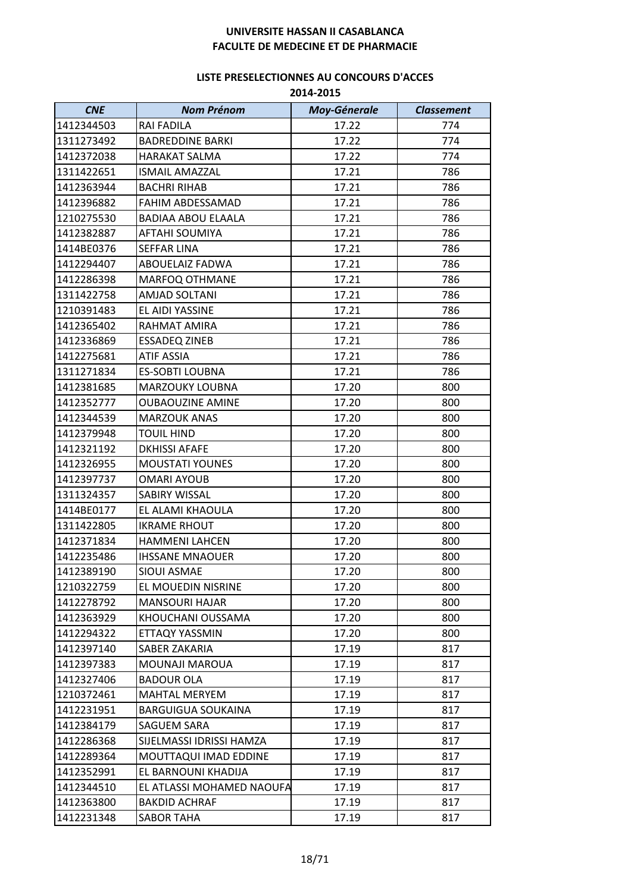| <b>CNE</b> | <b>Nom Prénom</b>         | <b>Moy-Génerale</b> | <b>Classement</b> |
|------------|---------------------------|---------------------|-------------------|
| 1412344503 | RAI FADILA                | 17.22               | 774               |
| 1311273492 | <b>BADREDDINE BARKI</b>   | 17.22               | 774               |
| 1412372038 | <b>HARAKAT SALMA</b>      | 17.22               | 774               |
| 1311422651 | ISMAIL AMAZZAL            | 17.21               | 786               |
| 1412363944 | <b>BACHRI RIHAB</b>       | 17.21               | 786               |
| 1412396882 | FAHIM ABDESSAMAD          | 17.21               | 786               |
| 1210275530 | <b>BADIAA ABOU ELAALA</b> | 17.21               | 786               |
| 1412382887 | AFTAHI SOUMIYA            | 17.21               | 786               |
| 1414BE0376 | <b>SEFFAR LINA</b>        | 17.21               | 786               |
| 1412294407 | ABOUELAIZ FADWA           | 17.21               | 786               |
| 1412286398 | MARFOQ OTHMANE            | 17.21               | 786               |
| 1311422758 | <b>AMJAD SOLTANI</b>      | 17.21               | 786               |
| 1210391483 | EL AIDI YASSINE           | 17.21               | 786               |
| 1412365402 | RAHMAT AMIRA              | 17.21               | 786               |
| 1412336869 | <b>ESSADEQ ZINEB</b>      | 17.21               | 786               |
| 1412275681 | <b>ATIF ASSIA</b>         | 17.21               | 786               |
| 1311271834 | <b>ES-SOBTI LOUBNA</b>    | 17.21               | 786               |
| 1412381685 | MARZOUKY LOUBNA           | 17.20               | 800               |
| 1412352777 | <b>OUBAOUZINE AMINE</b>   | 17.20               | 800               |
| 1412344539 | <b>MARZOUK ANAS</b>       | 17.20               | 800               |
| 1412379948 | <b>TOUIL HIND</b>         | 17.20               | 800               |
| 1412321192 | <b>DKHISSI AFAFE</b>      | 17.20               | 800               |
| 1412326955 | <b>MOUSTATI YOUNES</b>    | 17.20               | 800               |
| 1412397737 | <b>OMARI AYOUB</b>        | 17.20               | 800               |
| 1311324357 | SABIRY WISSAL             | 17.20               | 800               |
| 1414BE0177 | EL ALAMI KHAOULA          | 17.20               | 800               |
| 1311422805 | <b>IKRAME RHOUT</b>       | 17.20               | 800               |
| 1412371834 | <b>HAMMENI LAHCEN</b>     | 17.20               | 800               |
| 1412235486 | <b>IHSSANE MNAOUER</b>    | 17.20               | 800               |
| 1412389190 | SIOUI ASMAE               | 17.20               | 800               |
| 1210322759 | EL MOUEDIN NISRINE        | 17.20               | 800               |
| 1412278792 | <b>MANSOURI HAJAR</b>     | 17.20               | 800               |
| 1412363929 | KHOUCHANI OUSSAMA         | 17.20               | 800               |
| 1412294322 | ETTAQY YASSMIN            | 17.20               | 800               |
| 1412397140 | SABER ZAKARIA             | 17.19               | 817               |
| 1412397383 | MOUNAJI MAROUA            | 17.19               | 817               |
| 1412327406 | <b>BADOUR OLA</b>         | 17.19               | 817               |
| 1210372461 | <b>MAHTAL MERYEM</b>      | 17.19               | 817               |
| 1412231951 | <b>BARGUIGUA SOUKAINA</b> | 17.19               | 817               |
| 1412384179 | SAGUEM SARA               | 17.19               | 817               |
| 1412286368 | SIJELMASSI IDRISSI HAMZA  | 17.19               | 817               |
| 1412289364 | MOUTTAQUI IMAD EDDINE     | 17.19               | 817               |
| 1412352991 | EL BARNOUNI KHADIJA       | 17.19               | 817               |
| 1412344510 | EL ATLASSI MOHAMED NAOUFA | 17.19               | 817               |
| 1412363800 | <b>BAKDID ACHRAF</b>      | 17.19               | 817               |
| 1412231348 | <b>SABOR TAHA</b>         | 17.19               | 817               |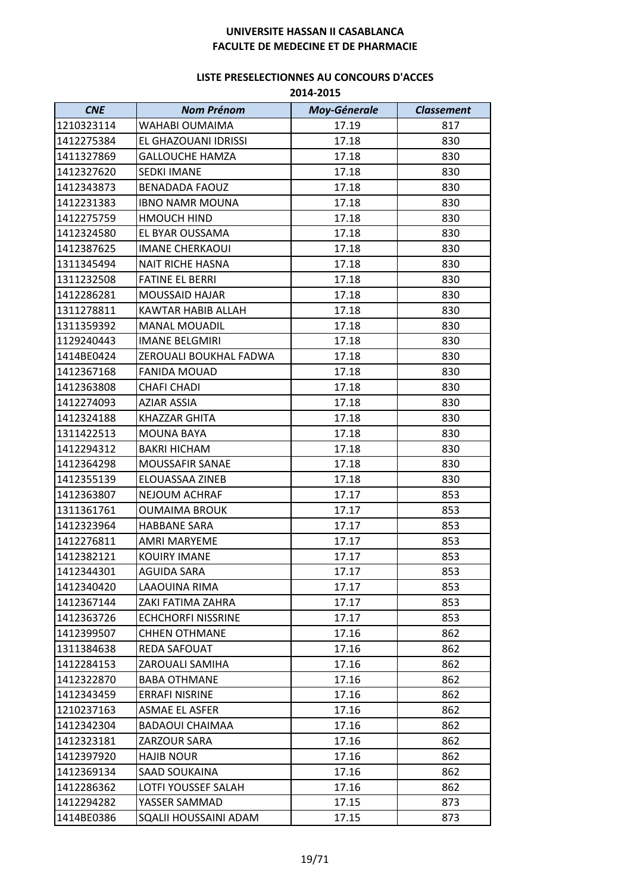| <b>CNE</b> | <b>Nom Prénom</b>         | <b>Moy-Génerale</b> | <b>Classement</b> |
|------------|---------------------------|---------------------|-------------------|
| 1210323114 | WAHABI OUMAIMA            | 17.19               | 817               |
| 1412275384 | EL GHAZOUANI IDRISSI      | 17.18               | 830               |
| 1411327869 | <b>GALLOUCHE HAMZA</b>    | 17.18               | 830               |
| 1412327620 | <b>SEDKI IMANE</b>        | 17.18               | 830               |
| 1412343873 | <b>BENADADA FAOUZ</b>     | 17.18               | 830               |
| 1412231383 | <b>IBNO NAMR MOUNA</b>    | 17.18               | 830               |
| 1412275759 | <b>HMOUCH HIND</b>        | 17.18               | 830               |
| 1412324580 | EL BYAR OUSSAMA           | 17.18               | 830               |
| 1412387625 | <b>IMANE CHERKAOUI</b>    | 17.18               | 830               |
| 1311345494 | <b>NAIT RICHE HASNA</b>   | 17.18               | 830               |
| 1311232508 | <b>FATINE EL BERRI</b>    | 17.18               | 830               |
| 1412286281 | <b>MOUSSAID HAJAR</b>     | 17.18               | 830               |
| 1311278811 | KAWTAR HABIB ALLAH        | 17.18               | 830               |
| 1311359392 | <b>MANAL MOUADIL</b>      | 17.18               | 830               |
| 1129240443 | <b>IMANE BELGMIRI</b>     | 17.18               | 830               |
| 1414BE0424 | ZEROUALI BOUKHAL FADWA    | 17.18               | 830               |
| 1412367168 | <b>FANIDA MOUAD</b>       | 17.18               | 830               |
| 1412363808 | <b>CHAFI CHADI</b>        | 17.18               | 830               |
| 1412274093 | AZIAR ASSIA               | 17.18               | 830               |
| 1412324188 | KHAZZAR GHITA             | 17.18               | 830               |
| 1311422513 | <b>MOUNA BAYA</b>         | 17.18               | 830               |
| 1412294312 | <b>BAKRI HICHAM</b>       | 17.18               | 830               |
| 1412364298 | MOUSSAFIR SANAE           | 17.18               | 830               |
| 1412355139 | ELOUASSAA ZINEB           | 17.18               | 830               |
| 1412363807 | NEJOUM ACHRAF             | 17.17               | 853               |
| 1311361761 | <b>OUMAIMA BROUK</b>      | 17.17               | 853               |
| 1412323964 | <b>HABBANE SARA</b>       | 17.17               | 853               |
| 1412276811 | AMRI MARYEME              | 17.17               | 853               |
| 1412382121 | <b>KOUIRY IMANE</b>       | 17.17               | 853               |
| 1412344301 | AGUIDA SARA               | 17.17               | 853               |
| 1412340420 | LAAOUINA RIMA             | 17.17               | 853               |
| 1412367144 | ZAKI FATIMA ZAHRA         | 17.17               | 853               |
| 1412363726 | <b>ECHCHORFI NISSRINE</b> | 17.17               | 853               |
| 1412399507 | <b>CHHEN OTHMANE</b>      | 17.16               | 862               |
| 1311384638 | REDA SAFOUAT              | 17.16               | 862               |
| 1412284153 | ZAROUALI SAMIHA           | 17.16               | 862               |
| 1412322870 | <b>BABA OTHMANE</b>       | 17.16               | 862               |
| 1412343459 | <b>ERRAFI NISRINE</b>     | 17.16               | 862               |
| 1210237163 | <b>ASMAE EL ASFER</b>     | 17.16               | 862               |
| 1412342304 | <b>BADAOUI CHAIMAA</b>    | 17.16               | 862               |
| 1412323181 | ZARZOUR SARA              | 17.16               | 862               |
| 1412397920 | <b>HAJIB NOUR</b>         | 17.16               | 862               |
| 1412369134 | SAAD SOUKAINA             | 17.16               | 862               |
| 1412286362 | LOTFI YOUSSEF SALAH       | 17.16               | 862               |
| 1412294282 | YASSER SAMMAD             | 17.15               | 873               |
| 1414BE0386 | SQALII HOUSSAINI ADAM     | 17.15               | 873               |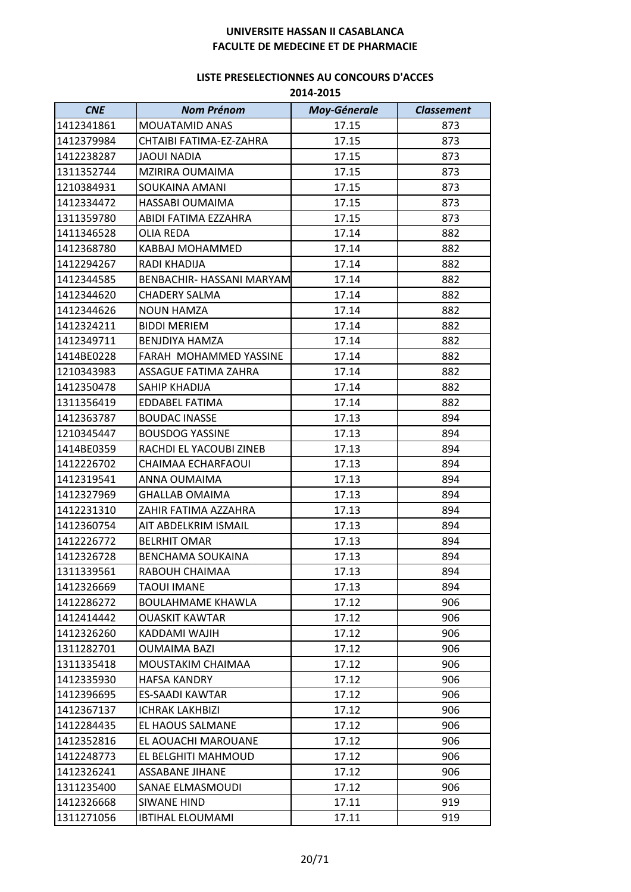| <b>CNE</b> | <b>Nom Prénom</b>         | <b>Moy-Génerale</b> | <b>Classement</b> |
|------------|---------------------------|---------------------|-------------------|
| 1412341861 | <b>MOUATAMID ANAS</b>     | 17.15               | 873               |
| 1412379984 | CHTAIBI FATIMA-EZ-ZAHRA   | 17.15               | 873               |
| 1412238287 | <b>JAOUI NADIA</b>        | 17.15               | 873               |
| 1311352744 | MZIRIRA OUMAIMA           | 17.15               | 873               |
| 1210384931 | SOUKAINA AMANI            | 17.15               | 873               |
| 1412334472 | HASSABI OUMAIMA           | 17.15               | 873               |
| 1311359780 | ABIDI FATIMA EZZAHRA      | 17.15               | 873               |
| 1411346528 | <b>OLIA REDA</b>          | 17.14               | 882               |
| 1412368780 | KABBAJ MOHAMMED           | 17.14               | 882               |
| 1412294267 | RADI KHADIJA              | 17.14               | 882               |
| 1412344585 | BENBACHIR- HASSANI MARYAM | 17.14               | 882               |
| 1412344620 | <b>CHADERY SALMA</b>      | 17.14               | 882               |
| 1412344626 | <b>NOUN HAMZA</b>         | 17.14               | 882               |
| 1412324211 | <b>BIDDI MERIEM</b>       | 17.14               | 882               |
| 1412349711 | BENJDIYA HAMZA            | 17.14               | 882               |
| 1414BE0228 | FARAH MOHAMMED YASSINE    | 17.14               | 882               |
| 1210343983 | ASSAGUE FATIMA ZAHRA      | 17.14               | 882               |
| 1412350478 | SAHIP KHADIJA             | 17.14               | 882               |
| 1311356419 | EDDABEL FATIMA            | 17.14               | 882               |
| 1412363787 | <b>BOUDAC INASSE</b>      | 17.13               | 894               |
| 1210345447 | <b>BOUSDOG YASSINE</b>    | 17.13               | 894               |
| 1414BE0359 | RACHDI EL YACOUBI ZINEB   | 17.13               | 894               |
| 1412226702 | CHAIMAA ECHARFAOUI        | 17.13               | 894               |
| 1412319541 | ANNA OUMAIMA              | 17.13               | 894               |
| 1412327969 | <b>GHALLAB OMAIMA</b>     | 17.13               | 894               |
| 1412231310 | ZAHIR FATIMA AZZAHRA      | 17.13               | 894               |
| 1412360754 | AIT ABDELKRIM ISMAIL      | 17.13               | 894               |
| 1412226772 | <b>BELRHIT OMAR</b>       | 17.13               | 894               |
| 1412326728 | <b>BENCHAMA SOUKAINA</b>  | 17.13               | 894               |
| 1311339561 | RABOUH CHAIMAA            | 17.13               | 894               |
| 1412326669 | <b>TAOUI IMANE</b>        | 17.13               | 894               |
| 1412286272 | <b>BOULAHMAME KHAWLA</b>  | 17.12               | 906               |
| 1412414442 | <b>OUASKIT KAWTAR</b>     | 17.12               | 906               |
| 1412326260 | KADDAMI WAJIH             | 17.12               | 906               |
| 1311282701 | OUMAIMA BAZI              | 17.12               | 906               |
| 1311335418 | MOUSTAKIM CHAIMAA         | 17.12               | 906               |
| 1412335930 | <b>HAFSA KANDRY</b>       | 17.12               | 906               |
| 1412396695 | ES-SAADI KAWTAR           | 17.12               | 906               |
| 1412367137 | ICHRAK LAKHBIZI           | 17.12               | 906               |
| 1412284435 | EL HAOUS SALMANE          | 17.12               | 906               |
| 1412352816 | EL AOUACHI MAROUANE       | 17.12               | 906               |
| 1412248773 | EL BELGHITI MAHMOUD       | 17.12               | 906               |
| 1412326241 | <b>ASSABANE JIHANE</b>    | 17.12               | 906               |
| 1311235400 | SANAE ELMASMOUDI          | 17.12               | 906               |
| 1412326668 | <b>SIWANE HIND</b>        | 17.11               | 919               |
| 1311271056 | <b>IBTIHAL ELOUMAMI</b>   | 17.11               | 919               |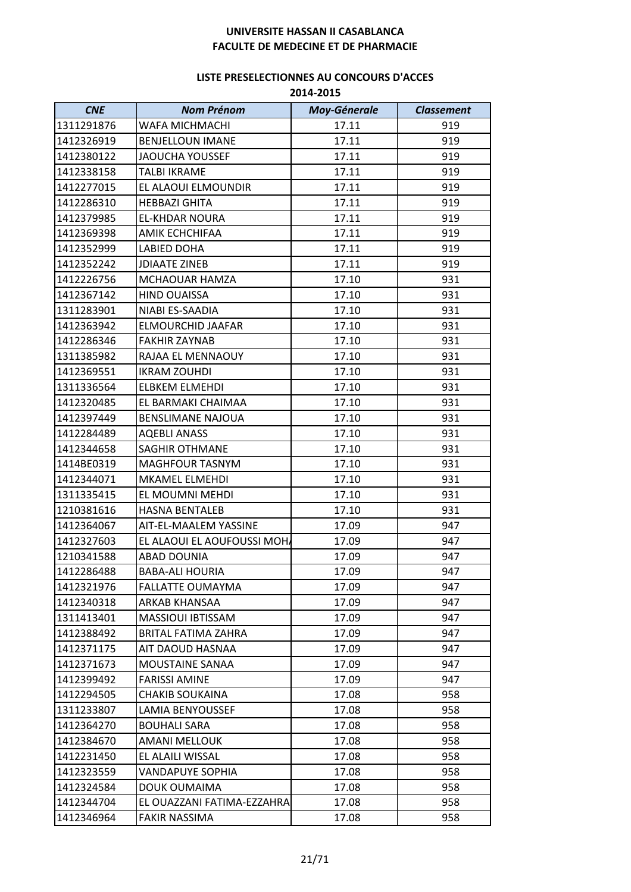| <b>CNE</b> | <b>Nom Prénom</b>          | <b>Moy-Génerale</b> | <b>Classement</b> |
|------------|----------------------------|---------------------|-------------------|
| 1311291876 | WAFA MICHMACHI             | 17.11               | 919               |
| 1412326919 | <b>BENJELLOUN IMANE</b>    | 17.11               | 919               |
| 1412380122 | JAOUCHA YOUSSEF            | 17.11               | 919               |
| 1412338158 | <b>TALBI IKRAME</b>        | 17.11               | 919               |
| 1412277015 | EL ALAOUI ELMOUNDIR        | 17.11               | 919               |
| 1412286310 | <b>HEBBAZI GHITA</b>       | 17.11               | 919               |
| 1412379985 | <b>EL-KHDAR NOURA</b>      | 17.11               | 919               |
| 1412369398 | AMIK ECHCHIFAA             | 17.11               | 919               |
| 1412352999 | LABIED DOHA                | 17.11               | 919               |
| 1412352242 | <b>JDIAATE ZINEB</b>       | 17.11               | 919               |
| 1412226756 | MCHAOUAR HAMZA             | 17.10               | 931               |
| 1412367142 | <b>HIND OUAISSA</b>        | 17.10               | 931               |
| 1311283901 | NIABI ES-SAADIA            | 17.10               | 931               |
| 1412363942 | ELMOURCHID JAAFAR          | 17.10               | 931               |
| 1412286346 | <b>FAKHIR ZAYNAB</b>       | 17.10               | 931               |
| 1311385982 | RAJAA EL MENNAOUY          | 17.10               | 931               |
| 1412369551 | <b>IKRAM ZOUHDI</b>        | 17.10               | 931               |
| 1311336564 | <b>ELBKEM ELMEHDI</b>      | 17.10               | 931               |
| 1412320485 | EL BARMAKI CHAIMAA         | 17.10               | 931               |
| 1412397449 | <b>BENSLIMANE NAJOUA</b>   | 17.10               | 931               |
| 1412284489 | <b>AQEBLI ANASS</b>        | 17.10               | 931               |
| 1412344658 | <b>SAGHIR OTHMANE</b>      | 17.10               | 931               |
| 1414BE0319 | <b>MAGHFOUR TASNYM</b>     | 17.10               | 931               |
| 1412344071 | MKAMEL ELMEHDI             | 17.10               | 931               |
| 1311335415 | EL MOUMNI MEHDI            | 17.10               | 931               |
| 1210381616 | <b>HASNA BENTALEB</b>      | 17.10               | 931               |
| 1412364067 | AIT-EL-MAALEM YASSINE      | 17.09               | 947               |
| 1412327603 | EL ALAOUI EL AOUFOUSSI MOH | 17.09               | 947               |
| 1210341588 | <b>ABAD DOUNIA</b>         | 17.09               | 947               |
| 1412286488 | <b>BABA-ALI HOURIA</b>     | 17.09               | 947               |
| 1412321976 | <b>FALLATTE OUMAYMA</b>    | 17.09               | 947               |
| 1412340318 | ARKAB KHANSAA              | 17.09               | 947               |
| 1311413401 | MASSIOUI IBTISSAM          | 17.09               | 947               |
| 1412388492 | <b>BRITAL FATIMA ZAHRA</b> | 17.09               | 947               |
| 1412371175 | AIT DAOUD HASNAA           | 17.09               | 947               |
| 1412371673 | MOUSTAINE SANAA            | 17.09               | 947               |
| 1412399492 | <b>FARISSI AMINE</b>       | 17.09               | 947               |
| 1412294505 | <b>CHAKIB SOUKAINA</b>     | 17.08               | 958               |
| 1311233807 | LAMIA BENYOUSSEF           | 17.08               | 958               |
| 1412364270 | <b>BOUHALI SARA</b>        | 17.08               | 958               |
| 1412384670 | AMANI MELLOUK              | 17.08               | 958               |
| 1412231450 | EL ALAILI WISSAL           | 17.08               | 958               |
| 1412323559 | <b>VANDAPUYE SOPHIA</b>    | 17.08               | 958               |
| 1412324584 | DOUK OUMAIMA               | 17.08               | 958               |
| 1412344704 | EL OUAZZANI FATIMA-EZZAHRA | 17.08               | 958               |
| 1412346964 | <b>FAKIR NASSIMA</b>       | 17.08               | 958               |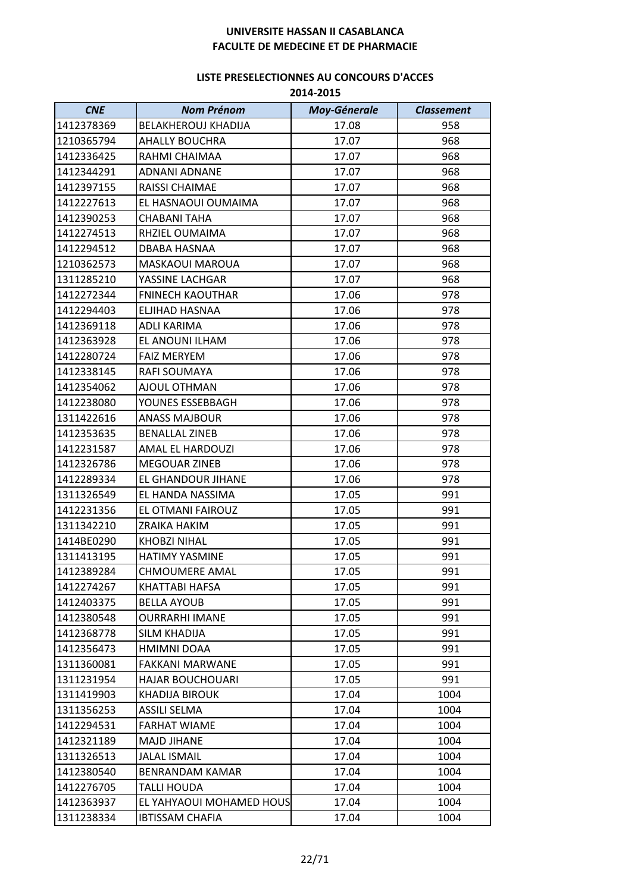| <b>CNE</b> | <b>Nom Prénom</b>          | <b>Moy-Génerale</b> | <b>Classement</b> |
|------------|----------------------------|---------------------|-------------------|
| 1412378369 | <b>BELAKHEROUJ KHADIJA</b> | 17.08               | 958               |
| 1210365794 | <b>AHALLY BOUCHRA</b>      | 17.07               | 968               |
| 1412336425 | RAHMI CHAIMAA              | 17.07               | 968               |
| 1412344291 | ADNANI ADNANE              | 17.07               | 968               |
| 1412397155 | RAISSI CHAIMAE             | 17.07               | 968               |
| 1412227613 | EL HASNAOUI OUMAIMA        | 17.07               | 968               |
| 1412390253 | <b>CHABANI TAHA</b>        | 17.07               | 968               |
| 1412274513 | RHZIEL OUMAIMA             | 17.07               | 968               |
| 1412294512 | DBABA HASNAA               | 17.07               | 968               |
| 1210362573 | <b>MASKAOUI MAROUA</b>     | 17.07               | 968               |
| 1311285210 | YASSINE LACHGAR            | 17.07               | 968               |
| 1412272344 | <b>FNINECH KAOUTHAR</b>    | 17.06               | 978               |
| 1412294403 | ELJIHAD HASNAA             | 17.06               | 978               |
| 1412369118 | <b>ADLI KARIMA</b>         | 17.06               | 978               |
| 1412363928 | EL ANOUNI ILHAM            | 17.06               | 978               |
| 1412280724 | <b>FAIZ MERYEM</b>         | 17.06               | 978               |
| 1412338145 | RAFI SOUMAYA               | 17.06               | 978               |
| 1412354062 | AJOUL OTHMAN               | 17.06               | 978               |
| 1412238080 | YOUNES ESSEBBAGH           | 17.06               | 978               |
| 1311422616 | <b>ANASS MAJBOUR</b>       | 17.06               | 978               |
| 1412353635 | <b>BENALLAL ZINEB</b>      | 17.06               | 978               |
| 1412231587 | AMAL EL HARDOUZI           | 17.06               | 978               |
| 1412326786 | <b>MEGOUAR ZINEB</b>       | 17.06               | 978               |
| 1412289334 | EL GHANDOUR JIHANE         | 17.06               | 978               |
| 1311326549 | EL HANDA NASSIMA           | 17.05               | 991               |
| 1412231356 | EL OTMANI FAIROUZ          | 17.05               | 991               |
| 1311342210 | ZRAIKA HAKIM               | 17.05               | 991               |
| 1414BE0290 | <b>KHOBZI NIHAL</b>        | 17.05               | 991               |
| 1311413195 | <b>HATIMY YASMINE</b>      | 17.05               | 991               |
| 1412389284 | <b>CHMOUMERE AMAL</b>      | 17.05               | 991               |
| 1412274267 | KHATTABI HAFSA             | 17.05               | 991               |
| 1412403375 | <b>BELLA AYOUB</b>         | 17.05               | 991               |
| 1412380548 | <b>OURRARHI IMANE</b>      | 17.05               | 991               |
| 1412368778 | SILM KHADIJA               | 17.05               | 991               |
| 1412356473 | HMIMNI DOAA                | 17.05               | 991               |
| 1311360081 | <b>FAKKANI MARWANE</b>     | 17.05               | 991               |
| 1311231954 | <b>HAJAR BOUCHOUARI</b>    | 17.05               | 991               |
| 1311419903 | KHADIJA BIROUK             | 17.04               | 1004              |
| 1311356253 | ASSILI SELMA               | 17.04               | 1004              |
| 1412294531 | <b>FARHAT WIAME</b>        | 17.04               | 1004              |
| 1412321189 | <b>MAJD JIHANE</b>         | 17.04               | 1004              |
| 1311326513 | <b>JALAL ISMAIL</b>        | 17.04               | 1004              |
| 1412380540 | <b>BENRANDAM KAMAR</b>     | 17.04               | 1004              |
| 1412276705 | TALLI HOUDA                | 17.04               | 1004              |
| 1412363937 | EL YAHYAOUI MOHAMED HOUS   | 17.04               | 1004              |
| 1311238334 | <b>IBTISSAM CHAFIA</b>     | 17.04               | 1004              |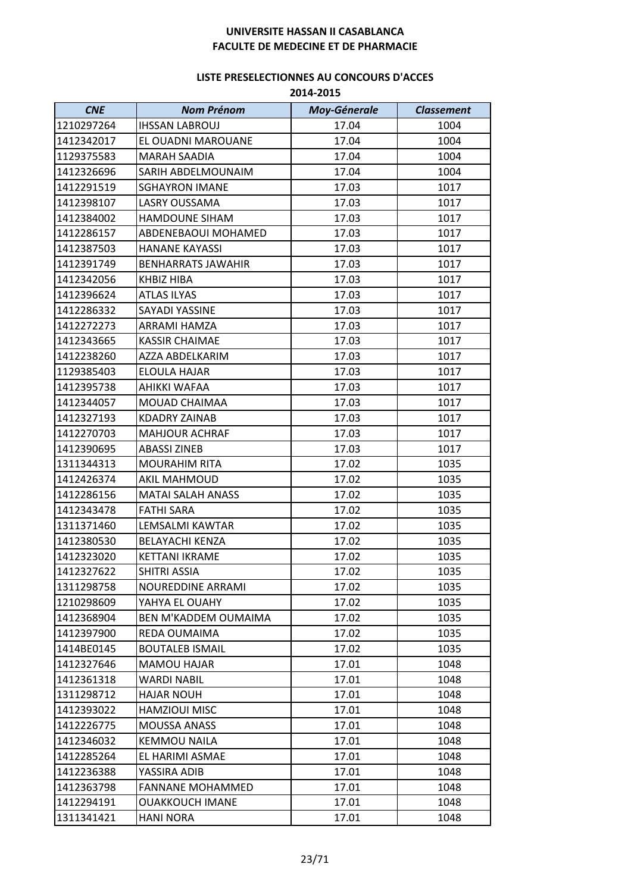| <b>CNE</b> | <b>Nom Prénom</b>           | <b>Moy-Génerale</b> | <b>Classement</b> |
|------------|-----------------------------|---------------------|-------------------|
| 1210297264 | <b>IHSSAN LABROUJ</b>       | 17.04               | 1004              |
| 1412342017 | EL OUADNI MAROUANE          | 17.04               | 1004              |
| 1129375583 | <b>MARAH SAADIA</b>         | 17.04               | 1004              |
| 1412326696 | SARIH ABDELMOUNAIM          | 17.04               | 1004              |
| 1412291519 | <b>SGHAYRON IMANE</b>       | 17.03               | 1017              |
| 1412398107 | LASRY OUSSAMA               | 17.03               | 1017              |
| 1412384002 | <b>HAMDOUNE SIHAM</b>       | 17.03               | 1017              |
| 1412286157 | ABDENEBAOUI MOHAMED         | 17.03               | 1017              |
| 1412387503 | <b>HANANE KAYASSI</b>       | 17.03               | 1017              |
| 1412391749 | <b>BENHARRATS JAWAHIR</b>   | 17.03               | 1017              |
| 1412342056 | KHBIZ HIBA                  | 17.03               | 1017              |
| 1412396624 | <b>ATLAS ILYAS</b>          | 17.03               | 1017              |
| 1412286332 | <b>SAYADI YASSINE</b>       | 17.03               | 1017              |
| 1412272273 | ARRAMI HAMZA                | 17.03               | 1017              |
| 1412343665 | <b>KASSIR CHAIMAE</b>       | 17.03               | 1017              |
| 1412238260 | AZZA ABDELKARIM             | 17.03               | 1017              |
| 1129385403 | <b>ELOULA HAJAR</b>         | 17.03               | 1017              |
| 1412395738 | AHIKKI WAFAA                | 17.03               | 1017              |
| 1412344057 | MOUAD CHAIMAA               | 17.03               | 1017              |
| 1412327193 | <b>KDADRY ZAINAB</b>        | 17.03               | 1017              |
| 1412270703 | <b>MAHJOUR ACHRAF</b>       | 17.03               | 1017              |
| 1412390695 | <b>ABASSI ZINEB</b>         | 17.03               | 1017              |
| 1311344313 | <b>MOURAHIM RITA</b>        | 17.02               | 1035              |
| 1412426374 | <b>AKIL MAHMOUD</b>         | 17.02               | 1035              |
| 1412286156 | <b>MATAI SALAH ANASS</b>    | 17.02               | 1035              |
| 1412343478 | <b>FATHI SARA</b>           | 17.02               | 1035              |
| 1311371460 | LEMSALMI KAWTAR             | 17.02               | 1035              |
| 1412380530 | <b>BELAYACHI KENZA</b>      | 17.02               | 1035              |
| 1412323020 | <b>KETTANI IKRAME</b>       | 17.02               | 1035              |
| 1412327622 | SHITRI ASSIA                | 17.02               | 1035              |
| 1311298758 | NOUREDDINE ARRAMI           | 17.02               | 1035              |
| 1210298609 | YAHYA EL OUAHY              | 17.02               | 1035              |
| 1412368904 | <b>BEN M'KADDEM OUMAIMA</b> | 17.02               | 1035              |
| 1412397900 | REDA OUMAIMA                | 17.02               | 1035              |
| 1414BE0145 | <b>BOUTALEB ISMAIL</b>      | 17.02               | 1035              |
| 1412327646 | <b>MAMOU HAJAR</b>          | 17.01               | 1048              |
| 1412361318 | <b>WARDI NABIL</b>          | 17.01               | 1048              |
| 1311298712 | HAJAR NOUH                  | 17.01               | 1048              |
| 1412393022 | <b>HAMZIOUI MISC</b>        | 17.01               | 1048              |
| 1412226775 | <b>MOUSSA ANASS</b>         | 17.01               | 1048              |
| 1412346032 | <b>KEMMOU NAILA</b>         | 17.01               | 1048              |
| 1412285264 | EL HARIMI ASMAE             | 17.01               | 1048              |
| 1412236388 | YASSIRA ADIB                | 17.01               | 1048              |
| 1412363798 | <b>FANNANE MOHAMMED</b>     | 17.01               | 1048              |
| 1412294191 | <b>OUAKKOUCH IMANE</b>      | 17.01               | 1048              |
| 1311341421 | <b>HANI NORA</b>            | 17.01               | 1048              |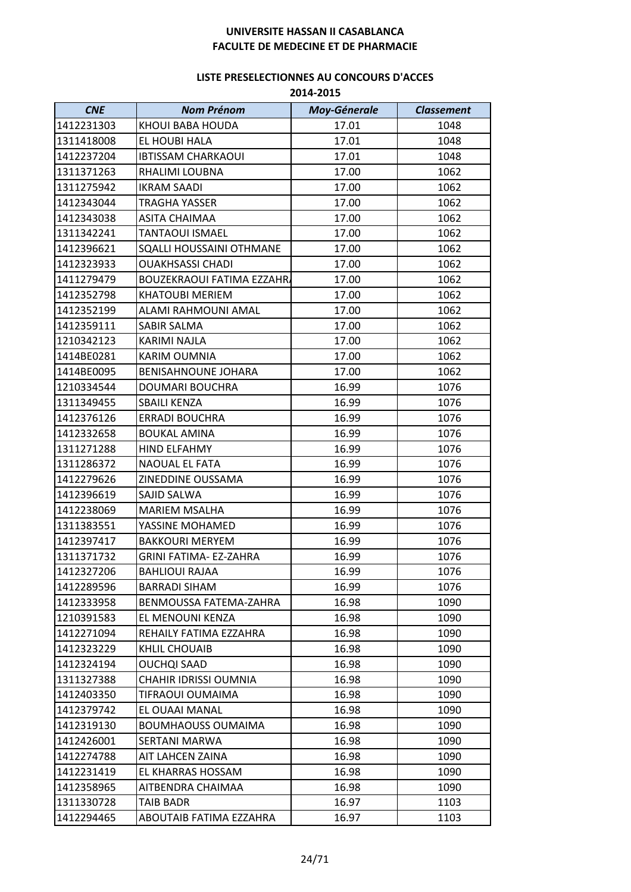| <b>CNE</b> | <b>Nom Prénom</b>                | <b>Moy-Génerale</b> | <b>Classement</b> |
|------------|----------------------------------|---------------------|-------------------|
| 1412231303 | KHOUI BABA HOUDA                 | 17.01               | 1048              |
| 1311418008 | EL HOUBI HALA                    | 17.01               | 1048              |
| 1412237204 | <b>IBTISSAM CHARKAOUI</b>        | 17.01               | 1048              |
| 1311371263 | RHALIMI LOUBNA                   | 17.00               | 1062              |
| 1311275942 | <b>IKRAM SAADI</b>               | 17.00               | 1062              |
| 1412343044 | TRAGHA YASSER                    | 17.00               | 1062              |
| 1412343038 | <b>ASITA CHAIMAA</b>             | 17.00               | 1062              |
| 1311342241 | <b>TANTAOUI ISMAEL</b>           | 17.00               | 1062              |
| 1412396621 | SQALLI HOUSSAINI OTHMANE         | 17.00               | 1062              |
| 1412323933 | <b>OUAKHSASSI CHADI</b>          | 17.00               | 1062              |
| 1411279479 | <b>BOUZEKRAOUI FATIMA EZZAHR</b> | 17.00               | 1062              |
| 1412352798 | <b>KHATOUBI MERIEM</b>           | 17.00               | 1062              |
| 1412352199 | ALAMI RAHMOUNI AMAL              | 17.00               | 1062              |
| 1412359111 | SABIR SALMA                      | 17.00               | 1062              |
| 1210342123 | KARIMI NAJLA                     | 17.00               | 1062              |
| 1414BE0281 | <b>KARIM OUMNIA</b>              | 17.00               | 1062              |
| 1414BE0095 | <b>BENISAHNOUNE JOHARA</b>       | 17.00               | 1062              |
| 1210334544 | DOUMARI BOUCHRA                  | 16.99               | 1076              |
| 1311349455 | <b>SBAILI KENZA</b>              | 16.99               | 1076              |
| 1412376126 | <b>ERRADI BOUCHRA</b>            | 16.99               | 1076              |
| 1412332658 | <b>BOUKAL AMINA</b>              | 16.99               | 1076              |
| 1311271288 | <b>HIND ELFAHMY</b>              | 16.99               | 1076              |
| 1311286372 | NAOUAL EL FATA                   | 16.99               | 1076              |
| 1412279626 | ZINEDDINE OUSSAMA                | 16.99               | 1076              |
| 1412396619 | SAJID SALWA                      | 16.99               | 1076              |
| 1412238069 | <b>MARIEM MSALHA</b>             | 16.99               | 1076              |
| 1311383551 | YASSINE MOHAMED                  | 16.99               | 1076              |
| 1412397417 | <b>BAKKOURI MERYEM</b>           | 16.99               | 1076              |
| 1311371732 | <b>GRINI FATIMA- EZ-ZAHRA</b>    | 16.99               | 1076              |
| 1412327206 | BAHLIOUI RAJAA                   | 16.99               | 1076              |
| 1412289596 | <b>BARRADI SIHAM</b>             | 16.99               | 1076              |
| 1412333958 | BENMOUSSA FATEMA-ZAHRA           | 16.98               | 1090              |
| 1210391583 | EL MENOUNI KENZA                 | 16.98               | 1090              |
| 1412271094 | REHAILY FATIMA EZZAHRA           | 16.98               | 1090              |
| 1412323229 | KHLIL CHOUAIB                    | 16.98               | 1090              |
| 1412324194 | <b>OUCHQI SAAD</b>               | 16.98               | 1090              |
| 1311327388 | <b>CHAHIR IDRISSI OUMNIA</b>     | 16.98               | 1090              |
| 1412403350 | TIFRAOUI OUMAIMA                 | 16.98               | 1090              |
| 1412379742 | EL OUAAI MANAL                   | 16.98               | 1090              |
| 1412319130 | <b>BOUMHAOUSS OUMAIMA</b>        | 16.98               | 1090              |
| 1412426001 | SERTANI MARWA                    | 16.98               | 1090              |
| 1412274788 | AIT LAHCEN ZAINA                 | 16.98               | 1090              |
| 1412231419 | EL KHARRAS HOSSAM                | 16.98               | 1090              |
| 1412358965 | AITBENDRA CHAIMAA                | 16.98               | 1090              |
| 1311330728 | TAIB BADR                        | 16.97               | 1103              |
| 1412294465 | ABOUTAIB FATIMA EZZAHRA          | 16.97               | 1103              |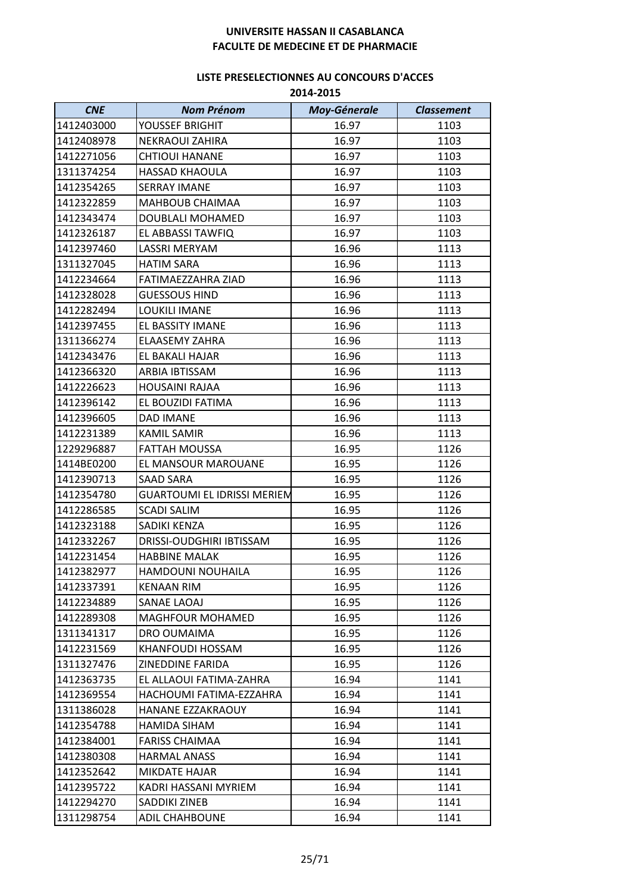| <b>CNE</b> | <b>Nom Prénom</b>           | <b>Moy-Génerale</b> | <b>Classement</b> |
|------------|-----------------------------|---------------------|-------------------|
| 1412403000 | YOUSSEF BRIGHIT             | 16.97               | 1103              |
| 1412408978 | <b>NEKRAOUI ZAHIRA</b>      | 16.97               | 1103              |
| 1412271056 | <b>CHTIOUI HANANE</b>       | 16.97               | 1103              |
| 1311374254 | <b>HASSAD KHAOULA</b>       | 16.97               | 1103              |
| 1412354265 | <b>SERRAY IMANE</b>         | 16.97               | 1103              |
| 1412322859 | <b>MAHBOUB CHAIMAA</b>      | 16.97               | 1103              |
| 1412343474 | DOUBLALI MOHAMED            | 16.97               | 1103              |
| 1412326187 | EL ABBASSI TAWFIQ           | 16.97               | 1103              |
| 1412397460 | LASSRI MERYAM               | 16.96               | 1113              |
| 1311327045 | <b>HATIM SARA</b>           | 16.96               | 1113              |
| 1412234664 | FATIMAEZZAHRA ZIAD          | 16.96               | 1113              |
| 1412328028 | <b>GUESSOUS HIND</b>        | 16.96               | 1113              |
| 1412282494 | LOUKILI IMANE               | 16.96               | 1113              |
| 1412397455 | EL BASSITY IMANE            | 16.96               | 1113              |
| 1311366274 | <b>ELAASEMY ZAHRA</b>       | 16.96               | 1113              |
| 1412343476 | EL BAKALI HAJAR             | 16.96               | 1113              |
| 1412366320 | ARBIA IBTISSAM              | 16.96               | 1113              |
| 1412226623 | <b>HOUSAINI RAJAA</b>       | 16.96               | 1113              |
| 1412396142 | EL BOUZIDI FATIMA           | 16.96               | 1113              |
| 1412396605 | <b>DAD IMANE</b>            | 16.96               | 1113              |
| 1412231389 | <b>KAMIL SAMIR</b>          | 16.96               | 1113              |
| 1229296887 | FATTAH MOUSSA               | 16.95               | 1126              |
| 1414BE0200 | EL MANSOUR MAROUANE         | 16.95               | 1126              |
| 1412390713 | <b>SAAD SARA</b>            | 16.95               | 1126              |
| 1412354780 | GUARTOUMI EL IDRISSI MERIEM | 16.95               | 1126              |
| 1412286585 | <b>SCADI SALIM</b>          | 16.95               | 1126              |
| 1412323188 | SADIKI KENZA                | 16.95               | 1126              |
| 1412332267 | DRISSI-OUDGHIRI IBTISSAM    | 16.95               | 1126              |
| 1412231454 | <b>HABBINE MALAK</b>        | 16.95               | 1126              |
| 1412382977 | HAMDOUNI NOUHAILA           | 16.95               | 1126              |
| 1412337391 | <b>KENAAN RIM</b>           | 16.95               | 1126              |
| 1412234889 | SANAE LAOAJ                 | 16.95               | 1126              |
| 1412289308 | MAGHFOUR MOHAMED            | 16.95               | 1126              |
| 1311341317 | DRO OUMAIMA                 | 16.95               | 1126              |
| 1412231569 | <b>KHANFOUDI HOSSAM</b>     | 16.95               | 1126              |
| 1311327476 | ZINEDDINE FARIDA            | 16.95               | 1126              |
| 1412363735 | EL ALLAOUI FATIMA-ZAHRA     | 16.94               | 1141              |
| 1412369554 | HACHOUMI FATIMA-EZZAHRA     | 16.94               | 1141              |
| 1311386028 | HANANE EZZAKRAOUY           | 16.94               | 1141              |
| 1412354788 | HAMIDA SIHAM                | 16.94               | 1141              |
| 1412384001 | <b>FARISS CHAIMAA</b>       | 16.94               | 1141              |
| 1412380308 | <b>HARMAL ANASS</b>         | 16.94               | 1141              |
| 1412352642 | MIKDATE HAJAR               | 16.94               | 1141              |
| 1412395722 | KADRI HASSANI MYRIEM        | 16.94               | 1141              |
| 1412294270 | SADDIKI ZINEB               | 16.94               | 1141              |
| 1311298754 | <b>ADIL CHAHBOUNE</b>       | 16.94               | 1141              |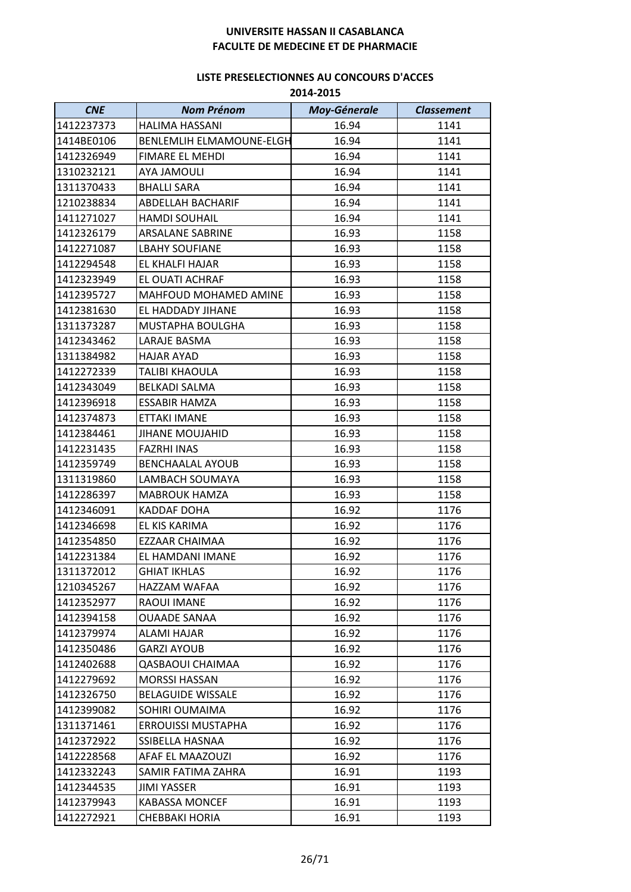| <b>CNE</b> | <b>Nom Prénom</b>               | <b>Moy-Génerale</b> | <b>Classement</b> |
|------------|---------------------------------|---------------------|-------------------|
| 1412237373 | <b>HALIMA HASSANI</b>           | 16.94               | 1141              |
| 1414BE0106 | <b>BENLEMLIH ELMAMOUNE-ELGH</b> | 16.94               | 1141              |
| 1412326949 | <b>FIMARE EL MEHDI</b>          | 16.94               | 1141              |
| 1310232121 | <b>AYA JAMOULI</b>              | 16.94               | 1141              |
| 1311370433 | <b>BHALLI SARA</b>              | 16.94               | 1141              |
| 1210238834 | ABDELLAH BACHARIF               | 16.94               | 1141              |
| 1411271027 | <b>HAMDI SOUHAIL</b>            | 16.94               | 1141              |
| 1412326179 | <b>ARSALANE SABRINE</b>         | 16.93               | 1158              |
| 1412271087 | <b>LBAHY SOUFIANE</b>           | 16.93               | 1158              |
| 1412294548 | EL KHALFI HAJAR                 | 16.93               | 1158              |
| 1412323949 | EL OUATI ACHRAF                 | 16.93               | 1158              |
| 1412395727 | MAHFOUD MOHAMED AMINE           | 16.93               | 1158              |
| 1412381630 | EL HADDADY JIHANE               | 16.93               | 1158              |
| 1311373287 | MUSTAPHA BOULGHA                | 16.93               | 1158              |
| 1412343462 | LARAJE BASMA                    | 16.93               | 1158              |
| 1311384982 | HAJAR AYAD                      | 16.93               | 1158              |
| 1412272339 | <b>TALIBI KHAOULA</b>           | 16.93               | 1158              |
| 1412343049 | <b>BELKADI SALMA</b>            | 16.93               | 1158              |
| 1412396918 | <b>ESSABIR HAMZA</b>            | 16.93               | 1158              |
| 1412374873 | ETTAKI IMANE                    | 16.93               | 1158              |
| 1412384461 | <b>JIHANE MOUJAHID</b>          | 16.93               | 1158              |
| 1412231435 | <b>FAZRHI INAS</b>              | 16.93               | 1158              |
| 1412359749 | <b>BENCHAALAL AYOUB</b>         | 16.93               | 1158              |
| 1311319860 | LAMBACH SOUMAYA                 | 16.93               | 1158              |
| 1412286397 | <b>MABROUK HAMZA</b>            | 16.93               | 1158              |
| 1412346091 | <b>KADDAF DOHA</b>              | 16.92               | 1176              |
| 1412346698 | EL KIS KARIMA                   | 16.92               | 1176              |
| 1412354850 | EZZAAR CHAIMAA                  | 16.92               | 1176              |
| 1412231384 | EL HAMDANI IMANE                | 16.92               | 1176              |
| 1311372012 | <b>GHIAT IKHLAS</b>             | 16.92               | 1176              |
| 1210345267 | HAZZAM WAFAA                    | 16.92               | 1176              |
| 1412352977 | RAOUI IMANE                     | 16.92               | 1176              |
| 1412394158 | <b>OUAADE SANAA</b>             | 16.92               | 1176              |
| 1412379974 | <b>ALAMI HAJAR</b>              | 16.92               | 1176              |
| 1412350486 | <b>GARZI AYOUB</b>              | 16.92               | 1176              |
| 1412402688 | <b>QASBAOUI CHAIMAA</b>         | 16.92               | 1176              |
| 1412279692 | <b>MORSSI HASSAN</b>            | 16.92               | 1176              |
| 1412326750 | <b>BELAGUIDE WISSALE</b>        | 16.92               | 1176              |
| 1412399082 | SOHIRI OUMAIMA                  | 16.92               | 1176              |
| 1311371461 | <b>ERROUISSI MUSTAPHA</b>       | 16.92               | 1176              |
| 1412372922 | SSIBELLA HASNAA                 | 16.92               | 1176              |
| 1412228568 | AFAF EL MAAZOUZI                | 16.92               | 1176              |
| 1412332243 | SAMIR FATIMA ZAHRA              | 16.91               | 1193              |
| 1412344535 | JIMI YASSER                     | 16.91               | 1193              |
| 1412379943 | <b>KABASSA MONCEF</b>           | 16.91               | 1193              |
| 1412272921 | <b>CHEBBAKI HORIA</b>           | 16.91               | 1193              |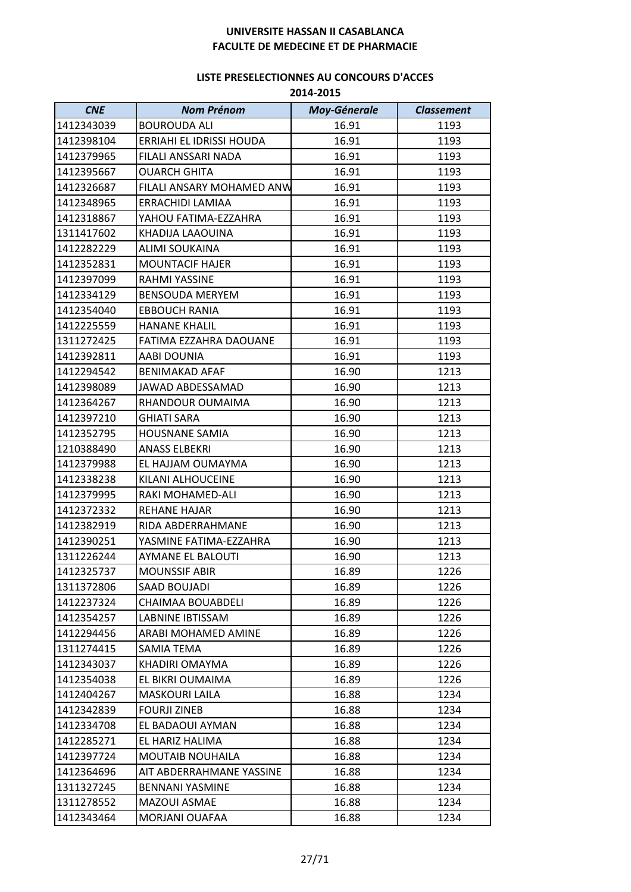| <b>CNE</b> | <b>Nom Prénom</b>         | Moy-Génerale | <b>Classement</b> |
|------------|---------------------------|--------------|-------------------|
| 1412343039 | <b>BOUROUDA ALI</b>       | 16.91        | 1193              |
| 1412398104 | ERRIAHI EL IDRISSI HOUDA  | 16.91        | 1193              |
| 1412379965 | FILALI ANSSARI NADA       | 16.91        | 1193              |
| 1412395667 | <b>OUARCH GHITA</b>       | 16.91        | 1193              |
| 1412326687 | FILALI ANSARY MOHAMED ANW | 16.91        | 1193              |
| 1412348965 | ERRACHIDI LAMIAA          | 16.91        | 1193              |
| 1412318867 | YAHOU FATIMA-EZZAHRA      | 16.91        | 1193              |
| 1311417602 | KHADIJA LAAOUINA          | 16.91        | 1193              |
| 1412282229 | ALIMI SOUKAINA            | 16.91        | 1193              |
| 1412352831 | <b>MOUNTACIF HAJER</b>    | 16.91        | 1193              |
| 1412397099 | RAHMI YASSINE             | 16.91        | 1193              |
| 1412334129 | <b>BENSOUDA MERYEM</b>    | 16.91        | 1193              |
| 1412354040 | <b>EBBOUCH RANIA</b>      | 16.91        | 1193              |
| 1412225559 | <b>HANANE KHALIL</b>      | 16.91        | 1193              |
| 1311272425 | FATIMA EZZAHRA DAOUANE    | 16.91        | 1193              |
| 1412392811 | AABI DOUNIA               | 16.91        | 1193              |
| 1412294542 | <b>BENIMAKAD AFAF</b>     | 16.90        | 1213              |
| 1412398089 | <b>JAWAD ABDESSAMAD</b>   | 16.90        | 1213              |
| 1412364267 | RHANDOUR OUMAIMA          | 16.90        | 1213              |
| 1412397210 | <b>GHIATI SARA</b>        | 16.90        | 1213              |
| 1412352795 | <b>HOUSNANE SAMIA</b>     | 16.90        | 1213              |
| 1210388490 | <b>ANASS ELBEKRI</b>      | 16.90        | 1213              |
| 1412379988 | EL HAJJAM OUMAYMA         | 16.90        | 1213              |
| 1412338238 | KILANI ALHOUCEINE         | 16.90        | 1213              |
| 1412379995 | RAKI MOHAMED-ALI          | 16.90        | 1213              |
| 1412372332 | REHANE HAJAR              | 16.90        | 1213              |
| 1412382919 | RIDA ABDERRAHMANE         | 16.90        | 1213              |
| 1412390251 | YASMINE FATIMA-EZZAHRA    | 16.90        | 1213              |
| 1311226244 | <b>AYMANE EL BALOUTI</b>  | 16.90        | 1213              |
| 1412325737 | <b>MOUNSSIF ABIR</b>      | 16.89        | 1226              |
| 1311372806 | SAAD BOUJADI              | 16.89        | 1226              |
| 1412237324 | CHAIMAA BOUABDELI         | 16.89        | 1226              |
| 1412354257 | LABNINE IBTISSAM          | 16.89        | 1226              |
| 1412294456 | ARABI MOHAMED AMINE       | 16.89        | 1226              |
| 1311274415 | SAMIA TEMA                | 16.89        | 1226              |
| 1412343037 | KHADIRI OMAYMA            | 16.89        | 1226              |
| 1412354038 | EL BIKRI OUMAIMA          | 16.89        | 1226              |
| 1412404267 | <b>MASKOURI LAILA</b>     | 16.88        | 1234              |
| 1412342839 | <b>FOURJI ZINEB</b>       | 16.88        | 1234              |
| 1412334708 | EL BADAOUI AYMAN          | 16.88        | 1234              |
| 1412285271 | EL HARIZ HALIMA           | 16.88        | 1234              |
| 1412397724 | <b>MOUTAIB NOUHAILA</b>   | 16.88        | 1234              |
| 1412364696 | AIT ABDERRAHMANE YASSINE  | 16.88        | 1234              |
| 1311327245 | <b>BENNANI YASMINE</b>    | 16.88        | 1234              |
| 1311278552 | MAZOUI ASMAE              | 16.88        | 1234              |
| 1412343464 | MORJANI OUAFAA            | 16.88        | 1234              |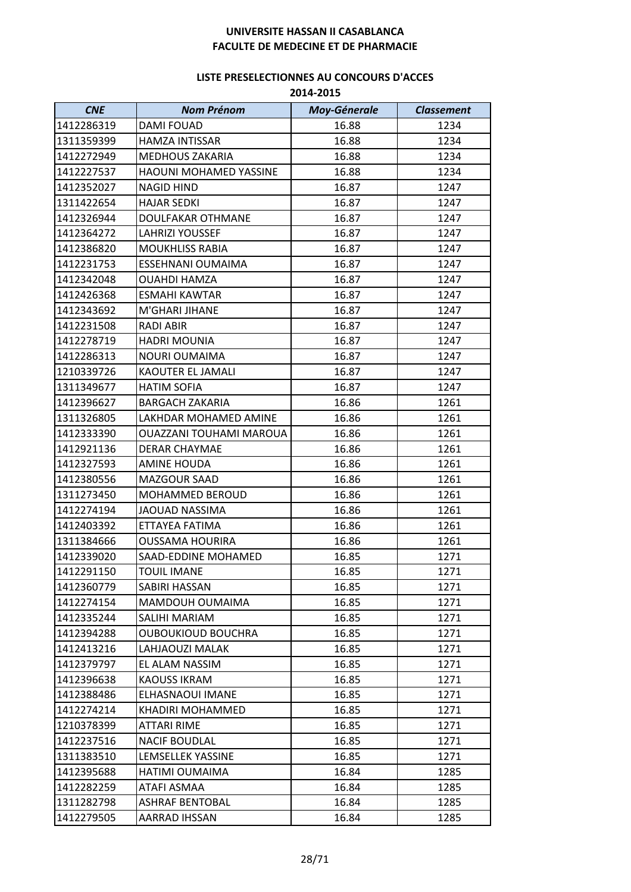| <b>CNE</b> | <b>Nom Prénom</b>              | <b>Moy-Génerale</b> | <b>Classement</b> |
|------------|--------------------------------|---------------------|-------------------|
| 1412286319 | <b>DAMI FOUAD</b>              | 16.88               | 1234              |
| 1311359399 | <b>HAMZA INTISSAR</b>          | 16.88               | 1234              |
| 1412272949 | <b>MEDHOUS ZAKARIA</b>         | 16.88               | 1234              |
| 1412227537 | <b>HAOUNI MOHAMED YASSINE</b>  | 16.88               | 1234              |
| 1412352027 | <b>NAGID HIND</b>              | 16.87               | 1247              |
| 1311422654 | <b>HAJAR SEDKI</b>             | 16.87               | 1247              |
| 1412326944 | <b>DOULFAKAR OTHMANE</b>       | 16.87               | 1247              |
| 1412364272 | <b>LAHRIZI YOUSSEF</b>         | 16.87               | 1247              |
| 1412386820 | <b>MOUKHLISS RABIA</b>         | 16.87               | 1247              |
| 1412231753 | ESSEHNANI OUMAIMA              | 16.87               | 1247              |
| 1412342048 | <b>OUAHDI HAMZA</b>            | 16.87               | 1247              |
| 1412426368 | <b>ESMAHI KAWTAR</b>           | 16.87               | 1247              |
| 1412343692 | M'GHARI JIHANE                 | 16.87               | 1247              |
| 1412231508 | <b>RADI ABIR</b>               | 16.87               | 1247              |
| 1412278719 | <b>HADRI MOUNIA</b>            | 16.87               | 1247              |
| 1412286313 | <b>NOURI OUMAIMA</b>           | 16.87               | 1247              |
| 1210339726 | <b>KAOUTER EL JAMALI</b>       | 16.87               | 1247              |
| 1311349677 | <b>HATIM SOFIA</b>             | 16.87               | 1247              |
| 1412396627 | <b>BARGACH ZAKARIA</b>         | 16.86               | 1261              |
| 1311326805 | LAKHDAR MOHAMED AMINE          | 16.86               | 1261              |
| 1412333390 | <b>OUAZZANI TOUHAMI MAROUA</b> | 16.86               | 1261              |
| 1412921136 | <b>DERAR CHAYMAE</b>           | 16.86               | 1261              |
| 1412327593 | AMINE HOUDA                    | 16.86               | 1261              |
| 1412380556 | MAZGOUR SAAD                   | 16.86               | 1261              |
| 1311273450 | MOHAMMED BEROUD                | 16.86               | 1261              |
| 1412274194 | <b>JAOUAD NASSIMA</b>          | 16.86               | 1261              |
| 1412403392 | ETTAYEA FATIMA                 | 16.86               | 1261              |
| 1311384666 | <b>OUSSAMA HOURIRA</b>         | 16.86               | 1261              |
| 1412339020 | SAAD-EDDINE MOHAMED            | 16.85               | 1271              |
| 1412291150 | <b>TOUIL IMANE</b>             | 16.85               | 1271              |
| 1412360779 | SABIRI HASSAN                  | 16.85               | 1271              |
| 1412274154 | MAMDOUH OUMAIMA                | 16.85               | 1271              |
| 1412335244 | SALIHI MARIAM                  | 16.85               | 1271              |
| 1412394288 | <b>OUBOUKIOUD BOUCHRA</b>      | 16.85               | 1271              |
| 1412413216 | LAHJAOUZI MALAK                | 16.85               | 1271              |
| 1412379797 | EL ALAM NASSIM                 | 16.85               | 1271              |
| 1412396638 | <b>KAOUSS IKRAM</b>            | 16.85               | 1271              |
| 1412388486 | ELHASNAOUI IMANE               | 16.85               | 1271              |
| 1412274214 | KHADIRI MOHAMMED               | 16.85               | 1271              |
| 1210378399 | <b>ATTARI RIME</b>             | 16.85               | 1271              |
| 1412237516 | <b>NACIF BOUDLAL</b>           | 16.85               | 1271              |
| 1311383510 | LEMSELLEK YASSINE              | 16.85               | 1271              |
| 1412395688 | HATIMI OUMAIMA                 | 16.84               | 1285              |
| 1412282259 | ATAFI ASMAA                    | 16.84               | 1285              |
| 1311282798 | <b>ASHRAF BENTOBAL</b>         | 16.84               | 1285              |
| 1412279505 | <b>AARRAD IHSSAN</b>           | 16.84               | 1285              |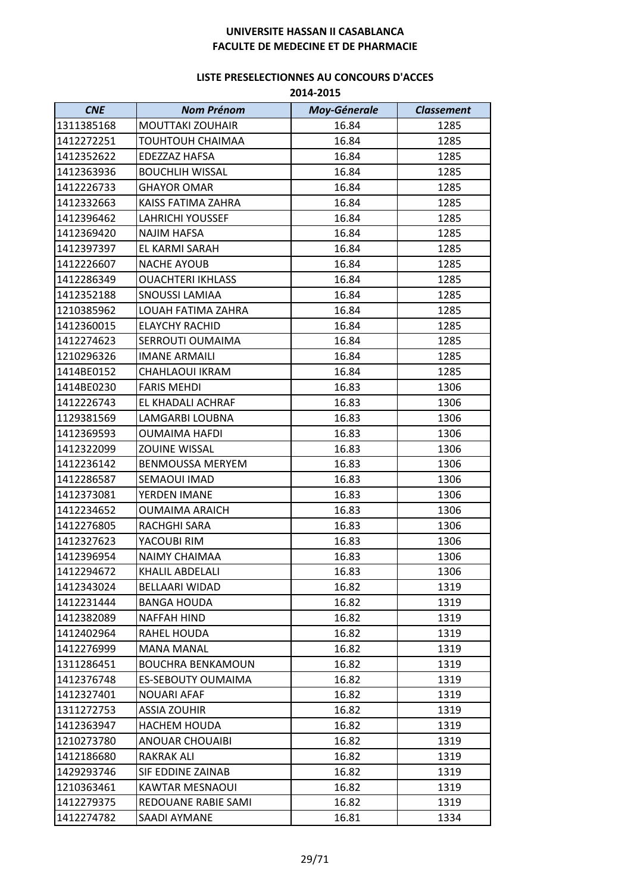| <b>CNE</b> | <b>Nom Prénom</b>         | <b>Moy-Génerale</b> | <b>Classement</b> |
|------------|---------------------------|---------------------|-------------------|
| 1311385168 | <b>MOUTTAKI ZOUHAIR</b>   | 16.84               | 1285              |
| 1412272251 | <b>TOUHTOUH CHAIMAA</b>   | 16.84               | 1285              |
| 1412352622 | EDEZZAZ HAFSA             | 16.84               | 1285              |
| 1412363936 | <b>BOUCHLIH WISSAL</b>    | 16.84               | 1285              |
| 1412226733 | <b>GHAYOR OMAR</b>        | 16.84               | 1285              |
| 1412332663 | KAISS FATIMA ZAHRA        | 16.84               | 1285              |
| 1412396462 | LAHRICHI YOUSSEF          | 16.84               | 1285              |
| 1412369420 | <b>NAJIM HAFSA</b>        | 16.84               | 1285              |
| 1412397397 | EL KARMI SARAH            | 16.84               | 1285              |
| 1412226607 | <b>NACHE AYOUB</b>        | 16.84               | 1285              |
| 1412286349 | <b>OUACHTERI IKHLASS</b>  | 16.84               | 1285              |
| 1412352188 | <b>SNOUSSI LAMIAA</b>     | 16.84               | 1285              |
| 1210385962 | LOUAH FATIMA ZAHRA        | 16.84               | 1285              |
| 1412360015 | <b>ELAYCHY RACHID</b>     | 16.84               | 1285              |
| 1412274623 | SERROUTI OUMAIMA          | 16.84               | 1285              |
| 1210296326 | <b>IMANE ARMAILI</b>      | 16.84               | 1285              |
| 1414BE0152 | CHAHLAOUI IKRAM           | 16.84               | 1285              |
| 1414BE0230 | <b>FARIS MEHDI</b>        | 16.83               | 1306              |
| 1412226743 | EL KHADALI ACHRAF         | 16.83               | 1306              |
| 1129381569 | LAMGARBI LOUBNA           | 16.83               | 1306              |
| 1412369593 | <b>OUMAIMA HAFDI</b>      | 16.83               | 1306              |
| 1412322099 | <b>ZOUINE WISSAL</b>      | 16.83               | 1306              |
| 1412236142 | <b>BENMOUSSA MERYEM</b>   | 16.83               | 1306              |
| 1412286587 | SEMAOUI IMAD              | 16.83               | 1306              |
| 1412373081 | YERDEN IMANE              | 16.83               | 1306              |
| 1412234652 | <b>OUMAIMA ARAICH</b>     | 16.83               | 1306              |
| 1412276805 | RACHGHI SARA              | 16.83               | 1306              |
| 1412327623 | YACOUBI RIM               | 16.83               | 1306              |
| 1412396954 | <b>NAIMY CHAIMAA</b>      | 16.83               | 1306              |
| 1412294672 | KHALIL ABDELALI           | 16.83               | 1306              |
| 1412343024 | BELLAARI WIDAD            | 16.82               | 1319              |
| 1412231444 | <b>BANGA HOUDA</b>        | 16.82               | 1319              |
| 1412382089 | NAFFAH HIND               | 16.82               | 1319              |
| 1412402964 | RAHEL HOUDA               | 16.82               | 1319              |
| 1412276999 | <b>MANA MANAL</b>         | 16.82               | 1319              |
| 1311286451 | <b>BOUCHRA BENKAMOUN</b>  | 16.82               | 1319              |
| 1412376748 | <b>ES-SEBOUTY OUMAIMA</b> | 16.82               | 1319              |
| 1412327401 | <b>NOUARI AFAF</b>        | 16.82               | 1319              |
| 1311272753 | <b>ASSIA ZOUHIR</b>       | 16.82               | 1319              |
| 1412363947 | <b>HACHEM HOUDA</b>       | 16.82               | 1319              |
| 1210273780 | <b>ANOUAR CHOUAIBI</b>    | 16.82               | 1319              |
| 1412186680 | RAKRAK ALI                | 16.82               | 1319              |
| 1429293746 | SIF EDDINE ZAINAB         | 16.82               | 1319              |
| 1210363461 | <b>KAWTAR MESNAOUI</b>    | 16.82               | 1319              |
| 1412279375 | REDOUANE RABIE SAMI       | 16.82               | 1319              |
| 1412274782 | SAADI AYMANE              | 16.81               | 1334              |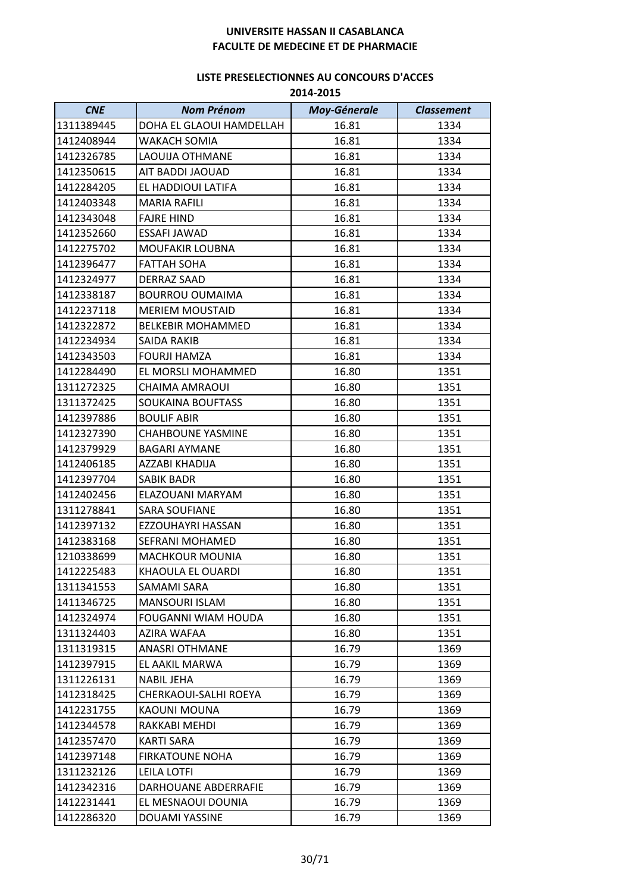| <b>CNE</b> | <b>Nom Prénom</b>          | <b>Moy-Génerale</b> | <b>Classement</b> |
|------------|----------------------------|---------------------|-------------------|
| 1311389445 | DOHA EL GLAOUI HAMDELLAH   | 16.81               | 1334              |
| 1412408944 | <b>WAKACH SOMIA</b>        | 16.81               | 1334              |
| 1412326785 | <b>LAOUIJA OTHMANE</b>     | 16.81               | 1334              |
| 1412350615 | AIT BADDI JAOUAD           | 16.81               | 1334              |
| 1412284205 | EL HADDIOUI LATIFA         | 16.81               | 1334              |
| 1412403348 | <b>MARIA RAFILI</b>        | 16.81               | 1334              |
| 1412343048 | <b>FAJRE HIND</b>          | 16.81               | 1334              |
| 1412352660 | <b>ESSAFI JAWAD</b>        | 16.81               | 1334              |
| 1412275702 | <b>MOUFAKIR LOUBNA</b>     | 16.81               | 1334              |
| 1412396477 | <b>FATTAH SOHA</b>         | 16.81               | 1334              |
| 1412324977 | <b>DERRAZ SAAD</b>         | 16.81               | 1334              |
| 1412338187 | <b>BOURROU OUMAIMA</b>     | 16.81               | 1334              |
| 1412237118 | <b>MERIEM MOUSTAID</b>     | 16.81               | 1334              |
| 1412322872 | <b>BELKEBIR MOHAMMED</b>   | 16.81               | 1334              |
| 1412234934 | SAIDA RAKIB                | 16.81               | 1334              |
| 1412343503 | <b>FOURJI HAMZA</b>        | 16.81               | 1334              |
| 1412284490 | EL MORSLI MOHAMMED         | 16.80               | 1351              |
| 1311272325 | <b>CHAIMA AMRAOUI</b>      | 16.80               | 1351              |
| 1311372425 | <b>SOUKAINA BOUFTASS</b>   | 16.80               | 1351              |
| 1412397886 | <b>BOULIF ABIR</b>         | 16.80               | 1351              |
| 1412327390 | <b>CHAHBOUNE YASMINE</b>   | 16.80               | 1351              |
| 1412379929 | <b>BAGARI AYMANE</b>       | 16.80               | 1351              |
| 1412406185 | AZZABI KHADIJA             | 16.80               | 1351              |
| 1412397704 | <b>SABIK BADR</b>          | 16.80               | 1351              |
| 1412402456 | ELAZOUANI MARYAM           | 16.80               | 1351              |
| 1311278841 | <b>SARA SOUFIANE</b>       | 16.80               | 1351              |
| 1412397132 | EZZOUHAYRI HASSAN          | 16.80               | 1351              |
| 1412383168 | SEFRANI MOHAMED            | 16.80               | 1351              |
| 1210338699 | <b>MACHKOUR MOUNIA</b>     | 16.80               | 1351              |
| 1412225483 | KHAOULA EL OUARDI          | 16.80               | 1351              |
| 1311341553 | SAMAMI SARA                | 16.80               | 1351              |
| 1411346725 | <b>MANSOURI ISLAM</b>      | 16.80               | 1351              |
| 1412324974 | <b>FOUGANNI WIAM HOUDA</b> | 16.80               | 1351              |
| 1311324403 | AZIRA WAFAA                | 16.80               | 1351              |
| 1311319315 | <b>ANASRI OTHMANE</b>      | 16.79               | 1369              |
| 1412397915 | EL AAKIL MARWA             | 16.79               | 1369              |
| 1311226131 | <b>NABIL JEHA</b>          | 16.79               | 1369              |
| 1412318425 | CHERKAOUI-SALHI ROEYA      | 16.79               | 1369              |
| 1412231755 | KAOUNI MOUNA               | 16.79               | 1369              |
| 1412344578 | RAKKABI MEHDI              | 16.79               | 1369              |
| 1412357470 | <b>KARTI SARA</b>          | 16.79               | 1369              |
| 1412397148 | <b>FIRKATOUNE NOHA</b>     | 16.79               | 1369              |
| 1311232126 | <b>LEILA LOTFI</b>         | 16.79               | 1369              |
| 1412342316 | DARHOUANE ABDERRAFIE       | 16.79               | 1369              |
| 1412231441 | EL MESNAOUI DOUNIA         | 16.79               | 1369              |
| 1412286320 | <b>DOUAMI YASSINE</b>      | 16.79               | 1369              |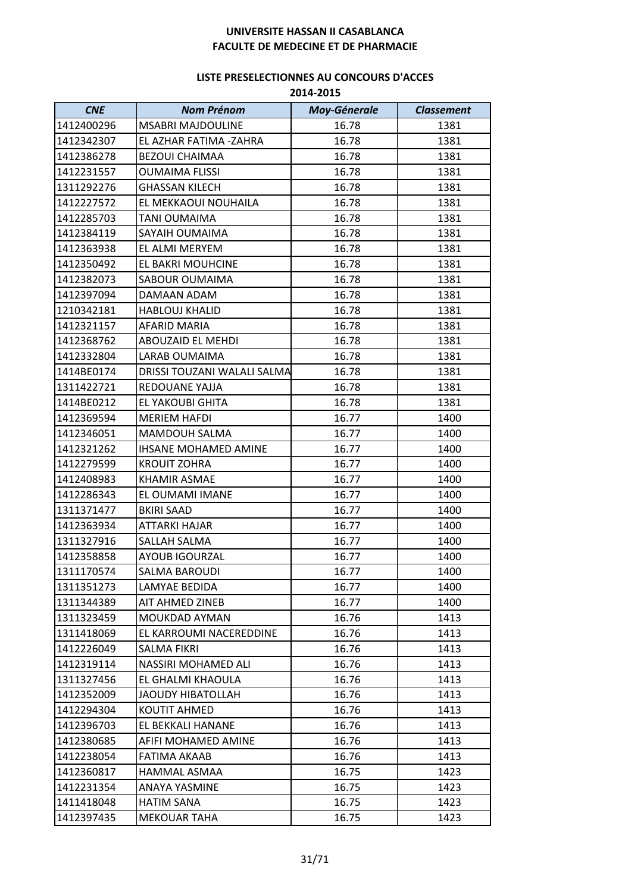| <b>CNE</b> | <b>Nom Prénom</b>           | <b>Moy-Génerale</b> | <b>Classement</b> |
|------------|-----------------------------|---------------------|-------------------|
| 1412400296 | <b>MSABRI MAJDOULINE</b>    | 16.78               | 1381              |
| 1412342307 | EL AZHAR FATIMA -ZAHRA      | 16.78               | 1381              |
| 1412386278 | <b>BEZOUI CHAIMAA</b>       | 16.78               | 1381              |
| 1412231557 | <b>OUMAIMA FLISSI</b>       | 16.78               | 1381              |
| 1311292276 | <b>GHASSAN KILECH</b>       | 16.78               | 1381              |
| 1412227572 | EL MEKKAOUI NOUHAILA        | 16.78               | 1381              |
| 1412285703 | TANI OUMAIMA                | 16.78               | 1381              |
| 1412384119 | <b>SAYAIH OUMAIMA</b>       | 16.78               | 1381              |
| 1412363938 | EL ALMI MERYEM              | 16.78               | 1381              |
| 1412350492 | EL BAKRI MOUHCINE           | 16.78               | 1381              |
| 1412382073 | SABOUR OUMAIMA              | 16.78               | 1381              |
| 1412397094 | DAMAAN ADAM                 | 16.78               | 1381              |
| 1210342181 | <b>HABLOUJ KHALID</b>       | 16.78               | 1381              |
| 1412321157 | AFARID MARIA                | 16.78               | 1381              |
| 1412368762 | ABOUZAID EL MEHDI           | 16.78               | 1381              |
| 1412332804 | <b>LARAB OUMAIMA</b>        | 16.78               | 1381              |
| 1414BE0174 | DRISSI TOUZANI WALALI SALMA | 16.78               | 1381              |
| 1311422721 | <b>REDOUANE YAJJA</b>       | 16.78               | 1381              |
| 1414BE0212 | EL YAKOUBI GHITA            | 16.78               | 1381              |
| 1412369594 | <b>MERIEM HAFDI</b>         | 16.77               | 1400              |
| 1412346051 | MAMDOUH SALMA               | 16.77               | 1400              |
| 1412321262 | <b>IHSANE MOHAMED AMINE</b> | 16.77               | 1400              |
| 1412279599 | <b>KROUIT ZOHRA</b>         | 16.77               | 1400              |
| 1412408983 | KHAMIR ASMAE                | 16.77               | 1400              |
| 1412286343 | EL OUMAMI IMANE             | 16.77               | 1400              |
| 1311371477 | <b>BKIRI SAAD</b>           | 16.77               | 1400              |
| 1412363934 | <b>ATTARKI HAJAR</b>        | 16.77               | 1400              |
| 1311327916 | SALLAH SALMA                | 16.77               | 1400              |
| 1412358858 | AYOUB IGOURZAL              | 16.77               | 1400              |
| 1311170574 | <b>SALMA BAROUDI</b>        | 16.77               | 1400              |
| 1311351273 | LAMYAE BEDIDA               | 16.77               | 1400              |
| 1311344389 | AIT AHMED ZINEB             | 16.77               | 1400              |
| 1311323459 | MOUKDAD AYMAN               | 16.76               | 1413              |
| 1311418069 | EL KARROUMI NACEREDDINE     | 16.76               | 1413              |
| 1412226049 | <b>SALMA FIKRI</b>          | 16.76               | 1413              |
| 1412319114 | NASSIRI MOHAMED ALI         | 16.76               | 1413              |
| 1311327456 | EL GHALMI KHAOULA           | 16.76               | 1413              |
| 1412352009 | JAOUDY HIBATOLLAH           | 16.76               | 1413              |
| 1412294304 | <b>KOUTIT AHMED</b>         | 16.76               | 1413              |
| 1412396703 | EL BEKKALI HANANE           | 16.76               | 1413              |
| 1412380685 | AFIFI MOHAMED AMINE         | 16.76               | 1413              |
| 1412238054 | FATIMA AKAAB                | 16.76               | 1413              |
| 1412360817 | HAMMAL ASMAA                | 16.75               | 1423              |
| 1412231354 | <b>ANAYA YASMINE</b>        | 16.75               | 1423              |
| 1411418048 | <b>HATIM SANA</b>           | 16.75               | 1423              |
| 1412397435 | <b>MEKOUAR TAHA</b>         | 16.75               | 1423              |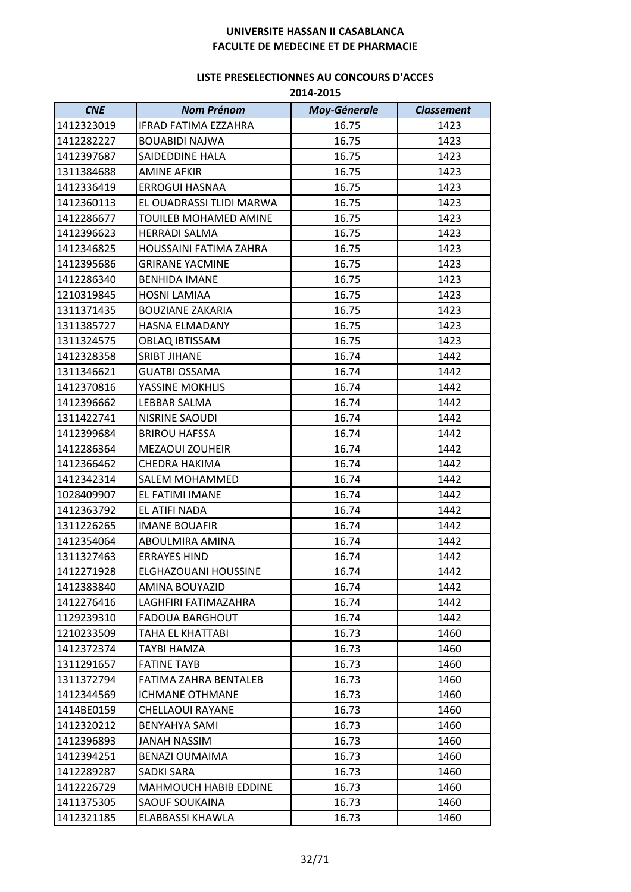| <b>CNE</b>               | <b>Nom Prénom</b>                        | <b>Moy-Génerale</b> | <b>Classement</b> |
|--------------------------|------------------------------------------|---------------------|-------------------|
| 1412323019               | IFRAD FATIMA EZZAHRA                     | 16.75               | 1423              |
| 1412282227               | <b>BOUABIDI NAJWA</b>                    | 16.75               | 1423              |
| 1412397687               | SAIDEDDINE HALA                          | 16.75               | 1423              |
| 1311384688               | <b>AMINE AFKIR</b>                       | 16.75               | 1423              |
| 1412336419               | <b>ERROGUI HASNAA</b>                    | 16.75               | 1423              |
| 1412360113               | EL OUADRASSI TLIDI MARWA                 | 16.75               | 1423              |
| 1412286677               | TOUILEB MOHAMED AMINE                    | 16.75               | 1423              |
| 1412396623               | <b>HERRADI SALMA</b>                     | 16.75               | 1423              |
| 1412346825               | HOUSSAINI FATIMA ZAHRA                   | 16.75               | 1423              |
| 1412395686               | <b>GRIRANE YACMINE</b>                   | 16.75               | 1423              |
| 1412286340               | <b>BENHIDA IMANE</b>                     | 16.75               | 1423              |
| 1210319845               | <b>HOSNI LAMIAA</b>                      | 16.75               | 1423              |
| 1311371435               | <b>BOUZIANE ZAKARIA</b>                  | 16.75               | 1423              |
| 1311385727               | HASNA ELMADANY                           | 16.75               | 1423              |
| 1311324575               | <b>OBLAQ IBTISSAM</b>                    | 16.75               | 1423              |
| 1412328358               | <b>SRIBT JIHANE</b>                      |                     | 1442              |
|                          |                                          | 16.74               |                   |
| 1311346621               | <b>GUATBI OSSAMA</b>                     | 16.74               | 1442              |
| 1412370816<br>1412396662 | YASSINE MOKHLIS<br>LEBBAR SALMA          | 16.74<br>16.74      | 1442<br>1442      |
|                          |                                          |                     |                   |
| 1311422741               | NISRINE SAOUDI                           | 16.74               | 1442              |
| 1412399684               | <b>BRIROU HAFSSA</b>                     | 16.74               | 1442              |
| 1412286364               | MEZAOUI ZOUHEIR                          | 16.74               | 1442              |
| 1412366462               | CHEDRA HAKIMA                            | 16.74<br>16.74      | 1442<br>1442      |
| 1412342314<br>1028409907 | <b>SALEM MOHAMMED</b><br>EL FATIMI IMANE | 16.74               | 1442              |
| 1412363792               | EL ATIFI NADA                            | 16.74               | 1442              |
| 1311226265               | <b>IMANE BOUAFIR</b>                     | 16.74               | 1442              |
| 1412354064               | ABOULMIRA AMINA                          | 16.74               | 1442              |
| 1311327463               | <b>ERRAYES HIND</b>                      | 16.74               | 1442              |
| 1412271928               | ELGHAZOUANI HOUSSINE                     | 16.74               | 1442              |
| 1412383840               | AMINA BOUYAZID                           | 16.74               | 1442              |
| 1412276416               | LAGHFIRI FATIMAZAHRA                     | 16.74               | 1442              |
| 1129239310               | <b>FADOUA BARGHOUT</b>                   | 16.74               | 1442              |
| 1210233509               | TAHA EL KHATTABI                         | 16.73               | 1460              |
| 1412372374               | TAYBI HAMZA                              | 16.73               | 1460              |
| 1311291657               | <b>FATINE TAYB</b>                       | 16.73               | 1460              |
| 1311372794               | FATIMA ZAHRA BENTALEB                    | 16.73               |                   |
| 1412344569               | <b>ICHMANE OTHMANE</b>                   | 16.73               | 1460<br>1460      |
| 1414BE0159               | <b>CHELLAOUI RAYANE</b>                  | 16.73               | 1460              |
|                          |                                          |                     |                   |
| 1412320212               | <b>BENYAHYA SAMI</b>                     | 16.73               | 1460              |
| 1412396893<br>1412394251 | JANAH NASSIM<br><b>BENAZI OUMAIMA</b>    | 16.73<br>16.73      | 1460              |
|                          |                                          | 16.73               | 1460              |
| 1412289287               | SADKI SARA                               |                     | 1460              |
| 1412226729<br>1411375305 | <b>MAHMOUCH HABIB EDDINE</b>             | 16.73               | 1460              |
|                          | <b>SAOUF SOUKAINA</b>                    | 16.73               | 1460              |
| 1412321185               | ELABBASSI KHAWLA                         | 16.73               | 1460              |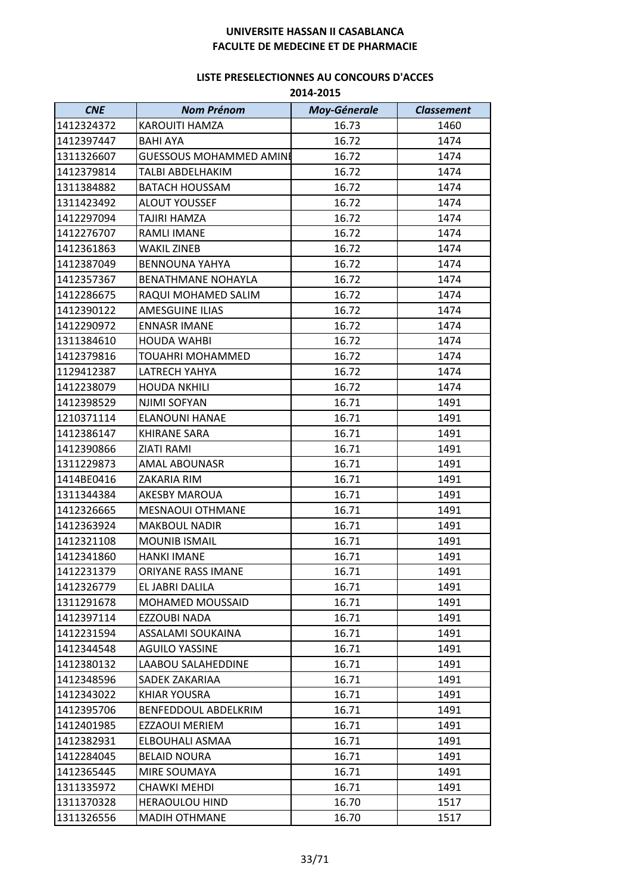| <b>CNE</b> | <b>Nom Prénom</b>              | <b>Moy-Génerale</b> | <b>Classement</b> |
|------------|--------------------------------|---------------------|-------------------|
| 1412324372 | <b>KAROUITI HAMZA</b>          | 16.73               | 1460              |
| 1412397447 | <b>BAHI AYA</b>                | 16.72               | 1474              |
| 1311326607 | <b>GUESSOUS MOHAMMED AMINE</b> | 16.72               | 1474              |
| 1412379814 | TALBI ABDELHAKIM               | 16.72               | 1474              |
| 1311384882 | <b>BATACH HOUSSAM</b>          | 16.72               | 1474              |
| 1311423492 | ALOUT YOUSSEF                  | 16.72               | 1474              |
| 1412297094 | TAJIRI HAMZA                   | 16.72               | 1474              |
| 1412276707 | RAMLI IMANE                    | 16.72               | 1474              |
| 1412361863 | <b>WAKIL ZINEB</b>             | 16.72               | 1474              |
| 1412387049 | <b>BENNOUNA YAHYA</b>          | 16.72               | 1474              |
| 1412357367 | <b>BENATHMANE NOHAYLA</b>      | 16.72               | 1474              |
| 1412286675 | RAQUI MOHAMED SALIM            | 16.72               | 1474              |
| 1412390122 | <b>AMESGUINE ILIAS</b>         | 16.72               | 1474              |
| 1412290972 | <b>ENNASR IMANE</b>            | 16.72               | 1474              |
| 1311384610 | <b>HOUDA WAHBI</b>             | 16.72               | 1474              |
| 1412379816 | TOUAHRI MOHAMMED               | 16.72               | 1474              |
| 1129412387 | LATRECH YAHYA                  | 16.72               | 1474              |
| 1412238079 | <b>HOUDA NKHILI</b>            | 16.72               | 1474              |
| 1412398529 | NJIMI SOFYAN                   | 16.71               | 1491              |
| 1210371114 | <b>ELANOUNI HANAE</b>          | 16.71               | 1491              |
| 1412386147 | <b>KHIRANE SARA</b>            | 16.71               | 1491              |
| 1412390866 | <b>ZIATI RAMI</b>              | 16.71               | 1491              |
| 1311229873 | <b>AMAL ABOUNASR</b>           | 16.71               | 1491              |
| 1414BE0416 | ZAKARIA RIM                    | 16.71               | 1491              |
| 1311344384 | <b>AKESBY MAROUA</b>           | 16.71               | 1491              |
| 1412326665 | <b>MESNAOUI OTHMANE</b>        | 16.71               | 1491              |
| 1412363924 | <b>MAKBOUL NADIR</b>           | 16.71               | 1491              |
| 1412321108 | <b>MOUNIB ISMAIL</b>           | 16.71               | 1491              |
| 1412341860 | <b>HANKI IMANE</b>             | 16.71               | 1491              |
| 1412231379 | ORIYANE RASS IMANE             | 16.71               | 1491              |
| 1412326779 | EL JABRI DALILA                | 16.71               | 1491              |
| 1311291678 | <b>MOHAMED MOUSSAID</b>        | 16.71               | 1491              |
| 1412397114 | <b>EZZOUBI NADA</b>            | 16.71               | 1491              |
| 1412231594 | ASSALAMI SOUKAINA              | 16.71               | 1491              |
| 1412344548 | <b>AGUILO YASSINE</b>          | 16.71               | 1491              |
| 1412380132 | LAABOU SALAHEDDINE             | 16.71               | 1491              |
| 1412348596 | SADEK ZAKARIAA                 | 16.71               | 1491              |
| 1412343022 | <b>KHIAR YOUSRA</b>            | 16.71               | 1491              |
| 1412395706 | BENFEDDOUL ABDELKRIM           | 16.71               | 1491              |
| 1412401985 | <b>EZZAOUI MERIEM</b>          | 16.71               | 1491              |
| 1412382931 | ELBOUHALI ASMAA                | 16.71               | 1491              |
| 1412284045 | <b>BELAID NOURA</b>            | 16.71               | 1491              |
| 1412365445 | MIRE SOUMAYA                   | 16.71               | 1491              |
| 1311335972 | CHAWKI MEHDI                   | 16.71               | 1491              |
| 1311370328 | <b>HERAOULOU HIND</b>          | 16.70               | 1517              |
| 1311326556 | <b>MADIH OTHMANE</b>           | 16.70               | 1517              |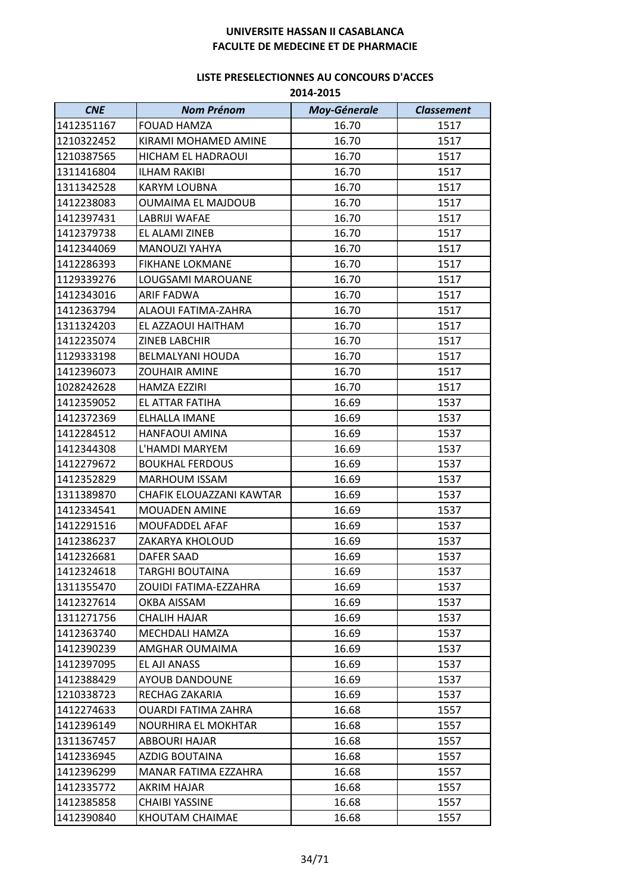| <b>CNE</b> | <b>Nom Prénom</b>          | <b>Moy-Génerale</b> | <b>Classement</b> |
|------------|----------------------------|---------------------|-------------------|
| 1412351167 | <b>FOUAD HAMZA</b>         | 16.70               | 1517              |
| 1210322452 | KIRAMI MOHAMED AMINE       | 16.70               | 1517              |
| 1210387565 | <b>HICHAM EL HADRAOUI</b>  | 16.70               | 1517              |
| 1311416804 | <b>ILHAM RAKIBI</b>        | 16.70               | 1517              |
| 1311342528 | <b>KARYM LOUBNA</b>        | 16.70               | 1517              |
| 1412238083 | <b>OUMAIMA EL MAJDOUB</b>  | 16.70               | 1517              |
| 1412397431 | LABRIJI WAFAE              | 16.70               | 1517              |
| 1412379738 | EL ALAMI ZINEB             | 16.70               | 1517              |
| 1412344069 | <b>MANOUZI YAHYA</b>       | 16.70               | 1517              |
| 1412286393 | <b>FIKHANE LOKMANE</b>     | 16.70               | 1517              |
| 1129339276 | LOUGSAMI MAROUANE          | 16.70               | 1517              |
| 1412343016 | <b>ARIF FADWA</b>          | 16.70               | 1517              |
| 1412363794 | <b>ALAOUI FATIMA-ZAHRA</b> | 16.70               | 1517              |
| 1311324203 | EL AZZAOUI HAITHAM         | 16.70               | 1517              |
| 1412235074 | ZINEB LABCHIR              | 16.70               | 1517              |
| 1129333198 | <b>BELMALYANI HOUDA</b>    | 16.70               | 1517              |
| 1412396073 | <b>ZOUHAIR AMINE</b>       | 16.70               | 1517              |
| 1028242628 | <b>HAMZA EZZIRI</b>        | 16.70               | 1517              |
| 1412359052 | EL ATTAR FATIHA            | 16.69               | 1537              |
| 1412372369 | ELHALLA IMANE              | 16.69               | 1537              |
| 1412284512 | <b>HANFAOUI AMINA</b>      | 16.69               | 1537              |
| 1412344308 | L'HAMDI MARYEM             | 16.69               | 1537              |
| 1412279672 | <b>BOUKHAL FERDOUS</b>     | 16.69               | 1537              |
| 1412352829 | <b>MARHOUM ISSAM</b>       | 16.69               | 1537              |
| 1311389870 | CHAFIK ELOUAZZANI KAWTAR   | 16.69               | 1537              |
| 1412334541 | <b>MOUADEN AMINE</b>       | 16.69               | 1537              |
| 1412291516 | MOUFADDEL AFAF             | 16.69               | 1537              |
| 1412386237 | ZAKARYA KHOLOUD            | 16.69               | 1537              |
| 1412326681 | <b>DAFER SAAD</b>          | 16.69               | 1537              |
| 1412324618 | TARGHI BOUTAINA            | 16.69               | 1537              |
| 1311355470 | ZOUIDI FATIMA-EZZAHRA      | 16.69               | 1537              |
| 1412327614 | OKBA AISSAM                | 16.69               | 1537              |
| 1311271756 | <b>CHALIH HAJAR</b>        | 16.69               | 1537              |
| 1412363740 | MECHDALI HAMZA             | 16.69               | 1537              |
| 1412390239 | AMGHAR OUMAIMA             | 16.69               | 1537              |
| 1412397095 | EL AJI ANASS               | 16.69               | 1537              |
| 1412388429 | <b>AYOUB DANDOUNE</b>      | 16.69               | 1537              |
| 1210338723 | RECHAG ZAKARIA             | 16.69               | 1537              |
| 1412274633 | <b>OUARDI FATIMA ZAHRA</b> | 16.68               | 1557              |
| 1412396149 | NOURHIRA EL MOKHTAR        | 16.68               | 1557              |
| 1311367457 | ABBOURI HAJAR              | 16.68               | 1557              |
| 1412336945 | AZDIG BOUTAINA             | 16.68               | 1557              |
| 1412396299 | MANAR FATIMA EZZAHRA       | 16.68               | 1557              |
| 1412335772 | AKRIM HAJAR                | 16.68               | 1557              |
| 1412385858 | <b>CHAIBI YASSINE</b>      | 16.68               | 1557              |
| 1412390840 | KHOUTAM CHAIMAE            | 16.68               | 1557              |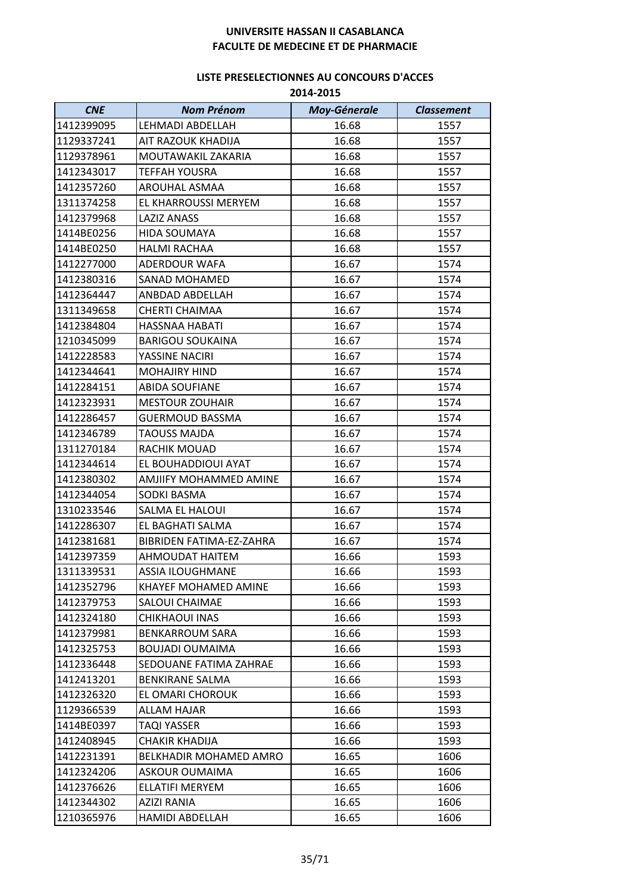| 2014-2015 |
|-----------|
|           |

| <b>CNE</b> | <b>Nom Prénom</b>           | <b>Moy-Génerale</b> | <b>Classement</b> |
|------------|-----------------------------|---------------------|-------------------|
| 1412399095 | LEHMADI ABDELLAH            | 16.68               | 1557              |
| 1129337241 | AIT RAZOUK KHADIJA          | 16.68               | 1557              |
| 1129378961 | MOUTAWAKIL ZAKARIA          | 16.68               | 1557              |
| 1412343017 | <b>TEFFAH YOUSRA</b>        | 16.68               | 1557              |
| 1412357260 | AROUHAL ASMAA               | 16.68               | 1557              |
| 1311374258 | EL KHARROUSSI MERYEM        | 16.68               | 1557              |
| 1412379968 | <b>LAZIZ ANASS</b>          | 16.68               | 1557              |
| 1414BE0256 | <b>HIDA SOUMAYA</b>         | 16.68               | 1557              |
| 1414BE0250 | <b>HALMI RACHAA</b>         | 16.68               | 1557              |
| 1412277000 | ADERDOUR WAFA               | 16.67               | 1574              |
| 1412380316 | SANAD MOHAMED               | 16.67               | 1574              |
| 1412364447 | ANBDAD ABDELLAH             | 16.67               | 1574              |
| 1311349658 | <b>CHERTI CHAIMAA</b>       | 16.67               | 1574              |
| 1412384804 | HASSNAA HABATI              | 16.67               | 1574              |
| 1210345099 | <b>BARIGOU SOUKAINA</b>     | 16.67               | 1574              |
| 1412228583 | YASSINE NACIRI              | 16.67               | 1574              |
| 1412344641 | <b>MOHAJIRY HIND</b>        | 16.67               | 1574              |
| 1412284151 | <b>ABIDA SOUFIANE</b>       | 16.67               | 1574              |
| 1412323931 | <b>MESTOUR ZOUHAIR</b>      | 16.67               | 1574              |
| 1412286457 | <b>GUERMOUD BASSMA</b>      | 16.67               | 1574              |
| 1412346789 | <b>TAOUSS MAJDA</b>         | 16.67               | 1574              |
| 1311270184 | RACHIK MOUAD                | 16.67               | 1574              |
| 1412344614 | EL BOUHADDIOUI AYAT         | 16.67               | 1574              |
| 1412380302 | AMJIIFY MOHAMMED AMINE      | 16.67               | 1574              |
| 1412344054 | SODKI BASMA                 | 16.67               | 1574              |
| 1310233546 | SALMA EL HALOUI             | 16.67               | 1574              |
| 1412286307 | EL BAGHATI SALMA            | 16.67               | 1574              |
| 1412381681 | BIBRIDEN FATIMA-EZ-ZAHRA    | 16.67               | 1574              |
| 1412397359 | AHMOUDAT HAITEM             | 16.66               | 1593              |
| 1311339531 | <b>ASSIA ILOUGHMANE</b>     | 16.66               | 1593              |
| 1412352796 | <b>KHAYEF MOHAMED AMINE</b> | 16.66               | 1593              |
| 1412379753 | SALOUI CHAIMAE              | 16.66               | 1593              |
| 1412324180 | CHIKHAOUI INAS              | 16.66               | 1593              |
| 1412379981 | <b>BENKARROUM SARA</b>      | 16.66               | 1593              |
| 1412325753 | <b>BOUJADI OUMAIMA</b>      | 16.66               | 1593              |
| 1412336448 | SEDOUANE FATIMA ZAHRAE      | 16.66               | 1593              |
| 1412413201 | <b>BENKIRANE SALMA</b>      | 16.66               | 1593              |
| 1412326320 | EL OMARI CHOROUK            | 16.66               | 1593              |
| 1129366539 | <b>ALLAM HAJAR</b>          | 16.66               | 1593              |
| 1414BE0397 | TAQI YASSER                 | 16.66               | 1593              |
| 1412408945 | <b>CHAKIR KHADIJA</b>       | 16.66               | 1593              |
| 1412231391 | BELKHADIR MOHAMED AMRO      | 16.65               | 1606              |
| 1412324206 | ASKOUR OUMAIMA              | 16.65               | 1606              |
| 1412376626 | ELLATIFI MERYEM             | 16.65               | 1606              |
| 1412344302 | AZIZI RANIA                 | 16.65               | 1606              |
| 1210365976 | <b>HAMIDI ABDELLAH</b>      | 16.65               | 1606              |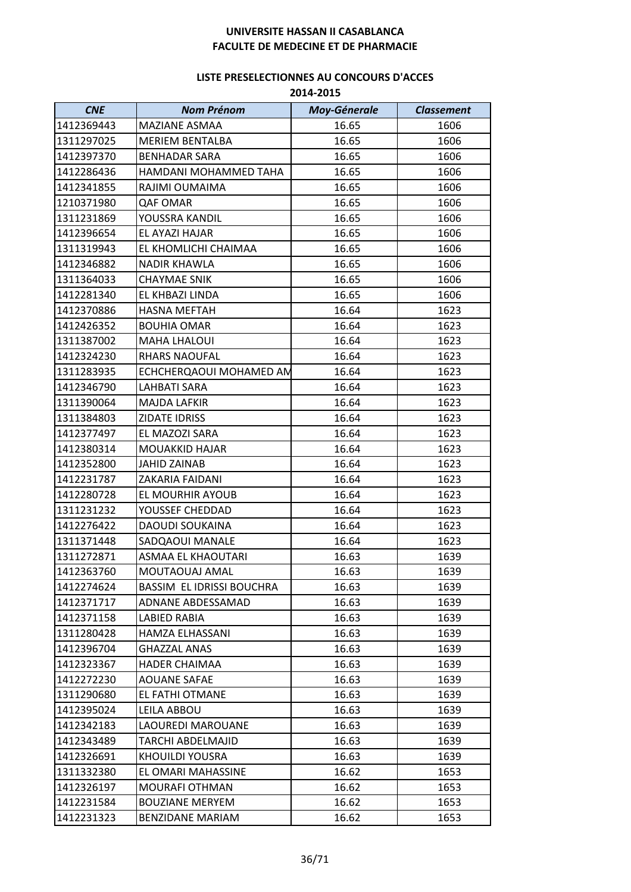| <b>CNE</b> | <b>Nom Prénom</b>         | <b>Moy-Génerale</b> | <b>Classement</b> |
|------------|---------------------------|---------------------|-------------------|
| 1412369443 | MAZIANE ASMAA             | 16.65               | 1606              |
| 1311297025 | <b>MERIEM BENTALBA</b>    | 16.65               | 1606              |
| 1412397370 | <b>BENHADAR SARA</b>      | 16.65               | 1606              |
| 1412286436 | HAMDANI MOHAMMED TAHA     | 16.65               | 1606              |
| 1412341855 | RAJIMI OUMAIMA            | 16.65               | 1606              |
| 1210371980 | <b>QAF OMAR</b>           | 16.65               | 1606              |
| 1311231869 | YOUSSRA KANDIL            | 16.65               | 1606              |
| 1412396654 | EL AYAZI HAJAR            | 16.65               | 1606              |
| 1311319943 | EL KHOMLICHI CHAIMAA      | 16.65               | 1606              |
| 1412346882 | <b>NADIR KHAWLA</b>       | 16.65               | 1606              |
| 1311364033 | <b>CHAYMAE SNIK</b>       | 16.65               | 1606              |
| 1412281340 | EL KHBAZI LINDA           | 16.65               | 1606              |
| 1412370886 | <b>HASNA MEFTAH</b>       | 16.64               | 1623              |
| 1412426352 | <b>BOUHIA OMAR</b>        | 16.64               | 1623              |
| 1311387002 | <b>MAHA LHALOUI</b>       | 16.64               | 1623              |
| 1412324230 | <b>RHARS NAOUFAL</b>      | 16.64               | 1623              |
| 1311283935 | ECHCHERQAOUI MOHAMED AN   | 16.64               | 1623              |
| 1412346790 | LAHBATI SARA              | 16.64               | 1623              |
| 1311390064 | <b>MAJDA LAFKIR</b>       | 16.64               | 1623              |
| 1311384803 | ZIDATE IDRISS             | 16.64               | 1623              |
| 1412377497 | EL MAZOZI SARA            | 16.64               | 1623              |
| 1412380314 | <b>MOUAKKID HAJAR</b>     | 16.64               | 1623              |
| 1412352800 | <b>JAHID ZAINAB</b>       | 16.64               | 1623              |
| 1412231787 | ZAKARIA FAIDANI           | 16.64               | 1623              |
| 1412280728 | EL MOURHIR AYOUB          | 16.64               | 1623              |
| 1311231232 | YOUSSEF CHEDDAD           | 16.64               | 1623              |
| 1412276422 | DAOUDI SOUKAINA           | 16.64               | 1623              |
| 1311371448 | SADQAOUI MANALE           | 16.64               | 1623              |
| 1311272871 | <b>ASMAA EL KHAOUTARI</b> | 16.63               | 1639              |
| 1412363760 | MOUTAOUAJ AMAL            | 16.63               | 1639              |
| 1412274624 | BASSIM EL IDRISSI BOUCHRA | 16.63               | 1639              |
| 1412371717 | ADNANE ABDESSAMAD         | 16.63               | 1639              |
| 1412371158 | LABIED RABIA              | 16.63               | 1639              |
| 1311280428 | HAMZA ELHASSANI           | 16.63               | 1639              |
| 1412396704 | <b>GHAZZAL ANAS</b>       | 16.63               | 1639              |
| 1412323367 | <b>HADER CHAIMAA</b>      | 16.63               | 1639              |
| 1412272230 | <b>AOUANE SAFAE</b>       | 16.63               | 1639              |
| 1311290680 | EL FATHI OTMANE           | 16.63               | 1639              |
| 1412395024 | LEILA ABBOU               | 16.63               | 1639              |
| 1412342183 | LAOUREDI MAROUANE         | 16.63               | 1639              |
| 1412343489 | TARCHI ABDELMAJID         | 16.63               | 1639              |
| 1412326691 | <b>KHOUILDI YOUSRA</b>    | 16.63               | 1639              |
| 1311332380 | EL OMARI MAHASSINE        | 16.62               | 1653              |
| 1412326197 | <b>MOURAFI OTHMAN</b>     | 16.62               | 1653              |
| 1412231584 | <b>BOUZIANE MERYEM</b>    | 16.62               | 1653              |
| 1412231323 | <b>BENZIDANE MARIAM</b>   | 16.62               | 1653              |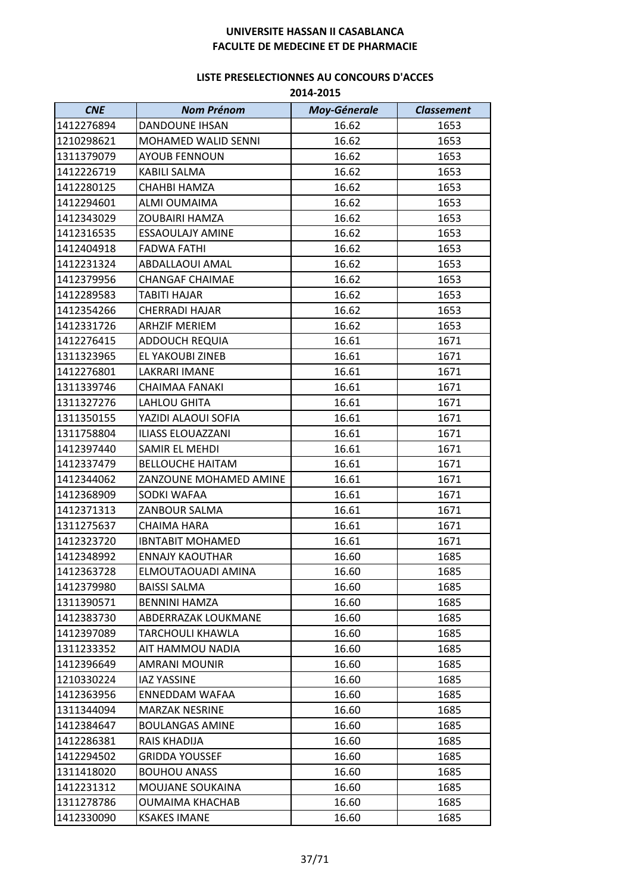| <b>CNE</b> | <b>Nom Prénom</b>          | <b>Moy-Génerale</b> | <b>Classement</b> |
|------------|----------------------------|---------------------|-------------------|
| 1412276894 | <b>DANDOUNE IHSAN</b>      | 16.62               | 1653              |
| 1210298621 | <b>MOHAMED WALID SENNI</b> | 16.62               | 1653              |
| 1311379079 | <b>AYOUB FENNOUN</b>       | 16.62               | 1653              |
| 1412226719 | <b>KABILI SALMA</b>        | 16.62               | 1653              |
| 1412280125 | <b>CHAHBI HAMZA</b>        | 16.62               | 1653              |
| 1412294601 | ALMI OUMAIMA               | 16.62               | 1653              |
| 1412343029 | <b>ZOUBAIRI HAMZA</b>      | 16.62               | 1653              |
| 1412316535 | <b>ESSAOULAJY AMINE</b>    | 16.62               | 1653              |
| 1412404918 | <b>FADWA FATHI</b>         | 16.62               | 1653              |
| 1412231324 | ABDALLAOUI AMAL            | 16.62               | 1653              |
| 1412379956 | <b>CHANGAF CHAIMAE</b>     | 16.62               | 1653              |
| 1412289583 | <b>TABITI HAJAR</b>        | 16.62               | 1653              |
| 1412354266 | <b>CHERRADI HAJAR</b>      | 16.62               | 1653              |
| 1412331726 | <b>ARHZIF MERIEM</b>       | 16.62               | 1653              |
| 1412276415 | <b>ADDOUCH REQUIA</b>      | 16.61               | 1671              |
| 1311323965 | EL YAKOUBI ZINEB           | 16.61               | 1671              |
| 1412276801 | LAKRARI IMANE              | 16.61               | 1671              |
| 1311339746 | <b>CHAIMAA FANAKI</b>      | 16.61               | 1671              |
| 1311327276 | <b>LAHLOU GHITA</b>        | 16.61               | 1671              |
| 1311350155 | YAZIDI ALAOUI SOFIA        | 16.61               | 1671              |
| 1311758804 | ILIASS ELOUAZZANI          | 16.61               | 1671              |
| 1412397440 | SAMIR EL MEHDI             | 16.61               | 1671              |
| 1412337479 | <b>BELLOUCHE HAITAM</b>    | 16.61               | 1671              |
| 1412344062 | ZANZOUNE MOHAMED AMINE     | 16.61               | 1671              |
| 1412368909 | SODKI WAFAA                | 16.61               | 1671              |
| 1412371313 | ZANBOUR SALMA              | 16.61               | 1671              |
| 1311275637 | <b>CHAIMA HARA</b>         | 16.61               | 1671              |
| 1412323720 | <b>IBNTABIT MOHAMED</b>    | 16.61               | 1671              |
| 1412348992 | <b>ENNAJY KAOUTHAR</b>     | 16.60               | 1685              |
| 1412363728 | ELMOUTAOUADI AMINA         | 16.60               | 1685              |
| 1412379980 | <b>BAISSI SALMA</b>        | 16.60               | 1685              |
| 1311390571 | <b>BENNINI HAMZA</b>       | 16.60               | 1685              |
| 1412383730 | ABDERRAZAK LOUKMANE        | 16.60               | 1685              |
| 1412397089 | TARCHOULI KHAWLA           | 16.60               | 1685              |
| 1311233352 | AIT HAMMOU NADIA           | 16.60               | 1685              |
| 1412396649 | AMRANI MOUNIR              | 16.60               | 1685              |
| 1210330224 | <b>IAZ YASSINE</b>         | 16.60               | 1685              |
| 1412363956 | ENNEDDAM WAFAA             | 16.60               | 1685              |
| 1311344094 | <b>MARZAK NESRINE</b>      | 16.60               | 1685              |
| 1412384647 | <b>BOULANGAS AMINE</b>     | 16.60               | 1685              |
| 1412286381 | RAIS KHADIJA               | 16.60               | 1685              |
| 1412294502 | GRIDDA YOUSSEF             | 16.60               | 1685              |
| 1311418020 | <b>BOUHOU ANASS</b>        | 16.60               | 1685              |
| 1412231312 | <b>MOUJANE SOUKAINA</b>    | 16.60               | 1685              |
| 1311278786 | <b>OUMAIMA KHACHAB</b>     | 16.60               | 1685              |
| 1412330090 | <b>KSAKES IMANE</b>        | 16.60               | 1685              |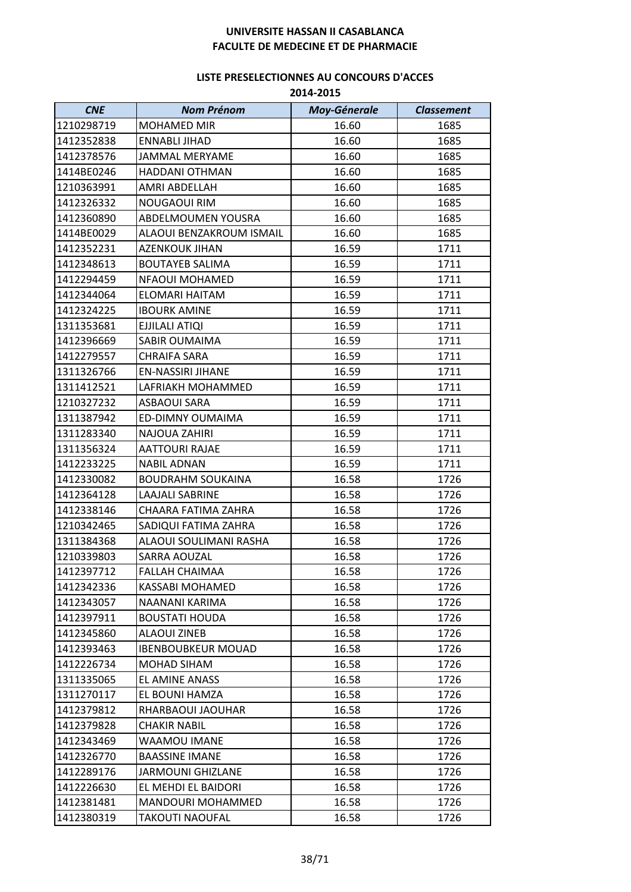| <b>CNE</b> | <b>Nom Prénom</b>         | <b>Moy-Génerale</b> | <b>Classement</b> |
|------------|---------------------------|---------------------|-------------------|
| 1210298719 | <b>MOHAMED MIR</b>        | 16.60               | 1685              |
| 1412352838 | <b>ENNABLI JIHAD</b>      | 16.60               | 1685              |
| 1412378576 | <b>JAMMAL MERYAME</b>     | 16.60               | 1685              |
| 1414BE0246 | HADDANI OTHMAN            | 16.60               | 1685              |
| 1210363991 | AMRI ABDELLAH             | 16.60               | 1685              |
| 1412326332 | NOUGAOUI RIM              | 16.60               | 1685              |
| 1412360890 | ABDELMOUMEN YOUSRA        | 16.60               | 1685              |
| 1414BE0029 | ALAOUI BENZAKROUM ISMAIL  | 16.60               | 1685              |
| 1412352231 | <b>AZENKOUK JIHAN</b>     | 16.59               | 1711              |
| 1412348613 | <b>BOUTAYEB SALIMA</b>    | 16.59               | 1711              |
| 1412294459 | NFAOUI MOHAMED            | 16.59               | 1711              |
| 1412344064 | ELOMARI HAITAM            | 16.59               | 1711              |
| 1412324225 | <b>IBOURK AMINE</b>       | 16.59               | 1711              |
| 1311353681 | EJJILALI ATIQI            | 16.59               | 1711              |
| 1412396669 | SABIR OUMAIMA             | 16.59               | 1711              |
| 1412279557 | <b>CHRAIFA SARA</b>       | 16.59               | 1711              |
| 1311326766 | <b>EN-NASSIRI JIHANE</b>  | 16.59               | 1711              |
| 1311412521 | LAFRIAKH MOHAMMED         | 16.59               | 1711              |
| 1210327232 | <b>ASBAOUI SARA</b>       | 16.59               | 1711              |
| 1311387942 | ED-DIMNY OUMAIMA          | 16.59               | 1711              |
| 1311283340 | <b>NAJOUA ZAHIRI</b>      | 16.59               | 1711              |
| 1311356324 | AATTOURI RAJAE            | 16.59               | 1711              |
| 1412233225 | <b>NABIL ADNAN</b>        | 16.59               | 1711              |
| 1412330082 | <b>BOUDRAHM SOUKAINA</b>  | 16.58               | 1726              |
| 1412364128 | LAAJALI SABRINE           | 16.58               | 1726              |
| 1412338146 | CHAARA FATIMA ZAHRA       | 16.58               | 1726              |
| 1210342465 | SADIQUI FATIMA ZAHRA      | 16.58               | 1726              |
| 1311384368 | ALAOUI SOULIMANI RASHA    | 16.58               | 1726              |
| 1210339803 | SARRA AOUZAL              | 16.58               | 1726              |
| 1412397712 | FALLAH CHAIMAA            | 16.58               | 1726              |
| 1412342336 | <b>KASSABI MOHAMED</b>    | 16.58               | 1726              |
| 1412343057 | NAANANI KARIMA            | 16.58               | 1726              |
| 1412397911 | <b>BOUSTATI HOUDA</b>     | 16.58               | 1726              |
| 1412345860 | ALAOUI ZINEB              | 16.58               | 1726              |
| 1412393463 | <b>IBENBOUBKEUR MOUAD</b> | 16.58               | 1726              |
| 1412226734 | MOHAD SIHAM               | 16.58               | 1726              |
| 1311335065 | EL AMINE ANASS            | 16.58               | 1726              |
| 1311270117 | EL BOUNI HAMZA            | 16.58               | 1726              |
| 1412379812 | RHARBAOUI JAOUHAR         | 16.58               | 1726              |
| 1412379828 | CHAKIR NABIL              | 16.58               | 1726              |
| 1412343469 | WAAMOU IMANE              | 16.58               | 1726              |
| 1412326770 | <b>BAASSINE IMANE</b>     | 16.58               | 1726              |
| 1412289176 | <b>JARMOUNI GHIZLANE</b>  | 16.58               | 1726              |
| 1412226630 | EL MEHDI EL BAIDORI       | 16.58               | 1726              |
| 1412381481 | MANDOURI MOHAMMED         | 16.58               | 1726              |
| 1412380319 | TAKOUTI NAOUFAL           | 16.58               | 1726              |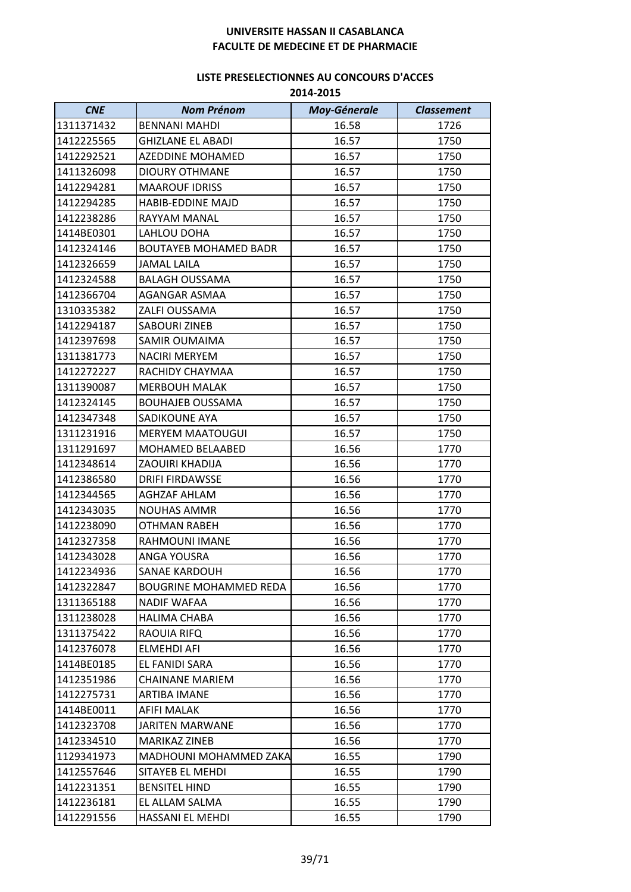| <b>CNE</b> | <b>Nom Prénom</b>             | <b>Moy-Génerale</b> | <b>Classement</b> |
|------------|-------------------------------|---------------------|-------------------|
| 1311371432 | <b>BENNANI MAHDI</b>          | 16.58               | 1726              |
| 1412225565 | <b>GHIZLANE EL ABADI</b>      | 16.57               | 1750              |
| 1412292521 | <b>AZEDDINE MOHAMED</b>       | 16.57               | 1750              |
| 1411326098 | <b>DIOURY OTHMANE</b>         | 16.57               | 1750              |
| 1412294281 | <b>MAAROUF IDRISS</b>         | 16.57               | 1750              |
| 1412294285 | <b>HABIB-EDDINE MAJD</b>      | 16.57               | 1750              |
| 1412238286 | RAYYAM MANAL                  | 16.57               | 1750              |
| 1414BE0301 | LAHLOU DOHA                   | 16.57               | 1750              |
| 1412324146 | <b>BOUTAYEB MOHAMED BADR</b>  | 16.57               | 1750              |
| 1412326659 | <b>JAMAL LAILA</b>            | 16.57               | 1750              |
| 1412324588 | <b>BALAGH OUSSAMA</b>         | 16.57               | 1750              |
| 1412366704 | AGANGAR ASMAA                 | 16.57               | 1750              |
| 1310335382 | ZALFI OUSSAMA                 | 16.57               | 1750              |
| 1412294187 | <b>SABOURI ZINEB</b>          | 16.57               | 1750              |
| 1412397698 | <b>SAMIR OUMAIMA</b>          | 16.57               | 1750              |
| 1311381773 | <b>NACIRI MERYEM</b>          | 16.57               | 1750              |
| 1412272227 | RACHIDY CHAYMAA               | 16.57               | 1750              |
| 1311390087 | <b>MERBOUH MALAK</b>          | 16.57               | 1750              |
| 1412324145 | <b>BOUHAJEB OUSSAMA</b>       | 16.57               | 1750              |
| 1412347348 | <b>SADIKOUNE AYA</b>          | 16.57               | 1750              |
| 1311231916 | <b>MERYEM MAATOUGUI</b>       | 16.57               | 1750              |
| 1311291697 | <b>MOHAMED BELAABED</b>       | 16.56               | 1770              |
| 1412348614 | <b>ZAOUIRI KHADIJA</b>        | 16.56               | 1770              |
| 1412386580 | <b>DRIFI FIRDAWSSE</b>        | 16.56               | 1770              |
| 1412344565 | <b>AGHZAF AHLAM</b>           | 16.56               | 1770              |
| 1412343035 | <b>NOUHAS AMMR</b>            | 16.56               | 1770              |
| 1412238090 | <b>OTHMAN RABEH</b>           | 16.56               | 1770              |
| 1412327358 | RAHMOUNI IMANE                | 16.56               | 1770              |
| 1412343028 | ANGA YOUSRA                   | 16.56               | 1770              |
| 1412234936 | <b>SANAE KARDOUH</b>          | 16.56               | 1770              |
| 1412322847 | <b>BOUGRINE MOHAMMED REDA</b> | 16.56               | 1770              |
| 1311365188 | NADIF WAFAA                   | 16.56               | 1770              |
| 1311238028 | <b>HALIMA CHABA</b>           | 16.56               | 1770              |
| 1311375422 | RAOUIA RIFQ                   | 16.56               | 1770              |
| 1412376078 | <b>ELMEHDI AFI</b>            | 16.56               | 1770              |
| 1414BE0185 | EL FANIDI SARA                | 16.56               | 1770              |
| 1412351986 | <b>CHAINANE MARIEM</b>        | 16.56               | 1770              |
| 1412275731 | <b>ARTIBA IMANE</b>           | 16.56               | 1770              |
| 1414BE0011 | AFIFI MALAK                   | 16.56               | 1770              |
| 1412323708 | <b>JARITEN MARWANE</b>        | 16.56               | 1770              |
| 1412334510 | MARIKAZ ZINEB                 | 16.56               | 1770              |
| 1129341973 | <b>MADHOUNI MOHAMMED ZAKA</b> | 16.55               | 1790              |
| 1412557646 | SITAYEB EL MEHDI              | 16.55               | 1790              |
| 1412231351 | <b>BENSITEL HIND</b>          | 16.55               | 1790              |
| 1412236181 | EL ALLAM SALMA                | 16.55               | 1790              |
| 1412291556 | HASSANI EL MEHDI              | 16.55               | 1790              |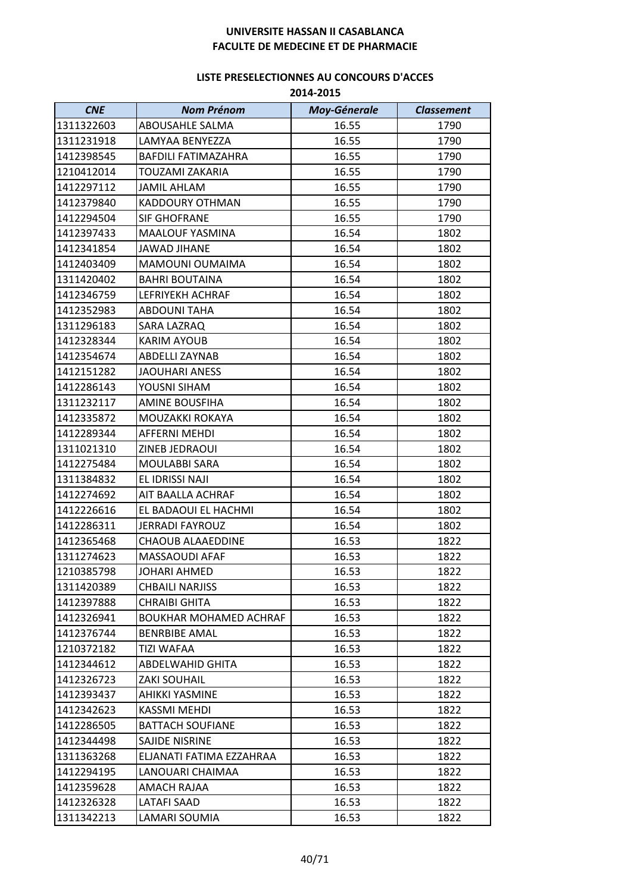| <b>CNE</b> | <b>Nom Prénom</b>             | <b>Moy-Génerale</b> | <b>Classement</b> |
|------------|-------------------------------|---------------------|-------------------|
| 1311322603 | ABOUSAHLE SALMA               | 16.55               | 1790              |
| 1311231918 | LAMYAA BENYEZZA               | 16.55               | 1790              |
| 1412398545 | BAFDILI FATIMAZAHRA           | 16.55               | 1790              |
| 1210412014 | <b>TOUZAMI ZAKARIA</b>        | 16.55               | 1790              |
| 1412297112 | <b>JAMIL AHLAM</b>            | 16.55               | 1790              |
| 1412379840 | KADDOURY OTHMAN               | 16.55               | 1790              |
| 1412294504 | <b>SIF GHOFRANE</b>           | 16.55               | 1790              |
| 1412397433 | <b>MAALOUF YASMINA</b>        | 16.54               | 1802              |
| 1412341854 | <b>JAWAD JIHANE</b>           | 16.54               | 1802              |
| 1412403409 | MAMOUNI OUMAIMA               | 16.54               | 1802              |
| 1311420402 | <b>BAHRI BOUTAINA</b>         | 16.54               | 1802              |
| 1412346759 | LEFRIYEKH ACHRAF              | 16.54               | 1802              |
| 1412352983 | <b>ABDOUNI TAHA</b>           | 16.54               | 1802              |
| 1311296183 | SARA LAZRAQ                   | 16.54               | 1802              |
| 1412328344 | <b>KARIM AYOUB</b>            | 16.54               | 1802              |
| 1412354674 | ABDELLI ZAYNAB                | 16.54               | 1802              |
| 1412151282 | <b>JAOUHARI ANESS</b>         | 16.54               | 1802              |
| 1412286143 | YOUSNI SIHAM                  | 16.54               | 1802              |
| 1311232117 | <b>AMINE BOUSFIHA</b>         | 16.54               | 1802              |
| 1412335872 | MOUZAKKI ROKAYA               | 16.54               | 1802              |
| 1412289344 | <b>AFFERNI MEHDI</b>          | 16.54               | 1802              |
| 1311021310 | ZINEB JEDRAOUI                | 16.54               | 1802              |
| 1412275484 | <b>MOULABBI SARA</b>          | 16.54               | 1802              |
| 1311384832 | EL IDRISSI NAJI               | 16.54               | 1802              |
| 1412274692 | AIT BAALLA ACHRAF             | 16.54               | 1802              |
| 1412226616 | EL BADAOUI EL HACHMI          | 16.54               | 1802              |
| 1412286311 | <b>JERRADI FAYROUZ</b>        | 16.54               | 1802              |
| 1412365468 | <b>CHAOUB ALAAEDDINE</b>      | 16.53               | 1822              |
| 1311274623 | MASSAOUDI AFAF                | 16.53               | 1822              |
| 1210385798 | JOHARI AHMED                  | 16.53               | 1822              |
| 1311420389 | <b>CHBAILI NARJISS</b>        | 16.53               | 1822              |
| 1412397888 | <b>CHRAIBI GHITA</b>          | 16.53               | 1822              |
| 1412326941 | <b>BOUKHAR MOHAMED ACHRAF</b> | 16.53               | 1822              |
| 1412376744 | <b>BENRBIBE AMAL</b>          | 16.53               | 1822              |
| 1210372182 | <b>TIZI WAFAA</b>             | 16.53               | 1822              |
| 1412344612 | ABDELWAHID GHITA              | 16.53               | 1822              |
| 1412326723 | <b>ZAKI SOUHAIL</b>           | 16.53               | 1822              |
| 1412393437 | AHIKKI YASMINE                | 16.53               | 1822              |
| 1412342623 | KASSMI MEHDI                  | 16.53               | 1822              |
| 1412286505 | <b>BATTACH SOUFIANE</b>       | 16.53               | 1822              |
| 1412344498 | SAJIDE NISRINE                | 16.53               | 1822              |
| 1311363268 | ELJANATI FATIMA EZZAHRAA      | 16.53               | 1822              |
| 1412294195 | LANOUARI CHAIMAA              | 16.53               | 1822              |
| 1412359628 | AMACH RAJAA                   | 16.53               | 1822              |
| 1412326328 | <b>LATAFI SAAD</b>            | 16.53               | 1822              |
| 1311342213 | LAMARI SOUMIA                 | 16.53               | 1822              |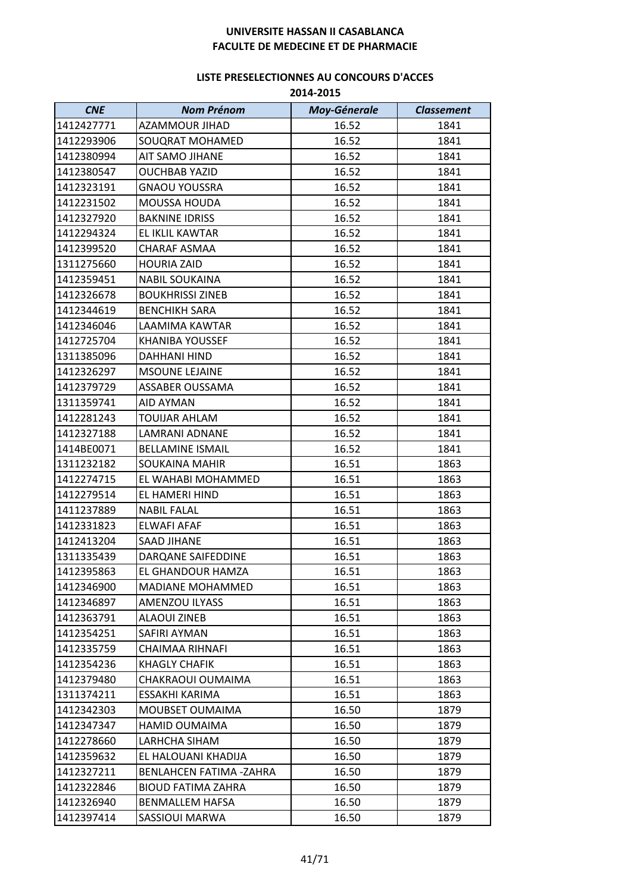| <b>CNE</b> | <b>Nom Prénom</b>         | <b>Moy-Génerale</b> | <b>Classement</b> |
|------------|---------------------------|---------------------|-------------------|
| 1412427771 | <b>AZAMMOUR JIHAD</b>     | 16.52               | 1841              |
| 1412293906 | SOUQRAT MOHAMED           | 16.52               | 1841              |
| 1412380994 | AIT SAMO JIHANE           | 16.52               | 1841              |
| 1412380547 | <b>OUCHBAB YAZID</b>      | 16.52               | 1841              |
| 1412323191 | <b>GNAOU YOUSSRA</b>      | 16.52               | 1841              |
| 1412231502 | <b>MOUSSA HOUDA</b>       | 16.52               | 1841              |
| 1412327920 | <b>BAKNINE IDRISS</b>     | 16.52               | 1841              |
| 1412294324 | EL IKLIL KAWTAR           | 16.52               | 1841              |
| 1412399520 | CHARAF ASMAA              | 16.52               | 1841              |
| 1311275660 | <b>HOURIA ZAID</b>        | 16.52               | 1841              |
| 1412359451 | <b>NABIL SOUKAINA</b>     | 16.52               | 1841              |
| 1412326678 | <b>BOUKHRISSI ZINEB</b>   | 16.52               | 1841              |
| 1412344619 | <b>BENCHIKH SARA</b>      | 16.52               | 1841              |
| 1412346046 | <b>LAAMIMA KAWTAR</b>     | 16.52               | 1841              |
| 1412725704 | <b>KHANIBA YOUSSEF</b>    | 16.52               | 1841              |
| 1311385096 | DAHHANI HIND              | 16.52               | 1841              |
| 1412326297 | <b>MSOUNE LEJAINE</b>     | 16.52               | 1841              |
| 1412379729 | ASSABER OUSSAMA           | 16.52               | 1841              |
| 1311359741 | AID AYMAN                 | 16.52               | 1841              |
| 1412281243 | TOUIJAR AHLAM             | 16.52               | 1841              |
| 1412327188 | <b>LAMRANI ADNANE</b>     | 16.52               | 1841              |
| 1414BE0071 | <b>BELLAMINE ISMAIL</b>   | 16.52               | 1841              |
| 1311232182 | <b>SOUKAINA MAHIR</b>     | 16.51               | 1863              |
| 1412274715 | EL WAHABI MOHAMMED        | 16.51               | 1863              |
| 1412279514 | EL HAMERI HIND            | 16.51               | 1863              |
| 1411237889 | <b>NABIL FALAL</b>        | 16.51               | 1863              |
| 1412331823 | ELWAFI AFAF               | 16.51               | 1863              |
| 1412413204 | <b>SAAD JIHANE</b>        | 16.51               | 1863              |
| 1311335439 | DARQANE SAIFEDDINE        | 16.51               | 1863              |
| 1412395863 | EL GHANDOUR HAMZA         | 16.51               | 1863              |
| 1412346900 | MADIANE MOHAMMED          | 16.51               | 1863              |
| 1412346897 | AMENZOU ILYASS            | 16.51               | 1863              |
| 1412363791 | <b>ALAOUI ZINEB</b>       | 16.51               | 1863              |
| 1412354251 | SAFIRI AYMAN              | 16.51               | 1863              |
| 1412335759 | CHAIMAA RIHNAFI           | 16.51               | 1863              |
| 1412354236 | KHAGLY CHAFIK             | 16.51               | 1863              |
| 1412379480 | CHAKRAOUI OUMAIMA         | 16.51               | 1863              |
| 1311374211 | ESSAKHI KARIMA            | 16.51               | 1863              |
| 1412342303 | <b>MOUBSET OUMAIMA</b>    | 16.50               | 1879              |
| 1412347347 | HAMID OUMAIMA             | 16.50               | 1879              |
| 1412278660 | LARHCHA SIHAM             | 16.50               | 1879              |
| 1412359632 | EL HALOUANI KHADIJA       | 16.50               | 1879              |
| 1412327211 | BENLAHCEN FATIMA -ZAHRA   | 16.50               | 1879              |
| 1412322846 | <b>BIOUD FATIMA ZAHRA</b> | 16.50               | 1879              |
| 1412326940 | <b>BENMALLEM HAFSA</b>    | 16.50               | 1879              |
| 1412397414 | SASSIOUI MARWA            | 16.50               | 1879              |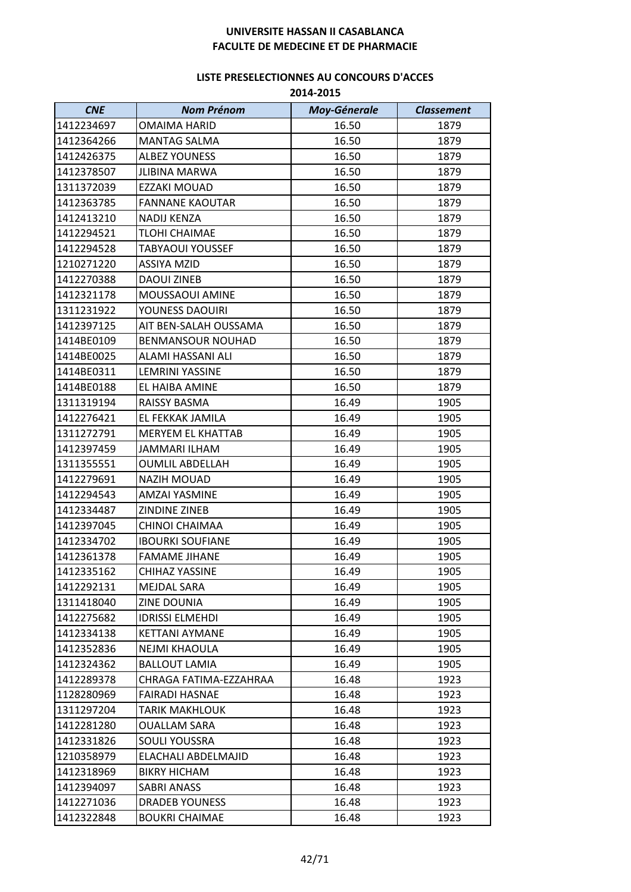| <b>CNE</b> | <b>Nom Prénom</b>        | <b>Moy-Génerale</b> | <b>Classement</b> |
|------------|--------------------------|---------------------|-------------------|
| 1412234697 | OMAIMA HARID             | 16.50               | 1879              |
| 1412364266 | MANTAG SALMA             | 16.50               | 1879              |
| 1412426375 | <b>ALBEZ YOUNESS</b>     | 16.50               | 1879              |
| 1412378507 | <b>JLIBINA MARWA</b>     | 16.50               | 1879              |
| 1311372039 | <b>EZZAKI MOUAD</b>      | 16.50               | 1879              |
| 1412363785 | <b>FANNANE KAOUTAR</b>   | 16.50               | 1879              |
| 1412413210 | <b>NADIJ KENZA</b>       | 16.50               | 1879              |
| 1412294521 | TLOHI CHAIMAE            | 16.50               | 1879              |
| 1412294528 | <b>TABYAOUI YOUSSEF</b>  | 16.50               | 1879              |
| 1210271220 | <b>ASSIYA MZID</b>       | 16.50               | 1879              |
| 1412270388 | <b>DAOUI ZINEB</b>       | 16.50               | 1879              |
| 1412321178 | MOUSSAOUI AMINE          | 16.50               | 1879              |
| 1311231922 | YOUNESS DAOUIRI          | 16.50               | 1879              |
| 1412397125 | AIT BEN-SALAH OUSSAMA    | 16.50               | 1879              |
| 1414BE0109 | <b>BENMANSOUR NOUHAD</b> | 16.50               | 1879              |
| 1414BE0025 | ALAMI HASSANI ALI        | 16.50               | 1879              |
| 1414BE0311 | <b>LEMRINI YASSINE</b>   | 16.50               | 1879              |
| 1414BE0188 | EL HAIBA AMINE           | 16.50               | 1879              |
| 1311319194 | <b>RAISSY BASMA</b>      | 16.49               | 1905              |
| 1412276421 | EL FEKKAK JAMILA         | 16.49               | 1905              |
| 1311272791 | <b>MERYEM EL KHATTAB</b> | 16.49               | 1905              |
| 1412397459 | JAMMARI ILHAM            | 16.49               | 1905              |
| 1311355551 | <b>OUMLIL ABDELLAH</b>   | 16.49               | 1905              |
| 1412279691 | <b>NAZIH MOUAD</b>       | 16.49               | 1905              |
| 1412294543 | <b>AMZAI YASMINE</b>     | 16.49               | 1905              |
| 1412334487 | <b>ZINDINE ZINEB</b>     | 16.49               | 1905              |
| 1412397045 | CHINOI CHAIMAA           | 16.49               | 1905              |
| 1412334702 | <b>IBOURKI SOUFIANE</b>  | 16.49               | 1905              |
| 1412361378 | <b>FAMAME JIHANE</b>     | 16.49               | 1905              |
| 1412335162 | CHIHAZ YASSINE           | 16.49               | 1905              |
| 1412292131 | <b>MEJDAL SARA</b>       | 16.49               | 1905              |
| 1311418040 | ZINE DOUNIA              | 16.49               | 1905              |
| 1412275682 | <b>IDRISSI ELMEHDI</b>   | 16.49               | 1905              |
| 1412334138 | <b>KETTANI AYMANE</b>    | 16.49               | 1905              |
| 1412352836 | <b>NEJMI KHAOULA</b>     | 16.49               | 1905              |
| 1412324362 | <b>BALLOUT LAMIA</b>     | 16.49               | 1905              |
| 1412289378 | CHRAGA FATIMA-EZZAHRAA   | 16.48               | 1923              |
| 1128280969 | <b>FAIRADI HASNAE</b>    | 16.48               | 1923              |
| 1311297204 | TARIK MAKHLOUK           | 16.48               | 1923              |
| 1412281280 | <b>OUALLAM SARA</b>      | 16.48               | 1923              |
| 1412331826 | SOULI YOUSSRA            | 16.48               | 1923              |
| 1210358979 | ELACHALI ABDELMAJID      | 16.48               | 1923              |
| 1412318969 | BIKRY HICHAM             | 16.48               | 1923              |
| 1412394097 | SABRI ANASS              | 16.48               | 1923              |
| 1412271036 | <b>DRADEB YOUNESS</b>    | 16.48               | 1923              |
| 1412322848 | <b>BOUKRI CHAIMAE</b>    | 16.48               | 1923              |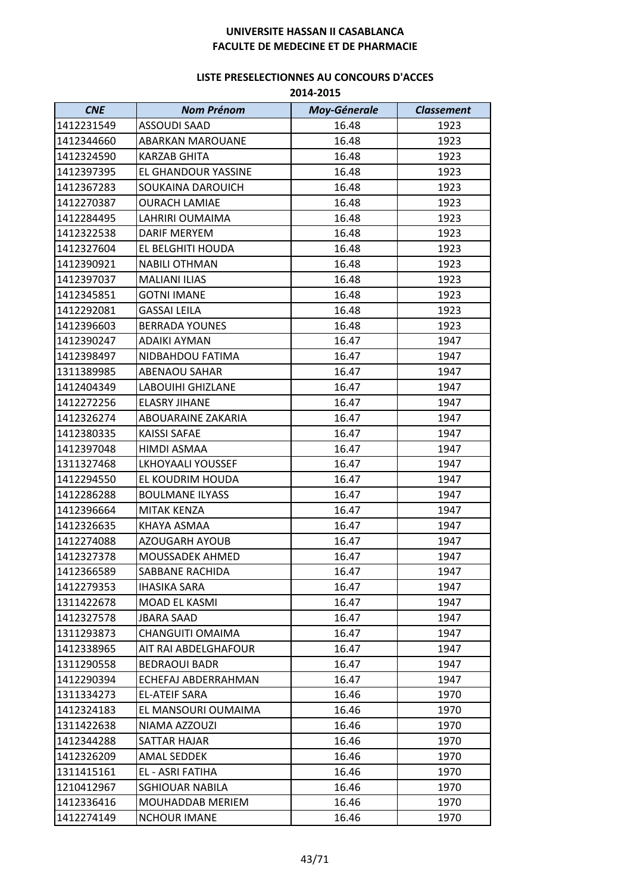| <b>CNE</b> | <b>Nom Prénom</b>        | <b>Moy-Génerale</b> | <b>Classement</b> |
|------------|--------------------------|---------------------|-------------------|
| 1412231549 | <b>ASSOUDI SAAD</b>      | 16.48               | 1923              |
| 1412344660 | <b>ABARKAN MAROUANE</b>  | 16.48               | 1923              |
| 1412324590 | <b>KARZAB GHITA</b>      | 16.48               | 1923              |
| 1412397395 | EL GHANDOUR YASSINE      | 16.48               | 1923              |
| 1412367283 | SOUKAINA DAROUICH        | 16.48               | 1923              |
| 1412270387 | <b>OURACH LAMIAE</b>     | 16.48               | 1923              |
| 1412284495 | LAHRIRI OUMAIMA          | 16.48               | 1923              |
| 1412322538 | <b>DARIF MERYEM</b>      | 16.48               | 1923              |
| 1412327604 | EL BELGHITI HOUDA        | 16.48               | 1923              |
| 1412390921 | <b>NABILI OTHMAN</b>     | 16.48               | 1923              |
| 1412397037 | <b>MALIANI ILIAS</b>     | 16.48               | 1923              |
| 1412345851 | <b>GOTNI IMANE</b>       | 16.48               | 1923              |
| 1412292081 | <b>GASSAI LEILA</b>      | 16.48               | 1923              |
| 1412396603 | <b>BERRADA YOUNES</b>    | 16.48               | 1923              |
| 1412390247 | <b>ADAIKI AYMAN</b>      | 16.47               | 1947              |
| 1412398497 | NIDBAHDOU FATIMA         | 16.47               | 1947              |
| 1311389985 | <b>ABENAOU SAHAR</b>     | 16.47               | 1947              |
| 1412404349 | LABOUIHI GHIZLANE        | 16.47               | 1947              |
| 1412272256 | <b>ELASRY JIHANE</b>     | 16.47               | 1947              |
| 1412326274 | ABOUARAINE ZAKARIA       | 16.47               | 1947              |
| 1412380335 | <b>KAISSI SAFAE</b>      | 16.47               | 1947              |
| 1412397048 | HIMDI ASMAA              | 16.47               | 1947              |
| 1311327468 | <b>LKHOYAALI YOUSSEF</b> | 16.47               | 1947              |
| 1412294550 | EL KOUDRIM HOUDA         | 16.47               | 1947              |
| 1412286288 | <b>BOULMANE ILYASS</b>   | 16.47               | 1947              |
| 1412396664 | MITAK KENZA              | 16.47               | 1947              |
| 1412326635 | KHAYA ASMAA              | 16.47               | 1947              |
| 1412274088 | <b>AZOUGARH AYOUB</b>    | 16.47               | 1947              |
| 1412327378 | <b>MOUSSADEK AHMED</b>   | 16.47               | 1947              |
| 1412366589 | SABBANE RACHIDA          | 16.47               | 1947              |
| 1412279353 | <b>IHASIKA SARA</b>      | 16.47               | 1947              |
| 1311422678 | MOAD EL KASMI            | 16.47               | 1947              |
| 1412327578 | <b>JBARA SAAD</b>        | 16.47               | 1947              |
| 1311293873 | <b>CHANGUITI OMAIMA</b>  | 16.47               | 1947              |
| 1412338965 | AIT RAI ABDELGHAFOUR     | 16.47               | 1947              |
| 1311290558 | <b>BEDRAOUI BADR</b>     | 16.47               | 1947              |
| 1412290394 | ECHEFAJ ABDERRAHMAN      | 16.47               | 1947              |
| 1311334273 | <b>EL-ATEIF SARA</b>     | 16.46               | 1970              |
| 1412324183 | EL MANSOURI OUMAIMA      | 16.46               | 1970              |
| 1311422638 | NIAMA AZZOUZI            | 16.46               | 1970              |
| 1412344288 | SATTAR HAJAR             | 16.46               | 1970              |
| 1412326209 | <b>AMAL SEDDEK</b>       | 16.46               | 1970              |
| 1311415161 | EL - ASRI FATIHA         | 16.46               | 1970              |
| 1210412967 | <b>SGHIOUAR NABILA</b>   | 16.46               | 1970              |
| 1412336416 | MOUHADDAB MERIEM         | 16.46               | 1970              |
| 1412274149 | <b>NCHOUR IMANE</b>      | 16.46               | 1970              |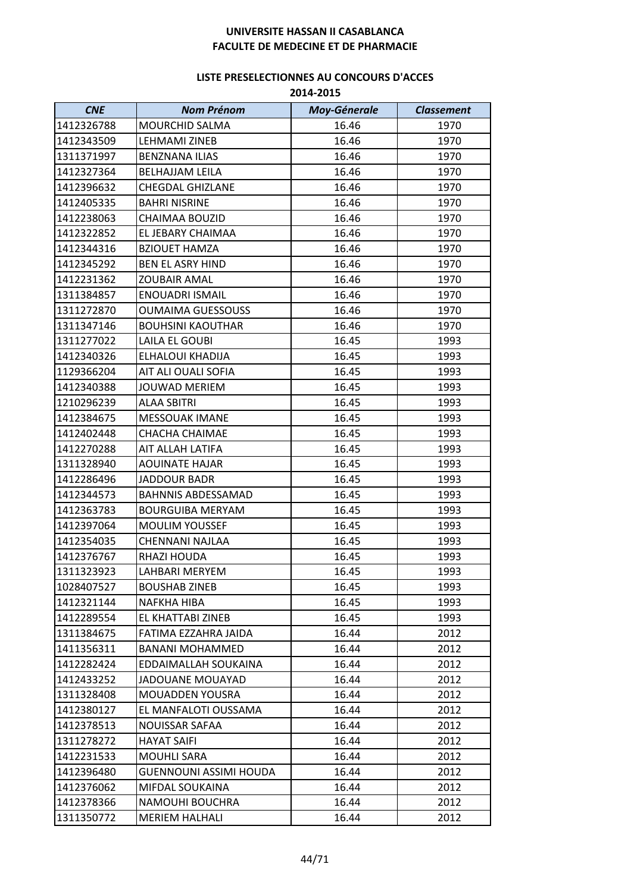| <b>CNE</b> | <b>Nom Prénom</b>         | <b>Moy-Génerale</b> | <b>Classement</b> |
|------------|---------------------------|---------------------|-------------------|
| 1412326788 | MOURCHID SALMA            | 16.46               | 1970              |
| 1412343509 | LEHMAMI ZINEB             | 16.46               | 1970              |
| 1311371997 | <b>BENZNANA ILIAS</b>     | 16.46               | 1970              |
| 1412327364 | <b>BELHAJJAM LEILA</b>    | 16.46               | 1970              |
| 1412396632 | <b>CHEGDAL GHIZLANE</b>   | 16.46               | 1970              |
| 1412405335 | <b>BAHRI NISRINE</b>      | 16.46               | 1970              |
| 1412238063 | <b>CHAIMAA BOUZID</b>     | 16.46               | 1970              |
| 1412322852 | EL JEBARY CHAIMAA         | 16.46               | 1970              |
| 1412344316 | <b>BZIOUET HAMZA</b>      | 16.46               | 1970              |
| 1412345292 | <b>BEN EL ASRY HIND</b>   | 16.46               | 1970              |
| 1412231362 | <b>ZOUBAIR AMAL</b>       | 16.46               | 1970              |
| 1311384857 | <b>ENOUADRI ISMAIL</b>    | 16.46               | 1970              |
| 1311272870 | <b>OUMAIMA GUESSOUSS</b>  | 16.46               | 1970              |
| 1311347146 | <b>BOUHSINI KAOUTHAR</b>  | 16.46               | 1970              |
| 1311277022 | LAILA EL GOUBI            | 16.45               | 1993              |
| 1412340326 | ELHALOUI KHADIJA          | 16.45               | 1993              |
| 1129366204 | AIT ALI OUALI SOFIA       | 16.45               | 1993              |
| 1412340388 | <b>JOUWAD MERIEM</b>      | 16.45               | 1993              |
| 1210296239 | ALAA SBITRI               | 16.45               | 1993              |
| 1412384675 | <b>MESSOUAK IMANE</b>     | 16.45               | 1993              |
| 1412402448 | <b>CHACHA CHAIMAE</b>     | 16.45               | 1993              |
| 1412270288 | AIT ALLAH LATIFA          | 16.45               | 1993              |
| 1311328940 | <b>AOUINATE HAJAR</b>     | 16.45               | 1993              |
| 1412286496 | <b>JADDOUR BADR</b>       | 16.45               | 1993              |
| 1412344573 | <b>BAHNNIS ABDESSAMAD</b> | 16.45               | 1993              |
| 1412363783 | <b>BOURGUIBA MERYAM</b>   | 16.45               | 1993              |
| 1412397064 | <b>MOULIM YOUSSEF</b>     | 16.45               | 1993              |
| 1412354035 | <b>CHENNANI NAJLAA</b>    | 16.45               | 1993              |
| 1412376767 | RHAZI HOUDA               | 16.45               | 1993              |
| 1311323923 | LAHBARI MERYEM            | 16.45               | 1993              |
| 1028407527 | <b>BOUSHAB ZINEB</b>      | 16.45               | 1993              |
| 1412321144 | NAFKHA HIBA               | 16.45               | 1993              |
| 1412289554 | EL KHATTABI ZINEB         | 16.45               | 1993              |
| 1311384675 | FATIMA EZZAHRA JAIDA      | 16.44               | 2012              |
| 1411356311 | <b>BANANI MOHAMMED</b>    | 16.44               | 2012              |
| 1412282424 | EDDAIMALLAH SOUKAINA      | 16.44               | 2012              |
| 1412433252 | <b>JADOUANE MOUAYAD</b>   | 16.44               | 2012              |
| 1311328408 | MOUADDEN YOUSRA           | 16.44               | 2012              |
| 1412380127 | EL MANFALOTI OUSSAMA      | 16.44               | 2012              |
| 1412378513 | <b>NOUISSAR SAFAA</b>     | 16.44               | 2012              |
| 1311278272 | <b>HAYAT SAIFI</b>        | 16.44               | 2012              |
| 1412231533 | <b>MOUHLI SARA</b>        | 16.44               | 2012              |
| 1412396480 | GUENNOUNI ASSIMI HOUDA    | 16.44               | 2012              |
| 1412376062 | MIFDAL SOUKAINA           | 16.44               | 2012              |
| 1412378366 | NAMOUHI BOUCHRA           | 16.44               | 2012              |
| 1311350772 | <b>MERIEM HALHALI</b>     | 16.44               | 2012              |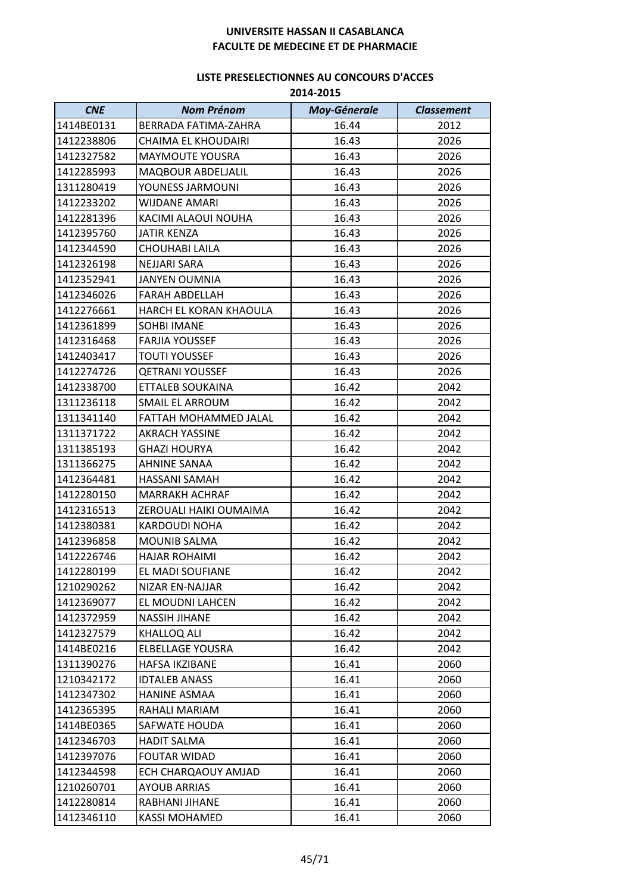| <b>CNE</b> | <b>Nom Prénom</b>          | <b>Moy-Génerale</b> | <b>Classement</b> |
|------------|----------------------------|---------------------|-------------------|
| 1414BE0131 | BERRADA FATIMA-ZAHRA       | 16.44               | 2012              |
| 1412238806 | <b>CHAIMA EL KHOUDAIRI</b> | 16.43               | 2026              |
| 1412327582 | <b>MAYMOUTE YOUSRA</b>     | 16.43               | 2026              |
| 1412285993 | <b>MAQBOUR ABDELJALIL</b>  | 16.43               | 2026              |
| 1311280419 | YOUNESS JARMOUNI           | 16.43               | 2026              |
| 1412233202 | <b>WIJDANE AMARI</b>       | 16.43               | 2026              |
| 1412281396 | KACIMI ALAOUI NOUHA        | 16.43               | 2026              |
| 1412395760 | <b>JATIR KENZA</b>         | 16.43               | 2026              |
| 1412344590 | CHOUHABI LAILA             | 16.43               | 2026              |
| 1412326198 | <b>NEJJARI SARA</b>        | 16.43               | 2026              |
| 1412352941 | <b>JANYEN OUMNIA</b>       | 16.43               | 2026              |
| 1412346026 | <b>FARAH ABDELLAH</b>      | 16.43               | 2026              |
| 1412276661 | HARCH EL KORAN KHAOULA     | 16.43               | 2026              |
| 1412361899 | <b>SOHBI IMANE</b>         | 16.43               | 2026              |
| 1412316468 | <b>FARJIA YOUSSEF</b>      | 16.43               | 2026              |
| 1412403417 | <b>TOUTI YOUSSEF</b>       | 16.43               | 2026              |
| 1412274726 | <b>QETRANI YOUSSEF</b>     | 16.43               | 2026              |
| 1412338700 | ETTALEB SOUKAINA           | 16.42               | 2042              |
| 1311236118 | SMAIL EL ARROUM            | 16.42               | 2042              |
| 1311341140 | FATTAH MOHAMMED JALAL      | 16.42               | 2042              |
| 1311371722 | <b>AKRACH YASSINE</b>      | 16.42               | 2042              |
| 1311385193 | <b>GHAZI HOURYA</b>        | 16.42               | 2042              |
| 1311366275 | AHNINE SANAA               | 16.42               | 2042              |
| 1412364481 | HASSANI SAMAH              | 16.42               | 2042              |
| 1412280150 | <b>MARRAKH ACHRAF</b>      | 16.42               | 2042              |
| 1412316513 | ZEROUALI HAIKI OUMAIMA     | 16.42               | 2042              |
| 1412380381 | <b>KARDOUDI NOHA</b>       | 16.42               | 2042              |
| 1412396858 | <b>MOUNIB SALMA</b>        | 16.42               | 2042              |
| 1412226746 | <b>HAJAR ROHAIMI</b>       | 16.42               | 2042              |
| 1412280199 | EL MADI SOUFIANE           | 16.42               | 2042              |
| 1210290262 | NIZAR EN-NAJJAR            | 16.42               | 2042              |
| 1412369077 | EL MOUDNI LAHCEN           | 16.42               | 2042              |
| 1412372959 | <b>NASSIH JIHANE</b>       | 16.42               | 2042              |
| 1412327579 | <b>KHALLOQ ALI</b>         | 16.42               | 2042              |
| 1414BE0216 | <b>ELBELLAGE YOUSRA</b>    | 16.42               | 2042              |
| 1311390276 | HAFSA IKZIBANE             | 16.41               | 2060              |
| 1210342172 | <b>IDTALEB ANASS</b>       | 16.41               | 2060              |
| 1412347302 | <b>HANINE ASMAA</b>        | 16.41               | 2060              |
| 1412365395 | RAHALI MARIAM              | 16.41               | 2060              |
| 1414BE0365 | <b>SAFWATE HOUDA</b>       | 16.41               | 2060              |
| 1412346703 | <b>HADIT SALMA</b>         | 16.41               | 2060              |
| 1412397076 | <b>FOUTAR WIDAD</b>        | 16.41               | 2060              |
| 1412344598 | ECH CHARQAOUY AMJAD        | 16.41               | 2060              |
| 1210260701 | <b>AYOUB ARRIAS</b>        | 16.41               | 2060              |
| 1412280814 | RABHANI JIHANE             | 16.41               | 2060              |
| 1412346110 | <b>KASSI MOHAMED</b>       | 16.41               | 2060              |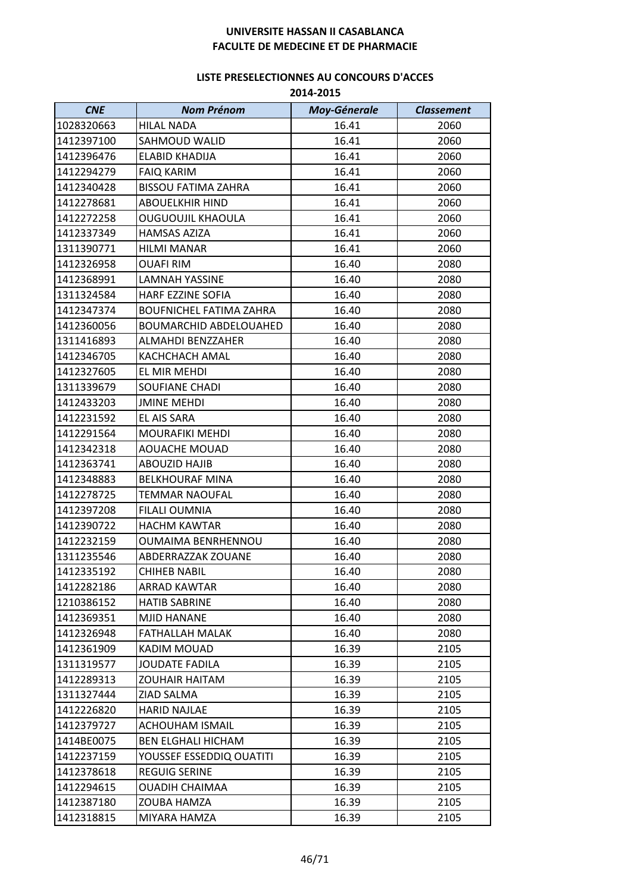| <b>CNE</b> | <b>Nom Prénom</b>              | <b>Moy-Génerale</b> | <b>Classement</b> |
|------------|--------------------------------|---------------------|-------------------|
| 1028320663 | <b>HILAL NADA</b>              | 16.41               | 2060              |
| 1412397100 | SAHMOUD WALID                  | 16.41               | 2060              |
| 1412396476 | ELABID KHADIJA                 | 16.41               | 2060              |
| 1412294279 | <b>FAIQ KARIM</b>              | 16.41               | 2060              |
| 1412340428 | <b>BISSOU FATIMA ZAHRA</b>     | 16.41               | 2060              |
| 1412278681 | <b>ABOUELKHIR HIND</b>         | 16.41               | 2060              |
| 1412272258 | <b>OUGUOUJIL KHAOULA</b>       | 16.41               | 2060              |
| 1412337349 | <b>HAMSAS AZIZA</b>            | 16.41               | 2060              |
| 1311390771 | <b>HILMI MANAR</b>             | 16.41               | 2060              |
| 1412326958 | <b>OUAFI RIM</b>               | 16.40               | 2080              |
| 1412368991 | <b>LAMNAH YASSINE</b>          | 16.40               | 2080              |
| 1311324584 | HARF EZZINE SOFIA              | 16.40               | 2080              |
| 1412347374 | <b>BOUFNICHEL FATIMA ZAHRA</b> | 16.40               | 2080              |
| 1412360056 | <b>BOUMARCHID ABDELOUAHED</b>  | 16.40               | 2080              |
| 1311416893 | <b>ALMAHDI BENZZAHER</b>       | 16.40               | 2080              |
| 1412346705 | <b>KACHCHACH AMAL</b>          | 16.40               | 2080              |
| 1412327605 | EL MIR MEHDI                   | 16.40               | 2080              |
| 1311339679 | <b>SOUFIANE CHADI</b>          | 16.40               | 2080              |
| 1412433203 | <b>JMINE MEHDI</b>             | 16.40               | 2080              |
| 1412231592 | EL AIS SARA                    | 16.40               | 2080              |
| 1412291564 | <b>MOURAFIKI MEHDI</b>         | 16.40               | 2080              |
| 1412342318 | <b>AOUACHE MOUAD</b>           | 16.40               | 2080              |
| 1412363741 | <b>ABOUZID HAJIB</b>           | 16.40               | 2080              |
| 1412348883 | <b>BELKHOURAF MINA</b>         | 16.40               | 2080              |
| 1412278725 | <b>TEMMAR NAOUFAL</b>          | 16.40               | 2080              |
| 1412397208 | <b>FILALI OUMNIA</b>           | 16.40               | 2080              |
| 1412390722 | <b>HACHM KAWTAR</b>            | 16.40               | 2080              |
| 1412232159 | OUMAIMA BENRHENNOU             | 16.40               | 2080              |
| 1311235546 | ABDERRAZZAK ZOUANE             | 16.40               | 2080              |
| 1412335192 | <b>CHIHEB NABIL</b>            | 16.40               | 2080              |
| 1412282186 | ARRAD KAWTAR                   | 16.40               | 2080              |
| 1210386152 | <b>HATIB SABRINE</b>           | 16.40               | 2080              |
| 1412369351 | <b>MJID HANANE</b>             | 16.40               | 2080              |
| 1412326948 | FATHALLAH MALAK                | 16.40               | 2080              |
| 1412361909 | <b>KADIM MOUAD</b>             | 16.39               | 2105              |
| 1311319577 | <b>JOUDATE FADILA</b>          | 16.39               | 2105              |
| 1412289313 | <b>ZOUHAIR HAITAM</b>          | 16.39               | 2105              |
| 1311327444 | ZIAD SALMA                     | 16.39               | 2105              |
| 1412226820 | <b>HARID NAJLAE</b>            | 16.39               | 2105              |
| 1412379727 | <b>ACHOUHAM ISMAIL</b>         | 16.39               | 2105              |
| 1414BE0075 | <b>BEN ELGHALI HICHAM</b>      | 16.39               | 2105              |
| 1412237159 | YOUSSEF ESSEDDIQ OUATITI       | 16.39               | 2105              |
| 1412378618 | <b>REGUIG SERINE</b>           | 16.39               | 2105              |
| 1412294615 | <b>OUADIH CHAIMAA</b>          | 16.39               | 2105              |
| 1412387180 | ZOUBA HAMZA                    | 16.39               | 2105              |
| 1412318815 | MIYARA HAMZA                   | 16.39               | 2105              |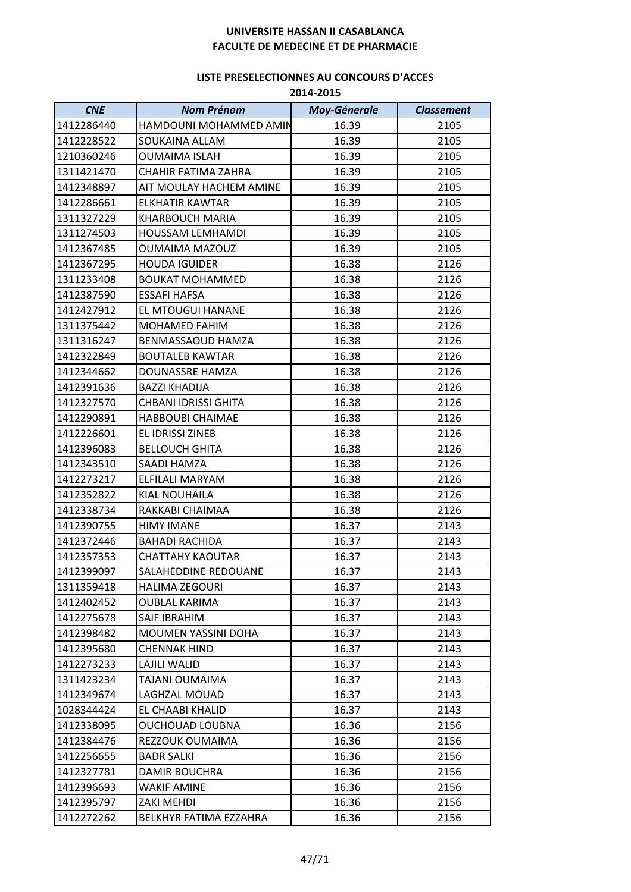## **LISTE PRESELECTIONNES AU CONCOURS D'ACCES**

**2014-2015**

| <b>CNE</b> | <b>Nom Prénom</b>           | <b>Moy-Génerale</b> | <b>Classement</b> |
|------------|-----------------------------|---------------------|-------------------|
| 1412286440 | HAMDOUNI MOHAMMED AMIN      | 16.39               | 2105              |
| 1412228522 | SOUKAINA ALLAM              | 16.39               | 2105              |
| 1210360246 | <b>OUMAIMA ISLAH</b>        | 16.39               | 2105              |
| 1311421470 | CHAHIR FATIMA ZAHRA         | 16.39               | 2105              |
| 1412348897 | AIT MOULAY HACHEM AMINE     | 16.39               | 2105              |
| 1412286661 | ELKHATIR KAWTAR             | 16.39               | 2105              |
| 1311327229 | <b>KHARBOUCH MARIA</b>      | 16.39               | 2105              |
| 1311274503 | <b>HOUSSAM LEMHAMDI</b>     | 16.39               | 2105              |
| 1412367485 | <b>OUMAIMA MAZOUZ</b>       | 16.39               | 2105              |
| 1412367295 | <b>HOUDA IGUIDER</b>        | 16.38               | 2126              |
| 1311233408 | <b>BOUKAT MOHAMMED</b>      | 16.38               | 2126              |
| 1412387590 | <b>ESSAFI HAFSA</b>         | 16.38               | 2126              |
| 1412427912 | EL MTOUGUI HANANE           | 16.38               | 2126              |
| 1311375442 | <b>MOHAMED FAHIM</b>        | 16.38               | 2126              |
| 1311316247 | <b>BENMASSAOUD HAMZA</b>    | 16.38               | 2126              |
| 1412322849 | <b>BOUTALEB KAWTAR</b>      | 16.38               | 2126              |
| 1412344662 | DOUNASSRE HAMZA             | 16.38               | 2126              |
| 1412391636 | <b>BAZZI KHADIJA</b>        | 16.38               | 2126              |
| 1412327570 | <b>CHBANI IDRISSI GHITA</b> | 16.38               | 2126              |
| 1412290891 | <b>HABBOUBI CHAIMAE</b>     | 16.38               | 2126              |
| 1412226601 | EL IDRISSI ZINEB            | 16.38               | 2126              |
| 1412396083 | <b>BELLOUCH GHITA</b>       | 16.38               | 2126              |
| 1412343510 | SAADI HAMZA                 | 16.38               | 2126              |
| 1412273217 | ELFILALI MARYAM             | 16.38               | 2126              |
| 1412352822 | <b>KIAL NOUHAILA</b>        | 16.38               | 2126              |
| 1412338734 | RAKKABI CHAIMAA             | 16.38               | 2126              |
| 1412390755 | <b>HIMY IMANE</b>           | 16.37               | 2143              |
| 1412372446 | <b>BAHADI RACHIDA</b>       | 16.37               | 2143              |
| 1412357353 | <b>CHATTAHY KAOUTAR</b>     | 16.37               | 2143              |
| 1412399097 | SALAHEDDINE REDOUANE        | 16.37               | 2143              |
| 1311359418 | <b>HALIMA ZEGOURI</b>       | 16.37               | 2143              |
| 1412402452 | <b>OUBLAL KARIMA</b>        | 16.37               | 2143              |
| 1412275678 | <b>SAIF IBRAHIM</b>         | 16.37               | 2143              |
| 1412398482 | MOUMEN YASSINI DOHA         | 16.37               | 2143              |
| 1412395680 | <b>CHENNAK HIND</b>         | 16.37               | 2143              |
| 1412273233 | LAJILI WALID                | 16.37               | 2143              |
| 1311423234 | TAJANI OUMAIMA              | 16.37               | 2143              |
| 1412349674 | LAGHZAL MOUAD               | 16.37               | 2143              |
| 1028344424 | EL CHAABI KHALID            | 16.37               | 2143              |
| 1412338095 | OUCHOUAD LOUBNA             | 16.36               | 2156              |
| 1412384476 | REZZOUK OUMAIMA             | 16.36               | 2156              |
| 1412256655 | <b>BADR SALKI</b>           | 16.36               | 2156              |
| 1412327781 | DAMIR BOUCHRA               | 16.36               | 2156              |
| 1412396693 | <b>WAKIF AMINE</b>          | 16.36               | 2156              |
| 1412395797 | ZAKI MEHDI                  | 16.36               | 2156              |
| 1412272262 | BELKHYR FATIMA EZZAHRA      | 16.36               | 2156              |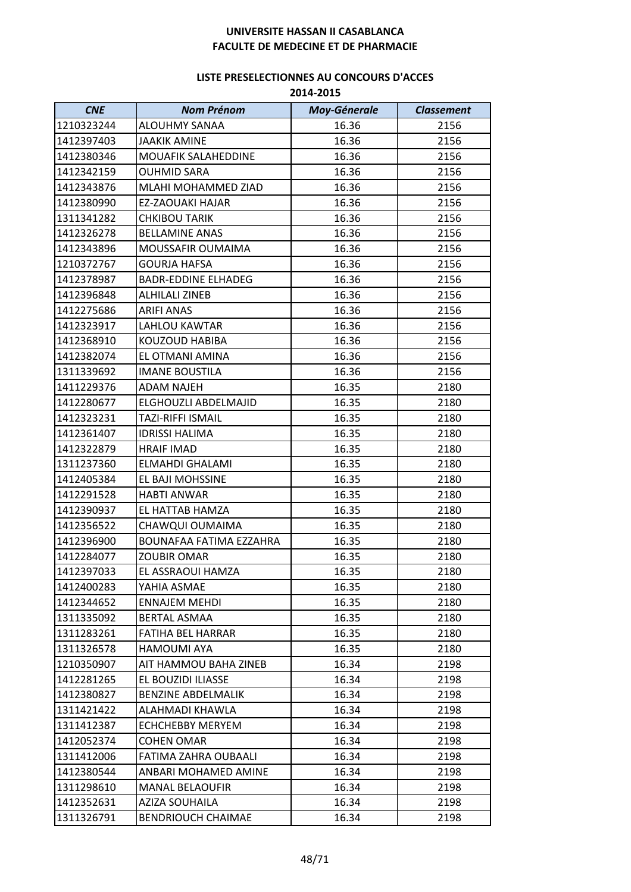| <b>CNE</b> | <b>Nom Prénom</b>          | <b>Moy-Génerale</b> | <b>Classement</b> |
|------------|----------------------------|---------------------|-------------------|
| 1210323244 | ALOUHMY SANAA              | 16.36               | 2156              |
| 1412397403 | <b>JAAKIK AMINE</b>        | 16.36               | 2156              |
| 1412380346 | <b>MOUAFIK SALAHEDDINE</b> | 16.36               | 2156              |
| 1412342159 | <b>OUHMID SARA</b>         | 16.36               | 2156              |
| 1412343876 | MLAHI MOHAMMED ZIAD        | 16.36               | 2156              |
| 1412380990 | EZ-ZAOUAKI HAJAR           | 16.36               | 2156              |
| 1311341282 | <b>CHKIBOU TARIK</b>       | 16.36               | 2156              |
| 1412326278 | <b>BELLAMINE ANAS</b>      | 16.36               | 2156              |
| 1412343896 | MOUSSAFIR OUMAIMA          | 16.36               | 2156              |
| 1210372767 | <b>GOURJA HAFSA</b>        | 16.36               | 2156              |
| 1412378987 | <b>BADR-EDDINE ELHADEG</b> | 16.36               | 2156              |
| 1412396848 | <b>ALHILALI ZINEB</b>      | 16.36               | 2156              |
| 1412275686 | <b>ARIFI ANAS</b>          | 16.36               | 2156              |
| 1412323917 | <b>LAHLOU KAWTAR</b>       | 16.36               | 2156              |
| 1412368910 | KOUZOUD HABIBA             | 16.36               | 2156              |
| 1412382074 | EL OTMANI AMINA            | 16.36               | 2156              |
| 1311339692 | <b>IMANE BOUSTILA</b>      | 16.36               | 2156              |
| 1411229376 | <b>ADAM NAJEH</b>          | 16.35               | 2180              |
| 1412280677 | ELGHOUZLI ABDELMAJID       | 16.35               | 2180              |
| 1412323231 | TAZI-RIFFI ISMAIL          | 16.35               | 2180              |
| 1412361407 | <b>IDRISSI HALIMA</b>      | 16.35               | 2180              |
| 1412322879 | <b>HRAIF IMAD</b>          | 16.35               | 2180              |
| 1311237360 | ELMAHDI GHALAMI            | 16.35               | 2180              |
| 1412405384 | EL BAJI MOHSSINE           | 16.35               | 2180              |
| 1412291528 | <b>HABTI ANWAR</b>         | 16.35               | 2180              |
| 1412390937 | EL HATTAB HAMZA            | 16.35               | 2180              |
| 1412356522 | CHAWQUI OUMAIMA            | 16.35               | 2180              |
| 1412396900 | BOUNAFAA FATIMA EZZAHRA    | 16.35               | 2180              |
| 1412284077 | <b>ZOUBIR OMAR</b>         | 16.35               | 2180              |
| 1412397033 | EL ASSRAOUI HAMZA          | 16.35               | 2180              |
| 1412400283 | YAHIA ASMAE                | 16.35               | 2180              |
| 1412344652 | <b>ENNAJEM MEHDI</b>       | 16.35               | 2180              |
| 1311335092 | <b>BERTAL ASMAA</b>        | 16.35               | 2180              |
| 1311283261 | FATIHA BEL HARRAR          | 16.35               | 2180              |
| 1311326578 | <b>HAMOUMI AYA</b>         | 16.35               | 2180              |
| 1210350907 | AIT HAMMOU BAHA ZINEB      | 16.34               | 2198              |
| 1412281265 | EL BOUZIDI ILIASSE         | 16.34               | 2198              |
| 1412380827 | <b>BENZINE ABDELMALIK</b>  | 16.34               | 2198              |
| 1311421422 | ALAHMADI KHAWLA            | 16.34               | 2198              |
| 1311412387 | <b>ECHCHEBBY MERYEM</b>    | 16.34               | 2198              |
| 1412052374 | <b>COHEN OMAR</b>          | 16.34               | 2198              |
| 1311412006 | FATIMA ZAHRA OUBAALI       | 16.34               | 2198              |
| 1412380544 | ANBARI MOHAMED AMINE       | 16.34               | 2198              |
| 1311298610 | <b>MANAL BELAOUFIR</b>     | 16.34               | 2198              |
| 1412352631 | <b>AZIZA SOUHAILA</b>      | 16.34               | 2198              |
| 1311326791 | <b>BENDRIOUCH CHAIMAE</b>  | 16.34               | 2198              |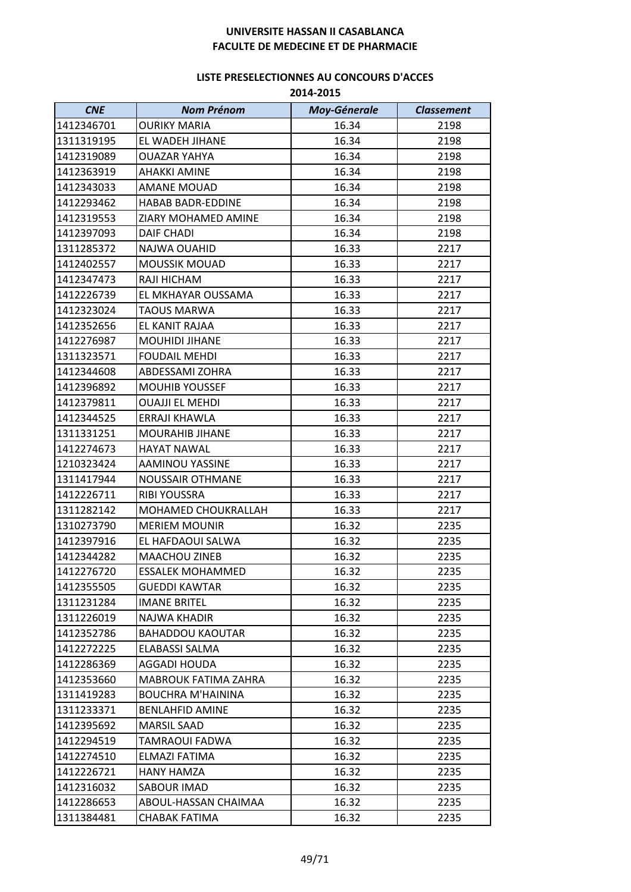| <b>CNE</b> | <b>Nom Prénom</b>        | <b>Moy-Génerale</b> | <b>Classement</b> |
|------------|--------------------------|---------------------|-------------------|
| 1412346701 | <b>OURIKY MARIA</b>      | 16.34               | 2198              |
| 1311319195 | EL WADEH JIHANE          | 16.34               | 2198              |
| 1412319089 | <b>OUAZAR YAHYA</b>      | 16.34               | 2198              |
| 1412363919 | <b>AHAKKI AMINE</b>      | 16.34               | 2198              |
| 1412343033 | <b>AMANE MOUAD</b>       | 16.34               | 2198              |
| 1412293462 | <b>HABAB BADR-EDDINE</b> | 16.34               | 2198              |
| 1412319553 | ZIARY MOHAMED AMINE      | 16.34               | 2198              |
| 1412397093 | <b>DAIF CHADI</b>        | 16.34               | 2198              |
| 1311285372 | NAJWA OUAHID             | 16.33               | 2217              |
| 1412402557 | <b>MOUSSIK MOUAD</b>     | 16.33               | 2217              |
| 1412347473 | RAJI HICHAM              | 16.33               | 2217              |
| 1412226739 | EL MKHAYAR OUSSAMA       | 16.33               | 2217              |
| 1412323024 | <b>TAOUS MARWA</b>       | 16.33               | 2217              |
| 1412352656 | EL KANIT RAJAA           | 16.33               | 2217              |
| 1412276987 | MOUHIDI JIHANE           | 16.33               | 2217              |
| 1311323571 | <b>FOUDAIL MEHDI</b>     | 16.33               | 2217              |
| 1412344608 | ABDESSAMI ZOHRA          | 16.33               | 2217              |
| 1412396892 | <b>MOUHIB YOUSSEF</b>    | 16.33               | 2217              |
| 1412379811 | <b>OUAJJI EL MEHDI</b>   | 16.33               | 2217              |
| 1412344525 | ERRAJI KHAWLA            | 16.33               | 2217              |
| 1311331251 | <b>MOURAHIB JIHANE</b>   | 16.33               | 2217              |
| 1412274673 | <b>HAYAT NAWAL</b>       | 16.33               | 2217              |
| 1210323424 | AAMINOU YASSINE          | 16.33               | 2217              |
| 1311417944 | <b>NOUSSAIR OTHMANE</b>  | 16.33               | 2217              |
| 1412226711 | <b>RIBI YOUSSRA</b>      | 16.33               | 2217              |
| 1311282142 | MOHAMED CHOUKRALLAH      | 16.33               | 2217              |
| 1310273790 | <b>MERIEM MOUNIR</b>     | 16.32               | 2235              |
| 1412397916 | EL HAFDAOUI SALWA        | 16.32               | 2235              |
| 1412344282 | <b>MAACHOU ZINEB</b>     | 16.32               | 2235              |
| 1412276720 | <b>ESSALEK MOHAMMED</b>  | 16.32               | 2235              |
| 1412355505 | <b>GUEDDI KAWTAR</b>     | 16.32               | 2235              |
| 1311231284 | <b>IMANE BRITEL</b>      | 16.32               | 2235              |
| 1311226019 | <b>NAJWA KHADIR</b>      | 16.32               | 2235              |
| 1412352786 | <b>BAHADDOU KAOUTAR</b>  | 16.32               | 2235              |
| 1412272225 | ELABASSI SALMA           | 16.32               | 2235              |
| 1412286369 | AGGADI HOUDA             | 16.32               | 2235              |
| 1412353660 | MABROUK FATIMA ZAHRA     | 16.32               | 2235              |
| 1311419283 | <b>BOUCHRA M'HAININA</b> | 16.32               | 2235              |
| 1311233371 | <b>BENLAHFID AMINE</b>   | 16.32               | 2235              |
| 1412395692 | <b>MARSIL SAAD</b>       | 16.32               | 2235              |
| 1412294519 | TAMRAOUI FADWA           | 16.32               | 2235              |
| 1412274510 | ELMAZI FATIMA            | 16.32               | 2235              |
| 1412226721 | HANY HAMZA               | 16.32               | 2235              |
| 1412316032 | <b>SABOUR IMAD</b>       | 16.32               | 2235              |
| 1412286653 | ABOUL-HASSAN CHAIMAA     | 16.32               | 2235              |
| 1311384481 | <b>CHABAK FATIMA</b>     | 16.32               | 2235              |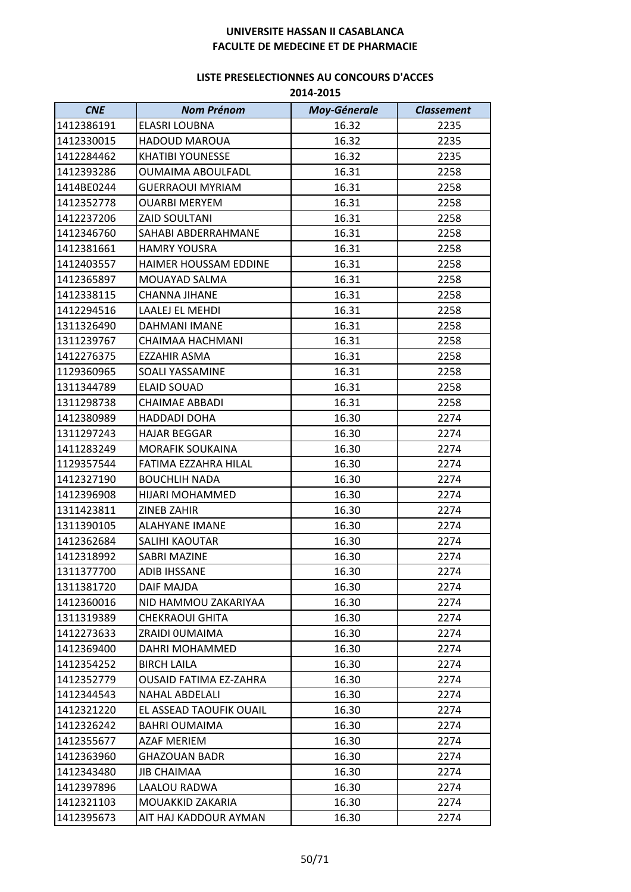| <b>CNE</b> | <b>Nom Prénom</b>             | <b>Moy-Génerale</b> | <b>Classement</b> |
|------------|-------------------------------|---------------------|-------------------|
| 1412386191 | <b>ELASRI LOUBNA</b>          | 16.32               | 2235              |
| 1412330015 | <b>HADOUD MAROUA</b>          | 16.32               | 2235              |
| 1412284462 | <b>KHATIBI YOUNESSE</b>       | 16.32               | 2235              |
| 1412393286 | <b>OUMAIMA ABOULFADL</b>      | 16.31               | 2258              |
| 1414BE0244 | <b>GUERRAOUI MYRIAM</b>       | 16.31               | 2258              |
| 1412352778 | <b>OUARBI MERYEM</b>          | 16.31               | 2258              |
| 1412237206 | <b>ZAID SOULTANI</b>          | 16.31               | 2258              |
| 1412346760 | SAHABI ABDERRAHMANE           | 16.31               | 2258              |
| 1412381661 | <b>HAMRY YOUSRA</b>           | 16.31               | 2258              |
| 1412403557 | HAIMER HOUSSAM EDDINE         | 16.31               | 2258              |
| 1412365897 | MOUAYAD SALMA                 | 16.31               | 2258              |
| 1412338115 | CHANNA JIHANE                 | 16.31               | 2258              |
| 1412294516 | LAALEJ EL MEHDI               | 16.31               | 2258              |
| 1311326490 | DAHMANI IMANE                 | 16.31               | 2258              |
| 1311239767 | CHAIMAA HACHMANI              | 16.31               | 2258              |
| 1412276375 | <b>EZZAHIR ASMA</b>           | 16.31               | 2258              |
| 1129360965 | SOALI YASSAMINE               | 16.31               | 2258              |
| 1311344789 | <b>ELAID SOUAD</b>            | 16.31               | 2258              |
| 1311298738 | <b>CHAIMAE ABBADI</b>         | 16.31               | 2258              |
| 1412380989 | <b>HADDADI DOHA</b>           | 16.30               | 2274              |
| 1311297243 | <b>HAJAR BEGGAR</b>           | 16.30               | 2274              |
| 1411283249 | <b>MORAFIK SOUKAINA</b>       | 16.30               | 2274              |
| 1129357544 | FATIMA EZZAHRA HILAL          | 16.30               | 2274              |
| 1412327190 | <b>BOUCHLIH NADA</b>          | 16.30               | 2274              |
| 1412396908 | HIJARI MOHAMMED               | 16.30               | 2274              |
| 1311423811 | <b>ZINEB ZAHIR</b>            | 16.30               | 2274              |
| 1311390105 | <b>ALAHYANE IMANE</b>         | 16.30               | 2274              |
| 1412362684 | SALIHI KAOUTAR                | 16.30               | 2274              |
| 1412318992 | <b>SABRI MAZINE</b>           | 16.30               | 2274              |
| 1311377700 | <b>ADIB IHSSANE</b>           | 16.30               | 2274              |
| 1311381720 | <b>DAIF MAJDA</b>             | 16.30               | 2274              |
| 1412360016 | NID HAMMOU ZAKARIYAA          | 16.30               | 2274              |
| 1311319389 | <b>CHEKRAOUI GHITA</b>        | 16.30               | 2274              |
| 1412273633 | ZRAIDI OUMAIMA                | 16.30               | 2274              |
| 1412369400 | DAHRI MOHAMMED                | 16.30               | 2274              |
| 1412354252 | <b>BIRCH LAILA</b>            | 16.30               | 2274              |
| 1412352779 | <b>OUSAID FATIMA EZ-ZAHRA</b> | 16.30               | 2274              |
| 1412344543 | <b>NAHAL ABDELALI</b>         | 16.30               | 2274              |
| 1412321220 | EL ASSEAD TAOUFIK OUAIL       | 16.30               | 2274              |
| 1412326242 | <b>BAHRI OUMAIMA</b>          | 16.30               | 2274              |
| 1412355677 | <b>AZAF MERIEM</b>            | 16.30               | 2274              |
| 1412363960 | <b>GHAZOUAN BADR</b>          | 16.30               | 2274              |
| 1412343480 | <b>JIB CHAIMAA</b>            | 16.30               | 2274              |
| 1412397896 | LAALOU RADWA                  | 16.30               | 2274              |
| 1412321103 | MOUAKKID ZAKARIA              | 16.30               | 2274              |
| 1412395673 | AIT HAJ KADDOUR AYMAN         | 16.30               | 2274              |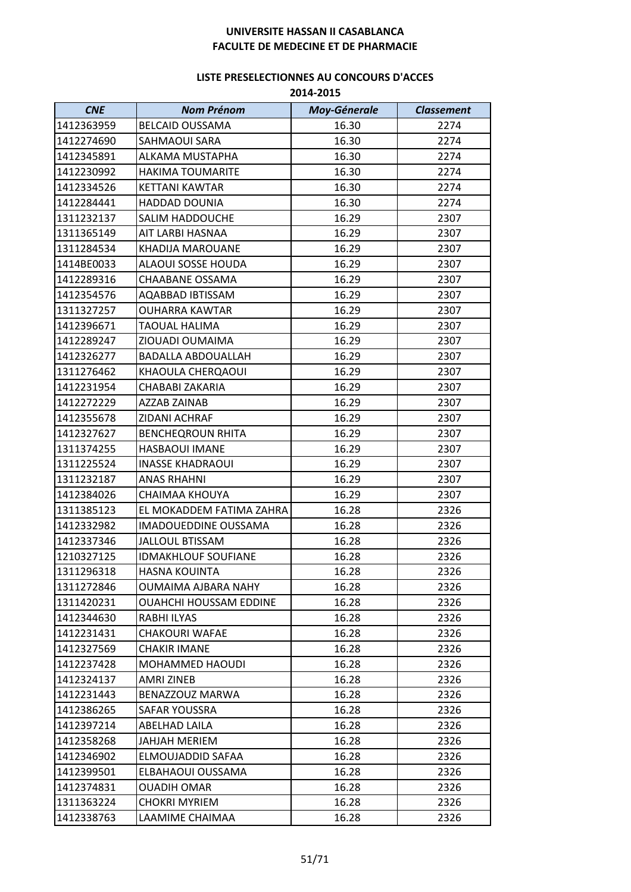| <b>CNE</b> | <b>Nom Prénom</b>             | <b>Moy-Génerale</b> | <b>Classement</b> |
|------------|-------------------------------|---------------------|-------------------|
| 1412363959 | <b>BELCAID OUSSAMA</b>        | 16.30               | 2274              |
| 1412274690 | SAHMAOUI SARA                 | 16.30               | 2274              |
| 1412345891 | ALKAMA MUSTAPHA               | 16.30               | 2274              |
| 1412230992 | <b>HAKIMA TOUMARITE</b>       | 16.30               | 2274              |
| 1412334526 | <b>KETTANI KAWTAR</b>         | 16.30               | 2274              |
| 1412284441 | <b>HADDAD DOUNIA</b>          | 16.30               | 2274              |
| 1311232137 | <b>SALIM HADDOUCHE</b>        | 16.29               | 2307              |
| 1311365149 | AIT LARBI HASNAA              | 16.29               | 2307              |
| 1311284534 | <b>KHADIJA MAROUANE</b>       | 16.29               | 2307              |
| 1414BE0033 | ALAOUI SOSSE HOUDA            | 16.29               | 2307              |
| 1412289316 | CHAABANE OSSAMA               | 16.29               | 2307              |
| 1412354576 | AQABBAD IBTISSAM              | 16.29               | 2307              |
| 1311327257 | <b>OUHARRA KAWTAR</b>         | 16.29               | 2307              |
| 1412396671 | <b>TAOUAL HALIMA</b>          | 16.29               | 2307              |
| 1412289247 | ZIOUADI OUMAIMA               | 16.29               | 2307              |
| 1412326277 | <b>BADALLA ABDOUALLAH</b>     | 16.29               | 2307              |
| 1311276462 | KHAOULA CHERQAOUI             | 16.29               | 2307              |
| 1412231954 | CHABABI ZAKARIA               | 16.29               | 2307              |
| 1412272229 | AZZAB ZAINAB                  | 16.29               | 2307              |
| 1412355678 | ZIDANI ACHRAF                 | 16.29               | 2307              |
| 1412327627 | <b>BENCHEQROUN RHITA</b>      | 16.29               | 2307              |
| 1311374255 | <b>HASBAOUI IMANE</b>         | 16.29               | 2307              |
| 1311225524 | <b>INASSE KHADRAOUI</b>       | 16.29               | 2307              |
| 1311232187 | <b>ANAS RHAHNI</b>            | 16.29               | 2307              |
| 1412384026 | CHAIMAA KHOUYA                | 16.29               | 2307              |
| 1311385123 | EL MOKADDEM FATIMA ZAHRA      | 16.28               | 2326              |
| 1412332982 | <b>IMADOUEDDINE OUSSAMA</b>   | 16.28               | 2326              |
| 1412337346 | <b>JALLOUL BTISSAM</b>        | 16.28               | 2326              |
| 1210327125 | <b>IDMAKHLOUF SOUFIANE</b>    | 16.28               | 2326              |
| 1311296318 | <b>HASNA KOUINTA</b>          | 16.28               | 2326              |
| 1311272846 | <b>OUMAIMA AJBARA NAHY</b>    | 16.28               | 2326              |
| 1311420231 | <b>OUAHCHI HOUSSAM EDDINE</b> | 16.28               | 2326              |
| 1412344630 | RABHI ILYAS                   | 16.28               | 2326              |
| 1412231431 | CHAKOURI WAFAE                | 16.28               | 2326              |
| 1412327569 | <b>CHAKIR IMANE</b>           | 16.28               | 2326              |
| 1412237428 | <b>MOHAMMED HAOUDI</b>        | 16.28               | 2326              |
| 1412324137 | AMRI ZINEB                    | 16.28               | 2326              |
| 1412231443 | BENAZZOUZ MARWA               | 16.28               | 2326              |
| 1412386265 | SAFAR YOUSSRA                 | 16.28               | 2326              |
| 1412397214 | ABELHAD LAILA                 | 16.28               | 2326              |
| 1412358268 | <b>JAHJAH MERIEM</b>          | 16.28               | 2326              |
| 1412346902 | ELMOUJADDID SAFAA             | 16.28               | 2326              |
| 1412399501 | ELBAHAOUI OUSSAMA             | 16.28               | 2326              |
| 1412374831 | <b>OUADIH OMAR</b>            | 16.28               | 2326              |
| 1311363224 | <b>CHOKRI MYRIEM</b>          | 16.28               | 2326              |
| 1412338763 | LAAMIME CHAIMAA               | 16.28               | 2326              |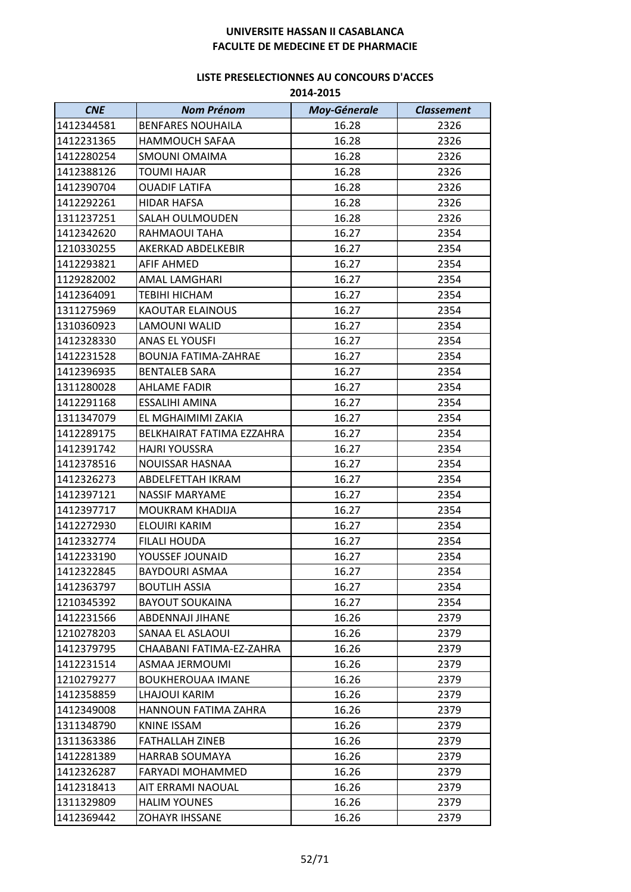| <b>CNE</b> | <b>Nom Prénom</b>           | <b>Moy-Génerale</b> | <b>Classement</b> |
|------------|-----------------------------|---------------------|-------------------|
| 1412344581 | <b>BENFARES NOUHAILA</b>    | 16.28               | 2326              |
| 1412231365 | <b>HAMMOUCH SAFAA</b>       | 16.28               | 2326              |
| 1412280254 | <b>SMOUNI OMAIMA</b>        | 16.28               | 2326              |
| 1412388126 | <b>TOUMI HAJAR</b>          | 16.28               | 2326              |
| 1412390704 | <b>OUADIF LATIFA</b>        | 16.28               | 2326              |
| 1412292261 | HIDAR HAFSA                 | 16.28               | 2326              |
| 1311237251 | SALAH OULMOUDEN             | 16.28               | 2326              |
| 1412342620 | RAHMAOUI TAHA               | 16.27               | 2354              |
| 1210330255 | AKERKAD ABDELKEBIR          | 16.27               | 2354              |
| 1412293821 | AFIF AHMED                  | 16.27               | 2354              |
| 1129282002 | AMAL LAMGHARI               | 16.27               | 2354              |
| 1412364091 | <b>TEBIHI HICHAM</b>        | 16.27               | 2354              |
| 1311275969 | <b>KAOUTAR ELAINOUS</b>     | 16.27               | 2354              |
| 1310360923 | LAMOUNI WALID               | 16.27               | 2354              |
| 1412328330 | <b>ANAS EL YOUSFI</b>       | 16.27               | 2354              |
| 1412231528 | <b>BOUNJA FATIMA-ZAHRAE</b> | 16.27               | 2354              |
| 1412396935 | <b>BENTALEB SARA</b>        | 16.27               | 2354              |
| 1311280028 | <b>AHLAME FADIR</b>         | 16.27               | 2354              |
| 1412291168 | <b>ESSALIHI AMINA</b>       | 16.27               | 2354              |
| 1311347079 | EL MGHAIMIMI ZAKIA          | 16.27               | 2354              |
| 1412289175 | BELKHAIRAT FATIMA EZZAHRA   | 16.27               | 2354              |
| 1412391742 | <b>HAJRI YOUSSRA</b>        | 16.27               | 2354              |
| 1412378516 | NOUISSAR HASNAA             | 16.27               | 2354              |
| 1412326273 | ABDELFETTAH IKRAM           | 16.27               | 2354              |
| 1412397121 | NASSIF MARYAME              | 16.27               | 2354              |
| 1412397717 | MOUKRAM KHADIJA             | 16.27               | 2354              |
| 1412272930 | ELOUIRI KARIM               | 16.27               | 2354              |
| 1412332774 | <b>FILALI HOUDA</b>         | 16.27               | 2354              |
| 1412233190 | YOUSSEF JOUNAID             | 16.27               | 2354              |
| 1412322845 | <b>BAYDOURI ASMAA</b>       | 16.27               | 2354              |
| 1412363797 | <b>BOUTLIH ASSIA</b>        | 16.27               | 2354              |
| 1210345392 | <b>BAYOUT SOUKAINA</b>      | 16.27               | 2354              |
| 1412231566 | ABDENNAJI JIHANE            | 16.26               | 2379              |
| 1210278203 | SANAA EL ASLAOUI            | 16.26               | 2379              |
| 1412379795 | CHAABANI FATIMA-EZ-ZAHRA    | 16.26               | 2379              |
| 1412231514 | ASMAA JERMOUMI              | 16.26               | 2379              |
| 1210279277 | <b>BOUKHEROUAA IMANE</b>    | 16.26               | 2379              |
| 1412358859 | LHAJOUI KARIM               | 16.26               | 2379              |
| 1412349008 | HANNOUN FATIMA ZAHRA        | 16.26               | 2379              |
| 1311348790 | KNINE ISSAM                 | 16.26               | 2379              |
| 1311363386 | <b>FATHALLAH ZINEB</b>      | 16.26               | 2379              |
| 1412281389 | <b>HARRAB SOUMAYA</b>       | 16.26               | 2379              |
| 1412326287 | FARYADI MOHAMMED            | 16.26               | 2379              |
| 1412318413 | AIT ERRAMI NAOUAL           | 16.26               | 2379              |
| 1311329809 | <b>HALIM YOUNES</b>         | 16.26               | 2379              |
| 1412369442 | <b>ZOHAYR IHSSANE</b>       | 16.26               | 2379              |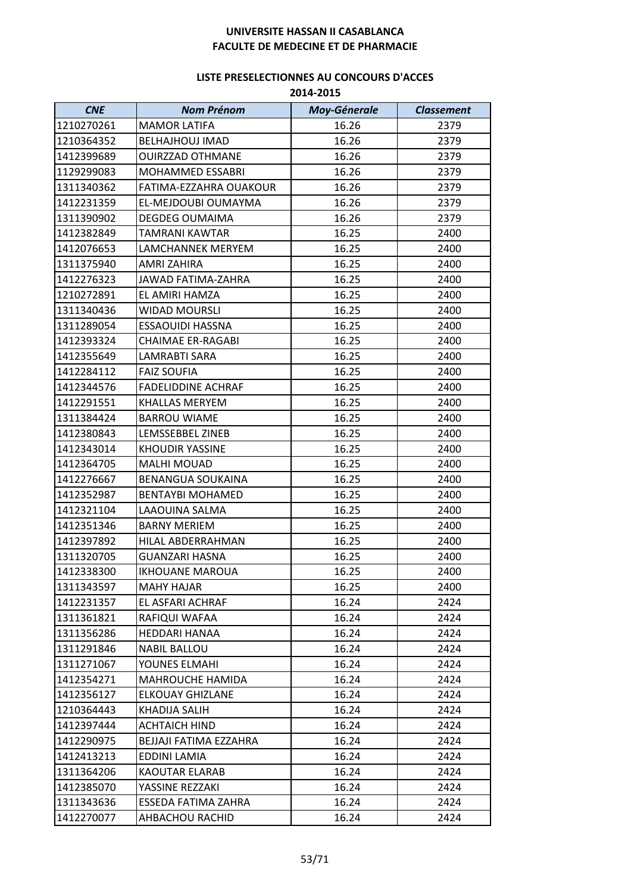| <b>CNE</b> | <b>Nom Prénom</b>         | <b>Moy-Génerale</b> | <b>Classement</b> |
|------------|---------------------------|---------------------|-------------------|
| 1210270261 | <b>MAMOR LATIFA</b>       | 16.26               | 2379              |
| 1210364352 | <b>BELHAJHOUJ IMAD</b>    | 16.26               | 2379              |
| 1412399689 | <b>OUIRZZAD OTHMANE</b>   | 16.26               | 2379              |
| 1129299083 | <b>MOHAMMED ESSABRI</b>   | 16.26               | 2379              |
| 1311340362 | FATIMA-EZZAHRA OUAKOUR    | 16.26               | 2379              |
| 1412231359 | EL-MEJDOUBI OUMAYMA       | 16.26               | 2379              |
| 1311390902 | <b>DEGDEG OUMAIMA</b>     | 16.26               | 2379              |
| 1412382849 | <b>TAMRANI KAWTAR</b>     | 16.25               | 2400              |
| 1412076653 | LAMCHANNEK MERYEM         | 16.25               | 2400              |
| 1311375940 | AMRI ZAHIRA               | 16.25               | 2400              |
| 1412276323 | JAWAD FATIMA-ZAHRA        | 16.25               | 2400              |
| 1210272891 | EL AMIRI HAMZA            | 16.25               | 2400              |
| 1311340436 | <b>WIDAD MOURSLI</b>      | 16.25               | 2400              |
| 1311289054 | <b>ESSAOUIDI HASSNA</b>   | 16.25               | 2400              |
| 1412393324 | <b>CHAIMAE ER-RAGABI</b>  | 16.25               | 2400              |
| 1412355649 | LAMRABTI SARA             | 16.25               | 2400              |
| 1412284112 | <b>FAIZ SOUFIA</b>        | 16.25               | 2400              |
| 1412344576 | <b>FADELIDDINE ACHRAF</b> | 16.25               | 2400              |
| 1412291551 | KHALLAS MERYEM            | 16.25               | 2400              |
| 1311384424 | <b>BARROU WIAME</b>       | 16.25               | 2400              |
| 1412380843 | LEMSSEBBEL ZINEB          | 16.25               | 2400              |
| 1412343014 | <b>KHOUDIR YASSINE</b>    | 16.25               | 2400              |
| 1412364705 | MALHI MOUAD               | 16.25               | 2400              |
| 1412276667 | <b>BENANGUA SOUKAINA</b>  | 16.25               | 2400              |
| 1412352987 | <b>BENTAYBI MOHAMED</b>   | 16.25               | 2400              |
| 1412321104 | LAAOUINA SALMA            | 16.25               | 2400              |
| 1412351346 | <b>BARNY MERIEM</b>       | 16.25               | 2400              |
| 1412397892 | HILAL ABDERRAHMAN         | 16.25               | 2400              |
| 1311320705 | <b>GUANZARI HASNA</b>     | 16.25               | 2400              |
| 1412338300 | <b>IKHOUANE MAROUA</b>    | 16.25               | 2400              |
| 1311343597 | <b>MAHY HAJAR</b>         | 16.25               | 2400              |
| 1412231357 | EL ASFARI ACHRAF          | 16.24               | 2424              |
| 1311361821 | RAFIQUI WAFAA             | 16.24               | 2424              |
| 1311356286 | <b>HEDDARI HANAA</b>      | 16.24               | 2424              |
| 1311291846 | <b>NABIL BALLOU</b>       | 16.24               | 2424              |
| 1311271067 | YOUNES ELMAHI             | 16.24               | 2424              |
| 1412354271 | <b>MAHROUCHE HAMIDA</b>   | 16.24               | 2424              |
| 1412356127 | <b>ELKOUAY GHIZLANE</b>   | 16.24               | 2424              |
| 1210364443 | KHADIJA SALIH             | 16.24               | 2424              |
| 1412397444 | <b>ACHTAICH HIND</b>      | 16.24               | 2424              |
| 1412290975 | BEJJAJI FATIMA EZZAHRA    | 16.24               | 2424              |
| 1412413213 | EDDINI LAMIA              | 16.24               | 2424              |
| 1311364206 | <b>KAOUTAR ELARAB</b>     | 16.24               | 2424              |
| 1412385070 | YASSINE REZZAKI           | 16.24               | 2424              |
| 1311343636 | ESSEDA FATIMA ZAHRA       | 16.24               | 2424              |
| 1412270077 | AHBACHOU RACHID           | 16.24               | 2424              |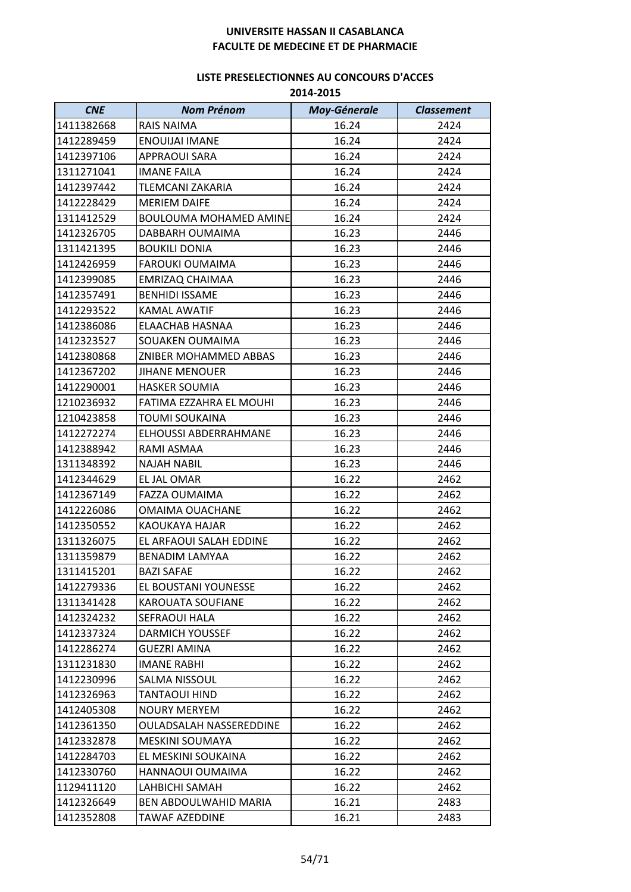| <b>CNE</b> | <b>Nom Prénom</b>             | <b>Moy-Génerale</b> | <b>Classement</b> |
|------------|-------------------------------|---------------------|-------------------|
| 1411382668 | RAIS NAIMA                    | 16.24               | 2424              |
| 1412289459 | <b>ENOUIJAI IMANE</b>         | 16.24               | 2424              |
| 1412397106 | <b>APPRAOUI SARA</b>          | 16.24               | 2424              |
| 1311271041 | <b>IMANE FAILA</b>            | 16.24               | 2424              |
| 1412397442 | <b>TLEMCANI ZAKARIA</b>       | 16.24               | 2424              |
| 1412228429 | <b>MERIEM DAIFE</b>           | 16.24               | 2424              |
| 1311412529 | <b>BOULOUMA MOHAMED AMINE</b> | 16.24               | 2424              |
| 1412326705 | DABBARH OUMAIMA               | 16.23               | 2446              |
| 1311421395 | <b>BOUKILI DONIA</b>          | 16.23               | 2446              |
| 1412426959 | <b>FAROUKI OUMAIMA</b>        | 16.23               | 2446              |
| 1412399085 | <b>EMRIZAQ CHAIMAA</b>        | 16.23               | 2446              |
| 1412357491 | <b>BENHIDI ISSAME</b>         | 16.23               | 2446              |
| 1412293522 | KAMAL AWATIF                  | 16.23               | 2446              |
| 1412386086 | ELAACHAB HASNAA               | 16.23               | 2446              |
| 1412323527 | SOUAKEN OUMAIMA               | 16.23               | 2446              |
| 1412380868 | <b>ZNIBER MOHAMMED ABBAS</b>  | 16.23               | 2446              |
| 1412367202 | <b>JIHANE MENOUER</b>         | 16.23               | 2446              |
| 1412290001 | <b>HASKER SOUMIA</b>          | 16.23               | 2446              |
| 1210236932 | FATIMA EZZAHRA EL MOUHI       | 16.23               | 2446              |
| 1210423858 | TOUMI SOUKAINA                | 16.23               | 2446              |
| 1412272274 | ELHOUSSI ABDERRAHMANE         | 16.23               | 2446              |
| 1412388942 | RAMI ASMAA                    | 16.23               | 2446              |
| 1311348392 | <b>NAJAH NABIL</b>            | 16.23               | 2446              |
| 1412344629 | EL JAL OMAR                   | 16.22               | 2462              |
| 1412367149 | <b>FAZZA OUMAIMA</b>          | 16.22               | 2462              |
| 1412226086 | OMAIMA OUACHANE               | 16.22               | 2462              |
| 1412350552 | KAOUKAYA HAJAR                | 16.22               | 2462              |
| 1311326075 | EL ARFAOUI SALAH EDDINE       | 16.22               | 2462              |
| 1311359879 | <b>BENADIM LAMYAA</b>         | 16.22               | 2462              |
| 1311415201 | <b>BAZI SAFAE</b>             | 16.22               | 2462              |
| 1412279336 | EL BOUSTANI YOUNESSE          | 16.22               | 2462              |
| 1311341428 | KAROUATA SOUFIANE             | 16.22               | 2462              |
| 1412324232 | SEFRAOUI HALA                 | 16.22               | 2462              |
| 1412337324 | DARMICH YOUSSEF               | 16.22               | 2462              |
| 1412286274 | GUEZRI AMINA                  | 16.22               | 2462              |
| 1311231830 | <b>IMANE RABHI</b>            | 16.22               | 2462              |
| 1412230996 | SALMA NISSOUL                 | 16.22               | 2462              |
| 1412326963 | TANTAOUI HIND                 | 16.22               | 2462              |
| 1412405308 | <b>NOURY MERYEM</b>           | 16.22               | 2462              |
| 1412361350 | OULADSALAH NASSEREDDINE       | 16.22               | 2462              |
| 1412332878 | MESKINI SOUMAYA               | 16.22               | 2462              |
| 1412284703 | EL MESKINI SOUKAINA           | 16.22               | 2462              |
| 1412330760 | HANNAOUI OUMAIMA              | 16.22               | 2462              |
| 1129411120 | LAHBICHI SAMAH                | 16.22               | 2462              |
| 1412326649 | BEN ABDOULWAHID MARIA         | 16.21               | 2483              |
| 1412352808 | TAWAF AZEDDINE                | 16.21               | 2483              |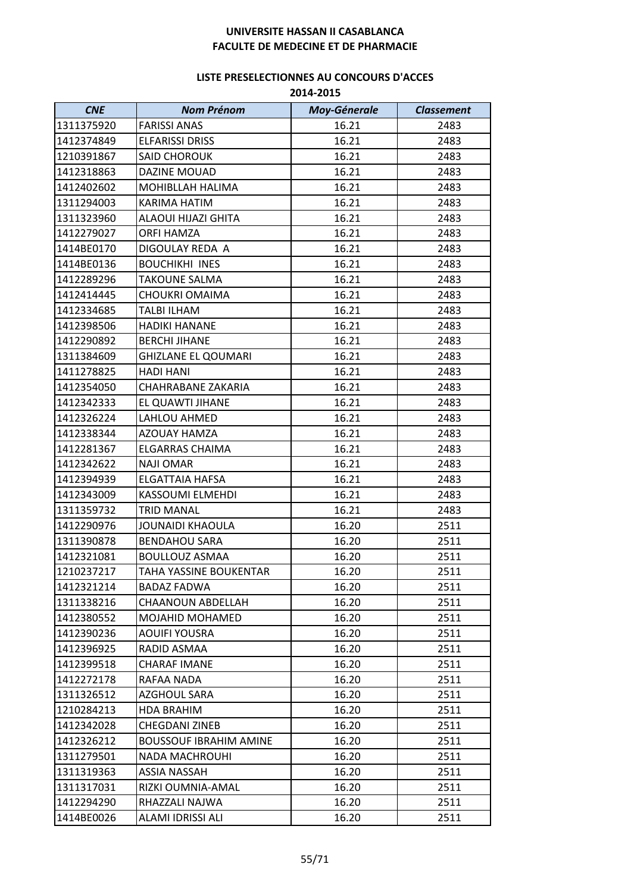| <b>CNE</b> | <b>Nom Prénom</b>             | <b>Moy-Génerale</b> | <b>Classement</b> |
|------------|-------------------------------|---------------------|-------------------|
| 1311375920 | <b>FARISSI ANAS</b>           | 16.21               | 2483              |
| 1412374849 | <b>ELFARISSI DRISS</b>        | 16.21               | 2483              |
| 1210391867 | <b>SAID CHOROUK</b>           | 16.21               | 2483              |
| 1412318863 | <b>DAZINE MOUAD</b>           | 16.21               | 2483              |
| 1412402602 | MOHIBLLAH HALIMA              | 16.21               | 2483              |
| 1311294003 | KARIMA HATIM                  | 16.21               | 2483              |
| 1311323960 | ALAOUI HIJAZI GHITA           | 16.21               | 2483              |
| 1412279027 | ORFI HAMZA                    | 16.21               | 2483              |
| 1414BE0170 | DIGOULAY REDA A               | 16.21               | 2483              |
| 1414BE0136 | <b>BOUCHIKHI INES</b>         | 16.21               | 2483              |
| 1412289296 | <b>TAKOUNE SALMA</b>          | 16.21               | 2483              |
| 1412414445 | <b>CHOUKRI OMAIMA</b>         | 16.21               | 2483              |
| 1412334685 | TALBI ILHAM                   | 16.21               | 2483              |
| 1412398506 | <b>HADIKI HANANE</b>          | 16.21               | 2483              |
| 1412290892 | <b>BERCHI JIHANE</b>          | 16.21               | 2483              |
| 1311384609 | <b>GHIZLANE EL QOUMARI</b>    | 16.21               | 2483              |
| 1411278825 | <b>HADI HANI</b>              | 16.21               | 2483              |
| 1412354050 | CHAHRABANE ZAKARIA            | 16.21               | 2483              |
| 1412342333 | EL QUAWTI JIHANE              | 16.21               | 2483              |
| 1412326224 | LAHLOU AHMED                  | 16.21               | 2483              |
| 1412338344 | AZOUAY HAMZA                  | 16.21               | 2483              |
| 1412281367 | ELGARRAS CHAIMA               | 16.21               | 2483              |
| 1412342622 | <b>NAJI OMAR</b>              | 16.21               | 2483              |
| 1412394939 | <b>ELGATTAIA HAFSA</b>        | 16.21               | 2483              |
| 1412343009 | <b>KASSOUMI ELMEHDI</b>       | 16.21               | 2483              |
| 1311359732 | <b>TRID MANAL</b>             | 16.21               | 2483              |
| 1412290976 | <b>JOUNAIDI KHAOULA</b>       | 16.20               | 2511              |
| 1311390878 | <b>BENDAHOU SARA</b>          | 16.20               | 2511              |
| 1412321081 | <b>BOULLOUZ ASMAA</b>         | 16.20               | 2511              |
| 1210237217 | <b>TAHA YASSINE BOUKENTAR</b> | 16.20               | 2511              |
| 1412321214 | <b>BADAZ FADWA</b>            | 16.20               | 2511              |
| 1311338216 | CHAANOUN ABDELLAH             | 16.20               | 2511              |
| 1412380552 | <b>MOJAHID MOHAMED</b>        | 16.20               | 2511              |
| 1412390236 | AOUIFI YOUSRA                 | 16.20               | 2511              |
| 1412396925 | RADID ASMAA                   | 16.20               | 2511              |
| 1412399518 | <b>CHARAF IMANE</b>           | 16.20               | 2511              |
| 1412272178 | RAFAA NADA                    | 16.20               | 2511              |
| 1311326512 | <b>AZGHOUL SARA</b>           | 16.20               | 2511              |
| 1210284213 | <b>HDA BRAHIM</b>             | 16.20               | 2511              |
| 1412342028 | <b>CHEGDANI ZINEB</b>         | 16.20               | 2511              |
| 1412326212 | <b>BOUSSOUF IBRAHIM AMINE</b> | 16.20               | 2511              |
| 1311279501 | NADA MACHROUHI                | 16.20               | 2511              |
| 1311319363 | ASSIA NASSAH                  | 16.20               | 2511              |
| 1311317031 | RIZKI OUMNIA-AMAL             | 16.20               | 2511              |
| 1412294290 | RHAZZALI NAJWA                | 16.20               | 2511              |
| 1414BE0026 | ALAMI IDRISSI ALI             | 16.20               | 2511              |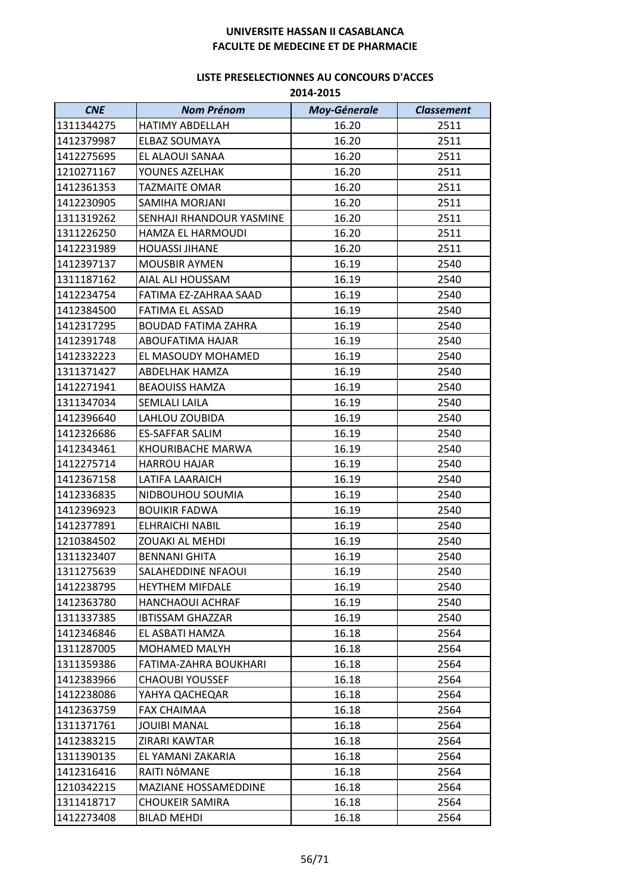| <b>CNE</b> | <b>Nom Prénom</b>          | <b>Moy-Génerale</b> | <b>Classement</b> |
|------------|----------------------------|---------------------|-------------------|
| 1311344275 | <b>HATIMY ABDELLAH</b>     | 16.20               | 2511              |
| 1412379987 | ELBAZ SOUMAYA              | 16.20               | 2511              |
| 1412275695 | EL ALAOUI SANAA            | 16.20               | 2511              |
| 1210271167 | YOUNES AZELHAK             | 16.20               | 2511              |
| 1412361353 | <b>TAZMAITE OMAR</b>       | 16.20               | 2511              |
| 1412230905 | SAMIHA MORJANI             | 16.20               | 2511              |
| 1311319262 | SENHAJI RHANDOUR YASMINE   | 16.20               | 2511              |
| 1311226250 | HAMZA EL HARMOUDI          | 16.20               | 2511              |
| 1412231989 | <b>HOUASSI JIHANE</b>      | 16.20               | 2511              |
| 1412397137 | <b>MOUSBIR AYMEN</b>       | 16.19               | 2540              |
| 1311187162 | AIAL ALI HOUSSAM           | 16.19               | 2540              |
| 1412234754 | FATIMA EZ-ZAHRAA SAAD      | 16.19               | 2540              |
| 1412384500 | <b>FATIMA EL ASSAD</b>     | 16.19               | 2540              |
| 1412317295 | <b>BOUDAD FATIMA ZAHRA</b> | 16.19               | 2540              |
| 1412391748 | ABOUFATIMA HAJAR           | 16.19               | 2540              |
| 1412332223 | EL MASOUDY MOHAMED         | 16.19               | 2540              |
| 1311371427 | ABDELHAK HAMZA             | 16.19               | 2540              |
| 1412271941 | <b>BEAOUISS HAMZA</b>      | 16.19               | 2540              |
| 1311347034 | <b>SEMLALI LAILA</b>       | 16.19               | 2540              |
| 1412396640 | LAHLOU ZOUBIDA             | 16.19               | 2540              |
| 1412326686 | <b>ES-SAFFAR SALIM</b>     | 16.19               | 2540              |
| 1412343461 | KHOURIBACHE MARWA          | 16.19               | 2540              |
| 1412275714 | <b>HARROU HAJAR</b>        | 16.19               | 2540              |
| 1412367158 | <b>LATIFA LAARAICH</b>     | 16.19               | 2540              |
| 1412336835 | NIDBOUHOU SOUMIA           | 16.19               | 2540              |
| 1412396923 | <b>BOUIKIR FADWA</b>       | 16.19               | 2540              |
| 1412377891 | <b>ELHRAICHI NABIL</b>     | 16.19               | 2540              |
| 1210384502 | <b>ZOUAKI AL MEHDI</b>     | 16.19               | 2540              |
| 1311323407 | <b>BENNANI GHITA</b>       | 16.19               | 2540              |
| 1311275639 | SALAHEDDINE NFAOUI         | 16.19               | 2540              |
| 1412238795 | <b>HEYTHEM MIFDALE</b>     | 16.19               | 2540              |
| 1412363780 | <b>HANCHAOUI ACHRAF</b>    | 16.19               | 2540              |
| 1311337385 | <b>IBTISSAM GHAZZAR</b>    | 16.19               | 2540              |
| 1412346846 | EL ASBATI HAMZA            | 16.18               | 2564              |
| 1311287005 | MOHAMED MALYH              | 16.18               | 2564              |
| 1311359386 | FATIMA-ZAHRA BOUKHARI      | 16.18               | 2564              |
| 1412383966 | <b>CHAOUBI YOUSSEF</b>     | 16.18               | 2564              |
| 1412238086 | YAHYA QACHEQAR             | 16.18               | 2564              |
| 1412363759 | FAX CHAIMAA                | 16.18               | 2564              |
| 1311371761 | <b>JOUIBI MANAL</b>        | 16.18               | 2564              |
| 1412383215 | ZIRARI KAWTAR              | 16.18               | 2564              |
| 1311390135 | EL YAMANI ZAKARIA          | 16.18               | 2564              |
| 1412316416 | RAITI NÔMANE               | 16.18               | 2564              |
| 1210342215 | MAZIANE HOSSAMEDDINE       | 16.18               | 2564              |
| 1311418717 | <b>CHOUKEIR SAMIRA</b>     | 16.18               | 2564              |
| 1412273408 | <b>BILAD MEHDI</b>         | 16.18               | 2564              |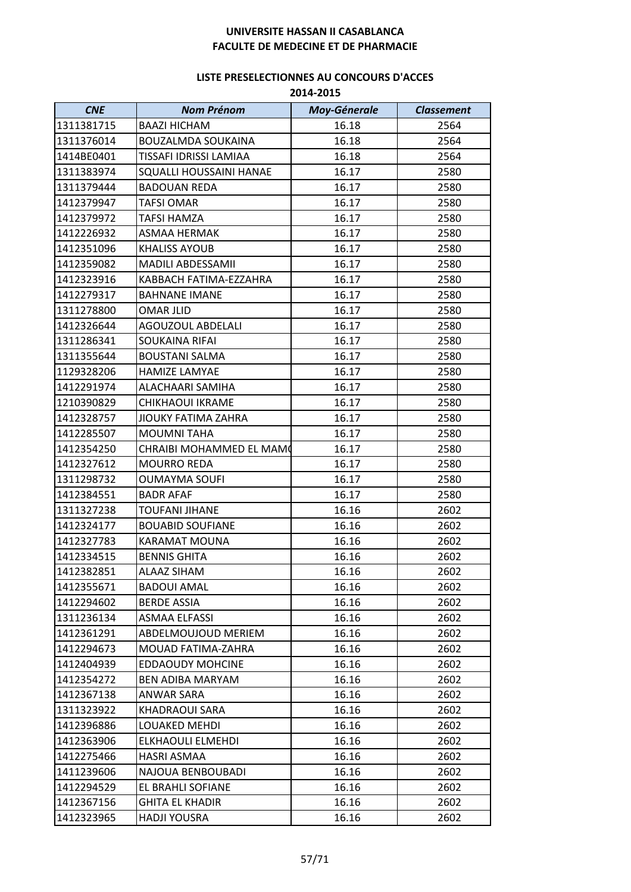| <b>CNE</b> | <b>Nom Prénom</b>         | <b>Moy-Génerale</b> | <b>Classement</b> |
|------------|---------------------------|---------------------|-------------------|
| 1311381715 | <b>BAAZI HICHAM</b>       | 16.18               | 2564              |
| 1311376014 | <b>BOUZALMDA SOUKAINA</b> | 16.18               | 2564              |
| 1414BE0401 | TISSAFI IDRISSI LAMIAA    | 16.18               | 2564              |
| 1311383974 | SQUALLI HOUSSAINI HANAE   | 16.17               | 2580              |
| 1311379444 | <b>BADOUAN REDA</b>       | 16.17               | 2580              |
| 1412379947 | <b>TAFSI OMAR</b>         | 16.17               | 2580              |
| 1412379972 | <b>TAFSI HAMZA</b>        | 16.17               | 2580              |
| 1412226932 | ASMAA HERMAK              | 16.17               | 2580              |
| 1412351096 | <b>KHALISS AYOUB</b>      | 16.17               | 2580              |
| 1412359082 | MADILI ABDESSAMII         | 16.17               | 2580              |
| 1412323916 | KABBACH FATIMA-EZZAHRA    | 16.17               | 2580              |
| 1412279317 | <b>BAHNANE IMANE</b>      | 16.17               | 2580              |
| 1311278800 | <b>OMAR JLID</b>          | 16.17               | 2580              |
| 1412326644 | AGOUZOUL ABDELALI         | 16.17               | 2580              |
| 1311286341 | <b>SOUKAINA RIFAI</b>     | 16.17               | 2580              |
| 1311355644 | <b>BOUSTANI SALMA</b>     | 16.17               | 2580              |
| 1129328206 | <b>HAMIZE LAMYAE</b>      | 16.17               | 2580              |
| 1412291974 | ALACHAARI SAMIHA          | 16.17               | 2580              |
| 1210390829 | <b>CHIKHAOUI IKRAME</b>   | 16.17               | 2580              |
| 1412328757 | JIOUKY FATIMA ZAHRA       | 16.17               | 2580              |
| 1412285507 | <b>MOUMNITAHA</b>         | 16.17               | 2580              |
| 1412354250 | CHRAIBI MOHAMMED EL MAMO  | 16.17               | 2580              |
| 1412327612 | <b>MOURRO REDA</b>        | 16.17               | 2580              |
| 1311298732 | <b>OUMAYMA SOUFI</b>      | 16.17               | 2580              |
| 1412384551 | <b>BADR AFAF</b>          | 16.17               | 2580              |
| 1311327238 | <b>TOUFANI JIHANE</b>     | 16.16               | 2602              |
| 1412324177 | <b>BOUABID SOUFIANE</b>   | 16.16               | 2602              |
| 1412327783 | <b>KARAMAT MOUNA</b>      | 16.16               | 2602              |
| 1412334515 | <b>BENNIS GHITA</b>       | 16.16               | 2602              |
| 1412382851 | ALAAZ SIHAM               | 16.16               | 2602              |
| 1412355671 | <b>BADOUI AMAL</b>        | 16.16               | 2602              |
| 1412294602 | <b>BERDE ASSIA</b>        | 16.16               | 2602              |
| 1311236134 | <b>ASMAA ELFASSI</b>      | 16.16               | 2602              |
| 1412361291 | ABDELMOUJOUD MERIEM       | 16.16               | 2602              |
| 1412294673 | MOUAD FATIMA-ZAHRA        | 16.16               | 2602              |
| 1412404939 | <b>EDDAOUDY MOHCINE</b>   | 16.16               | 2602              |
| 1412354272 | BEN ADIBA MARYAM          | 16.16               | 2602              |
| 1412367138 | ANWAR SARA                | 16.16               | 2602              |
| 1311323922 | <b>KHADRAOUI SARA</b>     | 16.16               | 2602              |
| 1412396886 | LOUAKED MEHDI             | 16.16               | 2602              |
| 1412363906 | ELKHAOULI ELMEHDI         | 16.16               | 2602              |
| 1412275466 | HASRI ASMAA               | 16.16               | 2602              |
| 1411239606 | NAJOUA BENBOUBADI         | 16.16               | 2602              |
| 1412294529 | EL BRAHLI SOFIANE         | 16.16               | 2602              |
| 1412367156 | <b>GHITA EL KHADIR</b>    | 16.16               | 2602              |
| 1412323965 | <b>HADJI YOUSRA</b>       | 16.16               | 2602              |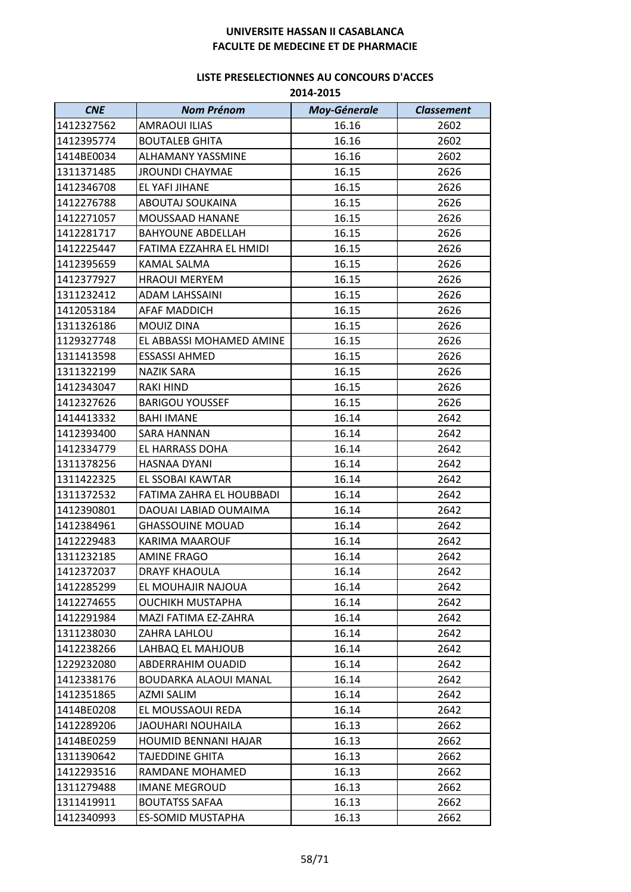| <b>CNE</b> | <b>Nom Prénom</b>           | <b>Moy-Génerale</b> | <b>Classement</b> |
|------------|-----------------------------|---------------------|-------------------|
| 1412327562 | <b>AMRAOUI ILIAS</b>        | 16.16               | 2602              |
| 1412395774 | <b>BOUTALEB GHITA</b>       | 16.16               | 2602              |
| 1414BE0034 | <b>ALHAMANY YASSMINE</b>    | 16.16               | 2602              |
| 1311371485 | <b>JROUNDI CHAYMAE</b>      | 16.15               | 2626              |
| 1412346708 | EL YAFI JIHANE              | 16.15               | 2626              |
| 1412276788 | ABOUTAJ SOUKAINA            | 16.15               | 2626              |
| 1412271057 | MOUSSAAD HANANE             | 16.15               | 2626              |
| 1412281717 | <b>BAHYOUNE ABDELLAH</b>    | 16.15               | 2626              |
| 1412225447 | FATIMA EZZAHRA EL HMIDI     | 16.15               | 2626              |
| 1412395659 | KAMAL SALMA                 | 16.15               | 2626              |
| 1412377927 | <b>HRAOUI MERYEM</b>        | 16.15               | 2626              |
| 1311232412 | <b>ADAM LAHSSAINI</b>       | 16.15               | 2626              |
| 1412053184 | AFAF MADDICH                | 16.15               | 2626              |
| 1311326186 | MOUIZ DINA                  | 16.15               | 2626              |
| 1129327748 | EL ABBASSI MOHAMED AMINE    | 16.15               | 2626              |
| 1311413598 | <b>ESSASSI AHMED</b>        | 16.15               | 2626              |
| 1311322199 | NAZIK SARA                  | 16.15               | 2626              |
| 1412343047 | <b>RAKI HIND</b>            | 16.15               | 2626              |
| 1412327626 | <b>BARIGOU YOUSSEF</b>      | 16.15               | 2626              |
| 1414413332 | <b>BAHI IMANE</b>           | 16.14               | 2642              |
| 1412393400 | <b>SARA HANNAN</b>          | 16.14               | 2642              |
| 1412334779 | EL HARRASS DOHA             | 16.14               | 2642              |
| 1311378256 | HASNAA DYANI                | 16.14               | 2642              |
| 1311422325 | EL SSOBAI KAWTAR            | 16.14               | 2642              |
| 1311372532 | FATIMA ZAHRA EL HOUBBADI    | 16.14               | 2642              |
| 1412390801 | DAOUAI LABIAD OUMAIMA       | 16.14               | 2642              |
| 1412384961 | <b>GHASSOUINE MOUAD</b>     | 16.14               | 2642              |
| 1412229483 | KARIMA MAAROUF              | 16.14               | 2642              |
| 1311232185 | <b>AMINE FRAGO</b>          | 16.14               | 2642              |
| 1412372037 | <b>DRAYF KHAOULA</b>        | 16.14               | 2642              |
| 1412285299 | EL MOUHAJIR NAJOUA          | 16.14               | 2642              |
| 1412274655 | OUCHIKH MUSTAPHA            | 16.14               | 2642              |
| 1412291984 | MAZI FATIMA EZ-ZAHRA        | 16.14               | 2642              |
| 1311238030 | ZAHRA LAHLOU                | 16.14               | 2642              |
| 1412238266 | LAHBAQ EL MAHJOUB           | 16.14               | 2642              |
| 1229232080 | ABDERRAHIM OUADID           | 16.14               | 2642              |
| 1412338176 | BOUDARKA ALAOUI MANAL       | 16.14               | 2642              |
| 1412351865 | <b>AZMI SALIM</b>           | 16.14               | 2642              |
| 1414BE0208 | EL MOUSSAOUI REDA           | 16.14               | 2642              |
| 1412289206 | <b>JAOUHARI NOUHAILA</b>    | 16.13               | 2662              |
| 1414BE0259 | <b>HOUMID BENNANI HAJAR</b> | 16.13               | 2662              |
| 1311390642 | TAJEDDINE GHITA             | 16.13               | 2662              |
| 1412293516 | RAMDANE MOHAMED             | 16.13               | 2662              |
| 1311279488 | <b>IMANE MEGROUD</b>        | 16.13               | 2662              |
| 1311419911 | <b>BOUTATSS SAFAA</b>       | 16.13               | 2662              |
| 1412340993 | ES-SOMID MUSTAPHA           | 16.13               | 2662              |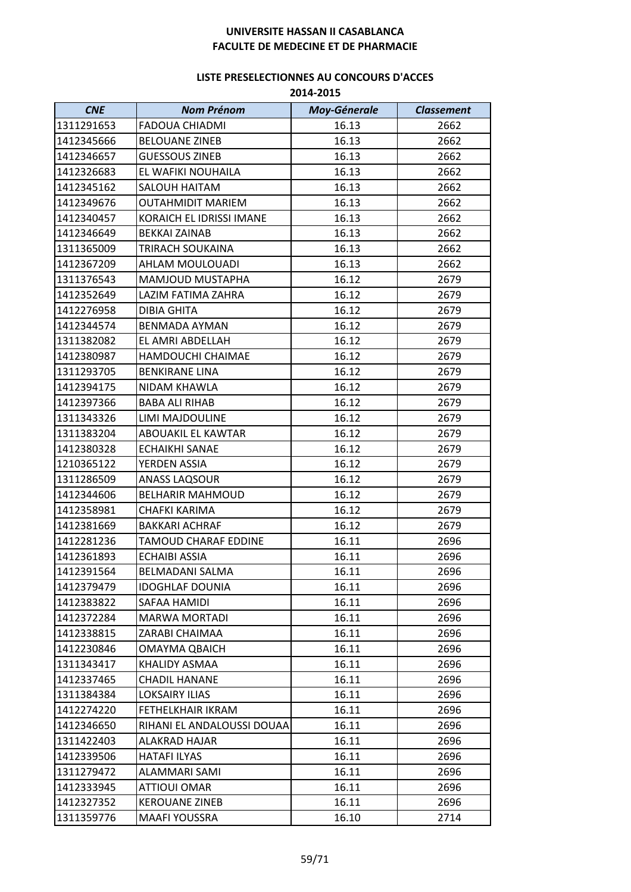| <b>CNE</b> | <b>Nom Prénom</b>          | Moy-Génerale | <b>Classement</b> |
|------------|----------------------------|--------------|-------------------|
| 1311291653 | <b>FADOUA CHIADMI</b>      | 16.13        | 2662              |
| 1412345666 | <b>BELOUANE ZINEB</b>      | 16.13        | 2662              |
| 1412346657 | <b>GUESSOUS ZINEB</b>      | 16.13        | 2662              |
| 1412326683 | EL WAFIKI NOUHAILA         | 16.13        | 2662              |
| 1412345162 | SALOUH HAITAM              | 16.13        | 2662              |
| 1412349676 | OUTAHMIDIT MARIEM          | 16.13        | 2662              |
| 1412340457 | KORAICH EL IDRISSI IMANE   | 16.13        | 2662              |
| 1412346649 | <b>BEKKAI ZAINAB</b>       | 16.13        | 2662              |
| 1311365009 | TRIRACH SOUKAINA           | 16.13        | 2662              |
| 1412367209 | AHLAM MOULOUADI            | 16.13        | 2662              |
| 1311376543 | MAMJOUD MUSTAPHA           | 16.12        | 2679              |
| 1412352649 | LAZIM FATIMA ZAHRA         | 16.12        | 2679              |
| 1412276958 | DIBIA GHITA                | 16.12        | 2679              |
| 1412344574 | BENMADA AYMAN              | 16.12        | 2679              |
| 1311382082 | EL AMRI ABDELLAH           | 16.12        | 2679              |
| 1412380987 | HAMDOUCHI CHAIMAE          | 16.12        | 2679              |
| 1311293705 | <b>BENKIRANE LINA</b>      | 16.12        | 2679              |
| 1412394175 | NIDAM KHAWLA               | 16.12        | 2679              |
| 1412397366 | <b>BABA ALI RIHAB</b>      | 16.12        | 2679              |
| 1311343326 | LIMI MAJDOULINE            | 16.12        | 2679              |
| 1311383204 | ABOUAKIL EL KAWTAR         | 16.12        | 2679              |
| 1412380328 | <b>ECHAIKHI SANAE</b>      | 16.12        | 2679              |
| 1210365122 | YERDEN ASSIA               | 16.12        | 2679              |
| 1311286509 | ANASS LAQSOUR              | 16.12        | 2679              |
| 1412344606 | <b>BELHARIR MAHMOUD</b>    | 16.12        | 2679              |
| 1412358981 | CHAFKI KARIMA              | 16.12        | 2679              |
| 1412381669 | <b>BAKKARI ACHRAF</b>      | 16.12        | 2679              |
| 1412281236 | TAMOUD CHARAF EDDINE       | 16.11        | 2696              |
| 1412361893 | <b>ECHAIBI ASSIA</b>       | 16.11        | 2696              |
| 1412391564 | BELMADANI SALMA            | 16.11        | 2696              |
| 1412379479 | <b>IDOGHLAF DOUNIA</b>     | 16.11        | 2696              |
| 1412383822 | SAFAA HAMIDI               | 16.11        | 2696              |
| 1412372284 | <b>MARWA MORTADI</b>       | 16.11        | 2696              |
| 1412338815 | ZARABI CHAIMAA             | 16.11        | 2696              |
| 1412230846 | OMAYMA QBAICH              | 16.11        | 2696              |
| 1311343417 | KHALIDY ASMAA              | 16.11        | 2696              |
| 1412337465 | CHADIL HANANE              | 16.11        | 2696              |
| 1311384384 | <b>LOKSAIRY ILIAS</b>      | 16.11        | 2696              |
| 1412274220 | FETHELKHAIR IKRAM          | 16.11        | 2696              |
| 1412346650 | RIHANI EL ANDALOUSSI DOUAA | 16.11        | 2696              |
| 1311422403 | ALAKRAD HAJAR              | 16.11        | 2696              |
| 1412339506 | <b>HATAFI ILYAS</b>        | 16.11        | 2696              |
| 1311279472 | <b>ALAMMARI SAMI</b>       | 16.11        | 2696              |
| 1412333945 | <b>ATTIOUI OMAR</b>        | 16.11        | 2696              |
| 1412327352 | <b>KEROUANE ZINEB</b>      | 16.11        | 2696              |
| 1311359776 | <b>MAAFI YOUSSRA</b>       | 16.10        | 2714              |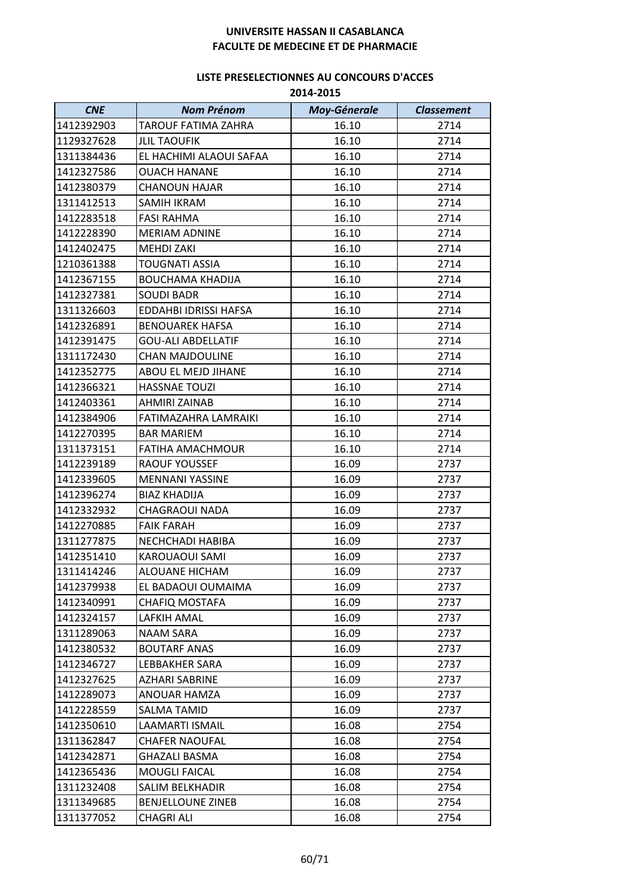| <b>CNE</b> | <b>Nom Prénom</b>          | Moy-Génerale | <b>Classement</b> |
|------------|----------------------------|--------------|-------------------|
| 1412392903 | <b>TAROUF FATIMA ZAHRA</b> | 16.10        | 2714              |
| 1129327628 | <b>JLIL TAOUFIK</b>        | 16.10        | 2714              |
| 1311384436 | EL HACHIMI ALAOUI SAFAA    | 16.10        | 2714              |
| 1412327586 | <b>OUACH HANANE</b>        | 16.10        | 2714              |
| 1412380379 | <b>CHANOUN HAJAR</b>       | 16.10        | 2714              |
| 1311412513 | <b>SAMIH IKRAM</b>         | 16.10        | 2714              |
| 1412283518 | <b>FASI RAHMA</b>          | 16.10        | 2714              |
| 1412228390 | <b>MERIAM ADNINE</b>       | 16.10        | 2714              |
| 1412402475 | <b>MEHDI ZAKI</b>          | 16.10        | 2714              |
| 1210361388 | <b>TOUGNATI ASSIA</b>      | 16.10        | 2714              |
| 1412367155 | <b>BOUCHAMA KHADIJA</b>    | 16.10        | 2714              |
| 1412327381 | <b>SOUDI BADR</b>          | 16.10        | 2714              |
| 1311326603 | EDDAHBI IDRISSI HAFSA      | 16.10        | 2714              |
| 1412326891 | <b>BENOUAREK HAFSA</b>     | 16.10        | 2714              |
| 1412391475 | <b>GOU-ALI ABDELLATIF</b>  | 16.10        | 2714              |
| 1311172430 | <b>CHAN MAJDOULINE</b>     | 16.10        | 2714              |
| 1412352775 | ABOU EL MEJD JIHANE        | 16.10        | 2714              |
| 1412366321 | <b>HASSNAE TOUZI</b>       | 16.10        | 2714              |
| 1412403361 | AHMIRI ZAINAB              | 16.10        | 2714              |
| 1412384906 | FATIMAZAHRA LAMRAIKI       | 16.10        | 2714              |
| 1412270395 | <b>BAR MARIEM</b>          | 16.10        | 2714              |
| 1311373151 | FATIHA AMACHMOUR           | 16.10        | 2714              |
| 1412239189 | <b>RAOUF YOUSSEF</b>       | 16.09        | 2737              |
| 1412339605 | <b>MENNANI YASSINE</b>     | 16.09        | 2737              |
| 1412396274 | <b>BIAZ KHADIJA</b>        | 16.09        | 2737              |
| 1412332932 | <b>CHAGRAOUI NADA</b>      | 16.09        | 2737              |
| 1412270885 | <b>FAIK FARAH</b>          | 16.09        | 2737              |
| 1311277875 | NECHCHADI HABIBA           | 16.09        | 2737              |
| 1412351410 | KAROUAOUI SAMI             | 16.09        | 2737              |
| 1311414246 | ALOUANE HICHAM             | 16.09        | 2737              |
| 1412379938 | EL BADAOUI OUMAIMA         | 16.09        | 2737              |
| 1412340991 | <b>CHAFIQ MOSTAFA</b>      | 16.09        | 2737              |
| 1412324157 | LAFKIH AMAL                | 16.09        | 2737              |
| 1311289063 | <b>NAAM SARA</b>           | 16.09        | 2737              |
| 1412380532 | <b>BOUTARF ANAS</b>        | 16.09        | 2737              |
| 1412346727 | LEBBAKHER SARA             | 16.09        | 2737              |
| 1412327625 | <b>AZHARI SABRINE</b>      | 16.09        | 2737              |
| 1412289073 | ANOUAR HAMZA               | 16.09        | 2737              |
| 1412228559 | SALMA TAMID                | 16.09        | 2737              |
| 1412350610 | <b>LAAMARTI ISMAIL</b>     | 16.08        | 2754              |
| 1311362847 | <b>CHAFER NAOUFAL</b>      | 16.08        | 2754              |
| 1412342871 | <b>GHAZALI BASMA</b>       | 16.08        | 2754              |
| 1412365436 | <b>MOUGLI FAICAL</b>       | 16.08        | 2754              |
| 1311232408 | <b>SALIM BELKHADIR</b>     | 16.08        | 2754              |
| 1311349685 | <b>BENJELLOUNE ZINEB</b>   | 16.08        | 2754              |
| 1311377052 | <b>CHAGRI ALI</b>          | 16.08        | 2754              |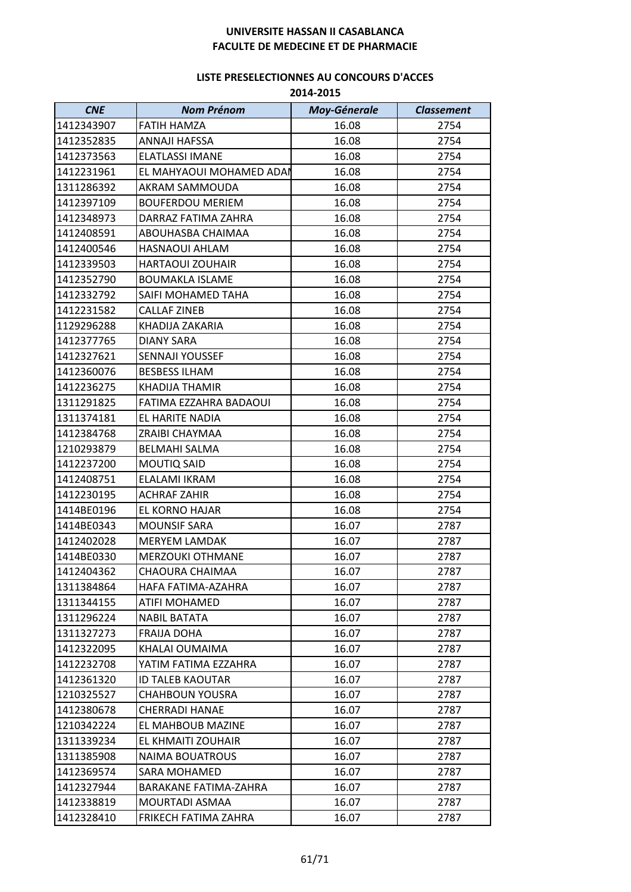| <b>CNE</b> | <b>Nom Prénom</b>        | <b>Moy-Génerale</b> | <b>Classement</b> |
|------------|--------------------------|---------------------|-------------------|
| 1412343907 | <b>FATIH HAMZA</b>       | 16.08               | 2754              |
| 1412352835 | ANNAJI HAFSSA            | 16.08               | 2754              |
| 1412373563 | <b>ELATLASSI IMANE</b>   | 16.08               | 2754              |
| 1412231961 | EL MAHYAOUI MOHAMED ADAI | 16.08               | 2754              |
| 1311286392 | AKRAM SAMMOUDA           | 16.08               | 2754              |
| 1412397109 | <b>BOUFERDOU MERIEM</b>  | 16.08               | 2754              |
| 1412348973 | DARRAZ FATIMA ZAHRA      | 16.08               | 2754              |
| 1412408591 | ABOUHASBA CHAIMAA        | 16.08               | 2754              |
| 1412400546 | HASNAOUI AHLAM           | 16.08               | 2754              |
| 1412339503 | <b>HARTAOUI ZOUHAIR</b>  | 16.08               | 2754              |
| 1412352790 | <b>BOUMAKLA ISLAME</b>   | 16.08               | 2754              |
| 1412332792 | SAIFI MOHAMED TAHA       | 16.08               | 2754              |
| 1412231582 | <b>CALLAF ZINEB</b>      | 16.08               | 2754              |
| 1129296288 | KHADIJA ZAKARIA          | 16.08               | 2754              |
| 1412377765 | <b>DIANY SARA</b>        | 16.08               | 2754              |
| 1412327621 | <b>SENNAJI YOUSSEF</b>   | 16.08               | 2754              |
| 1412360076 | <b>BESBESS ILHAM</b>     | 16.08               | 2754              |
| 1412236275 | KHADIJA THAMIR           | 16.08               | 2754              |
| 1311291825 | FATIMA EZZAHRA BADAOUI   | 16.08               | 2754              |
| 1311374181 | EL HARITE NADIA          | 16.08               | 2754              |
| 1412384768 | ZRAIBI CHAYMAA           | 16.08               | 2754              |
| 1210293879 | <b>BELMAHI SALMA</b>     | 16.08               | 2754              |
| 1412237200 | MOUTIQ SAID              | 16.08               | 2754              |
| 1412408751 | ELALAMI IKRAM            | 16.08               | 2754              |
| 1412230195 | <b>ACHRAF ZAHIR</b>      | 16.08               | 2754              |
| 1414BE0196 | EL KORNO HAJAR           | 16.08               | 2754              |
| 1414BE0343 | <b>MOUNSIF SARA</b>      | 16.07               | 2787              |
| 1412402028 | <b>MERYEM LAMDAK</b>     | 16.07               | 2787              |
| 1414BE0330 | <b>MERZOUKI OTHMANE</b>  | 16.07               | 2787              |
| 1412404362 | CHAOURA CHAIMAA          | 16.07               | 2787              |
| 1311384864 | HAFA FATIMA-AZAHRA       | 16.07               | 2787              |
| 1311344155 | <b>ATIFI MOHAMED</b>     | 16.07               | 2787              |
| 1311296224 | <b>NABIL BATATA</b>      | 16.07               | 2787              |
| 1311327273 | <b>FRAIJA DOHA</b>       | 16.07               | 2787              |
| 1412322095 | KHALAI OUMAIMA           | 16.07               | 2787              |
| 1412232708 | YATIM FATIMA EZZAHRA     | 16.07               | 2787              |
| 1412361320 | <b>ID TALEB KAOUTAR</b>  | 16.07               | 2787              |
| 1210325527 | <b>CHAHBOUN YOUSRA</b>   | 16.07               | 2787              |
| 1412380678 | <b>CHERRADI HANAE</b>    | 16.07               | 2787              |
| 1210342224 | EL MAHBOUB MAZINE        | 16.07               | 2787              |
| 1311339234 | EL KHMAITI ZOUHAIR       | 16.07               | 2787              |
| 1311385908 | <b>NAIMA BOUATROUS</b>   | 16.07               | 2787              |
| 1412369574 | <b>SARA MOHAMED</b>      | 16.07               | 2787              |
| 1412327944 | BARAKANE FATIMA-ZAHRA    | 16.07               | 2787              |
| 1412338819 | MOURTADI ASMAA           | 16.07               | 2787              |
| 1412328410 | FRIKECH FATIMA ZAHRA     | 16.07               | 2787              |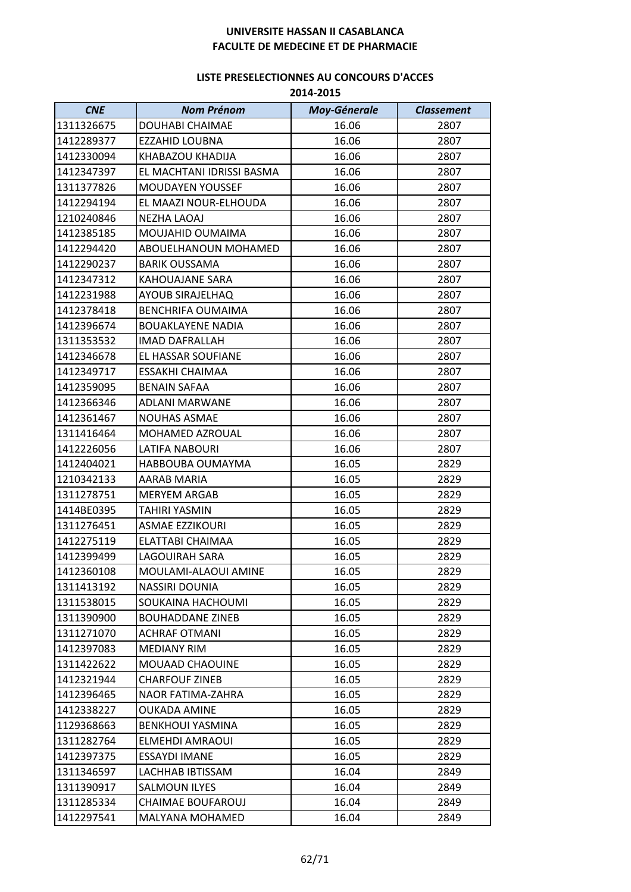| <b>CNE</b> | <b>Nom Prénom</b>         | <b>Moy-Génerale</b> | <b>Classement</b> |
|------------|---------------------------|---------------------|-------------------|
| 1311326675 | DOUHABI CHAIMAE           | 16.06               | 2807              |
| 1412289377 | <b>EZZAHID LOUBNA</b>     | 16.06               | 2807              |
| 1412330094 | KHABAZOU KHADIJA          | 16.06               | 2807              |
| 1412347397 | EL MACHTANI IDRISSI BASMA | 16.06               | 2807              |
| 1311377826 | <b>MOUDAYEN YOUSSEF</b>   | 16.06               | 2807              |
| 1412294194 | EL MAAZI NOUR-ELHOUDA     | 16.06               | 2807              |
| 1210240846 | <b>NEZHA LAOAJ</b>        | 16.06               | 2807              |
| 1412385185 | MOUJAHID OUMAIMA          | 16.06               | 2807              |
| 1412294420 | ABOUELHANOUN MOHAMED      | 16.06               | 2807              |
| 1412290237 | <b>BARIK OUSSAMA</b>      | 16.06               | 2807              |
| 1412347312 | <b>KAHOUAJANE SARA</b>    | 16.06               | 2807              |
| 1412231988 | <b>AYOUB SIRAJELHAQ</b>   | 16.06               | 2807              |
| 1412378418 | <b>BENCHRIFA OUMAIMA</b>  | 16.06               | 2807              |
| 1412396674 | <b>BOUAKLAYENE NADIA</b>  | 16.06               | 2807              |
| 1311353532 | <b>IMAD DAFRALLAH</b>     | 16.06               | 2807              |
| 1412346678 | EL HASSAR SOUFIANE        | 16.06               | 2807              |
| 1412349717 | <b>ESSAKHI CHAIMAA</b>    | 16.06               | 2807              |
| 1412359095 | <b>BENAIN SAFAA</b>       | 16.06               | 2807              |
| 1412366346 | <b>ADLANI MARWANE</b>     | 16.06               | 2807              |
| 1412361467 | <b>NOUHAS ASMAE</b>       | 16.06               | 2807              |
| 1311416464 | MOHAMED AZROUAL           | 16.06               | 2807              |
| 1412226056 | <b>LATIFA NABOURI</b>     | 16.06               | 2807              |
| 1412404021 | HABBOUBA OUMAYMA          | 16.05               | 2829              |
| 1210342133 | AARAB MARIA               | 16.05               | 2829              |
| 1311278751 | <b>MERYEM ARGAB</b>       | 16.05               | 2829              |
| 1414BE0395 | <b>TAHIRI YASMIN</b>      | 16.05               | 2829              |
| 1311276451 | ASMAE EZZIKOURI           | 16.05               | 2829              |
| 1412275119 | ELATTABI CHAIMAA          | 16.05               | 2829              |
| 1412399499 | <b>LAGOUIRAH SARA</b>     | 16.05               | 2829              |
| 1412360108 | MOULAMI-ALAOUI AMINE      | 16.05               | 2829              |
| 1311413192 | NASSIRI DOUNIA            | 16.05               | 2829              |
| 1311538015 | SOUKAINA HACHOUMI         | 16.05               | 2829              |
| 1311390900 | <b>BOUHADDANE ZINEB</b>   | 16.05               | 2829              |
| 1311271070 | <b>ACHRAF OTMANI</b>      | 16.05               | 2829              |
| 1412397083 | <b>MEDIANY RIM</b>        | 16.05               | 2829              |
| 1311422622 | MOUAAD CHAOUINE           | 16.05               | 2829              |
| 1412321944 | <b>CHARFOUF ZINEB</b>     | 16.05               | 2829              |
| 1412396465 | NAOR FATIMA-ZAHRA         | 16.05               | 2829              |
| 1412338227 | <b>OUKADA AMINE</b>       | 16.05               | 2829              |
| 1129368663 | <b>BENKHOUI YASMINA</b>   | 16.05               | 2829              |
| 1311282764 | ELMEHDI AMRAOUI           | 16.05               | 2829              |
| 1412397375 | <b>ESSAYDI IMANE</b>      | 16.05               | 2829              |
| 1311346597 | LACHHAB IBTISSAM          | 16.04               | 2849              |
| 1311390917 | <b>SALMOUN ILYES</b>      | 16.04               | 2849              |
| 1311285334 | <b>CHAIMAE BOUFAROUJ</b>  | 16.04               | 2849              |
| 1412297541 | MALYANA MOHAMED           | 16.04               | 2849              |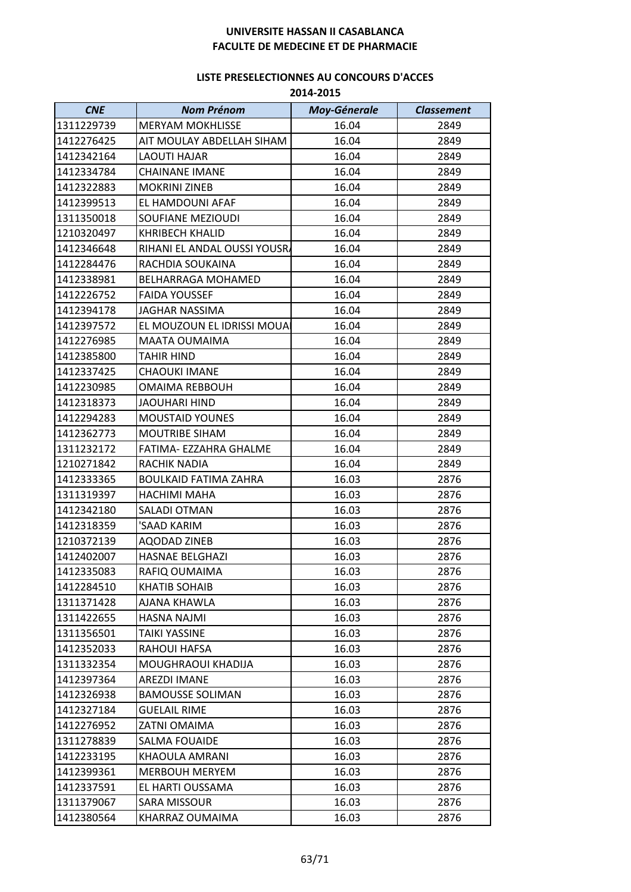| <b>CNE</b> | <b>Nom Prénom</b>            | <b>Moy-Génerale</b> | <b>Classement</b> |
|------------|------------------------------|---------------------|-------------------|
| 1311229739 | <b>MERYAM MOKHLISSE</b>      | 16.04               | 2849              |
| 1412276425 | AIT MOULAY ABDELLAH SIHAM    | 16.04               | 2849              |
| 1412342164 | <b>LAOUTI HAJAR</b>          | 16.04               | 2849              |
| 1412334784 | <b>CHAINANE IMANE</b>        | 16.04               | 2849              |
| 1412322883 | <b>MOKRINI ZINEB</b>         | 16.04               | 2849              |
| 1412399513 | EL HAMDOUNI AFAF             | 16.04               | 2849              |
| 1311350018 | <b>SOUFIANE MEZIOUDI</b>     | 16.04               | 2849              |
| 1210320497 | <b>KHRIBECH KHALID</b>       | 16.04               | 2849              |
| 1412346648 | RIHANI EL ANDAL OUSSI YOUSRA | 16.04               | 2849              |
| 1412284476 | RACHDIA SOUKAINA             | 16.04               | 2849              |
| 1412338981 | BELHARRAGA MOHAMED           | 16.04               | 2849              |
| 1412226752 | <b>FAIDA YOUSSEF</b>         | 16.04               | 2849              |
| 1412394178 | <b>JAGHAR NASSIMA</b>        | 16.04               | 2849              |
| 1412397572 | EL MOUZOUN EL IDRISSI MOUAI  | 16.04               | 2849              |
| 1412276985 | MAATA OUMAIMA                | 16.04               | 2849              |
| 1412385800 | <b>TAHIR HIND</b>            | 16.04               | 2849              |
| 1412337425 | <b>CHAOUKI IMANE</b>         | 16.04               | 2849              |
| 1412230985 | <b>OMAIMA REBBOUH</b>        | 16.04               | 2849              |
| 1412318373 | <b>JAOUHARI HIND</b>         | 16.04               | 2849              |
| 1412294283 | <b>MOUSTAID YOUNES</b>       | 16.04               | 2849              |
| 1412362773 | <b>MOUTRIBE SIHAM</b>        | 16.04               | 2849              |
| 1311232172 | FATIMA- EZZAHRA GHALME       | 16.04               | 2849              |
| 1210271842 | RACHIK NADIA                 | 16.04               | 2849              |
| 1412333365 | <b>BOULKAID FATIMA ZAHRA</b> | 16.03               | 2876              |
| 1311319397 | HACHIMI MAHA                 | 16.03               | 2876              |
| 1412342180 | SALADI OTMAN                 | 16.03               | 2876              |
| 1412318359 | 'SAAD KARIM                  | 16.03               | 2876              |
| 1210372139 | <b>AQODAD ZINEB</b>          | 16.03               | 2876              |
| 1412402007 | <b>HASNAE BELGHAZI</b>       | 16.03               | 2876              |
| 1412335083 | RAFIQ OUMAIMA                | 16.03               | 2876              |
| 1412284510 | KHATIB SOHAIB                | 16.03               | 2876              |
| 1311371428 | AJANA KHAWLA                 | 16.03               | 2876              |
| 1311422655 | <b>HASNA NAJMI</b>           | 16.03               | 2876              |
| 1311356501 | TAIKI YASSINE                | 16.03               | 2876              |
| 1412352033 | <b>RAHOUI HAFSA</b>          | 16.03               | 2876              |
| 1311332354 | MOUGHRAOUI KHADIJA           | 16.03               | 2876              |
| 1412397364 | <b>AREZDI IMANE</b>          | 16.03               | 2876              |
| 1412326938 | <b>BAMOUSSE SOLIMAN</b>      | 16.03               | 2876              |
| 1412327184 | <b>GUELAIL RIME</b>          | 16.03               | 2876              |
| 1412276952 | ZATNI OMAIMA                 | 16.03               | 2876              |
| 1311278839 | <b>SALMA FOUAIDE</b>         | 16.03               | 2876              |
| 1412233195 | KHAOULA AMRANI               | 16.03               | 2876              |
| 1412399361 | <b>MERBOUH MERYEM</b>        | 16.03               | 2876              |
| 1412337591 | EL HARTI OUSSAMA             | 16.03               | 2876              |
| 1311379067 | SARA MISSOUR                 | 16.03               | 2876              |
| 1412380564 | KHARRAZ OUMAIMA              | 16.03               | 2876              |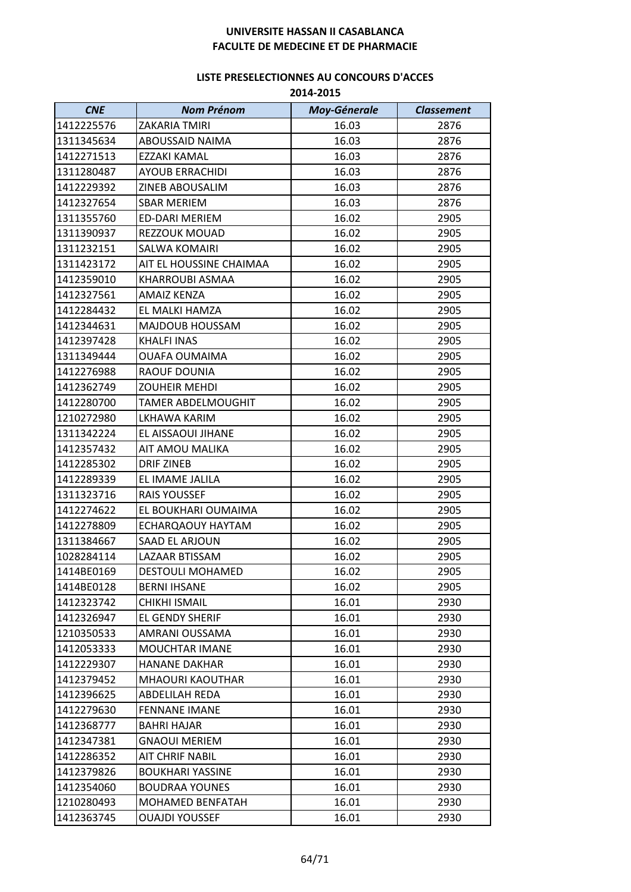| <b>CNE</b> | <b>Nom Prénom</b>         | <b>Moy-Génerale</b> | <b>Classement</b> |
|------------|---------------------------|---------------------|-------------------|
| 1412225576 | ZAKARIA TMIRI             | 16.03               | 2876              |
| 1311345634 | ABOUSSAID NAIMA           | 16.03               | 2876              |
| 1412271513 | EZZAKI KAMAL              | 16.03               | 2876              |
| 1311280487 | <b>AYOUB ERRACHIDI</b>    | 16.03               | 2876              |
| 1412229392 | <b>ZINEB ABOUSALIM</b>    | 16.03               | 2876              |
| 1412327654 | <b>SBAR MERIEM</b>        | 16.03               | 2876              |
| 1311355760 | <b>ED-DARI MERIEM</b>     | 16.02               | 2905              |
| 1311390937 | REZZOUK MOUAD             | 16.02               | 2905              |
| 1311232151 | <b>SALWA KOMAIRI</b>      | 16.02               | 2905              |
| 1311423172 | AIT EL HOUSSINE CHAIMAA   | 16.02               | 2905              |
| 1412359010 | KHARROUBI ASMAA           | 16.02               | 2905              |
| 1412327561 | <b>AMAIZ KENZA</b>        | 16.02               | 2905              |
| 1412284432 | EL MALKI HAMZA            | 16.02               | 2905              |
| 1412344631 | MAJDOUB HOUSSAM           | 16.02               | 2905              |
| 1412397428 | <b>KHALFI INAS</b>        | 16.02               | 2905              |
| 1311349444 | <b>OUAFA OUMAIMA</b>      | 16.02               | 2905              |
| 1412276988 | RAOUF DOUNIA              | 16.02               | 2905              |
| 1412362749 | <b>ZOUHEIR MEHDI</b>      | 16.02               | 2905              |
| 1412280700 | <b>TAMER ABDELMOUGHIT</b> | 16.02               | 2905              |
| 1210272980 | LKHAWA KARIM              | 16.02               | 2905              |
| 1311342224 | EL AISSAOUI JIHANE        | 16.02               | 2905              |
| 1412357432 | AIT AMOU MALIKA           | 16.02               | 2905              |
| 1412285302 | <b>DRIF ZINEB</b>         | 16.02               | 2905              |
| 1412289339 | EL IMAME JALILA           | 16.02               | 2905              |
| 1311323716 | <b>RAIS YOUSSEF</b>       | 16.02               | 2905              |
| 1412274622 | EL BOUKHARI OUMAIMA       | 16.02               | 2905              |
| 1412278809 | ECHARQAOUY HAYTAM         | 16.02               | 2905              |
| 1311384667 | SAAD EL ARJOUN            | 16.02               | 2905              |
| 1028284114 | LAZAAR BTISSAM            | 16.02               | 2905              |
| 1414BE0169 | <b>DESTOULI MOHAMED</b>   | 16.02               | 2905              |
| 1414BE0128 | <b>BERNI IHSANE</b>       | 16.02               | 2905              |
| 1412323742 | CHIKHI ISMAIL             | 16.01               | 2930              |
| 1412326947 | EL GENDY SHERIF           | 16.01               | 2930              |
| 1210350533 | AMRANI OUSSAMA            | 16.01               | 2930              |
| 1412053333 | <b>MOUCHTAR IMANE</b>     | 16.01               | 2930              |
| 1412229307 | <b>HANANE DAKHAR</b>      | 16.01               | 2930              |
| 1412379452 | <b>MHAOURI KAOUTHAR</b>   | 16.01               | 2930              |
| 1412396625 | ABDELILAH REDA            | 16.01               | 2930              |
| 1412279630 | <b>FENNANE IMANE</b>      | 16.01               | 2930              |
| 1412368777 | <b>BAHRI HAJAR</b>        | 16.01               | 2930              |
| 1412347381 | <b>GNAOUI MERIEM</b>      | 16.01               | 2930              |
| 1412286352 | <b>AIT CHRIF NABIL</b>    | 16.01               | 2930              |
| 1412379826 | <b>BOUKHARI YASSINE</b>   | 16.01               | 2930              |
| 1412354060 | <b>BOUDRAA YOUNES</b>     | 16.01               | 2930              |
| 1210280493 | MOHAMED BENFATAH          | 16.01               | 2930              |
| 1412363745 | <b>OUAJDI YOUSSEF</b>     | 16.01               | 2930              |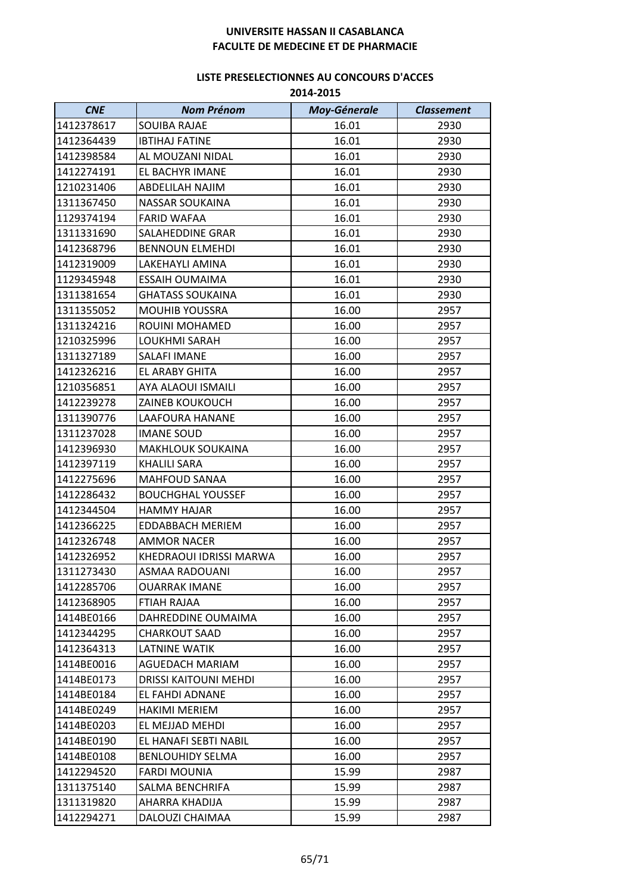| <b>CNE</b> | <b>Nom Prénom</b>            | <b>Moy-Génerale</b> | <b>Classement</b> |
|------------|------------------------------|---------------------|-------------------|
| 1412378617 | <b>SOUIBA RAJAE</b>          | 16.01               | 2930              |
| 1412364439 | <b>IBTIHAJ FATINE</b>        | 16.01               | 2930              |
| 1412398584 | AL MOUZANI NIDAL             | 16.01               | 2930              |
| 1412274191 | EL BACHYR IMANE              | 16.01               | 2930              |
| 1210231406 | ABDELILAH NAJIM              | 16.01               | 2930              |
| 1311367450 | <b>NASSAR SOUKAINA</b>       | 16.01               | 2930              |
| 1129374194 | <b>FARID WAFAA</b>           | 16.01               | 2930              |
| 1311331690 | <b>SALAHEDDINE GRAR</b>      | 16.01               | 2930              |
| 1412368796 | <b>BENNOUN ELMEHDI</b>       | 16.01               | 2930              |
| 1412319009 | LAKEHAYLI AMINA              | 16.01               | 2930              |
| 1129345948 | <b>ESSAIH OUMAIMA</b>        | 16.01               | 2930              |
| 1311381654 | <b>GHATASS SOUKAINA</b>      | 16.01               | 2930              |
| 1311355052 | <b>MOUHIB YOUSSRA</b>        | 16.00               | 2957              |
| 1311324216 | ROUINI MOHAMED               | 16.00               | 2957              |
| 1210325996 | LOUKHMI SARAH                | 16.00               | 2957              |
| 1311327189 | SALAFI IMANE                 | 16.00               | 2957              |
| 1412326216 | <b>EL ARABY GHITA</b>        | 16.00               | 2957              |
| 1210356851 | <b>AYA ALAOUI ISMAILI</b>    | 16.00               | 2957              |
| 1412239278 | <b>ZAINEB KOUKOUCH</b>       | 16.00               | 2957              |
| 1311390776 | LAAFOURA HANANE              | 16.00               | 2957              |
| 1311237028 | <b>IMANE SOUD</b>            | 16.00               | 2957              |
| 1412396930 | <b>MAKHLOUK SOUKAINA</b>     | 16.00               | 2957              |
| 1412397119 | <b>KHALILI SARA</b>          | 16.00               | 2957              |
| 1412275696 | <b>MAHFOUD SANAA</b>         | 16.00               | 2957              |
| 1412286432 | <b>BOUCHGHAL YOUSSEF</b>     | 16.00               | 2957              |
| 1412344504 | <b>HAMMY HAJAR</b>           | 16.00               | 2957              |
| 1412366225 | <b>EDDABBACH MERIEM</b>      | 16.00               | 2957              |
| 1412326748 | <b>AMMOR NACER</b>           | 16.00               | 2957              |
| 1412326952 | KHEDRAOUI IDRISSI MARWA      | 16.00               | 2957              |
| 1311273430 | ASMAA RADOUANI               | 16.00               | 2957              |
| 1412285706 | OUARRAK IMANE                | 16.00               | 2957              |
| 1412368905 | FTIAH RAJAA                  | 16.00               | 2957              |
| 1414BE0166 | DAHREDDINE OUMAIMA           | 16.00               | 2957              |
| 1412344295 | CHARKOUT SAAD                | 16.00               | 2957              |
| 1412364313 | <b>LATNINE WATIK</b>         | 16.00               | 2957              |
| 1414BE0016 | <b>AGUEDACH MARIAM</b>       | 16.00               | 2957              |
| 1414BE0173 | <b>DRISSI KAITOUNI MEHDI</b> | 16.00               | 2957              |
| 1414BE0184 | <b>EL FAHDI ADNANE</b>       | 16.00               | 2957              |
| 1414BE0249 | <b>HAKIMI MERIEM</b>         | 16.00               | 2957              |
| 1414BE0203 | EL MEJJAD MEHDI              | 16.00               | 2957              |
| 1414BE0190 | EL HANAFI SEBTI NABIL        | 16.00               | 2957              |
| 1414BE0108 | <b>BENLOUHIDY SELMA</b>      | 16.00               | 2957              |
| 1412294520 | <b>FARDI MOUNIA</b>          | 15.99               | 2987              |
| 1311375140 | <b>SALMA BENCHRIFA</b>       | 15.99               | 2987              |
| 1311319820 | AHARRA KHADIJA               | 15.99               | 2987              |
| 1412294271 | DALOUZI CHAIMAA              | 15.99               | 2987              |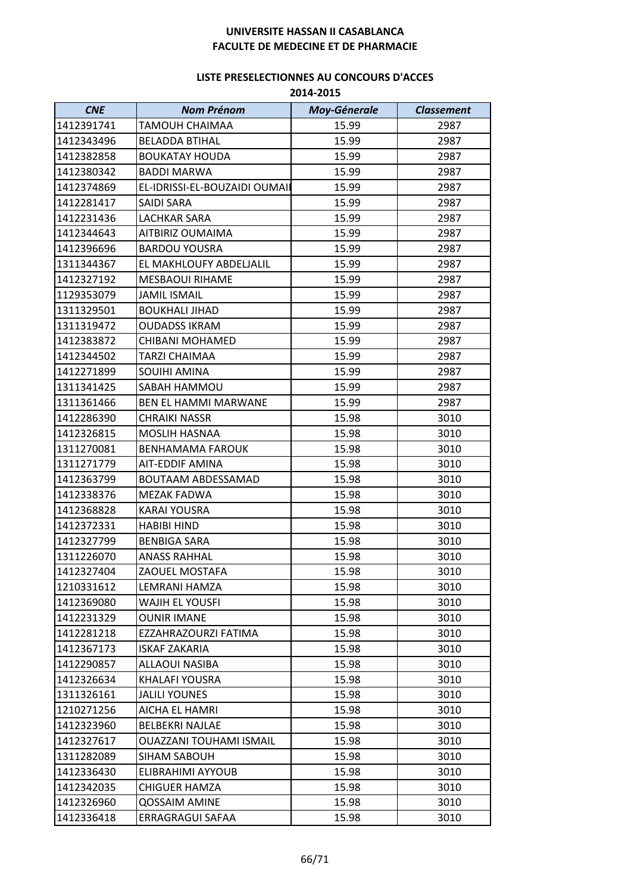| <b>CNE</b> | <b>Nom Prénom</b>              | <b>Moy-Génerale</b> | <b>Classement</b> |
|------------|--------------------------------|---------------------|-------------------|
| 1412391741 | <b>TAMOUH CHAIMAA</b>          | 15.99               | 2987              |
| 1412343496 | <b>BELADDA BTIHAL</b>          | 15.99               | 2987              |
| 1412382858 | <b>BOUKATAY HOUDA</b>          | 15.99               | 2987              |
| 1412380342 | <b>BADDI MARWA</b>             | 15.99               | 2987              |
| 1412374869 | EL-IDRISSI-EL-BOUZAIDI OUMAII  | 15.99               | 2987              |
| 1412281417 | SAIDI SARA                     | 15.99               | 2987              |
| 1412231436 | <b>LACHKAR SARA</b>            | 15.99               | 2987              |
| 1412344643 | AITBIRIZ OUMAIMA               | 15.99               | 2987              |
| 1412396696 | <b>BARDOU YOUSRA</b>           | 15.99               | 2987              |
| 1311344367 | EL MAKHLOUFY ABDELJALIL        | 15.99               | 2987              |
| 1412327192 | <b>MESBAOUI RIHAME</b>         | 15.99               | 2987              |
| 1129353079 | <b>JAMIL ISMAIL</b>            | 15.99               | 2987              |
| 1311329501 | <b>BOUKHALI JIHAD</b>          | 15.99               | 2987              |
| 1311319472 | <b>OUDADSS IKRAM</b>           | 15.99               | 2987              |
| 1412383872 | CHIBANI MOHAMED                | 15.99               | 2987              |
| 1412344502 | TARZI CHAIMAA                  | 15.99               | 2987              |
| 1412271899 | SOUIHI AMINA                   | 15.99               | 2987              |
| 1311341425 | SABAH HAMMOU                   | 15.99               | 2987              |
| 1311361466 | BEN EL HAMMI MARWANE           | 15.99               | 2987              |
| 1412286390 | <b>CHRAIKI NASSR</b>           | 15.98               | 3010              |
| 1412326815 | MOSLIH HASNAA                  | 15.98               | 3010              |
| 1311270081 | <b>BENHAMAMA FAROUK</b>        | 15.98               | 3010              |
| 1311271779 | AIT-EDDIF AMINA                | 15.98               | 3010              |
| 1412363799 | <b>BOUTAAM ABDESSAMAD</b>      | 15.98               | 3010              |
| 1412338376 | <b>MEZAK FADWA</b>             | 15.98               | 3010              |
| 1412368828 | <b>KARAI YOUSRA</b>            | 15.98               | 3010              |
| 1412372331 | <b>HABIBI HIND</b>             | 15.98               | 3010              |
| 1412327799 | <b>BENBIGA SARA</b>            | 15.98               | 3010              |
| 1311226070 | <b>ANASS RAHHAL</b>            | 15.98               | 3010              |
| 1412327404 | ZAOUEL MOSTAFA                 | 15.98               | 3010              |
| 1210331612 | LEMRANI HAMZA                  | 15.98               | 3010              |
| 1412369080 | WAJIH EL YOUSFI                | 15.98               | 3010              |
| 1412231329 | <b>OUNIR IMANE</b>             | 15.98               | 3010              |
| 1412281218 | EZZAHRAZOURZI FATIMA           | 15.98               | 3010              |
| 1412367173 | <b>ISKAF ZAKARIA</b>           | 15.98               | 3010              |
| 1412290857 | ALLAOUI NASIBA                 | 15.98               | 3010              |
| 1412326634 | KHALAFI YOUSRA                 | 15.98               | 3010              |
| 1311326161 | <b>JALILI YOUNES</b>           | 15.98               | 3010              |
| 1210271256 | AICHA EL HAMRI                 | 15.98               | 3010              |
| 1412323960 | <b>BELBEKRI NAJLAE</b>         | 15.98               | 3010              |
| 1412327617 | <b>OUAZZANI TOUHAMI ISMAIL</b> | 15.98               | 3010              |
| 1311282089 | SIHAM SABOUH                   | 15.98               | 3010              |
| 1412336430 | ELIBRAHIMI AYYOUB              | 15.98               | 3010              |
| 1412342035 | <b>CHIGUER HAMZA</b>           | 15.98               | 3010              |
| 1412326960 | <b>QOSSAIM AMINE</b>           | 15.98               | 3010              |
| 1412336418 | ERRAGRAGUI SAFAA               | 15.98               | 3010              |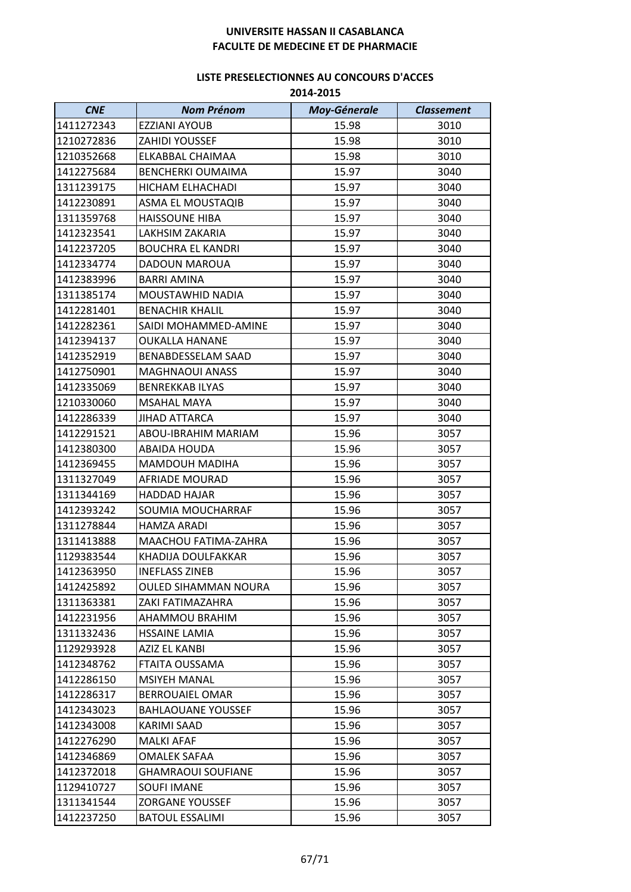| <b>CNE</b> | <b>Nom Prénom</b>         | <b>Moy-Génerale</b> | <b>Classement</b> |
|------------|---------------------------|---------------------|-------------------|
| 1411272343 | <b>EZZIANI AYOUB</b>      | 15.98               | 3010              |
| 1210272836 | <b>ZAHIDI YOUSSEF</b>     | 15.98               | 3010              |
| 1210352668 | ELKABBAL CHAIMAA          | 15.98               | 3010              |
| 1412275684 | <b>BENCHERKI OUMAIMA</b>  | 15.97               | 3040              |
| 1311239175 | HICHAM ELHACHADI          | 15.97               | 3040              |
| 1412230891 | ASMA EL MOUSTAQIB         | 15.97               | 3040              |
| 1311359768 | <b>HAISSOUNE HIBA</b>     | 15.97               | 3040              |
| 1412323541 | LAKHSIM ZAKARIA           | 15.97               | 3040              |
| 1412237205 | <b>BOUCHRA EL KANDRI</b>  | 15.97               | 3040              |
| 1412334774 | DADOUN MAROUA             | 15.97               | 3040              |
| 1412383996 | <b>BARRI AMINA</b>        | 15.97               | 3040              |
| 1311385174 | MOUSTAWHID NADIA          | 15.97               | 3040              |
| 1412281401 | <b>BENACHIR KHALIL</b>    | 15.97               | 3040              |
| 1412282361 | SAIDI MOHAMMED-AMINE      | 15.97               | 3040              |
| 1412394137 | <b>OUKALLA HANANE</b>     | 15.97               | 3040              |
| 1412352919 | BENABDESSELAM SAAD        | 15.97               | 3040              |
| 1412750901 | <b>MAGHNAOUI ANASS</b>    | 15.97               | 3040              |
| 1412335069 | <b>BENREKKAB ILYAS</b>    | 15.97               | 3040              |
| 1210330060 | <b>MSAHAL MAYA</b>        | 15.97               | 3040              |
| 1412286339 | <b>JIHAD ATTARCA</b>      | 15.97               | 3040              |
| 1412291521 | ABOU-IBRAHIM MARIAM       | 15.96               | 3057              |
| 1412380300 | <b>ABAIDA HOUDA</b>       | 15.96               | 3057              |
| 1412369455 | <b>MAMDOUH MADIHA</b>     | 15.96               | 3057              |
| 1311327049 | AFRIADE MOURAD            | 15.96               | 3057              |
| 1311344169 | <b>HADDAD HAJAR</b>       | 15.96               | 3057              |
| 1412393242 | SOUMIA MOUCHARRAF         | 15.96               | 3057              |
| 1311278844 | <b>HAMZA ARADI</b>        | 15.96               | 3057              |
| 1311413888 | MAACHOU FATIMA-ZAHRA      | 15.96               | 3057              |
| 1129383544 | KHADIJA DOULFAKKAR        | 15.96               | 3057              |
| 1412363950 | <b>INEFLASS ZINEB</b>     | 15.96               | 3057              |
| 1412425892 | OULED SIHAMMAN NOURA      | 15.96               | 3057              |
| 1311363381 | ZAKI FATIMAZAHRA          | 15.96               | 3057              |
| 1412231956 | AHAMMOU BRAHIM            | 15.96               | 3057              |
| 1311332436 | <b>HSSAINE LAMIA</b>      | 15.96               | 3057              |
| 1129293928 | AZIZ EL KANBI             | 15.96               | 3057              |
| 1412348762 | FTAITA OUSSAMA            | 15.96               | 3057              |
| 1412286150 | <b>MSIYEH MANAL</b>       | 15.96               | 3057              |
| 1412286317 | <b>BERROUAIEL OMAR</b>    | 15.96               | 3057              |
| 1412343023 | <b>BAHLAOUANE YOUSSEF</b> | 15.96               | 3057              |
| 1412343008 | KARIMI SAAD               | 15.96               | 3057              |
| 1412276290 | <b>MALKI AFAF</b>         | 15.96               | 3057              |
| 1412346869 | OMALEK SAFAA              | 15.96               | 3057              |
| 1412372018 | <b>GHAMRAOUI SOUFIANE</b> | 15.96               | 3057              |
| 1129410727 | <b>SOUFI IMANE</b>        | 15.96               | 3057              |
| 1311341544 | <b>ZORGANE YOUSSEF</b>    | 15.96               | 3057              |
| 1412237250 | <b>BATOUL ESSALIMI</b>    | 15.96               | 3057              |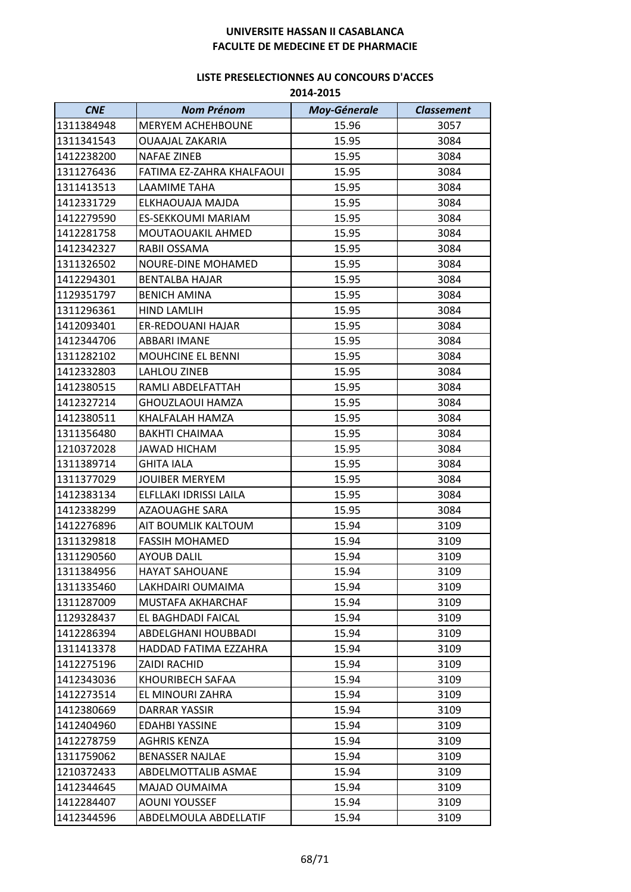| <b>CNE</b> | <b>Nom Prénom</b>         | <b>Moy-Génerale</b> | <b>Classement</b> |
|------------|---------------------------|---------------------|-------------------|
| 1311384948 | MERYEM ACHEHBOUNE         | 15.96               | 3057              |
| 1311341543 | <b>OUAAJAL ZAKARIA</b>    | 15.95               | 3084              |
| 1412238200 | <b>NAFAE ZINEB</b>        | 15.95               | 3084              |
| 1311276436 | FATIMA EZ-ZAHRA KHALFAOUI | 15.95               | 3084              |
| 1311413513 | LAAMIME TAHA              | 15.95               | 3084              |
| 1412331729 | ELKHAOUAJA MAJDA          | 15.95               | 3084              |
| 1412279590 | <b>ES-SEKKOUMI MARIAM</b> | 15.95               | 3084              |
| 1412281758 | MOUTAOUAKIL AHMED         | 15.95               | 3084              |
| 1412342327 | RABII OSSAMA              | 15.95               | 3084              |
| 1311326502 | <b>NOURE-DINE MOHAMED</b> | 15.95               | 3084              |
| 1412294301 | <b>BENTALBA HAJAR</b>     | 15.95               | 3084              |
| 1129351797 | <b>BENICH AMINA</b>       | 15.95               | 3084              |
| 1311296361 | <b>HIND LAMLIH</b>        | 15.95               | 3084              |
| 1412093401 | ER-REDOUANI HAJAR         | 15.95               | 3084              |
| 1412344706 | ABBARI IMANE              | 15.95               | 3084              |
| 1311282102 | MOUHCINE EL BENNI         | 15.95               | 3084              |
| 1412332803 | <b>LAHLOU ZINEB</b>       | 15.95               | 3084              |
| 1412380515 | RAMLI ABDELFATTAH         | 15.95               | 3084              |
| 1412327214 | GHOUZLAOUI HAMZA          | 15.95               | 3084              |
| 1412380511 | KHALFALAH HAMZA           | 15.95               | 3084              |
| 1311356480 | <b>BAKHTI CHAIMAA</b>     | 15.95               | 3084              |
| 1210372028 | <b>JAWAD HICHAM</b>       | 15.95               | 3084              |
| 1311389714 | <b>GHITA IALA</b>         | 15.95               | 3084              |
| 1311377029 | <b>JOUIBER MERYEM</b>     | 15.95               | 3084              |
| 1412383134 | ELFLLAKI IDRISSI LAILA    | 15.95               | 3084              |
| 1412338299 | <b>AZAOUAGHE SARA</b>     | 15.95               | 3084              |
| 1412276896 | AIT BOUMLIK KALTOUM       | 15.94               | 3109              |
| 1311329818 | <b>FASSIH MOHAMED</b>     | 15.94               | 3109              |
| 1311290560 | <b>AYOUB DALIL</b>        | 15.94               | 3109              |
| 1311384956 | <b>HAYAT SAHOUANE</b>     | 15.94               | 3109              |
| 1311335460 | LAKHDAIRI OUMAIMA         | 15.94               | 3109              |
| 1311287009 | MUSTAFA AKHARCHAF         | 15.94               | 3109              |
| 1129328437 | <b>EL BAGHDADI FAICAL</b> | 15.94               | 3109              |
| 1412286394 | ABDELGHANI HOUBBADI       | 15.94               | 3109              |
| 1311413378 | HADDAD FATIMA EZZAHRA     | 15.94               | 3109              |
| 1412275196 | ZAIDI RACHID              | 15.94               | 3109              |
| 1412343036 | KHOURIBECH SAFAA          | 15.94               | 3109              |
| 1412273514 | EL MINOURI ZAHRA          | 15.94               | 3109              |
| 1412380669 | DARRAR YASSIR             | 15.94               | 3109              |
| 1412404960 | <b>EDAHBI YASSINE</b>     | 15.94               | 3109              |
| 1412278759 | <b>AGHRIS KENZA</b>       | 15.94               | 3109              |
| 1311759062 | <b>BENASSER NAJLAE</b>    | 15.94               | 3109              |
| 1210372433 | ABDELMOTTALIB ASMAE       | 15.94               | 3109              |
| 1412344645 | MAJAD OUMAIMA             | 15.94               | 3109              |
| 1412284407 | <b>AOUNI YOUSSEF</b>      | 15.94               | 3109              |
| 1412344596 | ABDELMOULA ABDELLATIF     | 15.94               | 3109              |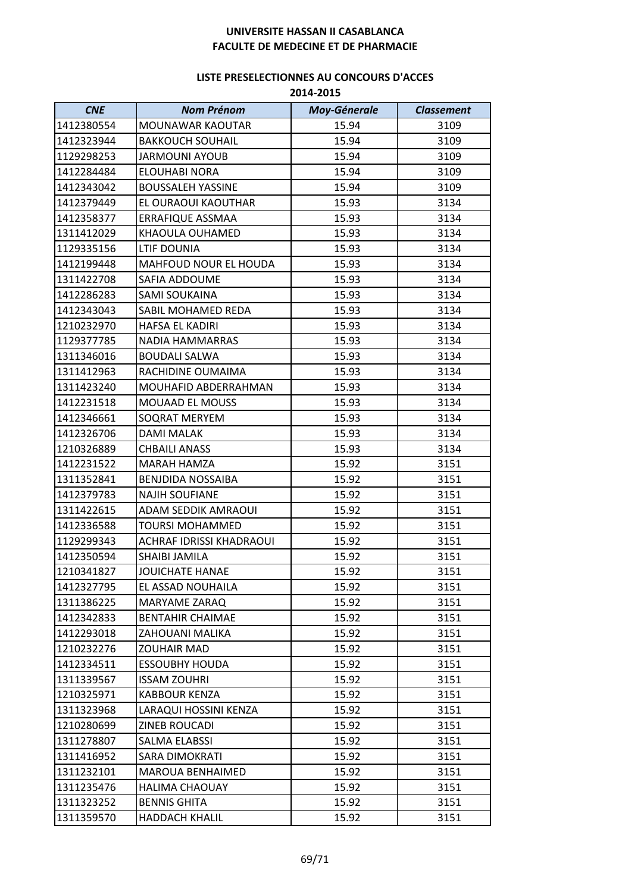| <b>CNE</b> | <b>Nom Prénom</b>               | <b>Moy-Génerale</b> | <b>Classement</b> |
|------------|---------------------------------|---------------------|-------------------|
| 1412380554 | MOUNAWAR KAOUTAR                | 15.94               | 3109              |
| 1412323944 | <b>BAKKOUCH SOUHAIL</b>         | 15.94               | 3109              |
| 1129298253 | <b>JARMOUNI AYOUB</b>           | 15.94               | 3109              |
| 1412284484 | ELOUHABI NORA                   | 15.94               | 3109              |
| 1412343042 | <b>BOUSSALEH YASSINE</b>        | 15.94               | 3109              |
| 1412379449 | EL OURAOUI KAOUTHAR             | 15.93               | 3134              |
| 1412358377 | ERRAFIQUE ASSMAA                | 15.93               | 3134              |
| 1311412029 | KHAOULA OUHAMED                 | 15.93               | 3134              |
| 1129335156 | LTIF DOUNIA                     | 15.93               | 3134              |
| 1412199448 | MAHFOUD NOUR EL HOUDA           | 15.93               | 3134              |
| 1311422708 | SAFIA ADDOUME                   | 15.93               | 3134              |
| 1412286283 | <b>SAMI SOUKAINA</b>            | 15.93               | 3134              |
| 1412343043 | SABIL MOHAMED REDA              | 15.93               | 3134              |
| 1210232970 | HAFSA EL KADIRI                 | 15.93               | 3134              |
| 1129377785 | <b>NADIA HAMMARRAS</b>          | 15.93               | 3134              |
| 1311346016 | <b>BOUDALI SALWA</b>            | 15.93               | 3134              |
| 1311412963 | RACHIDINE OUMAIMA               | 15.93               | 3134              |
| 1311423240 | MOUHAFID ABDERRAHMAN            | 15.93               | 3134              |
| 1412231518 | <b>MOUAAD EL MOUSS</b>          | 15.93               | 3134              |
| 1412346661 | SOQRAT MERYEM                   | 15.93               | 3134              |
| 1412326706 | DAMI MALAK                      | 15.93               | 3134              |
| 1210326889 | <b>CHBAILI ANASS</b>            | 15.93               | 3134              |
| 1412231522 | MARAH HAMZA                     | 15.92               | 3151              |
| 1311352841 | <b>BENJDIDA NOSSAIBA</b>        | 15.92               | 3151              |
| 1412379783 | <b>NAJIH SOUFIANE</b>           | 15.92               | 3151              |
| 1311422615 | ADAM SEDDIK AMRAOUI             | 15.92               | 3151              |
| 1412336588 | <b>TOURSI MOHAMMED</b>          | 15.92               | 3151              |
| 1129299343 | <b>ACHRAF IDRISSI KHADRAOUI</b> | 15.92               | 3151              |
| 1412350594 | <b>SHAIBI JAMILA</b>            | 15.92               | 3151              |
| 1210341827 | <b>JOUICHATE HANAE</b>          | 15.92               | 3151              |
| 1412327795 | EL ASSAD NOUHAILA               | 15.92               | 3151              |
| 1311386225 | <b>MARYAME ZARAQ</b>            | 15.92               | 3151              |
| 1412342833 | <b>BENTAHIR CHAIMAE</b>         | 15.92               | 3151              |
| 1412293018 | ZAHOUANI MALIKA                 | 15.92               | 3151              |
| 1210232276 | ZOUHAIR MAD                     | 15.92               | 3151              |
| 1412334511 | <b>ESSOUBHY HOUDA</b>           | 15.92               | 3151              |
| 1311339567 | <b>ISSAM ZOUHRI</b>             | 15.92               | 3151              |
| 1210325971 | <b>KABBOUR KENZA</b>            | 15.92               | 3151              |
| 1311323968 | LARAQUI HOSSINI KENZA           | 15.92               | 3151              |
| 1210280699 | ZINEB ROUCADI                   | 15.92               | 3151              |
| 1311278807 | SALMA ELABSSI                   | 15.92               | 3151              |
| 1311416952 | SARA DIMOKRATI                  | 15.92               | 3151              |
| 1311232101 | <b>MAROUA BENHAIMED</b>         | 15.92               | 3151              |
| 1311235476 | <b>HALIMA CHAOUAY</b>           | 15.92               | 3151              |
| 1311323252 | <b>BENNIS GHITA</b>             | 15.92               | 3151              |
| 1311359570 | <b>HADDACH KHALIL</b>           | 15.92               | 3151              |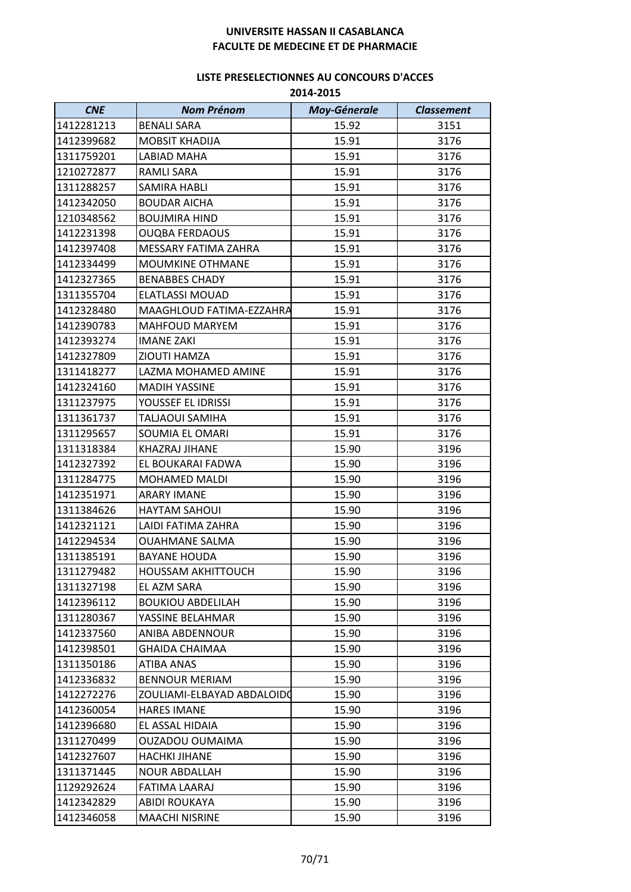| <b>CNE</b> | <b>Nom Prénom</b>          | <b>Moy-Génerale</b> | <b>Classement</b> |
|------------|----------------------------|---------------------|-------------------|
| 1412281213 | <b>BENALI SARA</b>         | 15.92               | 3151              |
| 1412399682 | <b>MOBSIT KHADIJA</b>      | 15.91               | 3176              |
| 1311759201 | <b>LABIAD MAHA</b>         | 15.91               | 3176              |
| 1210272877 | <b>RAMLI SARA</b>          | 15.91               | 3176              |
| 1311288257 | <b>SAMIRA HABLI</b>        | 15.91               | 3176              |
| 1412342050 | <b>BOUDAR AICHA</b>        | 15.91               | 3176              |
| 1210348562 | <b>BOUJMIRA HIND</b>       | 15.91               | 3176              |
| 1412231398 | <b>OUQBA FERDAOUS</b>      | 15.91               | 3176              |
| 1412397408 | MESSARY FATIMA ZAHRA       | 15.91               | 3176              |
| 1412334499 | MOUMKINE OTHMANE           | 15.91               | 3176              |
| 1412327365 | <b>BENABBES CHADY</b>      | 15.91               | 3176              |
| 1311355704 | <b>ELATLASSI MOUAD</b>     | 15.91               | 3176              |
| 1412328480 | MAAGHLOUD FATIMA-EZZAHRA   | 15.91               | 3176              |
| 1412390783 | <b>MAHFOUD MARYEM</b>      | 15.91               | 3176              |
| 1412393274 | <b>IMANE ZAKI</b>          | 15.91               | 3176              |
| 1412327809 | ZIOUTI HAMZA               | 15.91               | 3176              |
| 1311418277 | LAZMA MOHAMED AMINE        | 15.91               | 3176              |
| 1412324160 | <b>MADIH YASSINE</b>       | 15.91               | 3176              |
| 1311237975 | YOUSSEF EL IDRISSI         | 15.91               | 3176              |
| 1311361737 | TALJAOUI SAMIHA            | 15.91               | 3176              |
| 1311295657 | SOUMIA EL OMARI            | 15.91               | 3176              |
| 1311318384 | KHAZRAJ JIHANE             | 15.90               | 3196              |
| 1412327392 | EL BOUKARAI FADWA          | 15.90               | 3196              |
| 1311284775 | MOHAMED MALDI              | 15.90               | 3196              |
| 1412351971 | <b>ARARY IMANE</b>         | 15.90               | 3196              |
| 1311384626 | <b>HAYTAM SAHOUI</b>       | 15.90               | 3196              |
| 1412321121 | LAIDI FATIMA ZAHRA         | 15.90               | 3196              |
| 1412294534 | <b>OUAHMANE SALMA</b>      | 15.90               | 3196              |
| 1311385191 | <b>BAYANE HOUDA</b>        | 15.90               | 3196              |
| 1311279482 | <b>HOUSSAM AKHITTOUCH</b>  | 15.90               | 3196              |
| 1311327198 | EL AZM SARA                | 15.90               | 3196              |
| 1412396112 | <b>BOUKIOU ABDELILAH</b>   | 15.90               | 3196              |
| 1311280367 | YASSINE BELAHMAR           | 15.90               | 3196              |
| 1412337560 | ANIBA ABDENNOUR            | 15.90               | 3196              |
| 1412398501 | <b>GHAIDA CHAIMAA</b>      | 15.90               | 3196              |
| 1311350186 | <b>ATIBA ANAS</b>          | 15.90               | 3196              |
| 1412336832 | <b>BENNOUR MERIAM</b>      | 15.90               | 3196              |
| 1412272276 | ZOULIAMI-ELBAYAD ABDALOIDO | 15.90               | 3196              |
| 1412360054 | <b>HARES IMANE</b>         | 15.90               | 3196              |
| 1412396680 | EL ASSAL HIDAIA            | 15.90               | 3196              |
| 1311270499 | OUZADOU OUMAIMA            | 15.90               | 3196              |
| 1412327607 | <b>HACHKI JIHANE</b>       | 15.90               | 3196              |
| 1311371445 | <b>NOUR ABDALLAH</b>       | 15.90               | 3196              |
| 1129292624 | FATIMA LAARAJ              | 15.90               | 3196              |
| 1412342829 | <b>ABIDI ROUKAYA</b>       | 15.90               | 3196              |
| 1412346058 | <b>MAACHI NISRINE</b>      | 15.90               | 3196              |